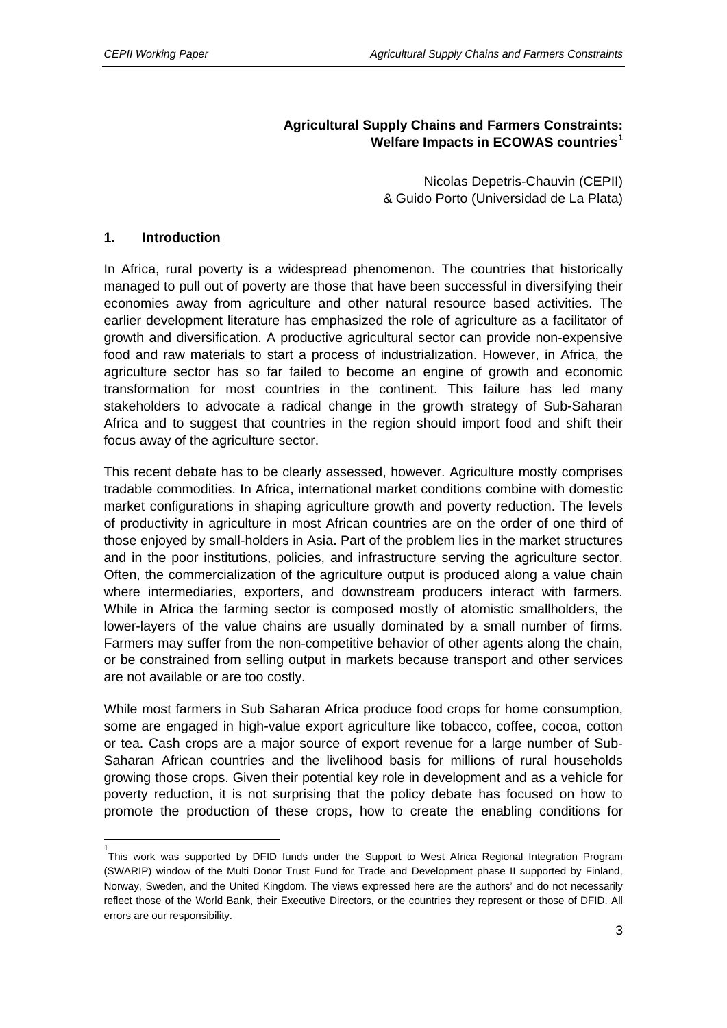# **Agricultural Supply Chains and Farmers Constraints: Welfare Impacts in ECOWAS countries[1](#page-0-0)**

Nicolas Depetris-Chauvin (CEPII) & Guido Porto (Universidad de La Plata)

### **1. Introduction**

In Africa, rural poverty is a widespread phenomenon. The countries that historically managed to pull out of poverty are those that have been successful in diversifying their economies away from agriculture and other natural resource based activities. The earlier development literature has emphasized the role of agriculture as a facilitator of growth and diversification. A productive agricultural sector can provide non-expensive food and raw materials to start a process of industrialization. However, in Africa, the agriculture sector has so far failed to become an engine of growth and economic transformation for most countries in the continent. This failure has led many stakeholders to advocate a radical change in the growth strategy of Sub-Saharan Africa and to suggest that countries in the region should import food and shift their focus away of the agriculture sector.

This recent debate has to be clearly assessed, however. Agriculture mostly comprises tradable commodities. In Africa, international market conditions combine with domestic market configurations in shaping agriculture growth and poverty reduction. The levels of productivity in agriculture in most African countries are on the order of one third of those enjoyed by small-holders in Asia. Part of the problem lies in the market structures and in the poor institutions, policies, and infrastructure serving the agriculture sector. Often, the commercialization of the agriculture output is produced along a value chain where intermediaries, exporters, and downstream producers interact with farmers. While in Africa the farming sector is composed mostly of atomistic smallholders, the lower-layers of the value chains are usually dominated by a small number of firms. Farmers may suffer from the non-competitive behavior of other agents along the chain, or be constrained from selling output in markets because transport and other services are not available or are too costly.

While most farmers in Sub Saharan Africa produce food crops for home consumption, some are engaged in high-value export agriculture like tobacco, coffee, cocoa, cotton or tea. Cash crops are a major source of export revenue for a large number of Sub-Saharan African countries and the livelihood basis for millions of rural households growing those crops. Given their potential key role in development and as a vehicle for poverty reduction, it is not surprising that the policy debate has focused on how to promote the production of these crops, how to create the enabling conditions for

<span id="page-0-0"></span> $\overline{1}$ This work was supported by DFID funds under the Support to West Africa Regional Integration Program (SWARIP) window of the Multi Donor Trust Fund for Trade and Development phase II supported by Finland, Norway, Sweden, and the United Kingdom. The views expressed here are the authors' and do not necessarily reflect those of the World Bank, their Executive Directors, or the countries they represent or those of DFID. All errors are our responsibility.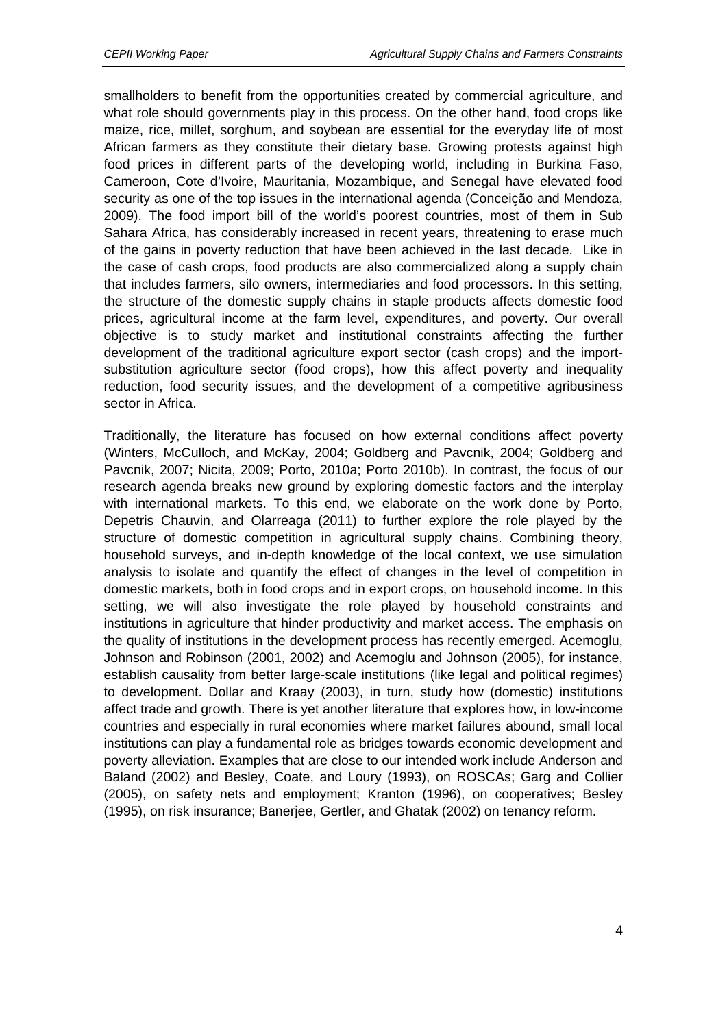smallholders to benefit from the opportunities created by commercial agriculture, and what role should governments play in this process. On the other hand, food crops like maize, rice, millet, sorghum, and soybean are essential for the everyday life of most African farmers as they constitute their dietary base. Growing protests against high food prices in different parts of the developing world, including in Burkina Faso, Cameroon, Cote d'Ivoire, Mauritania, Mozambique, and Senegal have elevated food security as one of the top issues in the international agenda (Conceição and Mendoza, 2009). The food import bill of the world's poorest countries, most of them in Sub Sahara Africa, has considerably increased in recent years, threatening to erase much of the gains in poverty reduction that have been achieved in the last decade. Like in the case of cash crops, food products are also commercialized along a supply chain that includes farmers, silo owners, intermediaries and food processors. In this setting, the structure of the domestic supply chains in staple products affects domestic food prices, agricultural income at the farm level, expenditures, and poverty. Our overall objective is to study market and institutional constraints affecting the further development of the traditional agriculture export sector (cash crops) and the importsubstitution agriculture sector (food crops), how this affect poverty and inequality reduction, food security issues, and the development of a competitive agribusiness sector in Africa.

Traditionally, the literature has focused on how external conditions affect poverty (Winters, McCulloch, and McKay, 2004; Goldberg and Pavcnik, 2004; Goldberg and Pavcnik, 2007; Nicita, 2009; Porto, 2010a; Porto 2010b). In contrast, the focus of our research agenda breaks new ground by exploring domestic factors and the interplay with international markets. To this end, we elaborate on the work done by Porto, Depetris Chauvin, and Olarreaga (2011) to further explore the role played by the structure of domestic competition in agricultural supply chains. Combining theory, household surveys, and in-depth knowledge of the local context, we use simulation analysis to isolate and quantify the effect of changes in the level of competition in domestic markets, both in food crops and in export crops, on household income. In this setting, we will also investigate the role played by household constraints and institutions in agriculture that hinder productivity and market access. The emphasis on the quality of institutions in the development process has recently emerged. Acemoglu, Johnson and Robinson (2001, 2002) and Acemoglu and Johnson (2005), for instance, establish causality from better large-scale institutions (like legal and political regimes) to development. Dollar and Kraay (2003), in turn, study how (domestic) institutions affect trade and growth. There is yet another literature that explores how, in low-income countries and especially in rural economies where market failures abound, small local institutions can play a fundamental role as bridges towards economic development and poverty alleviation. Examples that are close to our intended work include Anderson and Baland (2002) and Besley, Coate, and Loury (1993), on ROSCAs; Garg and Collier (2005), on safety nets and employment; Kranton (1996), on cooperatives; Besley (1995), on risk insurance; Banerjee, Gertler, and Ghatak (2002) on tenancy reform.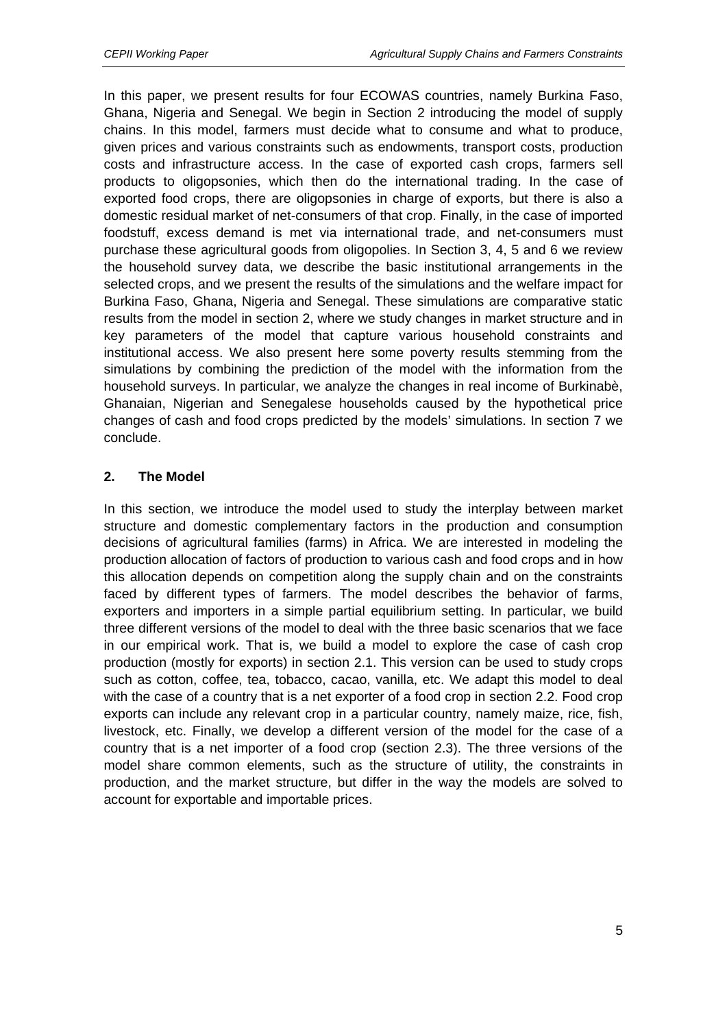In this paper, we present results for four ECOWAS countries, namely Burkina Faso, Ghana, Nigeria and Senegal. We begin in Section 2 introducing the model of supply chains. In this model, farmers must decide what to consume and what to produce, given prices and various constraints such as endowments, transport costs, production costs and infrastructure access. In the case of exported cash crops, farmers sell products to oligopsonies, which then do the international trading. In the case of exported food crops, there are oligopsonies in charge of exports, but there is also a domestic residual market of net-consumers of that crop. Finally, in the case of imported foodstuff, excess demand is met via international trade, and net-consumers must purchase these agricultural goods from oligopolies. In Section 3, 4, 5 and 6 we review the household survey data, we describe the basic institutional arrangements in the selected crops, and we present the results of the simulations and the welfare impact for Burkina Faso, Ghana, Nigeria and Senegal. These simulations are comparative static results from the model in section 2, where we study changes in market structure and in key parameters of the model that capture various household constraints and institutional access. We also present here some poverty results stemming from the simulations by combining the prediction of the model with the information from the household surveys. In particular, we analyze the changes in real income of Burkinabè, Ghanaian, Nigerian and Senegalese households caused by the hypothetical price changes of cash and food crops predicted by the models' simulations. In section 7 we conclude.

# **2. The Model**

In this section, we introduce the model used to study the interplay between market structure and domestic complementary factors in the production and consumption decisions of agricultural families (farms) in Africa. We are interested in modeling the production allocation of factors of production to various cash and food crops and in how this allocation depends on competition along the supply chain and on the constraints faced by different types of farmers. The model describes the behavior of farms, exporters and importers in a simple partial equilibrium setting. In particular, we build three different versions of the model to deal with the three basic scenarios that we face in our empirical work. That is, we build a model to explore the case of cash crop production (mostly for exports) in section 2.1. This version can be used to study crops such as cotton, coffee, tea, tobacco, cacao, vanilla, etc. We adapt this model to deal with the case of a country that is a net exporter of a food crop in section 2.2. Food crop exports can include any relevant crop in a particular country, namely maize, rice, fish, livestock, etc. Finally, we develop a different version of the model for the case of a country that is a net importer of a food crop (section 2.3). The three versions of the model share common elements, such as the structure of utility, the constraints in production, and the market structure, but differ in the way the models are solved to account for exportable and importable prices.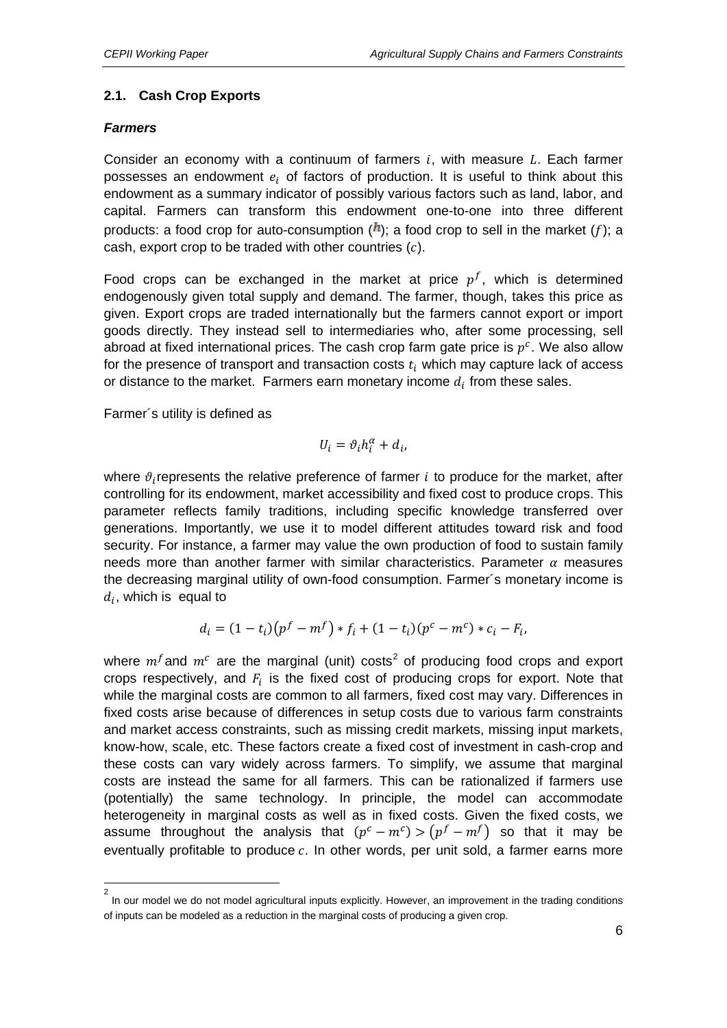## **2.1. Cash Crop Exports**

### *Farmers*

Consider an economy with a continuum of farmers  $i$ , with measure  $L$ . Each farmer possesses an endowment  $e_i$  of factors of production. It is useful to think about this endowment as a summary indicator of possibly various factors such as land, labor, and capital. Farmers can transform this endowment one-to-one into three different products: a food crop for auto-consumption  $(\hbar)$ ; a food crop to sell in the market  $(f)$ ; a cash, export crop to be traded with other countries  $(c)$ .

Food crops can be exchanged in the market at price  $p<sup>f</sup>$ , which is determined endogenously given total supply and demand. The farmer, though, takes this price as given. Export crops are traded internationally but the farmers cannot export or import goods directly. They instead sell to intermediaries who, after some processing, sell abroad at fixed international prices. The cash crop farm gate price is  $p<sup>c</sup>$ . We also allow for the presence of transport and transaction costs  $t_i$  which may capture lack of access or distance to the market. Farmers earn monetary income  $d_i$  from these sales.

Farmer´s utility is defined as

$$
U_i=\vartheta_ih_i^\alpha+d_i,
$$

where  $\vartheta_i$  represents the relative preference of farmer *i* to produce for the market, after controlling for its endowment, market accessibility and fixed cost to produce crops. This parameter reflects family traditions, including specific knowledge transferred over generations. Importantly, we use it to model different attitudes toward risk and food security. For instance, a farmer may value the own production of food to sustain family needs more than another farmer with similar characteristics. Parameter  $\alpha$  measures the decreasing marginal utility of own-food consumption. Farmer´s monetary income is  $d_i$ , which is equal to

$$
d_i = (1 - t_i)(p^f - m^f) * f_i + (1 - t_i)(p^c - m^c) * c_i - F_i,
$$

where  $m<sup>f</sup>$  and  $m<sup>c</sup>$  are the marginal (unit) costs<sup>[2](#page-3-0)</sup> of producing food crops and export crops respectively, and  $F_i$  is the fixed cost of producing crops for export. Note that while the marginal costs are common to all farmers, fixed cost may vary. Differences in fixed costs arise because of differences in setup costs due to various farm constraints and market access constraints, such as missing credit markets, missing input markets, know-how, scale, etc. These factors create a fixed cost of investment in cash-crop and these costs can vary widely across farmers. To simplify, we assume that marginal costs are instead the same for all farmers. This can be rationalized if farmers use (potentially) the same technology. In principle, the model can accommodate heterogeneity in marginal costs as well as in fixed costs. Given the fixed costs, we assume throughout the analysis that  $(p^c - m^c) > (p^f - m^f)$  so that it may be eventually profitable to produce  $c$ . In other words, per unit sold, a farmer earns more

<span id="page-3-0"></span> <sup>2</sup> In our model we do not model agricultural inputs explicitly. However, an improvement in the trading conditions of inputs can be modeled as a reduction in the marginal costs of producing a given crop.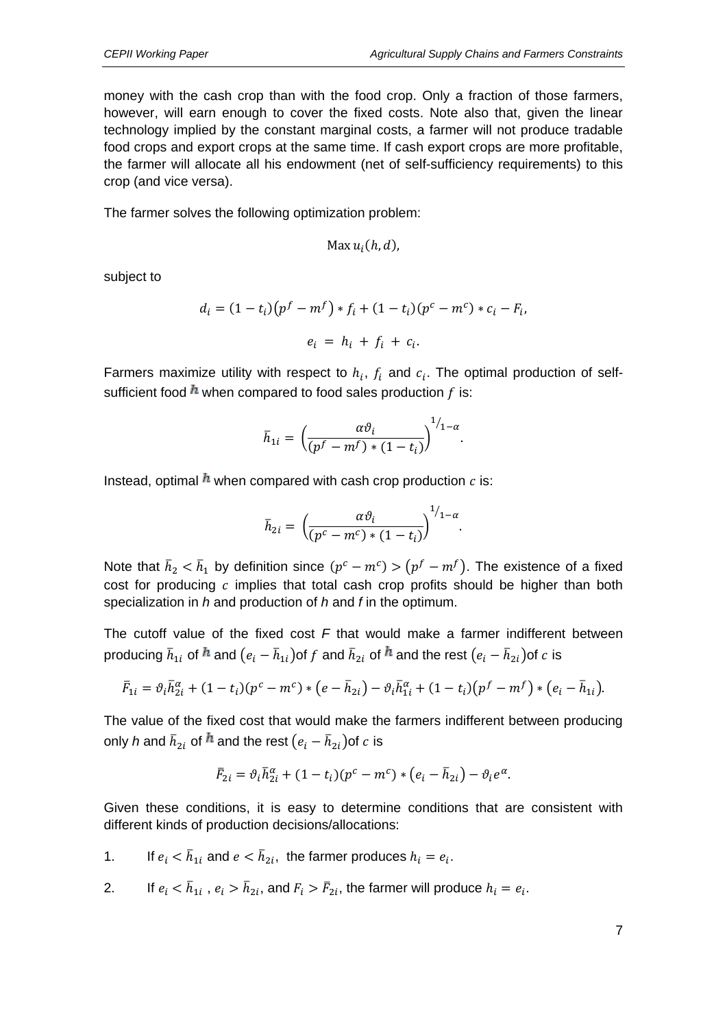money with the cash crop than with the food crop. Only a fraction of those farmers, however, will earn enough to cover the fixed costs. Note also that, given the linear technology implied by the constant marginal costs, a farmer will not produce tradable food crops and export crops at the same time. If cash export crops are more profitable, the farmer will allocate all his endowment (net of self-sufficiency requirements) to this crop (and vice versa).

The farmer solves the following optimization problem:

$$
Max u_i(h, d),
$$

subject to

$$
d_i = (1 - t_i)(p^f - m^f) * f_i + (1 - t_i)(p^c - m^c) * c_i - F_i,
$$
  

$$
e_i = h_i + f_i + c_i.
$$

Farmers maximize utility with respect to  $h_i$ ,  $f_i$  and  $c_i$ . The optimal production of selfsufficient food  $\hbar$  when compared to food sales production f is:

$$
\bar{h}_{1i} = \left(\frac{\alpha \vartheta_i}{(p^f - m^f) * (1 - t_i)}\right)^{1/2 - \alpha}.
$$

Instead, optimal  $\hbar$  when compared with cash crop production  $c$  is:

$$
\bar{h}_{2i} = \left(\frac{\alpha \vartheta_i}{(p^c - m^c) * (1 - t_i)}\right)^{1/2 - \alpha}.
$$

Note that  $\bar{h}_2 < \bar{h}_1$  by definition since  $(p^c - m^c) > (p^f - m^f)$ . The existence of a fixed cost for producing  $c$  implies that total cash crop profits should be higher than both specialization in *h* and production of *h* and *f* in the optimum.

The cutoff value of the fixed cost *F* that would make a farmer indifferent between producing  $\bar{h}_{1i}$  of  $\bar{h}$  and  $(e_i - \bar{h}_{1i})$ of f and  $\bar{h}_{2i}$  of  $\bar{h}$  and the rest  $(e_i - \bar{h}_{2i})$ of  $c$  is

$$
\bar{F}_{1i} = \vartheta_i \bar{h}_{2i}^{\alpha} + (1 - t_i)(p^c - m^c) * (e - \bar{h}_{2i}) - \vartheta_i \bar{h}_{1i}^{\alpha} + (1 - t_i)(p^f - m^f) * (e_i - \bar{h}_{1i}).
$$

The value of the fixed cost that would make the farmers indifferent between producing only *h* and  $\bar{h}_{2i}$  of  $\bar{h}$  and the rest  $(e_i - \bar{h}_{2i})$  of *c* is

$$
\bar{F}_{2i} = \vartheta_i \bar{h}_{2i}^{\alpha} + (1 - t_i)(p^c - m^c) * (e_i - \bar{h}_{2i}) - \vartheta_i e^{\alpha}.
$$

Given these conditions, it is easy to determine conditions that are consistent with different kinds of production decisions/allocations:

1. If 
$$
e_i < \bar{h}_{1i}
$$
 and  $e < \bar{h}_{2i}$ , the farmer produces  $h_i = e_i$ .

2. If 
$$
e_i < \overline{h}_{1i}
$$
,  $e_i > \overline{h}_{2i}$ , and  $F_i > \overline{F}_{2i}$ , the farmer will produce  $h_i = e_i$ .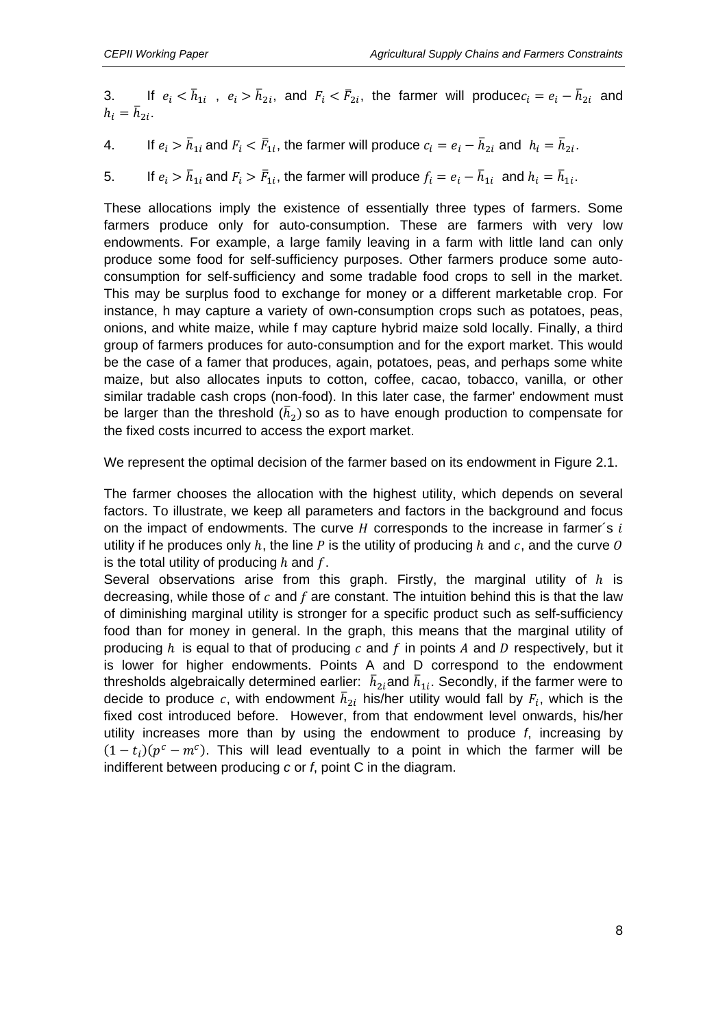3. If  $e_i < h_{1i}$ ,  $e_i > h_{2i}$ , and  $F_i < F_{2i}$ , the farmer will produce $c_i = e_i - h_{2i}$  and  $h_i = \overline{h}_{2i}.$ 

4. If 
$$
e_i > \overline{h}_{1i}
$$
 and  $F_i < \overline{F}_{1i}$ , the farmer will produce  $c_i = e_i - \overline{h}_{2i}$  and  $h_i = \overline{h}_{2i}$ .

5. If 
$$
e_i > \overline{h}_{1i}
$$
 and  $F_i > \overline{F}_{1i}$ , the farmer will produce  $f_i = e_i - \overline{h}_{1i}$  and  $h_i = \overline{h}_{1i}$ .

These allocations imply the existence of essentially three types of farmers. Some farmers produce only for auto-consumption. These are farmers with very low endowments. For example, a large family leaving in a farm with little land can only produce some food for self-sufficiency purposes. Other farmers produce some autoconsumption for self-sufficiency and some tradable food crops to sell in the market. This may be surplus food to exchange for money or a different marketable crop. For instance, h may capture a variety of own-consumption crops such as potatoes, peas, onions, and white maize, while f may capture hybrid maize sold locally. Finally, a third group of farmers produces for auto-consumption and for the export market. This would be the case of a famer that produces, again, potatoes, peas, and perhaps some white maize, but also allocates inputs to cotton, coffee, cacao, tobacco, vanilla, or other similar tradable cash crops (non-food). In this later case, the farmer' endowment must be larger than the threshold  $(\bar{h}_2)$  so as to have enough production to compensate for the fixed costs incurred to access the export market.

We represent the optimal decision of the farmer based on its endowment in Figure 2.1.

The farmer chooses the allocation with the highest utility, which depends on several factors. To illustrate, we keep all parameters and factors in the background and focus on the impact of endowments. The curve  $H$  corresponds to the increase in farmer's  $i$ utility if he produces only  $h$ , the line  $P$  is the utility of producing  $h$  and  $c$ , and the curve  $O$ is the total utility of producing  $h$  and  $f$ .

Several observations arise from this graph. Firstly, the marginal utility of  $h$  is decreasing, while those of  $c$  and  $f$  are constant. The intuition behind this is that the law of diminishing marginal utility is stronger for a specific product such as self-sufficiency food than for money in general. In the graph, this means that the marginal utility of producing h is equal to that of producing c and f in points A and D respectively, but it is lower for higher endowments. Points A and D correspond to the endowment thresholds algebraically determined earlier:  $\bar{h}_{2i}$ and  $\bar{h}_{1i}$ . Secondly, if the farmer were to decide to produce c, with endowment  $\bar{h}_{2i}$  his/her utility would fall by  $F_i$ , which is the fixed cost introduced before. However, from that endowment level onwards, his/her utility increases more than by using the endowment to produce *f*, increasing by  $(1-t_i)(p^c-m^c)$ . This will lead eventually to a point in which the farmer will be indifferent between producing *c* or *f*, point C in the diagram.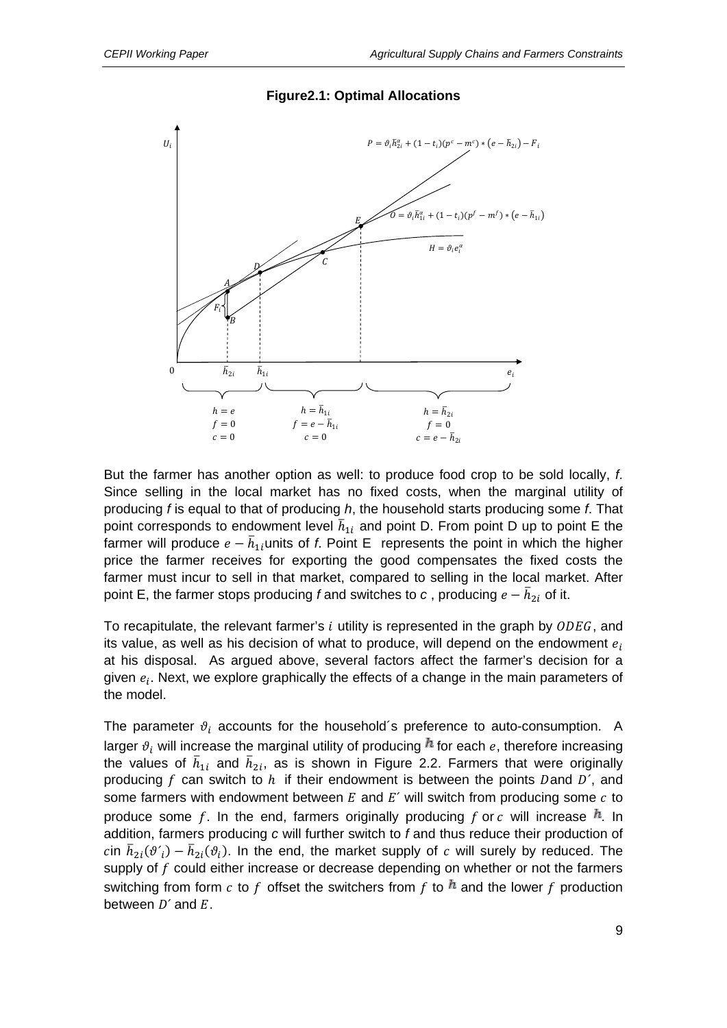

#### **Figure2.1: Optimal Allocations**

But the farmer has another option as well: to produce food crop to be sold locally, *f*. Since selling in the local market has no fixed costs, when the marginal utility of producing *f* is equal to that of producing *h*, the household starts producing some *f*. That point corresponds to endowment level  $\bar{h}_{1i}$  and point D. From point D up to point E the farmer will produce  $e - \bar{h}_{1i}$ units of *f*. Point E represents the point in which the higher price the farmer receives for exporting the good compensates the fixed costs the farmer must incur to sell in that market, compared to selling in the local market. After point E, the farmer stops producing f and switches to *c*, producing  $e - \bar{h}_{2i}$  of it.

To recapitulate, the relevant farmer's  $i$  utility is represented in the graph by  $ODEG$ , and its value, as well as his decision of what to produce, will depend on the endowment  $e_i$ at his disposal. As argued above, several factors affect the farmer's decision for a given  $e_i$ . Next, we explore graphically the effects of a change in the main parameters of the model.

The parameter  $\vartheta_i$  accounts for the household's preference to auto-consumption. A larger  $\vartheta_i$  will increase the marginal utility of producing  $\hbar$  for each e, therefore increasing the values of  $\bar{h}_{1i}$  and  $\bar{h}_{2i}$ , as is shown in Figure 2.2. Farmers that were originally producing  $f$  can switch to  $h$  if their endowment is between the points Dand D', and some farmers with endowment between  $E$  and  $E'$  will switch from producing some  $c$  to produce some f. In the end, farmers originally producing f or c will increase  $\hbar$ . In addition, farmers producing *c* will further switch to *f* and thus reduce their production of cin  $\bar{h}_{2i}(\vartheta'_{i}) - \bar{h}_{2i}(\vartheta_{i})$ . In the end, the market supply of c will surely by reduced. The supply of  $f$  could either increase or decrease depending on whether or not the farmers switching from form c to f offset the switchers from f to  $\hbar$  and the lower f production between  $D'$  and  $E$ .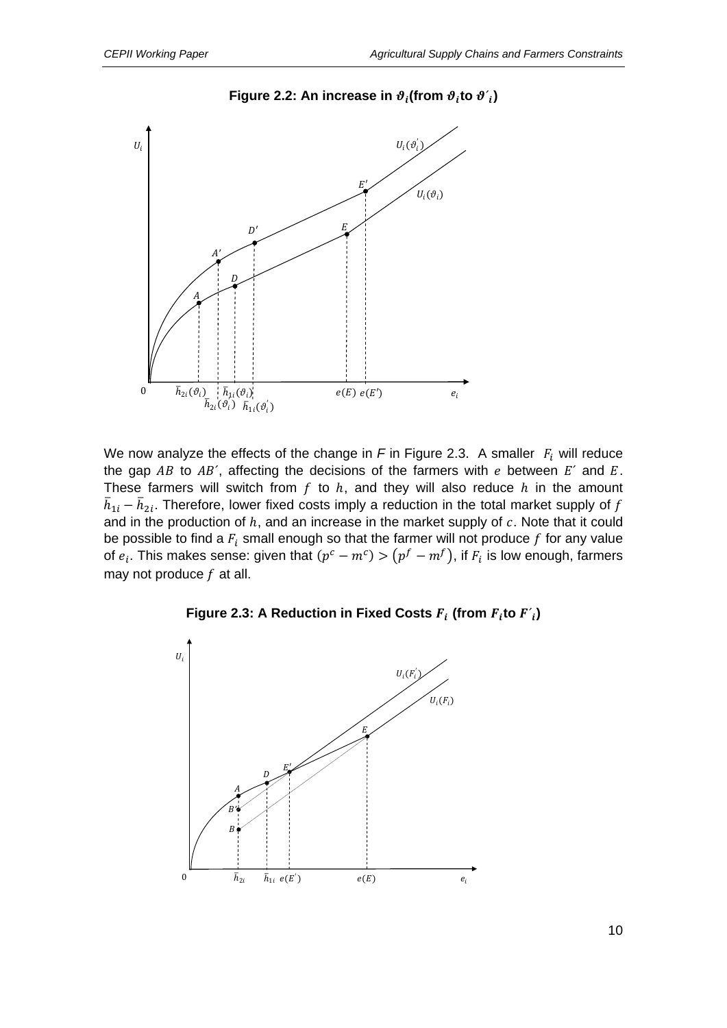

**Figure 2.2: An increase in**  $\vartheta_i$  **(from**  $\vartheta_i$  **to**  $\vartheta'_i$ **)** 

We now analyze the effects of the change in  $F$  in Figure 2.3. A smaller  $F_i$  will reduce the gap  $AB$  to  $AB'$ , affecting the decisions of the farmers with  $e$  between  $E'$  and  $E$ . These farmers will switch from  $f$  to  $h$ , and they will also reduce  $h$  in the amount  $\bar{h}_{1i} - \bar{h}_{2i}$ . Therefore, lower fixed costs imply a reduction in the total market supply of f and in the production of  $h$ , and an increase in the market supply of  $c$ . Note that it could be possible to find a  $F_i$  small enough so that the farmer will not produce  $f$  for any value of  $e_i$ . This makes sense: given that  $(p^c - m^c) > (p^f - m^f)$ , if  $F_i$  is low enough, farmers may not produce  $f$  at all.



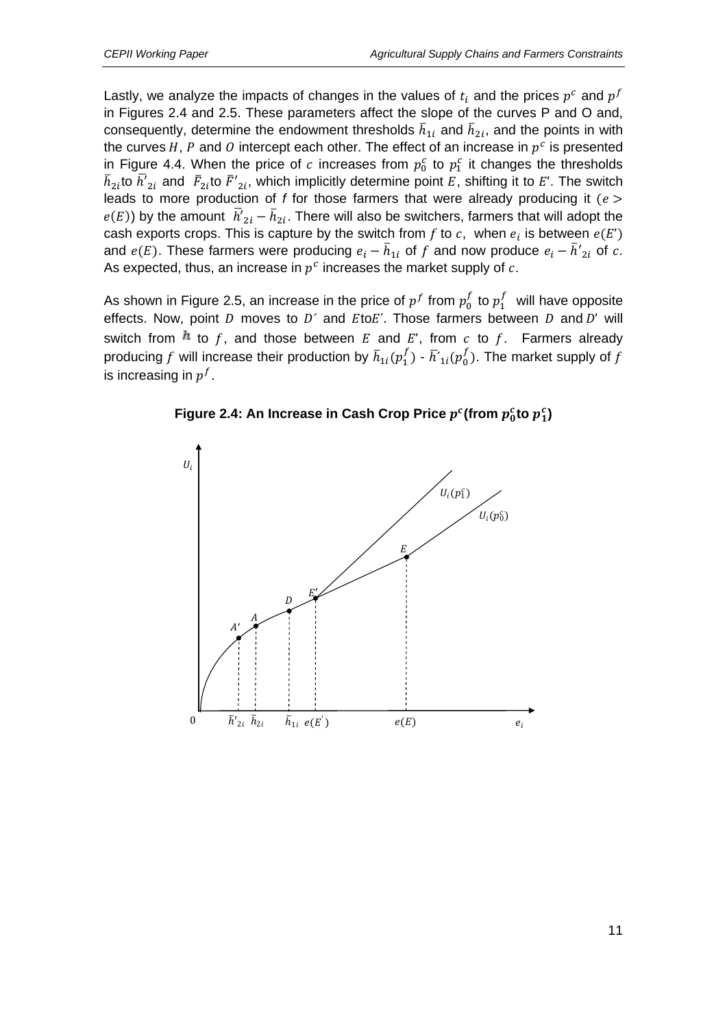Lastly, we analyze the impacts of changes in the values of  $t_i$  and the prices  $p^c$  and  $p^f$ in Figures 2.4 and 2.5. These parameters affect the slope of the curves P and O and, consequently, determine the endowment thresholds  $\bar{h}_{1i}$  and  $\bar{h}_{2i}$ , and the points in with the curves H, P and O intercept each other. The effect of an increase in  $p^c$  is presented in Figure 4.4. When the price of c increases from  $p_0^c$  to  $p_1^c$  it changes the thresholds  $\bar{h}_{2i}$ to  $h'_{2i}$  and  $\bar{F}_{2i}$ to  $\bar{F'}_{2i}$ , which implicitly determine point  $E$ , shifting it to  $E'$ . The switch leads to more production of  $f$  for those farmers that were already producing it  $(e >$  $e(E)$ ) by the amount  $\bar{h}'_{2i} - \bar{h}_{2i}$ . There will also be switchers, farmers that will adopt the cash exports crops. This is capture by the switch from f to c, when  $e_i$  is between  $e(E')$ and  $e(E)$ . These farmers were producing  $e_i - \bar{h}_{1i}$  of f and now produce  $e_i - \bar{h}'_{2i}$  of c. As expected, thus, an increase in  $p^c$  increases the market supply of  $c$ .

As shown in Figure 2.5, an increase in the price of  $p^f$  from  $p_0^f$  to  $p_1^f$  will have opposite effects. Now, point D moves to  $D'$  and  $E$ to $E'$ . Those farmers between  $D$  and  $D'$  will switch from  $\hbar$  to f, and those between E and E', from c to f. Farmers already producing  $f$  will increase their production by  $\bar{h}_{1i}(p_1^f)$  -  $\bar{h'}_{1i}(p_0^f)$ . The market supply of  $f$ is increasing in  $p<sup>f</sup>$ .

Figure 2.4: An Increase in Cash Crop Price  $p^c$ (from  $p^c_0$ to  $p^c_1$ )

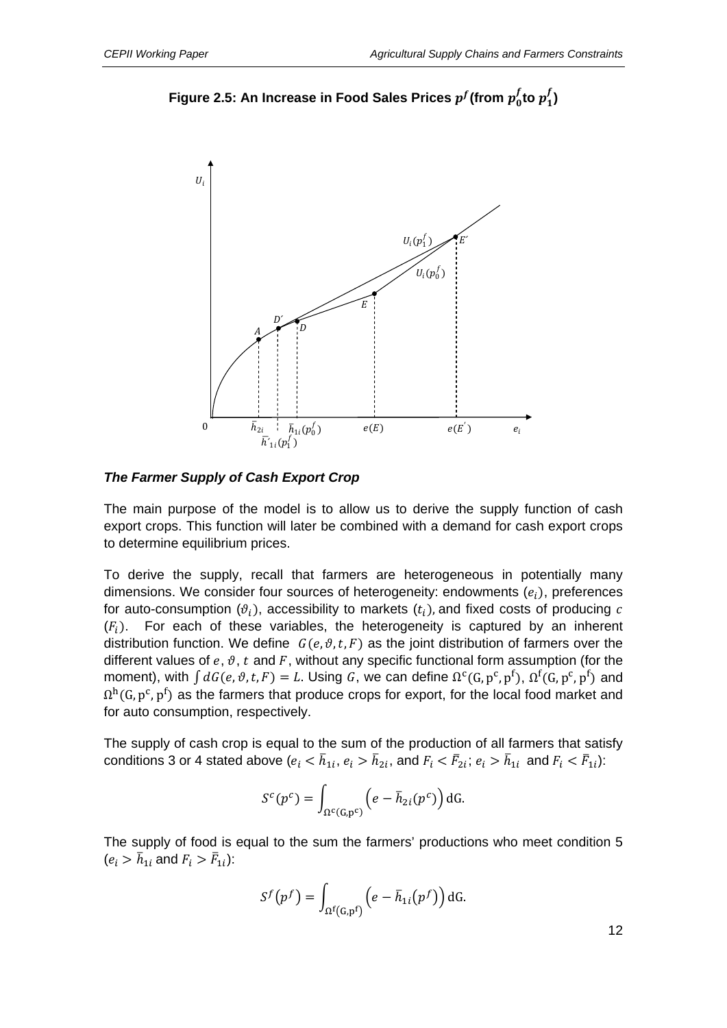

Figure 2.5: An Increase in Food Sales Prices  $p^f$ (from  $p^I_0$ to  $p^I_1$ )

### *The Farmer Supply of Cash Export Crop*

The main purpose of the model is to allow us to derive the supply function of cash export crops. This function will later be combined with a demand for cash export crops to determine equilibrium prices.

To derive the supply, recall that farmers are heterogeneous in potentially many dimensions. We consider four sources of heterogeneity: endowments  $(e_i)$ , preferences for auto-consumption  $(\vartheta_i)$ , accessibility to markets  $(t_i)$ , and fixed costs of producing c  $(F_i)$ . For each of these variables, the heterogeneity is captured by an inherent For each of these variables, the heterogeneity is captured by an inherent distribution function. We define  $G(e, \vartheta, t, F)$  as the joint distribution of farmers over the different values of  $e, \vartheta$ ,  $t$  and  $F$ , without any specific functional form assumption (for the moment), with  $\int dG(e, \vartheta, t, F) = L$ . Using G, we can define  $\Omega^c(G, p^c, p^t)$ ,  $\Omega^t(G, p^c, p^t)$  and  $\Omega^{\text{n}}(\text{G}, \text{p}^{\text{c}}, \text{p}^{\text{f}})$  as the farmers that produce crops for export, for the local food market and for auto consumption, respectively.

The supply of cash crop is equal to the sum of the production of all farmers that satisfy conditions 3 or 4 stated above  $(e_i < h_{1i}, e_i > h_{2i},$  and  $F_i < \bar{F}_{2i}; e_i > h_{1i}$  and  $F_i < \bar{F}_{1i}$ ):

$$
S^{c}(p^{c}) = \int_{\Omega^{c}(G, p^{c})} \left(e - \overline{h}_{2i}(p^{c})\right) dG.
$$

The supply of food is equal to the sum the farmers' productions who meet condition 5  $(e_i > h_{1i}$  and  $F_i > \bar{F}_{1i})$ :

$$
S^f(p^f) = \int_{\Omega^f(G, p^f)} \left( e - \overline{h}_{1i}(p^f) \right) dG.
$$

12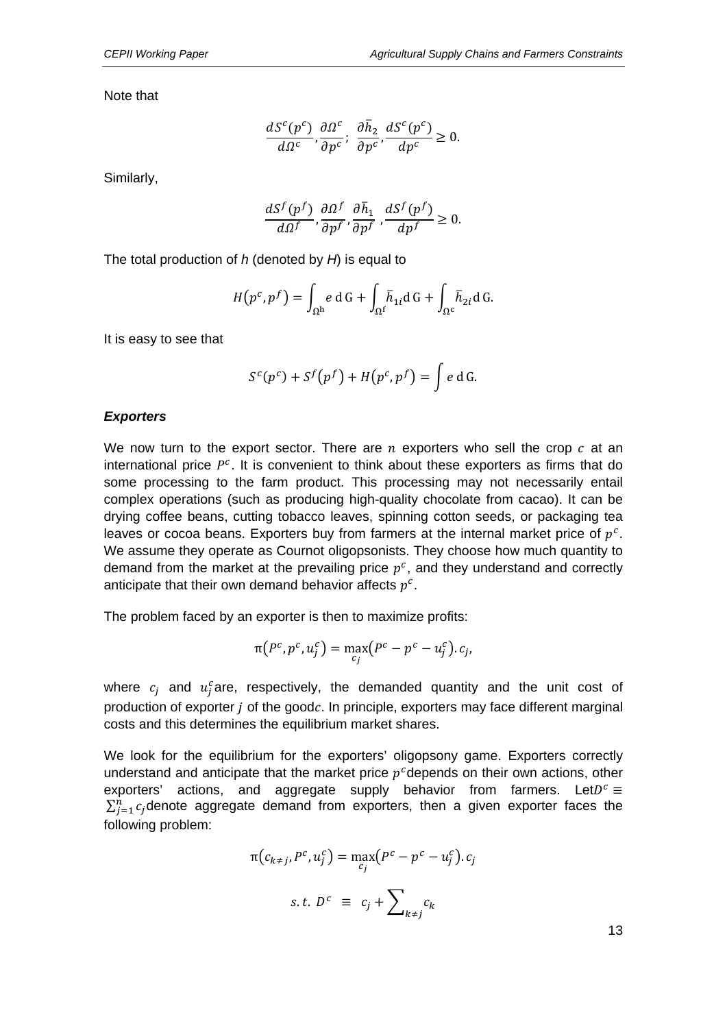Note that

$$
\frac{dS^{c}(p^{c})}{d\Omega^{c}}, \frac{\partial\Omega^{c}}{\partial p^{c}}; \frac{\partial\overline{h}_{2}}{\partial p^{c}}, \frac{dS^{c}(p^{c})}{dp^{c}} \geq 0.
$$

Similarly,

$$
\frac{dS^f(p^f)}{d\Omega^f}, \frac{\partial \Omega^f}{\partial p^f}, \frac{\partial \overline{h}_1}{\partial p^f}, \frac{dS^f(p^f)}{dp^f} \ge 0.
$$

The total production of *h* (denoted by *H*) is equal to

$$
H(p^c, p^f) = \int_{\Omega^h} e \, dG + \int_{\Omega^f} \overline{h}_{1i} dG + \int_{\Omega^c} \overline{h}_{2i} dG.
$$

It is easy to see that

$$
S^{c}(p^{c})+S^{f}(p^{f})+H(p^{c},p^{f})=\int e\,\mathrm{d}\mathbf{G}.
$$

#### *Exporters*

We now turn to the export sector. There are  $n$  exporters who sell the crop  $c$  at an international price  $P^c$ . It is convenient to think about these exporters as firms that do some processing to the farm product. This processing may not necessarily entail complex operations (such as producing high-quality chocolate from cacao). It can be drying coffee beans, cutting tobacco leaves, spinning cotton seeds, or packaging tea leaves or cocoa beans. Exporters buy from farmers at the internal market price of  $p^c$ . We assume they operate as Cournot oligopsonists. They choose how much quantity to demand from the market at the prevailing price  $p<sup>c</sup>$ , and they understand and correctly anticipate that their own demand behavior affects  $p^c$ .

The problem faced by an exporter is then to maximize profits:

$$
\pi(P^c, p^c, u_j^c) = \max_{c_j} (P^c - p^c - u_j^c).c_j,
$$

where  $c_j$  and  $u_j^c$ are, respectively, the demanded quantity and the unit cost of production of exporter  $j$  of the good $c$ . In principle, exporters may face different marginal costs and this determines the equilibrium market shares.

We look for the equilibrium for the exporters' oligopsony game. Exporters correctly understand and anticipate that the market price  $p^c$ depends on their own actions, other exporters' actions, and aggregate supply behavior from farmers. Let  $D^c \equiv$  $\sum_{j=1}^n c_j$ denote aggregate demand from exporters, then a given exporter faces the following problem:

$$
\pi(c_{k \neq j}, P^c, u_j^c) = \max_{c_j} (P^c - p^c - u_j^c).c_j
$$
  
s.t. 
$$
D^c \equiv c_j + \sum_{k \neq j} c_k
$$

13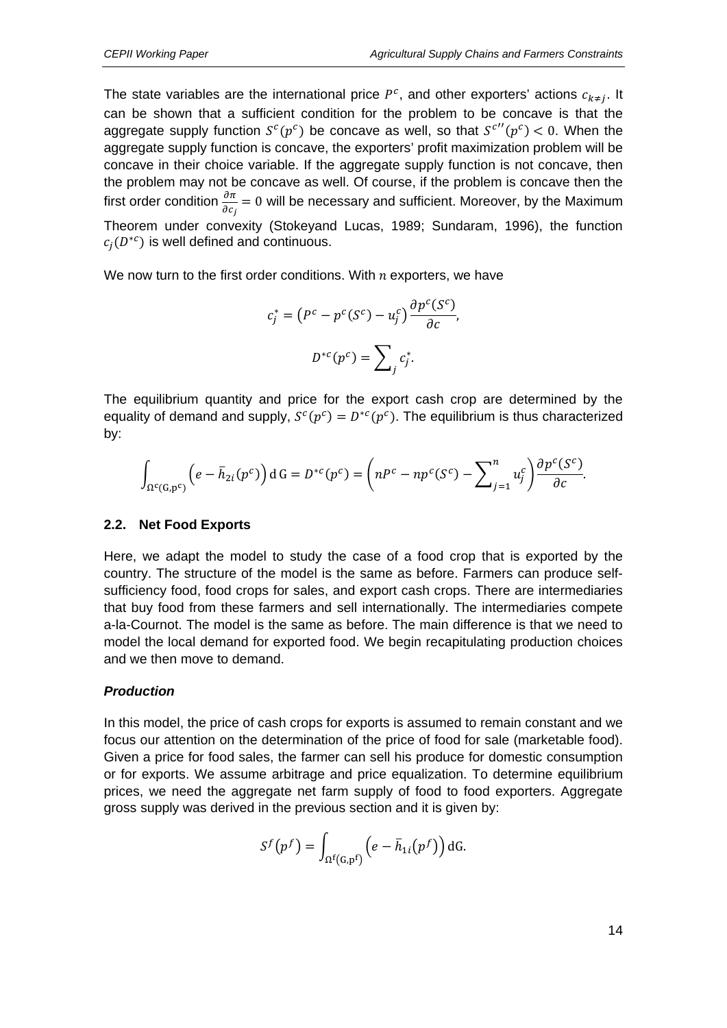The state variables are the international price  $P^c$ , and other exporters' actions  $c_{k\neq i}$ . It can be shown that a sufficient condition for the problem to be concave is that the aggregate supply function  $S^c(p^c)$  be concave as well, so that  $S^{c''}(p^c) < 0$ . When the aggregate supply function is concave, the exporters' profit maximization problem will be concave in their choice variable. If the aggregate supply function is not concave, then the problem may not be concave as well. Of course, if the problem is concave then the first order condition  $\frac{\partial \pi}{\partial c_j} = 0$  will be necessary and sufficient. Moreover, by the Maximum Theorem under convexity (Stokeyand Lucas, 1989; Sundaram, 1996), the function  $c_i(D^{*c})$  is well defined and continuous.

We now turn to the first order conditions. With  $n$  exporters, we have

$$
c_j^* = (P^c - p^c(S^c) - u_j^c) \frac{\partial p^c(S^c)}{\partial c},
$$

$$
D^{*c}(p^c) = \sum_j c_j^*.
$$

The equilibrium quantity and price for the export cash crop are determined by the equality of demand and supply,  $S^c(p^c) = D^{*c}(p^c)$ . The equilibrium is thus characterized by:

$$
\int_{\Omega^c(G, p^c)} \left(e - \overline{h}_{2i}(p^c)\right) dG = D^{*c}(p^c) = \left(nP^c - np^c(S^c) - \sum_{j=1}^n u_j^c\right) \frac{\partial p^c(S^c)}{\partial c}.
$$

### **2.2. Net Food Exports**

Here, we adapt the model to study the case of a food crop that is exported by the country. The structure of the model is the same as before. Farmers can produce selfsufficiency food, food crops for sales, and export cash crops. There are intermediaries that buy food from these farmers and sell internationally. The intermediaries compete a-la-Cournot. The model is the same as before. The main difference is that we need to model the local demand for exported food. We begin recapitulating production choices and we then move to demand.

#### *Production*

In this model, the price of cash crops for exports is assumed to remain constant and we focus our attention on the determination of the price of food for sale (marketable food). Given a price for food sales, the farmer can sell his produce for domestic consumption or for exports. We assume arbitrage and price equalization. To determine equilibrium prices, we need the aggregate net farm supply of food to food exporters. Aggregate gross supply was derived in the previous section and it is given by:

$$
S^f(p^f) = \int_{\Omega^f(G, p^f)} \left( e - \overline{h}_{1i}(p^f) \right) dG.
$$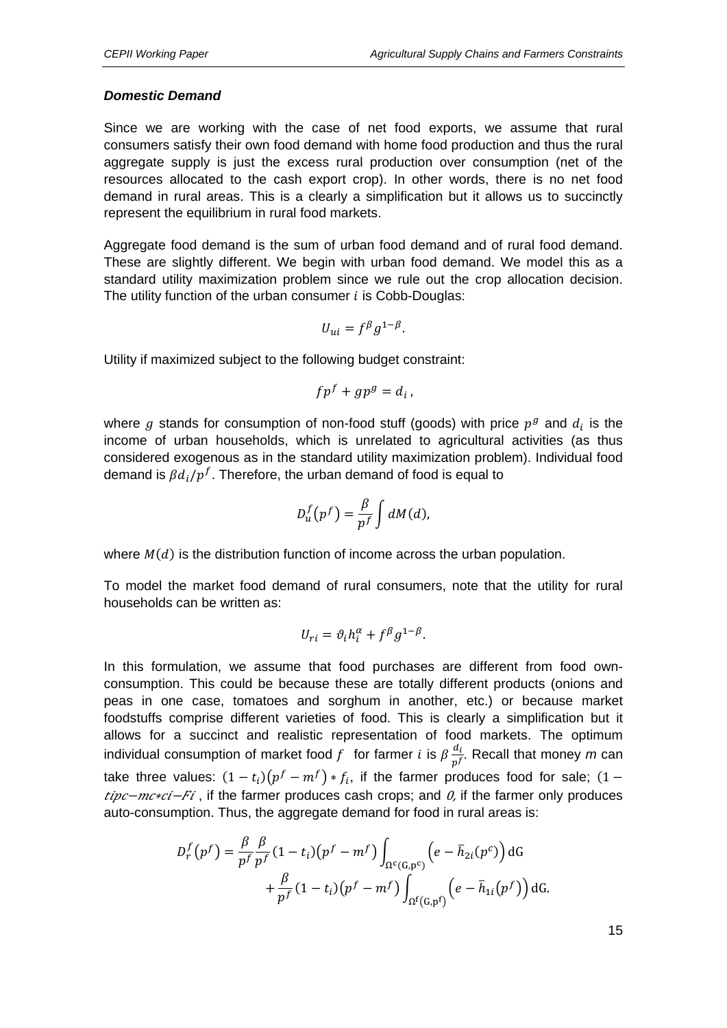#### *Domestic Demand*

Since we are working with the case of net food exports, we assume that rural consumers satisfy their own food demand with home food production and thus the rural aggregate supply is just the excess rural production over consumption (net of the resources allocated to the cash export crop). In other words, there is no net food demand in rural areas. This is a clearly a simplification but it allows us to succinctly represent the equilibrium in rural food markets.

Aggregate food demand is the sum of urban food demand and of rural food demand. These are slightly different. We begin with urban food demand. We model this as a standard utility maximization problem since we rule out the crop allocation decision. The utility function of the urban consumer  $i$  is Cobb-Douglas:

$$
U_{ui} = f^{\beta} g^{1-\beta}.
$$

Utility if maximized subject to the following budget constraint:

$$
fp^f+gp^g=d_i\,,
$$

where g stands for consumption of non-food stuff (goods) with price  $p<sup>g</sup>$  and  $d<sub>i</sub>$  is the income of urban households, which is unrelated to agricultural activities (as thus considered exogenous as in the standard utility maximization problem). Individual food demand is  $\beta d_i / p^f$ . Therefore, the urban demand of food is equal to

$$
D_u^f(p^f) = \frac{\beta}{p^f} \int dM(d),
$$

where  $M(d)$  is the distribution function of income across the urban population.

To model the market food demand of rural consumers, note that the utility for rural households can be written as:

$$
U_{ri} = \vartheta_i h_i^{\alpha} + f^{\beta} g^{1-\beta}.
$$

In this formulation, we assume that food purchases are different from food ownconsumption. This could be because these are totally different products (onions and peas in one case, tomatoes and sorghum in another, etc.) or because market foodstuffs comprise different varieties of food. This is clearly a simplification but it allows for a succinct and realistic representation of food markets. The optimum individual consumption of market food  $f$  for farmer  $i$  is  $\beta \frac{di}{p^f}$ . Recall that money  $m$  can take three values:  $(1-t_i)(p^f - mf) * f_i$ , if the farmer produces food for sale;  $(1 -$ *, if the farmer produces cash crops; and*  $\theta$ *, if the farmer only produces* auto-consumption. Thus, the aggregate demand for food in rural areas is:

$$
D_r^f(p^f) = \frac{\beta}{p^f} \frac{\beta}{p^f} (1 - t_i)(p^f - m^f) \int_{\Omega^c(G, p^c)} \left( e - \overline{h}_{2i}(p^c) \right) dG
$$

$$
+ \frac{\beta}{p^f} (1 - t_i)(p^f - m^f) \int_{\Omega^f(G, p^f)} \left( e - \overline{h}_{1i}(p^f) \right) dG.
$$

15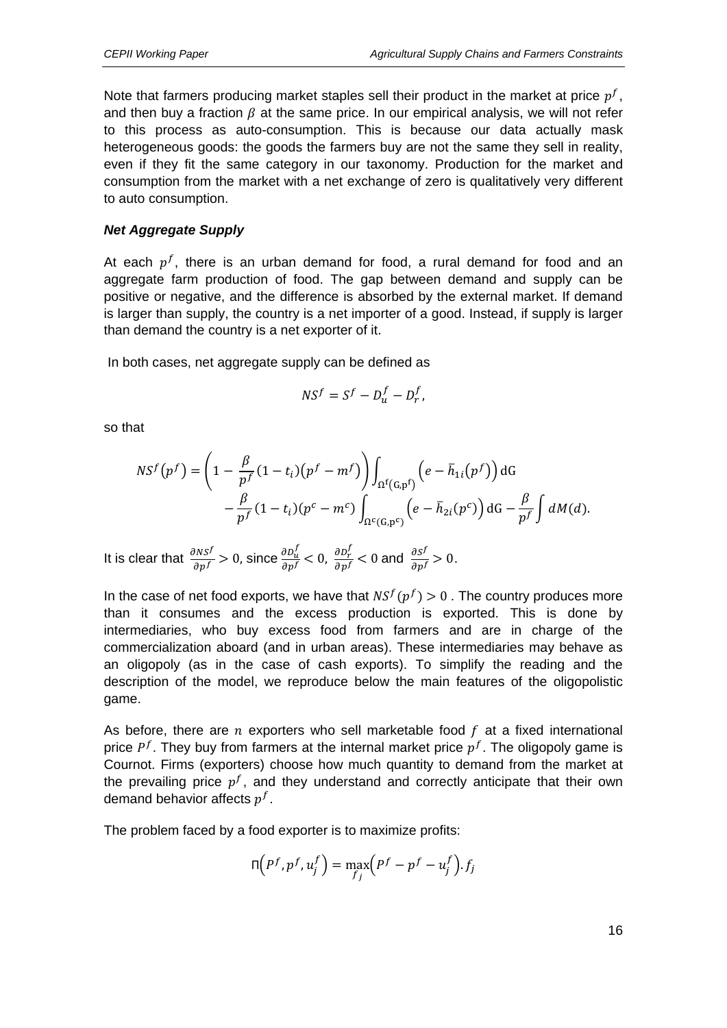Note that farmers producing market staples sell their product in the market at price  $p<sup>f</sup>$ , and then buy a fraction  $\beta$  at the same price. In our empirical analysis, we will not refer to this process as auto-consumption. This is because our data actually mask heterogeneous goods: the goods the farmers buy are not the same they sell in reality, even if they fit the same category in our taxonomy. Production for the market and consumption from the market with a net exchange of zero is qualitatively very different to auto consumption.

### *Net Aggregate Supply*

At each  $p<sup>f</sup>$ , there is an urban demand for food, a rural demand for food and an aggregate farm production of food. The gap between demand and supply can be positive or negative, and the difference is absorbed by the external market. If demand is larger than supply, the country is a net importer of a good. Instead, if supply is larger than demand the country is a net exporter of it.

In both cases, net aggregate supply can be defined as

$$
NS^f = S^f - D_u^f - D_r^f,
$$

so that

$$
NS^{f}(p^{f}) = \left(1 - \frac{\beta}{p^{f}}(1 - t_{i})(p^{f} - m^{f})\right)\int_{\Omega^{f}(G, p^{f})} \left(e - \overline{h}_{1i}(p^{f})\right) dG
$$

$$
- \frac{\beta}{p^{f}}(1 - t_{i})(p^{c} - m^{c})\int_{\Omega^{c}(G, p^{c})} \left(e - \overline{h}_{2i}(p^{c})\right) dG - \frac{\beta}{p^{f}}\int dM(d).
$$

It is clear that  $\frac{\partial NS^f}{\partial p^f} > 0$ , since  $\frac{\partial D_u^f}{\partial p^f} < 0$ ,  $\frac{\partial D_r^f}{\partial p^f} < 0$  and  $\frac{\partial S^f}{\partial p^f} > 0$ .

In the case of net food exports, we have that  $NS^{f}(p^{f}) > 0$ . The country produces more than it consumes and the excess production is exported. This is done by intermediaries, who buy excess food from farmers and are in charge of the commercialization aboard (and in urban areas). These intermediaries may behave as an oligopoly (as in the case of cash exports). To simplify the reading and the description of the model, we reproduce below the main features of the oligopolistic game.

As before, there are  $n$  exporters who sell marketable food  $f$  at a fixed international price  $P^f$ . They buy from farmers at the internal market price  $p^f$ . The oligopoly game is Cournot. Firms (exporters) choose how much quantity to demand from the market at the prevailing price  $p<sup>f</sup>$ , and they understand and correctly anticipate that their own demand behavior affects  $p<sup>f</sup>$ .

The problem faced by a food exporter is to maximize profits:

$$
\Pi(P^f, p^f, u_j^f) = \max_{f_j} (P^f - p^f - u_j^f).f_j
$$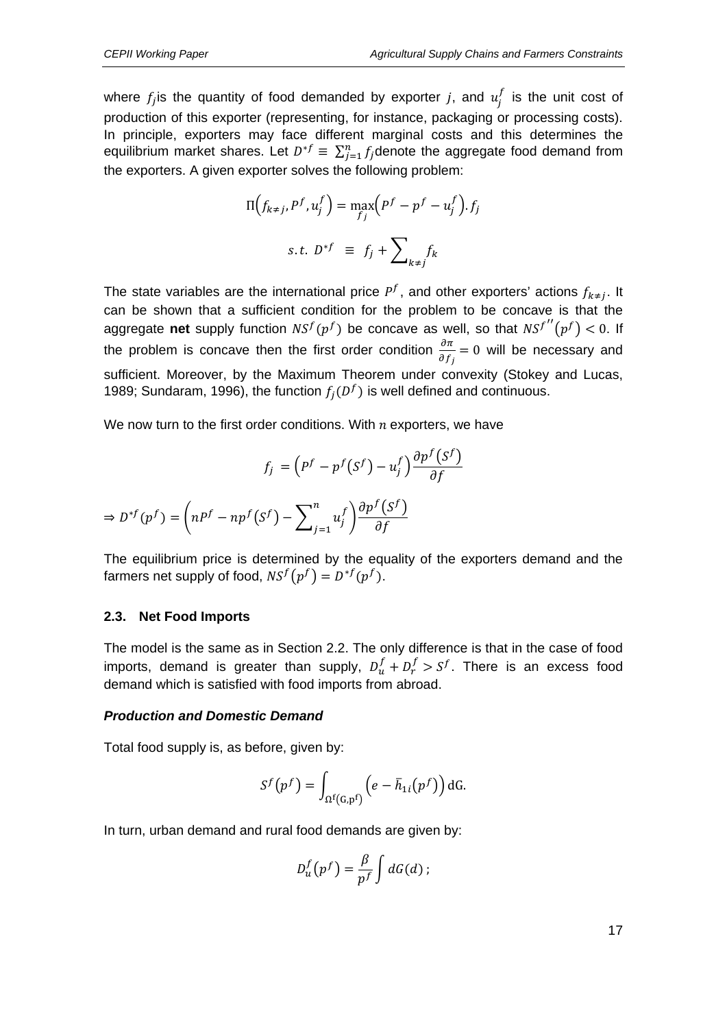where  $f_j$  is the quantity of food demanded by exporter *j*, and  $u_j^f$  is the unit cost of production of this exporter (representing, for instance, packaging or processing costs). In principle, exporters may face different marginal costs and this determines the equilibrium market shares. Let  $D^{*f} \equiv \sum_{j=1}^n f_j$ denote the aggregate food demand from the exporters. A given exporter solves the following problem:

$$
\Pi(f_{k\neq j}, P^f, u_j^f) = \max_{f_j} (P^f - p^f - u_j^f).
$$
  
s.t. 
$$
D^{*f} \equiv f_j + \sum_{k\neq j} f_k
$$

The state variables are the international price  $P^f$ , and other exporters' actions  $f_{k\neq i}$ . It can be shown that a sufficient condition for the problem to be concave is that the aggregate net supply function  $NS^{f}(p^{f})$  be concave as well, so that  $NS^{f''}(p^{f}) < 0$ . If the problem is concave then the first order condition  $\frac{\partial \pi}{\partial f_j} = 0$  will be necessary and sufficient. Moreover, by the Maximum Theorem under convexity (Stokey and Lucas, 1989; Sundaram, 1996), the function  $f_i(D^f)$  is well defined and continuous.

We now turn to the first order conditions. With  $n$  exporters, we have

$$
f_j = (P^f - p^f(S^f) - u_j^f) \frac{\partial p^f(S^f)}{\partial f}
$$

$$
\Rightarrow D^{*f}(p^f) = \left( nP^f - np^f(S^f) - \sum_{j=1}^n u_j^f \right) \frac{\partial p^f(S^f)}{\partial f}
$$

The equilibrium price is determined by the equality of the exporters demand and the farmers net supply of food,  $NS^{f}(p^{f}) = D^{*f}(p^{f}).$ 

#### **2.3. Net Food Imports**

The model is the same as in Section 2.2. The only difference is that in the case of food imports, demand is greater than supply,  $D_u^f + D_r^f > S^f$ . There is an excess food demand which is satisfied with food imports from abroad.

#### *Production and Domestic Demand*

Total food supply is, as before, given by:

$$
S^f(p^f) = \int_{\Omega^f(G, p^f)} \left( e - \overline{h}_{1i}(p^f) \right) dG.
$$

In turn, urban demand and rural food demands are given by:

$$
D_u^f(p^f) = \frac{\beta}{p^f} \int dG(d);
$$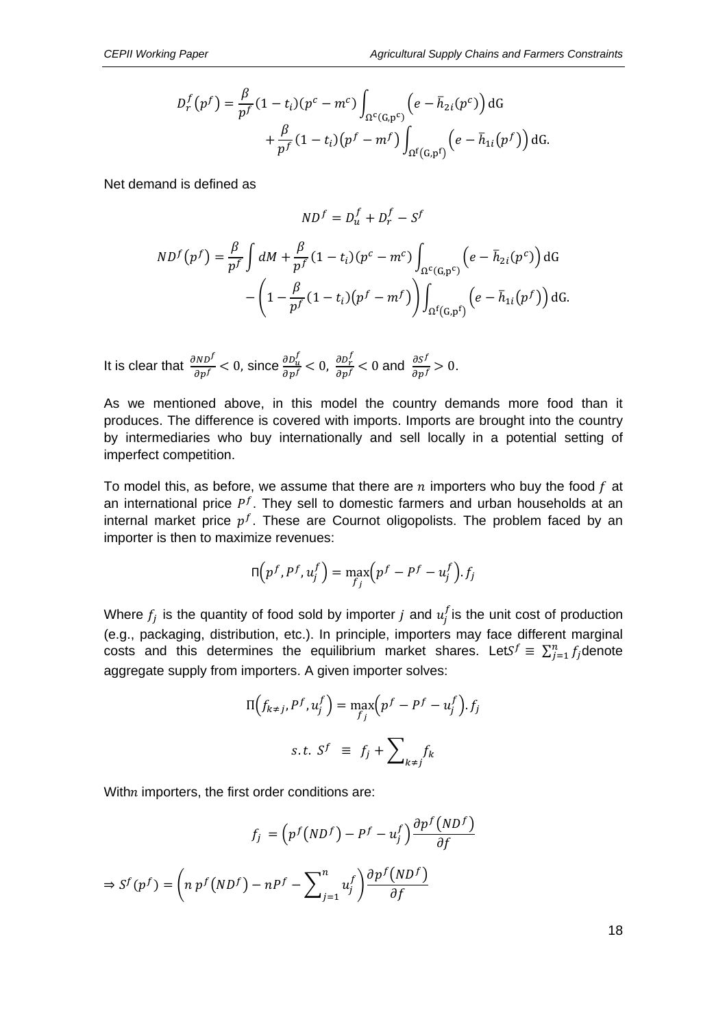$$
D_r^f(p^f) = \frac{\beta}{p^f} (1 - t_i)(p^c - m^c) \int_{\Omega^c(G, p^c)} \left( e - \overline{h}_{2i}(p^c) \right) dG
$$

$$
+ \frac{\beta}{p^f} (1 - t_i)(p^f - m^f) \int_{\Omega^f(G, p^f)} \left( e - \overline{h}_{1i}(p^f) \right) dG.
$$

Net demand is defined as

$$
ND^f = D_u^f + D_r^f - S^f
$$

$$
ND^{f}(p^{f}) = \frac{\beta}{p^{f}} \int dM + \frac{\beta}{p^{f}} (1 - t_{i})(p^{c} - m^{c}) \int_{\Omega^{c}(G, p^{c})} \left(e - \overline{h}_{2i}(p^{c})\right) dG
$$

$$
- \left(1 - \frac{\beta}{p^{f}} (1 - t_{i})(p^{f} - m^{f})\right) \int_{\Omega^{f}(G, p^{f})} \left(e - \overline{h}_{1i}(p^{f})\right) dG.
$$

It is clear that  $\frac{\partial ND^{f}}{\partial p^{f}} < 0$ , since  $\frac{\partial D_{u}^{f}}{\partial p^{f}} < 0$ ,  $\frac{\partial D_{r}^{f}}{\partial p^{f}} < 0$  and  $\frac{\partial S^{f}}{\partial p^{f}} > 0$ .

As we mentioned above, in this model the country demands more food than it produces. The difference is covered with imports. Imports are brought into the country by intermediaries who buy internationally and sell locally in a potential setting of imperfect competition.

To model this, as before, we assume that there are  $n$  importers who buy the food  $f$  at an international price  $P^f$ . They sell to domestic farmers and urban households at an internal market price  $p<sup>f</sup>$ . These are Cournot oligopolists. The problem faced by an importer is then to maximize revenues:

$$
\Pi(p^f, P^f, u_j^f) = \max_{f_j} (p^f - P^f - u_j^f).f_j
$$

Where  $f_j$  is the quantity of food sold by importer  $j$  and  $u_j^f$  is the unit cost of production (e.g., packaging, distribution, etc.). In principle, importers may face different marginal costs and this determines the equilibrium market shares. Let $S^f \equiv \sum_{j=1}^n f_j$ denote aggregate supply from importers. A given importer solves:

$$
\Pi(f_{k \neq j}, P^f, u_j^f) = \max_{f_j} (p^f - P^f - u_j^f).
$$
  
s.t.  $S^f \equiv f_j + \sum_{k \neq j} f_k$ 

With $n$  importers, the first order conditions are:

$$
f_j = \left(p^f (ND^f) - P^f - u_j^f\right) \frac{\partial p^f (ND^f)}{\partial f}
$$

$$
\Rightarrow S^f(p^f) = \left(n p^f (ND^f) - nP^f - \sum_{j=1}^n u_j^f\right) \frac{\partial p^f (ND^f)}{\partial f}
$$

18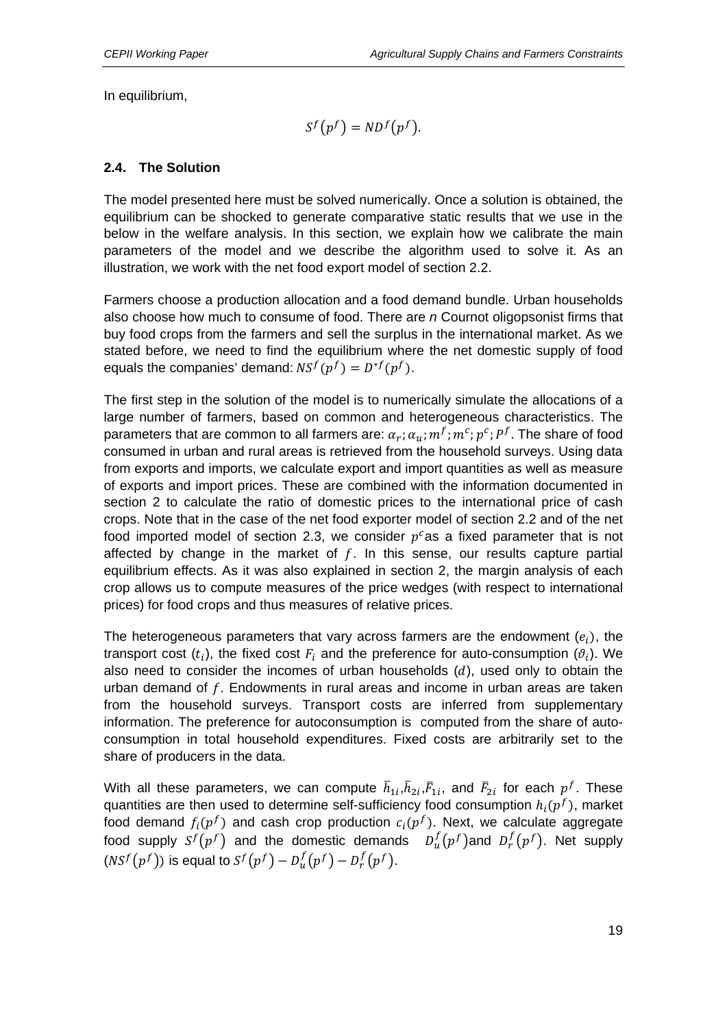In equilibrium,

$$
S^f(p^f) = ND^f(p^f).
$$

## **2.4. The Solution**

The model presented here must be solved numerically. Once a solution is obtained, the equilibrium can be shocked to generate comparative static results that we use in the below in the welfare analysis. In this section, we explain how we calibrate the main parameters of the model and we describe the algorithm used to solve it. As an illustration, we work with the net food export model of section 2.2.

Farmers choose a production allocation and a food demand bundle. Urban households also choose how much to consume of food. There are *n* Cournot oligopsonist firms that buy food crops from the farmers and sell the surplus in the international market. As we stated before, we need to find the equilibrium where the net domestic supply of food equals the companies' demand:  $NS^{f}(p^{f}) = D^{*f}(p^{f}).$ 

The first step in the solution of the model is to numerically simulate the allocations of a large number of farmers, based on common and heterogeneous characteristics. The parameters that are common to all farmers are:  $\alpha_r$ ;  $\alpha_u$ ;  $m^f$ ;  $m^c$ ;  $p^c$ ;  $P^f$ . The share of food consumed in urban and rural areas is retrieved from the household surveys. Using data from exports and imports, we calculate export and import quantities as well as measure of exports and import prices. These are combined with the information documented in section 2 to calculate the ratio of domestic prices to the international price of cash crops. Note that in the case of the net food exporter model of section 2.2 and of the net food imported model of section 2.3, we consider  $p^c$  as a fixed parameter that is not affected by change in the market of  $f$ . In this sense, our results capture partial equilibrium effects. As it was also explained in section 2, the margin analysis of each crop allows us to compute measures of the price wedges (with respect to international prices) for food crops and thus measures of relative prices.

The heterogeneous parameters that vary across farmers are the endowment  $(e_i)$ , the transport cost  $(t_i)$ , the fixed cost  $F_i$  and the preference for auto-consumption  $(\vartheta_i)$ . We also need to consider the incomes of urban households  $(d)$ , used only to obtain the urban demand of  $f$ . Endowments in rural areas and income in urban areas are taken from the household surveys. Transport costs are inferred from supplementary information. The preference for autoconsumption is computed from the share of autoconsumption in total household expenditures. Fixed costs are arbitrarily set to the share of producers in the data.

With all these parameters, we can compute  $h_{1i}, h_{2i}, \bar{F}_{1i}$ , and  $\bar{F}_{2i}$  for each  $p^f$ . These quantities are then used to determine self-sufficiency food consumption  $h_i(p^f)$ , market food demand  $f_i(p^f)$  and cash crop production  $c_i(p^f)$ . Next, we calculate aggregate food supply  $S^f(p^f)$  and the domestic demands  $D_u^f(p^f)$ and  $D_r^f(p^f)$ . Net supply  $(NS^f(p^f))$  is equal to  $S^f(p^f) - D_u^f(p^f) - D_r^f(p^f)$ .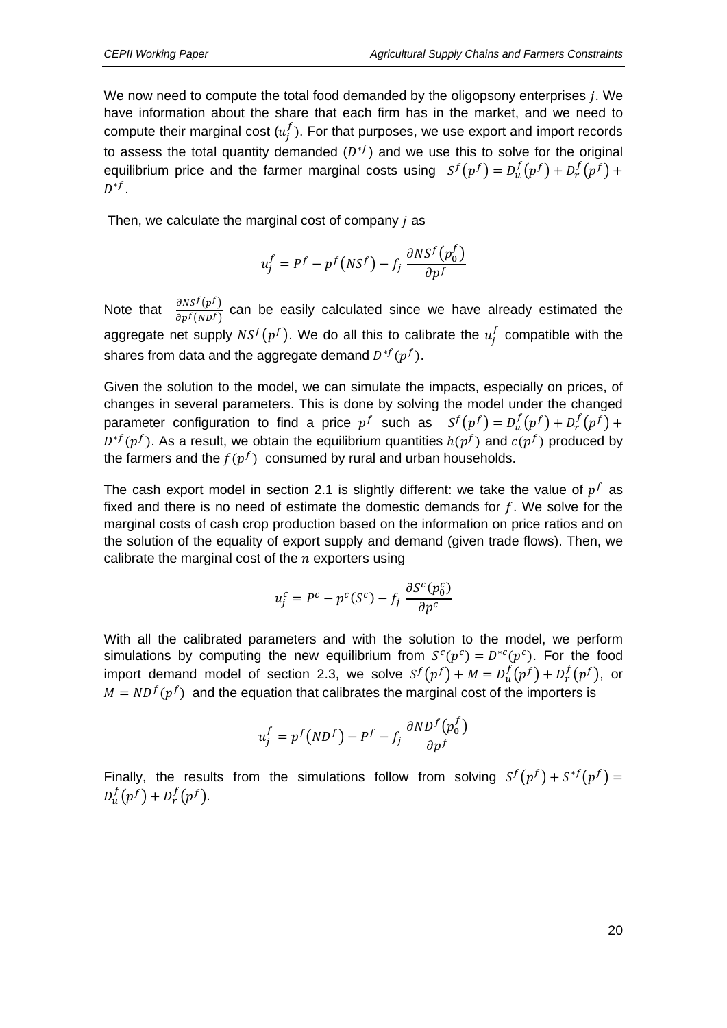We now need to compute the total food demanded by the oligopsony enterprises  $i$ . We have information about the share that each firm has in the market, and we need to compute their marginal cost  $(u_j^f)$ . For that purposes, we use export and import records to assess the total quantity demanded  $(D^{*f})$  and we use this to solve for the original equilibrium price and the farmer marginal costs using  $S^{f}(p^{f}) = D_{u}^{f}(p^{f}) + D_{r}^{f}(p^{f}) + D_{r}^{f}(p^{f})$  $D^{*f}$ .

Then, we calculate the marginal cost of company  *as* 

$$
u_j^f = P^f - p^f \left( NS^f \right) - f_j \frac{\partial NS^f (p_0^f)}{\partial p^f}
$$

Note that  $\frac{\partial NS^f(p^f)}{\partial p^f (ND^f)}$  can be easily calculated since we have already estimated the aggregate net supply  $NS^{f}(p^{f})$ . We do all this to calibrate the  $u_{j}^{f}$  compatible with the shares from data and the aggregate demand  $D^{*f}(p^{f}).$ 

Given the solution to the model, we can simulate the impacts, especially on prices, of changes in several parameters. This is done by solving the model under the changed parameter configuration to find a price  $p^f$  such as  $S^f(p^f) = D_u^f(p^f) + D_r^f(p^f) + D_s^f(p^f)$  $D^{*f}(p^f)$ . As a result, we obtain the equilibrium quantities  $h(p^f)$  and  $c(p^f)$  produced by the farmers and the  $f(p^f)$  consumed by rural and urban households.

The cash export model in section 2.1 is slightly different: we take the value of  $p<sup>f</sup>$  as fixed and there is no need of estimate the domestic demands for  $f$ . We solve for the marginal costs of cash crop production based on the information on price ratios and on the solution of the equality of export supply and demand (given trade flows). Then, we calibrate the marginal cost of the  $n$  exporters using

$$
u_j^c = P^c - p^c(S^c) - f_j \frac{\partial S^c(p_0^c)}{\partial p^c}
$$

With all the calibrated parameters and with the solution to the model, we perform simulations by computing the new equilibrium from  $S^c(p^c) = D^{*c}(p^c)$ . For the food import demand model of section 2.3, we solve  $S^{f}(p^{f}) + M = D_{u}^{f}(p^{f}) + D_{r}^{f}(p^{f})$ , or  $M = ND<sup>f</sup>(p<sup>f</sup>)$  and the equation that calibrates the marginal cost of the importers is

$$
u_j^f = p^f (ND^f) - P^f - f_j \frac{\partial ND^f (p_0^f)}{\partial p^f}
$$

Finally, the results from the simulations follow from solving  $S^f(p^f) + S^{*f}(p^f) =$  $D_u^f(p^f) + D_r^f(p^f).$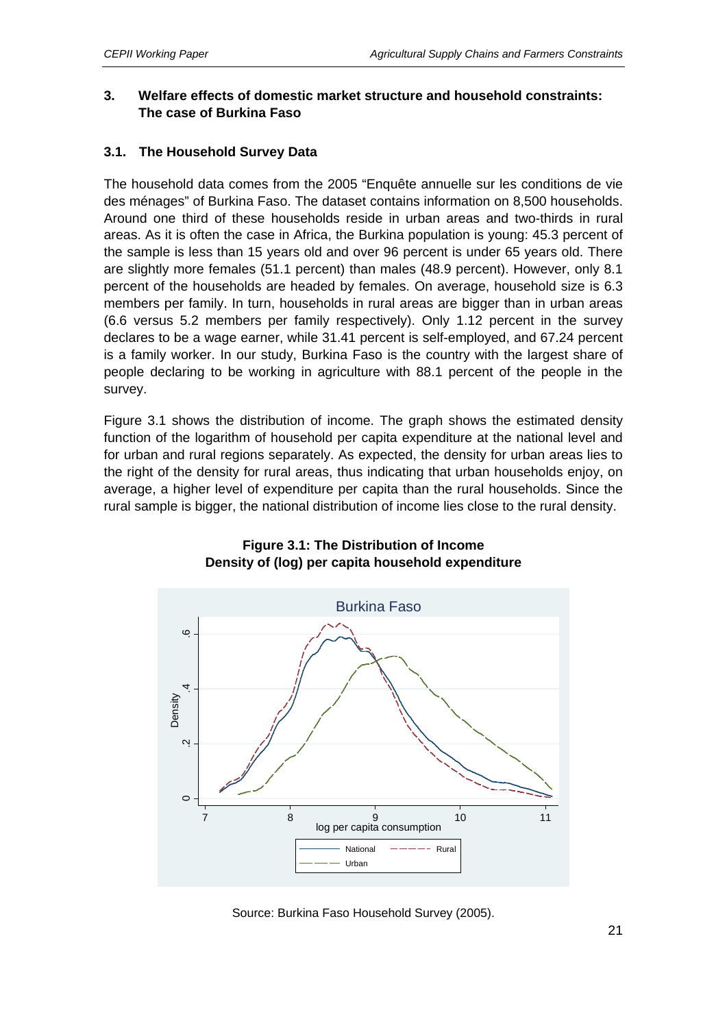## **3. Welfare effects of domestic market structure and household constraints: The case of Burkina Faso**

## **3.1. The Household Survey Data**

The household data comes from the 2005 "Enquête annuelle sur les conditions de vie des ménages" of Burkina Faso. The dataset contains information on 8,500 households. Around one third of these households reside in urban areas and two-thirds in rural areas. As it is often the case in Africa, the Burkina population is young: 45.3 percent of the sample is less than 15 years old and over 96 percent is under 65 years old. There are slightly more females (51.1 percent) than males (48.9 percent). However, only 8.1 percent of the households are headed by females. On average, household size is 6.3 members per family. In turn, households in rural areas are bigger than in urban areas (6.6 versus 5.2 members per family respectively). Only 1.12 percent in the survey declares to be a wage earner, while 31.41 percent is self-employed, and 67.24 percent is a family worker. In our study, Burkina Faso is the country with the largest share of people declaring to be working in agriculture with 88.1 percent of the people in the survey.

Figure 3.1 shows the distribution of income. The graph shows the estimated density function of the logarithm of household per capita expenditure at the national level and for urban and rural regions separately. As expected, the density for urban areas lies to the right of the density for rural areas, thus indicating that urban households enjoy, on average, a higher level of expenditure per capita than the rural households. Since the rural sample is bigger, the national distribution of income lies close to the rural density.



## **Figure 3.1: The Distribution of Income Density of (log) per capita household expenditure**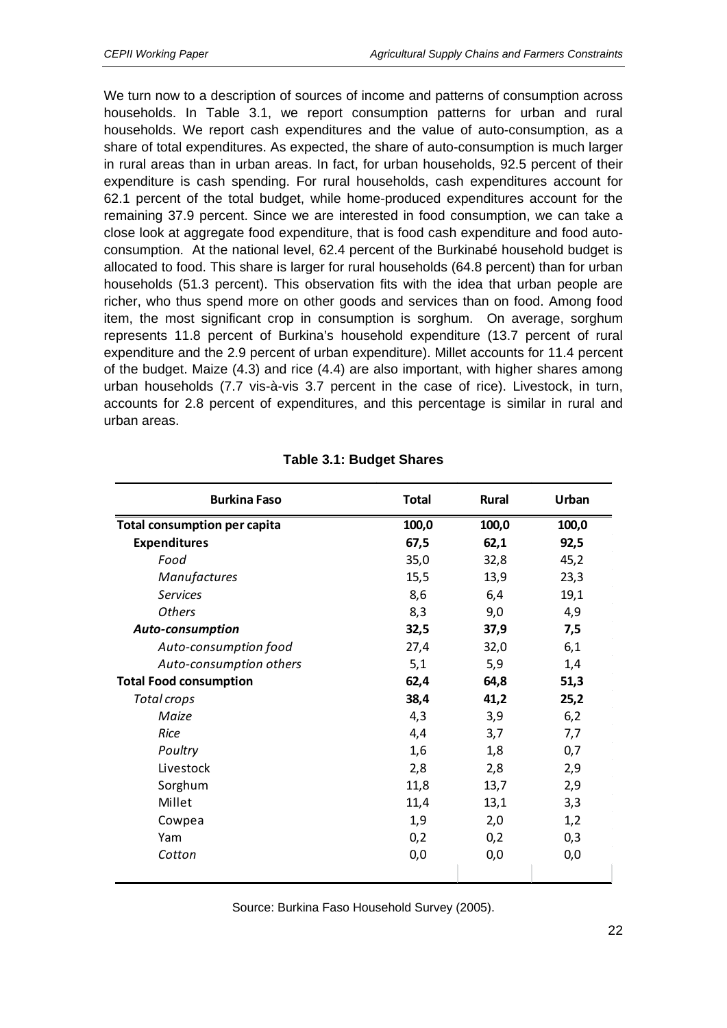We turn now to a description of sources of income and patterns of consumption across households. In Table 3.1, we report consumption patterns for urban and rural households. We report cash expenditures and the value of auto-consumption, as a share of total expenditures. As expected, the share of auto-consumption is much larger in rural areas than in urban areas. In fact, for urban households, 92.5 percent of their expenditure is cash spending. For rural households, cash expenditures account for 62.1 percent of the total budget, while home-produced expenditures account for the remaining 37.9 percent. Since we are interested in food consumption, we can take a close look at aggregate food expenditure, that is food cash expenditure and food autoconsumption. At the national level, 62.4 percent of the Burkinabé household budget is allocated to food. This share is larger for rural households (64.8 percent) than for urban households (51.3 percent). This observation fits with the idea that urban people are richer, who thus spend more on other goods and services than on food. Among food item, the most significant crop in consumption is sorghum. On average, sorghum represents 11.8 percent of Burkina's household expenditure (13.7 percent of rural expenditure and the 2.9 percent of urban expenditure). Millet accounts for 11.4 percent of the budget. Maize (4.3) and rice (4.4) are also important, with higher shares among urban households (7.7 vis-à-vis 3.7 percent in the case of rice). Livestock, in turn, accounts for 2.8 percent of expenditures, and this percentage is similar in rural and urban areas.

| <b>Burkina Faso</b>                 | <b>Total</b> | <b>Rural</b> | Urban |
|-------------------------------------|--------------|--------------|-------|
| <b>Total consumption per capita</b> | 100,0        | 100,0        | 100,0 |
| <b>Expenditures</b>                 | 67,5         | 62,1         | 92,5  |
| Food                                | 35,0         | 32,8         | 45,2  |
| Manufactures                        | 15,5         | 13,9         | 23,3  |
| <b>Services</b>                     | 8,6          | 6,4          | 19,1  |
| <b>Others</b>                       | 8,3          | 9,0          | 4,9   |
| Auto-consumption                    | 32,5         | 37,9         | 7,5   |
| Auto-consumption food               | 27,4         | 32,0         | 6,1   |
| Auto-consumption others             | 5,1          | 5,9          | 1,4   |
| <b>Total Food consumption</b>       | 62,4         | 64,8         | 51,3  |
| Total crops                         | 38,4         | 41,2         | 25,2  |
| Maize                               | 4,3          | 3,9          | 6,2   |
| Rice                                | 4,4          | 3,7          | 7,7   |
| Poultry                             | 1,6          | 1,8          | 0,7   |
| Livestock                           | 2,8          | 2,8          | 2,9   |
| Sorghum                             | 11,8         | 13,7         | 2,9   |
| Millet                              | 11,4         | 13,1         | 3,3   |
| Cowpea                              | 1,9          | 2,0          | 1,2   |
| Yam                                 | 0,2          | 0,2          | 0,3   |
| Cotton                              | 0,0          | 0,0          | 0,0   |
|                                     |              |              |       |

## **Table 3.1: Budget Shares**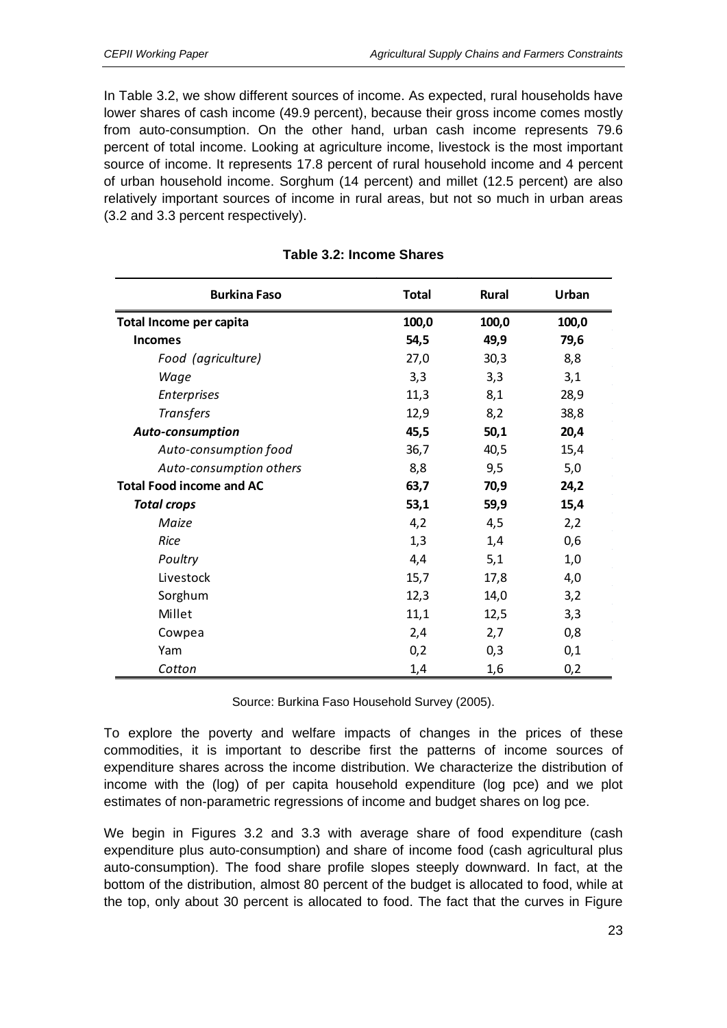In Table 3.2, we show different sources of income. As expected, rural households have lower shares of cash income (49.9 percent), because their gross income comes mostly from auto-consumption. On the other hand, urban cash income represents 79.6 percent of total income. Looking at agriculture income, livestock is the most important source of income. It represents 17.8 percent of rural household income and 4 percent of urban household income. Sorghum (14 percent) and millet (12.5 percent) are also relatively important sources of income in rural areas, but not so much in urban areas (3.2 and 3.3 percent respectively).

| <b>Burkina Faso</b>             | <b>Total</b> | <b>Rural</b> | Urban |
|---------------------------------|--------------|--------------|-------|
| <b>Total Income per capita</b>  | 100,0        | 100,0        | 100,0 |
| <b>Incomes</b>                  | 54,5         | 49,9         | 79,6  |
| Food (agriculture)              | 27,0         | 30,3         | 8,8   |
| Wage                            | 3,3          | 3,3          | 3,1   |
| Enterprises                     | 11,3         | 8,1          | 28,9  |
| <b>Transfers</b>                | 12,9         | 8,2          | 38,8  |
| Auto-consumption                | 45,5         | 50,1         | 20,4  |
| Auto-consumption food           | 36,7         | 40,5         | 15,4  |
| Auto-consumption others         | 8,8          | 9,5          | 5,0   |
| <b>Total Food income and AC</b> | 63,7         | 70,9         | 24,2  |
| <b>Total crops</b>              | 53,1         | 59,9         | 15,4  |
| Maize                           | 4,2          | 4,5          | 2,2   |
| <b>Rice</b>                     | 1,3          | 1,4          | 0,6   |
| Poultry                         | 4,4          | 5,1          | 1,0   |
| Livestock                       | 15,7         | 17,8         | 4,0   |
| Sorghum                         | 12,3         | 14,0         | 3,2   |
| Millet                          | 11,1         | 12,5         | 3,3   |
| Cowpea                          | 2,4          | 2,7          | 0,8   |
| Yam                             | 0,2          | 0,3          | 0,1   |
| Cotton                          | 1,4          | 1,6          | 0,2   |

# **Table 3.2: Income Shares**

Source: Burkina Faso Household Survey (2005).

To explore the poverty and welfare impacts of changes in the prices of these commodities, it is important to describe first the patterns of income sources of expenditure shares across the income distribution. We characterize the distribution of income with the (log) of per capita household expenditure (log pce) and we plot estimates of non-parametric regressions of income and budget shares on log pce.

We begin in Figures 3.2 and 3.3 with average share of food expenditure (cash expenditure plus auto-consumption) and share of income food (cash agricultural plus auto-consumption). The food share profile slopes steeply downward. In fact, at the bottom of the distribution, almost 80 percent of the budget is allocated to food, while at the top, only about 30 percent is allocated to food. The fact that the curves in Figure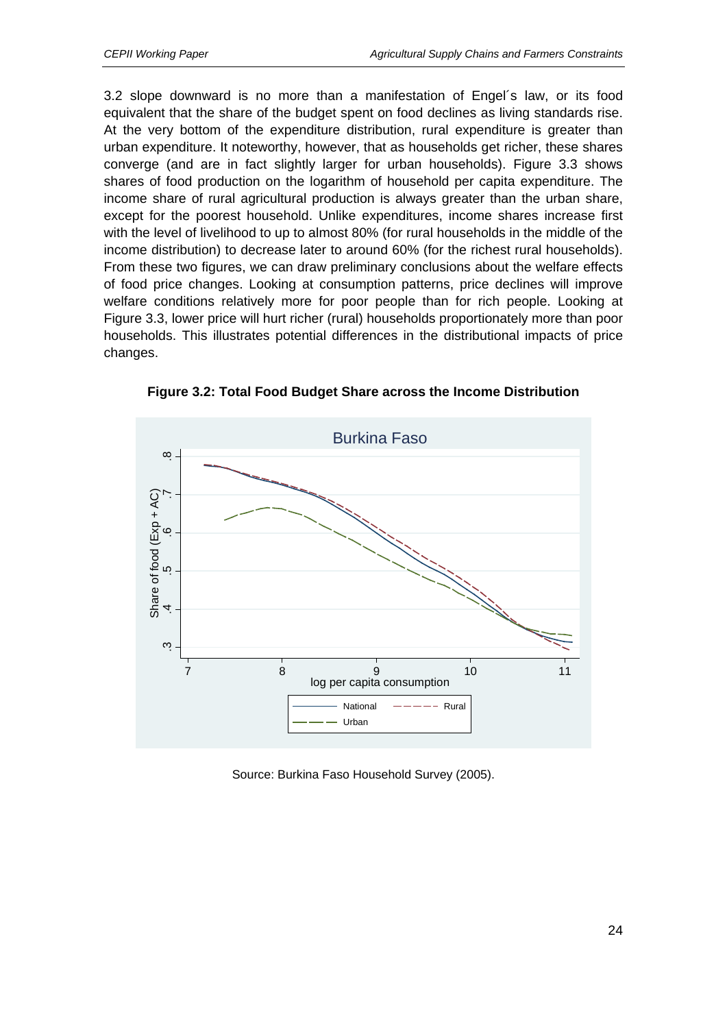3.2 slope downward is no more than a manifestation of Engel´s law, or its food equivalent that the share of the budget spent on food declines as living standards rise. At the very bottom of the expenditure distribution, rural expenditure is greater than urban expenditure. It noteworthy, however, that as households get richer, these shares converge (and are in fact slightly larger for urban households). Figure 3.3 shows shares of food production on the logarithm of household per capita expenditure. The income share of rural agricultural production is always greater than the urban share, except for the poorest household. Unlike expenditures, income shares increase first with the level of livelihood to up to almost 80% (for rural households in the middle of the income distribution) to decrease later to around 60% (for the richest rural households). From these two figures, we can draw preliminary conclusions about the welfare effects of food price changes. Looking at consumption patterns, price declines will improve welfare conditions relatively more for poor people than for rich people. Looking at Figure 3.3, lower price will hurt richer (rural) households proportionately more than poor households. This illustrates potential differences in the distributional impacts of price changes.



**Figure 3.2: Total Food Budget Share across the Income Distribution**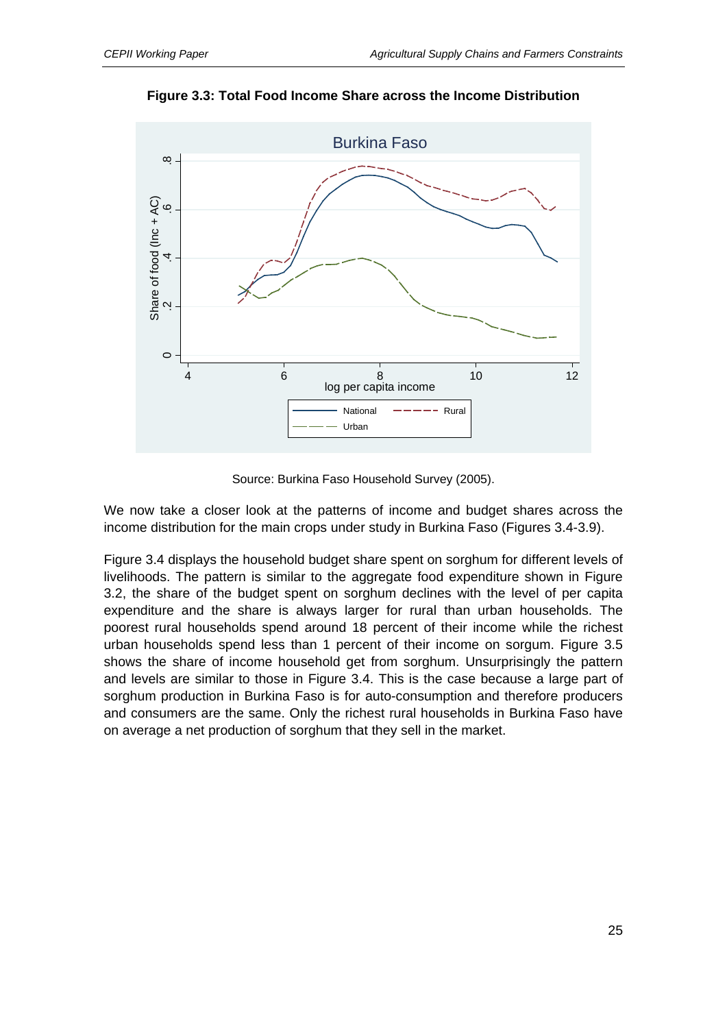

**Figure 3.3: Total Food Income Share across the Income Distribution**

Source: Burkina Faso Household Survey (2005).

We now take a closer look at the patterns of income and budget shares across the income distribution for the main crops under study in Burkina Faso (Figures 3.4-3.9).

Figure 3.4 displays the household budget share spent on sorghum for different levels of livelihoods. The pattern is similar to the aggregate food expenditure shown in Figure 3.2, the share of the budget spent on sorghum declines with the level of per capita expenditure and the share is always larger for rural than urban households. The poorest rural households spend around 18 percent of their income while the richest urban households spend less than 1 percent of their income on sorgum. Figure 3.5 shows the share of income household get from sorghum. Unsurprisingly the pattern and levels are similar to those in Figure 3.4. This is the case because a large part of sorghum production in Burkina Faso is for auto-consumption and therefore producers and consumers are the same. Only the richest rural households in Burkina Faso have on average a net production of sorghum that they sell in the market.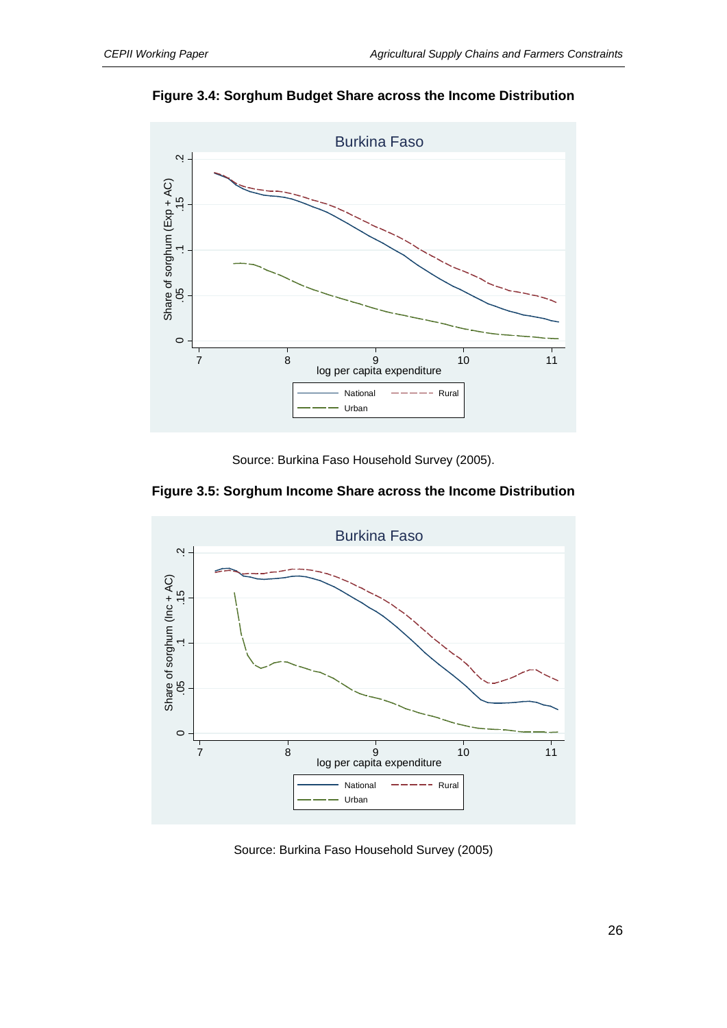

**Figure 3.4: Sorghum Budget Share across the Income Distribution**





Source: Burkina Faso Household Survey (2005)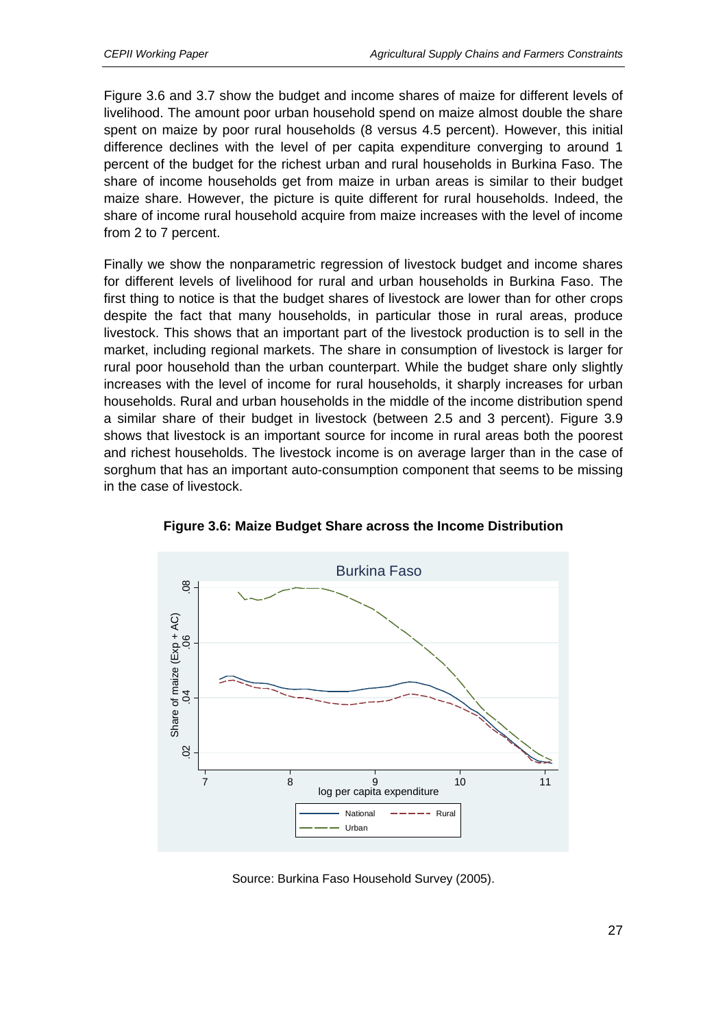Figure 3.6 and 3.7 show the budget and income shares of maize for different levels of livelihood. The amount poor urban household spend on maize almost double the share spent on maize by poor rural households (8 versus 4.5 percent). However, this initial difference declines with the level of per capita expenditure converging to around 1 percent of the budget for the richest urban and rural households in Burkina Faso. The share of income households get from maize in urban areas is similar to their budget maize share. However, the picture is quite different for rural households. Indeed, the share of income rural household acquire from maize increases with the level of income from 2 to 7 percent.

Finally we show the nonparametric regression of livestock budget and income shares for different levels of livelihood for rural and urban households in Burkina Faso. The first thing to notice is that the budget shares of livestock are lower than for other crops despite the fact that many households, in particular those in rural areas, produce livestock. This shows that an important part of the livestock production is to sell in the market, including regional markets. The share in consumption of livestock is larger for rural poor household than the urban counterpart. While the budget share only slightly increases with the level of income for rural households, it sharply increases for urban households. Rural and urban households in the middle of the income distribution spend a similar share of their budget in livestock (between 2.5 and 3 percent). Figure 3.9 shows that livestock is an important source for income in rural areas both the poorest and richest households. The livestock income is on average larger than in the case of sorghum that has an important auto-consumption component that seems to be missing in the case of livestock.



**Figure 3.6: Maize Budget Share across the Income Distribution**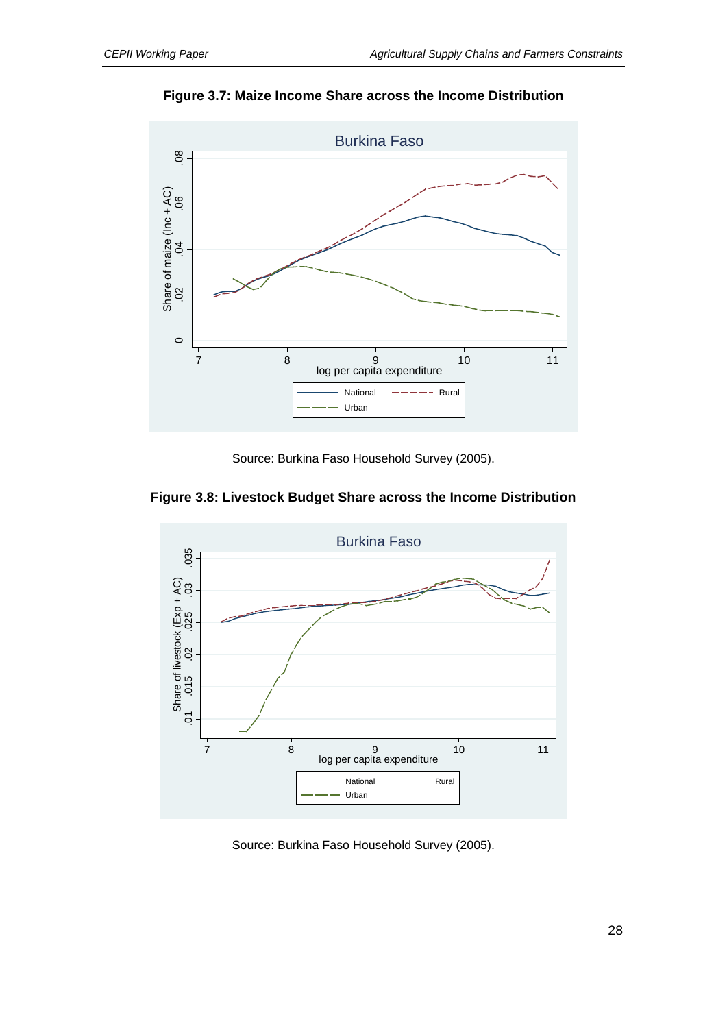

**Figure 3.7: Maize Income Share across the Income Distribution**

Source: Burkina Faso Household Survey (2005).



**Figure 3.8: Livestock Budget Share across the Income Distribution**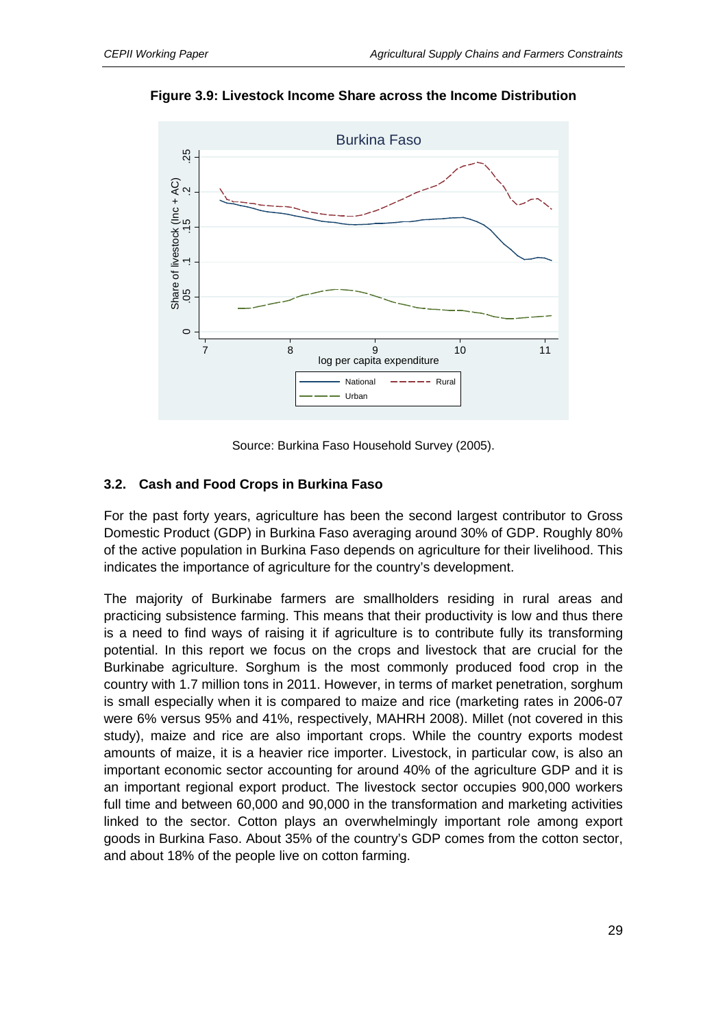![](_page_26_Figure_2.jpeg)

**Figure 3.9: Livestock Income Share across the Income Distribution**

Source: Burkina Faso Household Survey (2005).

## **3.2. Cash and Food Crops in Burkina Faso**

For the past forty years, agriculture has been the second largest contributor to Gross Domestic Product (GDP) in Burkina Faso averaging around 30% of GDP. Roughly 80% of the active population in Burkina Faso depends on agriculture for their livelihood. This indicates the importance of agriculture for the country's development.

The majority of Burkinabe farmers are smallholders residing in rural areas and practicing subsistence farming. This means that their productivity is low and thus there is a need to find ways of raising it if agriculture is to contribute fully its transforming potential. In this report we focus on the crops and livestock that are crucial for the Burkinabe agriculture. Sorghum is the most commonly produced food crop in the country with 1.7 million tons in 2011. However, in terms of market penetration, sorghum is small especially when it is compared to maize and rice (marketing rates in 2006-07 were 6% versus 95% and 41%, respectively, MAHRH 2008). Millet (not covered in this study), maize and rice are also important crops. While the country exports modest amounts of maize, it is a heavier rice importer. Livestock, in particular cow, is also an important economic sector accounting for around 40% of the agriculture GDP and it is an important regional export product. The livestock sector occupies 900,000 workers full time and between 60,000 and 90,000 in the transformation and marketing activities linked to the sector. Cotton plays an overwhelmingly important role among export goods in Burkina Faso. About 35% of the country's GDP comes from the cotton sector, and about 18% of the people live on cotton farming.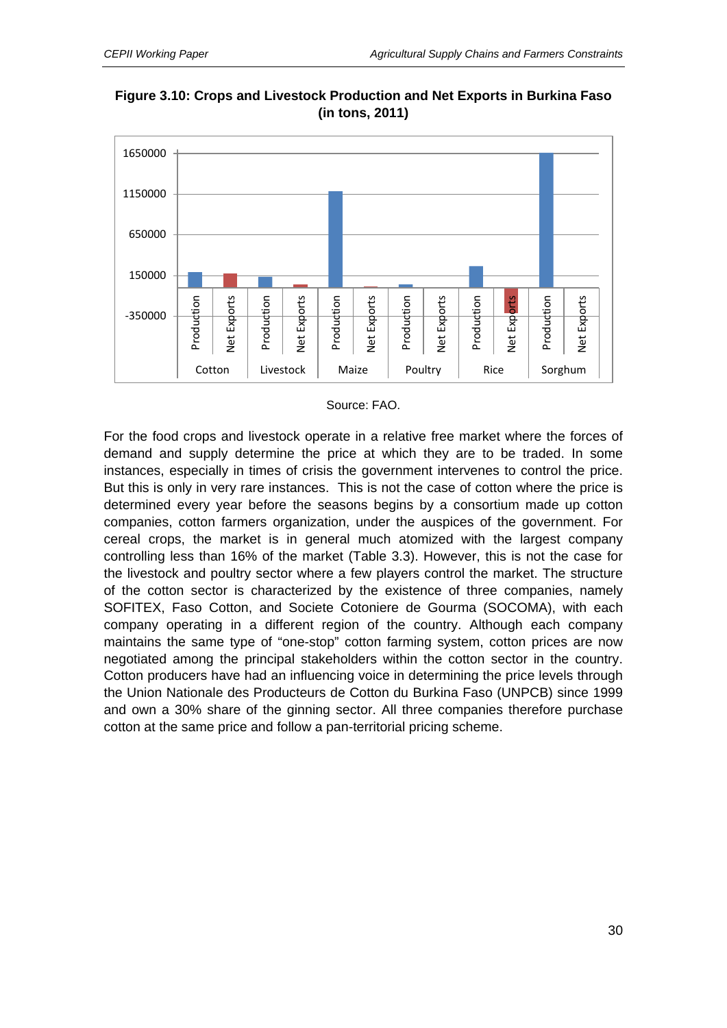![](_page_27_Figure_2.jpeg)

**Figure 3.10: Crops and Livestock Production and Net Exports in Burkina Faso (in tons, 2011)**

![](_page_27_Figure_4.jpeg)

For the food crops and livestock operate in a relative free market where the forces of demand and supply determine the price at which they are to be traded. In some instances, especially in times of crisis the government intervenes to control the price. But this is only in very rare instances. This is not the case of cotton where the price is determined every year before the seasons begins by a consortium made up cotton companies, cotton farmers organization, under the auspices of the government. For cereal crops, the market is in general much atomized with the largest company controlling less than 16% of the market (Table 3.3). However, this is not the case for the livestock and poultry sector where a few players control the market. The structure of the cotton sector is characterized by the existence of three companies, namely SOFITEX, Faso Cotton, and Societe Cotoniere de Gourma (SOCOMA), with each company operating in a different region of the country. Although each company maintains the same type of "one-stop" cotton farming system, cotton prices are now negotiated among the principal stakeholders within the cotton sector in the country. Cotton producers have had an influencing voice in determining the price levels through the Union Nationale des Producteurs de Cotton du Burkina Faso (UNPCB) since 1999 and own a 30% share of the ginning sector. All three companies therefore purchase cotton at the same price and follow a pan-territorial pricing scheme.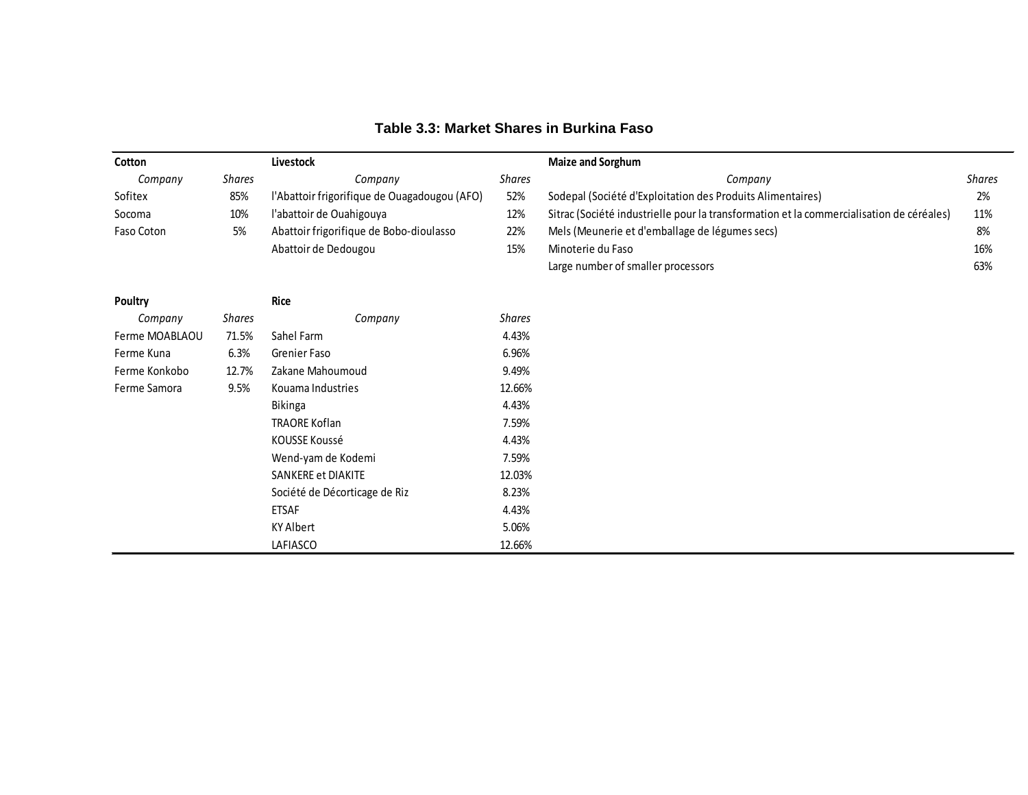| Cotton         |               | Livestock                                    |               | <b>Maize and Sorghum</b>                                                                 |               |
|----------------|---------------|----------------------------------------------|---------------|------------------------------------------------------------------------------------------|---------------|
| Company        | <b>Shares</b> | Company                                      | <b>Shares</b> | Company                                                                                  | <b>Shares</b> |
| Sofitex        | 85%           | l'Abattoir frigorifique de Ouagadougou (AFO) | 52%           | Sodepal (Société d'Exploitation des Produits Alimentaires)                               | 2%            |
| Socoma         | 10%           | l'abattoir de Ouahigouya                     | 12%           | Sitrac (Société industrielle pour la transformation et la commercialisation de céréales) | 11%           |
| Faso Coton     | 5%            | Abattoir frigorifique de Bobo-dioulasso      | 22%           | Mels (Meunerie et d'emballage de légumes secs)                                           | 8%            |
|                |               | Abattoir de Dedougou                         | 15%           | Minoterie du Faso                                                                        | 16%           |
|                |               |                                              |               | Large number of smaller processors                                                       | 63%           |
| Poultry        |               | Rice                                         |               |                                                                                          |               |
| Company        | <b>Shares</b> | Company                                      | <b>Shares</b> |                                                                                          |               |
| Ferme MOABLAOU | 71.5%         | Sahel Farm                                   | 4.43%         |                                                                                          |               |
| Ferme Kuna     | 6.3%          | Grenier Faso                                 | 6.96%         |                                                                                          |               |
| Ferme Konkobo  | 12.7%         | Zakane Mahoumoud                             | 9.49%         |                                                                                          |               |
| Ferme Samora   | 9.5%          | Kouama Industries                            | 12.66%        |                                                                                          |               |
|                |               | Bikinga                                      | 4.43%         |                                                                                          |               |
|                |               | TRAORE Koflan                                | 7.59%         |                                                                                          |               |
|                |               | KOUSSE Koussé                                | 4.43%         |                                                                                          |               |
|                |               | Wend-yam de Kodemi                           | 7.59%         |                                                                                          |               |
|                |               | <b>SANKERE et DIAKITE</b>                    | 12.03%        |                                                                                          |               |
|                |               | Société de Décorticage de Riz                | 8.23%         |                                                                                          |               |
|                |               | <b>ETSAF</b>                                 | 4.43%         |                                                                                          |               |
|                |               | KY Albert                                    | 5.06%         |                                                                                          |               |
|                |               | LAFIASCO                                     | 12.66%        |                                                                                          |               |

# **Table 3.3: Market Shares in Burkina Faso**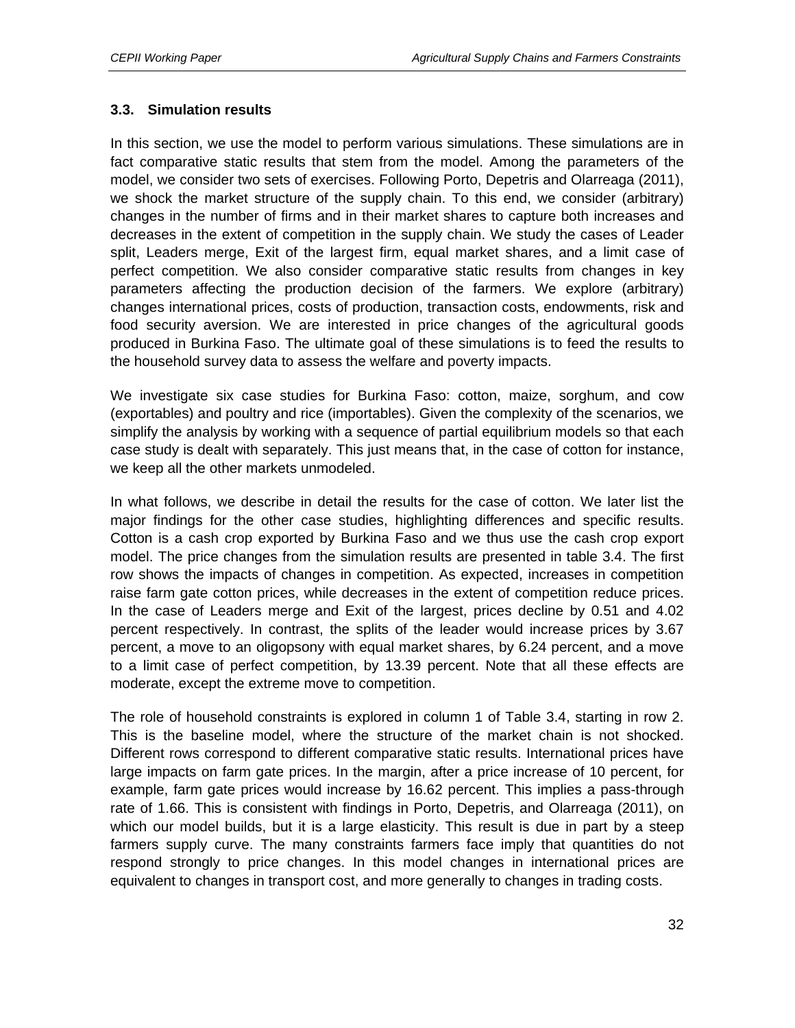## **3.3. Simulation results**

In this section, we use the model to perform various simulations. These simulations are in fact comparative static results that stem from the model. Among the parameters of the model, we consider two sets of exercises. Following Porto, Depetris and Olarreaga (2011), we shock the market structure of the supply chain. To this end, we consider (arbitrary) changes in the number of firms and in their market shares to capture both increases and decreases in the extent of competition in the supply chain. We study the cases of Leader split, Leaders merge, Exit of the largest firm, equal market shares, and a limit case of perfect competition. We also consider comparative static results from changes in key parameters affecting the production decision of the farmers. We explore (arbitrary) changes international prices, costs of production, transaction costs, endowments, risk and food security aversion. We are interested in price changes of the agricultural goods produced in Burkina Faso. The ultimate goal of these simulations is to feed the results to the household survey data to assess the welfare and poverty impacts.

We investigate six case studies for Burkina Faso: cotton, maize, sorghum, and cow (exportables) and poultry and rice (importables). Given the complexity of the scenarios, we simplify the analysis by working with a sequence of partial equilibrium models so that each case study is dealt with separately. This just means that, in the case of cotton for instance, we keep all the other markets unmodeled.

In what follows, we describe in detail the results for the case of cotton. We later list the major findings for the other case studies, highlighting differences and specific results. Cotton is a cash crop exported by Burkina Faso and we thus use the cash crop export model. The price changes from the simulation results are presented in table 3.4. The first row shows the impacts of changes in competition. As expected, increases in competition raise farm gate cotton prices, while decreases in the extent of competition reduce prices. In the case of Leaders merge and Exit of the largest, prices decline by 0.51 and 4.02 percent respectively. In contrast, the splits of the leader would increase prices by 3.67 percent, a move to an oligopsony with equal market shares, by 6.24 percent, and a move to a limit case of perfect competition, by 13.39 percent. Note that all these effects are moderate, except the extreme move to competition.

The role of household constraints is explored in column 1 of Table 3.4, starting in row 2. This is the baseline model, where the structure of the market chain is not shocked. Different rows correspond to different comparative static results. International prices have large impacts on farm gate prices. In the margin, after a price increase of 10 percent, for example, farm gate prices would increase by 16.62 percent. This implies a pass-through rate of 1.66. This is consistent with findings in Porto, Depetris, and Olarreaga (2011), on which our model builds, but it is a large elasticity. This result is due in part by a steep farmers supply curve. The many constraints farmers face imply that quantities do not respond strongly to price changes. In this model changes in international prices are equivalent to changes in transport cost, and more generally to changes in trading costs.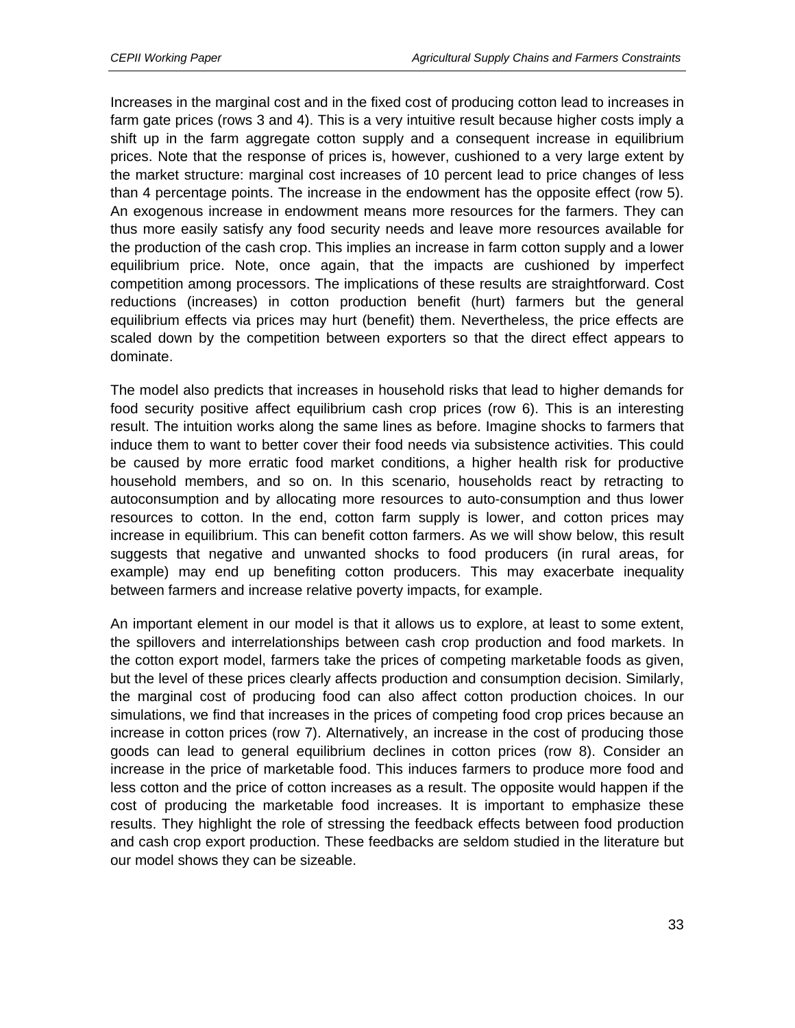Increases in the marginal cost and in the fixed cost of producing cotton lead to increases in farm gate prices (rows 3 and 4). This is a very intuitive result because higher costs imply a shift up in the farm aggregate cotton supply and a consequent increase in equilibrium prices. Note that the response of prices is, however, cushioned to a very large extent by the market structure: marginal cost increases of 10 percent lead to price changes of less than 4 percentage points. The increase in the endowment has the opposite effect (row 5). An exogenous increase in endowment means more resources for the farmers. They can thus more easily satisfy any food security needs and leave more resources available for the production of the cash crop. This implies an increase in farm cotton supply and a lower equilibrium price. Note, once again, that the impacts are cushioned by imperfect competition among processors. The implications of these results are straightforward. Cost reductions (increases) in cotton production benefit (hurt) farmers but the general equilibrium effects via prices may hurt (benefit) them. Nevertheless, the price effects are scaled down by the competition between exporters so that the direct effect appears to dominate.

The model also predicts that increases in household risks that lead to higher demands for food security positive affect equilibrium cash crop prices (row 6). This is an interesting result. The intuition works along the same lines as before. Imagine shocks to farmers that induce them to want to better cover their food needs via subsistence activities. This could be caused by more erratic food market conditions, a higher health risk for productive household members, and so on. In this scenario, households react by retracting to autoconsumption and by allocating more resources to auto-consumption and thus lower resources to cotton. In the end, cotton farm supply is lower, and cotton prices may increase in equilibrium. This can benefit cotton farmers. As we will show below, this result suggests that negative and unwanted shocks to food producers (in rural areas, for example) may end up benefiting cotton producers. This may exacerbate inequality between farmers and increase relative poverty impacts, for example.

An important element in our model is that it allows us to explore, at least to some extent, the spillovers and interrelationships between cash crop production and food markets. In the cotton export model, farmers take the prices of competing marketable foods as given, but the level of these prices clearly affects production and consumption decision. Similarly, the marginal cost of producing food can also affect cotton production choices. In our simulations, we find that increases in the prices of competing food crop prices because an increase in cotton prices (row 7). Alternatively, an increase in the cost of producing those goods can lead to general equilibrium declines in cotton prices (row 8). Consider an increase in the price of marketable food. This induces farmers to produce more food and less cotton and the price of cotton increases as a result. The opposite would happen if the cost of producing the marketable food increases. It is important to emphasize these results. They highlight the role of stressing the feedback effects between food production and cash crop export production. These feedbacks are seldom studied in the literature but our model shows they can be sizeable.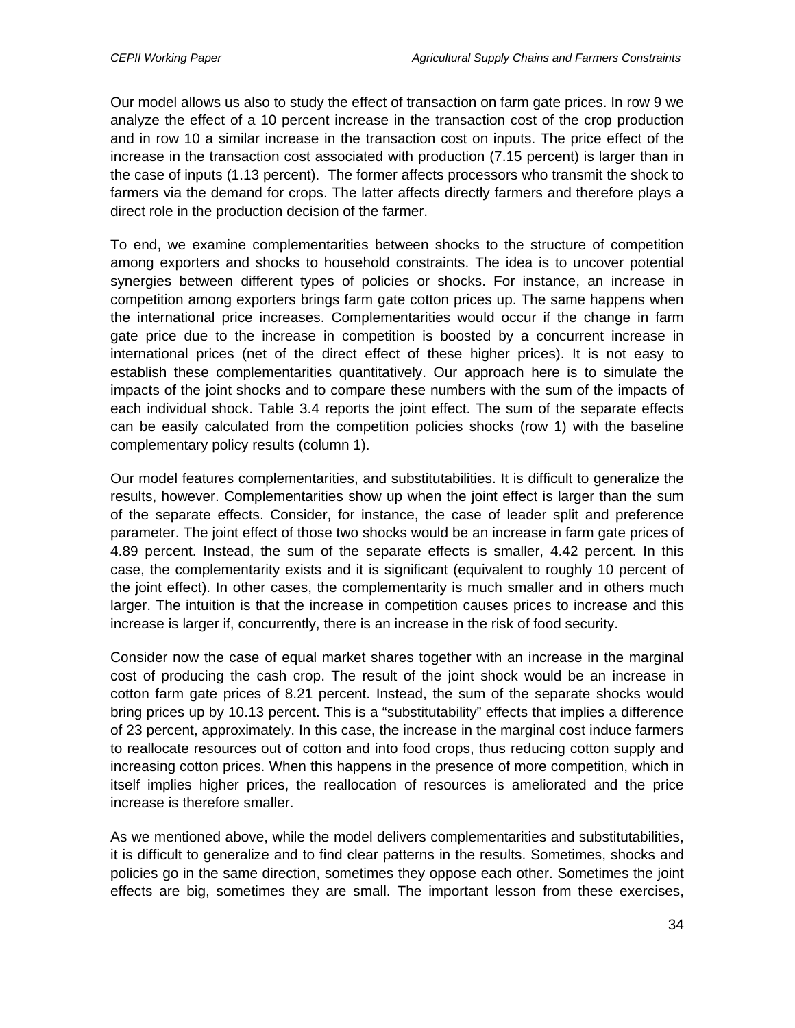Our model allows us also to study the effect of transaction on farm gate prices. In row 9 we analyze the effect of a 10 percent increase in the transaction cost of the crop production and in row 10 a similar increase in the transaction cost on inputs. The price effect of the increase in the transaction cost associated with production (7.15 percent) is larger than in the case of inputs (1.13 percent). The former affects processors who transmit the shock to farmers via the demand for crops. The latter affects directly farmers and therefore plays a direct role in the production decision of the farmer.

To end, we examine complementarities between shocks to the structure of competition among exporters and shocks to household constraints. The idea is to uncover potential synergies between different types of policies or shocks. For instance, an increase in competition among exporters brings farm gate cotton prices up. The same happens when the international price increases. Complementarities would occur if the change in farm gate price due to the increase in competition is boosted by a concurrent increase in international prices (net of the direct effect of these higher prices). It is not easy to establish these complementarities quantitatively. Our approach here is to simulate the impacts of the joint shocks and to compare these numbers with the sum of the impacts of each individual shock. Table 3.4 reports the joint effect. The sum of the separate effects can be easily calculated from the competition policies shocks (row 1) with the baseline complementary policy results (column 1).

Our model features complementarities, and substitutabilities. It is difficult to generalize the results, however. Complementarities show up when the joint effect is larger than the sum of the separate effects. Consider, for instance, the case of leader split and preference parameter. The joint effect of those two shocks would be an increase in farm gate prices of 4.89 percent. Instead, the sum of the separate effects is smaller, 4.42 percent. In this case, the complementarity exists and it is significant (equivalent to roughly 10 percent of the joint effect). In other cases, the complementarity is much smaller and in others much larger. The intuition is that the increase in competition causes prices to increase and this increase is larger if, concurrently, there is an increase in the risk of food security.

Consider now the case of equal market shares together with an increase in the marginal cost of producing the cash crop. The result of the joint shock would be an increase in cotton farm gate prices of 8.21 percent. Instead, the sum of the separate shocks would bring prices up by 10.13 percent. This is a "substitutability" effects that implies a difference of 23 percent, approximately. In this case, the increase in the marginal cost induce farmers to reallocate resources out of cotton and into food crops, thus reducing cotton supply and increasing cotton prices. When this happens in the presence of more competition, which in itself implies higher prices, the reallocation of resources is ameliorated and the price increase is therefore smaller.

As we mentioned above, while the model delivers complementarities and substitutabilities, it is difficult to generalize and to find clear patterns in the results. Sometimes, shocks and policies go in the same direction, sometimes they oppose each other. Sometimes the joint effects are big, sometimes they are small. The important lesson from these exercises,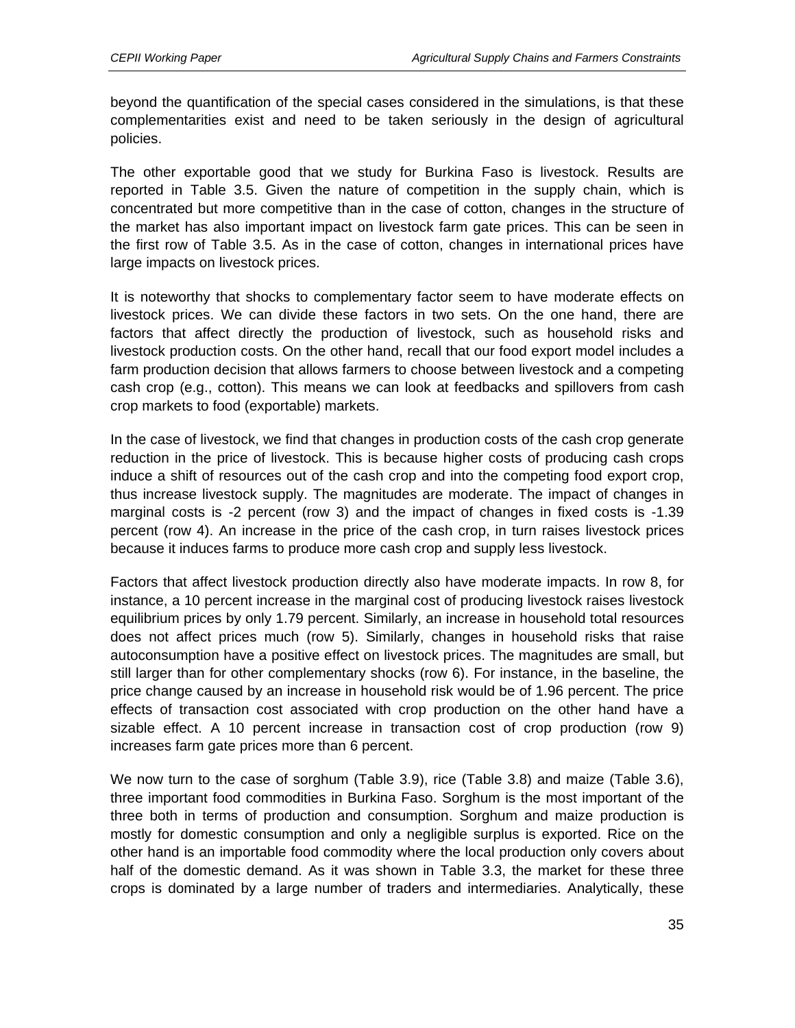beyond the quantification of the special cases considered in the simulations, is that these complementarities exist and need to be taken seriously in the design of agricultural policies.

The other exportable good that we study for Burkina Faso is livestock. Results are reported in Table 3.5. Given the nature of competition in the supply chain, which is concentrated but more competitive than in the case of cotton, changes in the structure of the market has also important impact on livestock farm gate prices. This can be seen in the first row of Table 3.5. As in the case of cotton, changes in international prices have large impacts on livestock prices.

It is noteworthy that shocks to complementary factor seem to have moderate effects on livestock prices. We can divide these factors in two sets. On the one hand, there are factors that affect directly the production of livestock, such as household risks and livestock production costs. On the other hand, recall that our food export model includes a farm production decision that allows farmers to choose between livestock and a competing cash crop (e.g., cotton). This means we can look at feedbacks and spillovers from cash crop markets to food (exportable) markets.

In the case of livestock, we find that changes in production costs of the cash crop generate reduction in the price of livestock. This is because higher costs of producing cash crops induce a shift of resources out of the cash crop and into the competing food export crop, thus increase livestock supply. The magnitudes are moderate. The impact of changes in marginal costs is -2 percent (row 3) and the impact of changes in fixed costs is -1.39 percent (row 4). An increase in the price of the cash crop, in turn raises livestock prices because it induces farms to produce more cash crop and supply less livestock.

Factors that affect livestock production directly also have moderate impacts. In row 8, for instance, a 10 percent increase in the marginal cost of producing livestock raises livestock equilibrium prices by only 1.79 percent. Similarly, an increase in household total resources does not affect prices much (row 5). Similarly, changes in household risks that raise autoconsumption have a positive effect on livestock prices. The magnitudes are small, but still larger than for other complementary shocks (row 6). For instance, in the baseline, the price change caused by an increase in household risk would be of 1.96 percent. The price effects of transaction cost associated with crop production on the other hand have a sizable effect. A 10 percent increase in transaction cost of crop production (row 9) increases farm gate prices more than 6 percent.

We now turn to the case of sorghum (Table 3.9), rice (Table 3.8) and maize (Table 3.6), three important food commodities in Burkina Faso. Sorghum is the most important of the three both in terms of production and consumption. Sorghum and maize production is mostly for domestic consumption and only a negligible surplus is exported. Rice on the other hand is an importable food commodity where the local production only covers about half of the domestic demand. As it was shown in Table 3.3, the market for these three crops is dominated by a large number of traders and intermediaries. Analytically, these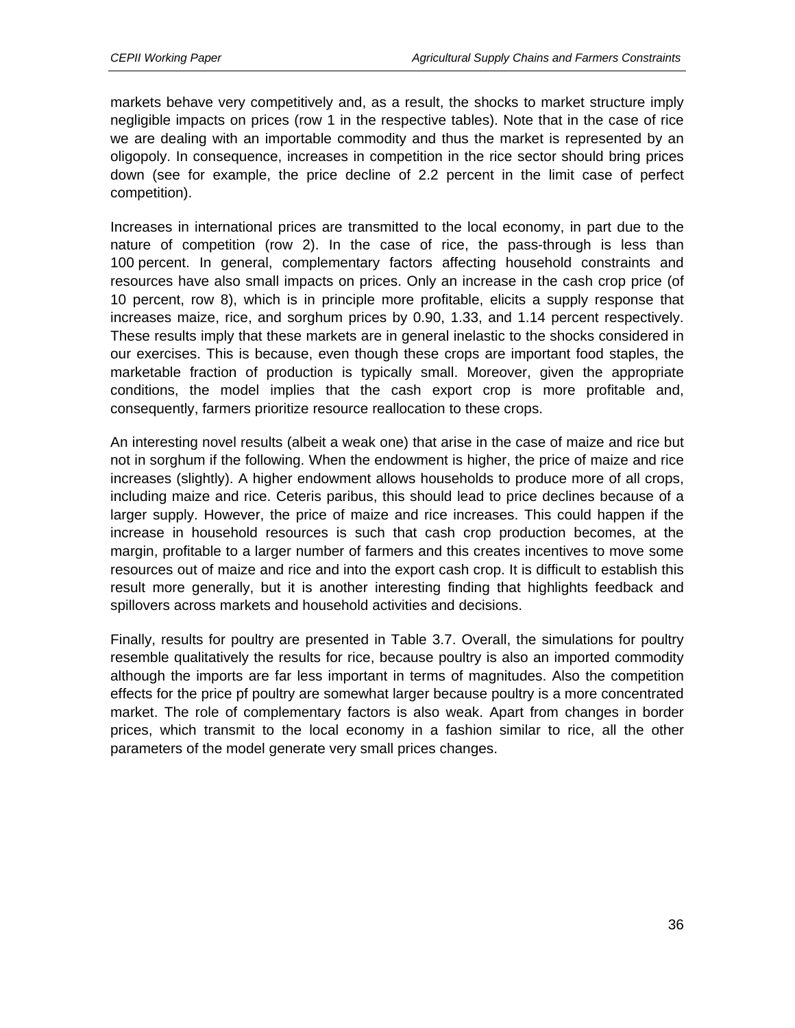markets behave very competitively and, as a result, the shocks to market structure imply negligible impacts on prices (row 1 in the respective tables). Note that in the case of rice we are dealing with an importable commodity and thus the market is represented by an oligopoly. In consequence, increases in competition in the rice sector should bring prices down (see for example, the price decline of 2.2 percent in the limit case of perfect competition).

Increases in international prices are transmitted to the local economy, in part due to the nature of competition (row 2). In the case of rice, the pass-through is less than 100 percent. In general, complementary factors affecting household constraints and resources have also small impacts on prices. Only an increase in the cash crop price (of 10 percent, row 8), which is in principle more profitable, elicits a supply response that increases maize, rice, and sorghum prices by 0.90, 1.33, and 1.14 percent respectively. These results imply that these markets are in general inelastic to the shocks considered in our exercises. This is because, even though these crops are important food staples, the marketable fraction of production is typically small. Moreover, given the appropriate conditions, the model implies that the cash export crop is more profitable and, consequently, farmers prioritize resource reallocation to these crops.

An interesting novel results (albeit a weak one) that arise in the case of maize and rice but not in sorghum if the following. When the endowment is higher, the price of maize and rice increases (slightly). A higher endowment allows households to produce more of all crops, including maize and rice. Ceteris paribus, this should lead to price declines because of a larger supply. However, the price of maize and rice increases. This could happen if the increase in household resources is such that cash crop production becomes, at the margin, profitable to a larger number of farmers and this creates incentives to move some resources out of maize and rice and into the export cash crop. It is difficult to establish this result more generally, but it is another interesting finding that highlights feedback and spillovers across markets and household activities and decisions.

Finally, results for poultry are presented in Table 3.7. Overall, the simulations for poultry resemble qualitatively the results for rice, because poultry is also an imported commodity although the imports are far less important in terms of magnitudes. Also the competition effects for the price pf poultry are somewhat larger because poultry is a more concentrated market. The role of complementary factors is also weak. Apart from changes in border prices, which transmit to the local economy in a fashion similar to rice, all the other parameters of the model generate very small prices changes.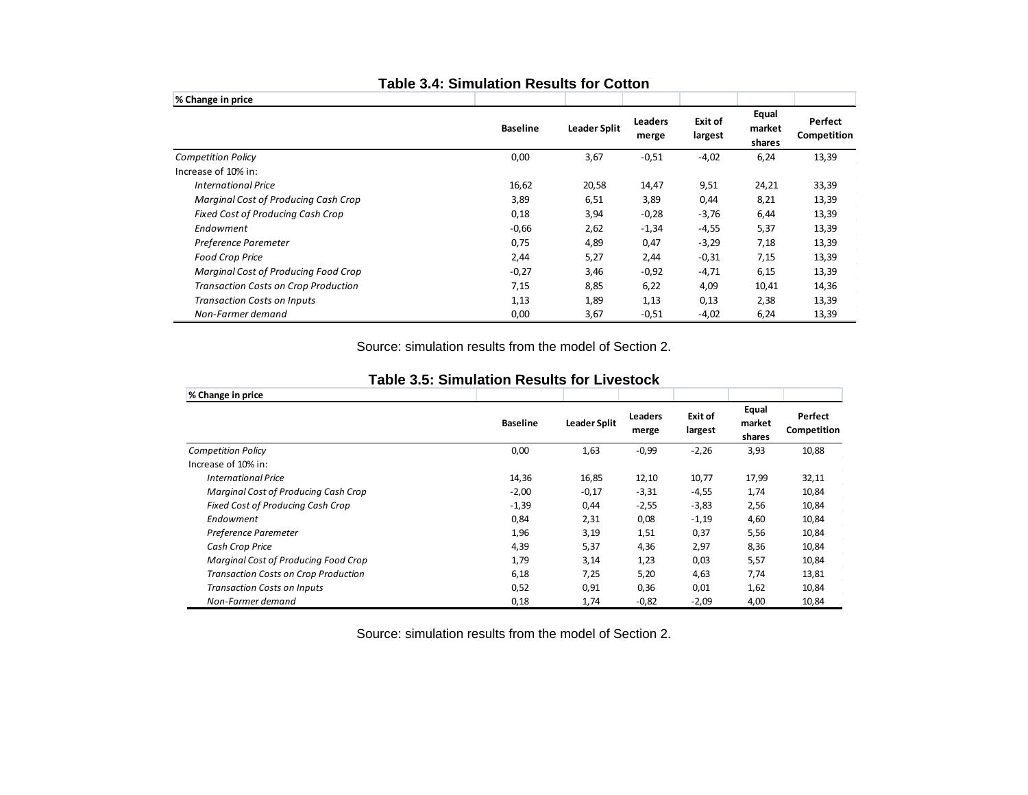| % Change in price                           |                 |                     |                         |                    |                           |                        |
|---------------------------------------------|-----------------|---------------------|-------------------------|--------------------|---------------------------|------------------------|
|                                             | <b>Baseline</b> | <b>Leader Split</b> | <b>Leaders</b><br>merge | Exit of<br>largest | Equal<br>market<br>shares | Perfect<br>Competition |
| <b>Competition Policy</b>                   | 0,00            | 3,67                | $-0,51$                 | $-4,02$            | 6,24                      | 13,39                  |
| Increase of 10% in:                         |                 |                     |                         |                    |                           |                        |
| International Price                         | 16,62           | 20,58               | 14,47                   | 9,51               | 24,21                     | 33,39                  |
| <b>Marginal Cost of Producing Cash Crop</b> | 3,89            | 6,51                | 3,89                    | 0,44               | 8,21                      | 13,39                  |
| <b>Fixed Cost of Producing Cash Crop</b>    | 0,18            | 3,94                | $-0,28$                 | $-3,76$            | 6,44                      | 13,39                  |
| Endowment                                   | $-0,66$         | 2,62                | $-1,34$                 | $-4,55$            | 5,37                      | 13,39                  |
| Preference Paremeter                        | 0,75            | 4,89                | 0,47                    | $-3,29$            | 7,18                      | 13,39                  |
| <b>Food Crop Price</b>                      | 2,44            | 5,27                | 2,44                    | $-0,31$            | 7,15                      | 13,39                  |
| Marginal Cost of Producing Food Crop        | $-0,27$         | 3,46                | $-0.92$                 | $-4,71$            | 6,15                      | 13,39                  |
| <b>Transaction Costs on Crop Production</b> | 7,15            | 8,85                | 6,22                    | 4,09               | 10,41                     | 14,36                  |
| <b>Transaction Costs on Inputs</b>          | 1,13            | 1,89                | 1,13                    | 0,13               | 2,38                      | 13,39                  |
| Non-Farmer demand                           | 0,00            | 3,67                | $-0,51$                 | $-4,02$            | 6,24                      | 13,39                  |

#### **Table 3.4: Simulation Results for Cotton**

Source: simulation results from the model of Section 2.

| % Change in price                           |                 |                     |                  |                           |                           |                        |
|---------------------------------------------|-----------------|---------------------|------------------|---------------------------|---------------------------|------------------------|
|                                             | <b>Baseline</b> | <b>Leader Split</b> | Leaders<br>merge | <b>Exit of</b><br>largest | Equal<br>market<br>shares | Perfect<br>Competition |
| <b>Competition Policy</b>                   | 0,00            | 1,63                | $-0,99$          | $-2,26$                   | 3,93                      | 10,88                  |
| Increase of 10% in:                         |                 |                     |                  |                           |                           |                        |
| <b>International Price</b>                  | 14,36           | 16,85               | 12,10            | 10,77                     | 17,99                     | 32,11                  |
| <b>Marginal Cost of Producing Cash Crop</b> | $-2,00$         | $-0,17$             | $-3,31$          | $-4,55$                   | 1,74                      | 10,84                  |
| <b>Fixed Cost of Producing Cash Crop</b>    | $-1,39$         | 0,44                | $-2,55$          | $-3,83$                   | 2,56                      | 10,84                  |
| Endowment                                   | 0,84            | 2,31                | 0,08             | $-1,19$                   | 4,60                      | 10,84                  |
| Preference Paremeter                        | 1,96            | 3,19                | 1,51             | 0,37                      | 5,56                      | 10,84                  |
| Cash Crop Price                             | 4,39            | 5,37                | 4,36             | 2,97                      | 8,36                      | 10,84                  |
| <b>Marginal Cost of Producing Food Crop</b> | 1,79            | 3,14                | 1,23             | 0,03                      | 5,57                      | 10,84                  |
| <b>Transaction Costs on Crop Production</b> | 6,18            | 7,25                | 5,20             | 4,63                      | 7,74                      | 13,81                  |
| <b>Transaction Costs on Inputs</b>          | 0,52            | 0,91                | 0,36             | 0,01                      | 1,62                      | 10,84                  |
| Non-Farmer demand                           | 0,18            | 1,74                | $-0,82$          | $-2,09$                   | 4,00                      | 10,84                  |

## **Table 3.5: Simulation Results for Livestock**

Source: simulation results from the model of Section 2.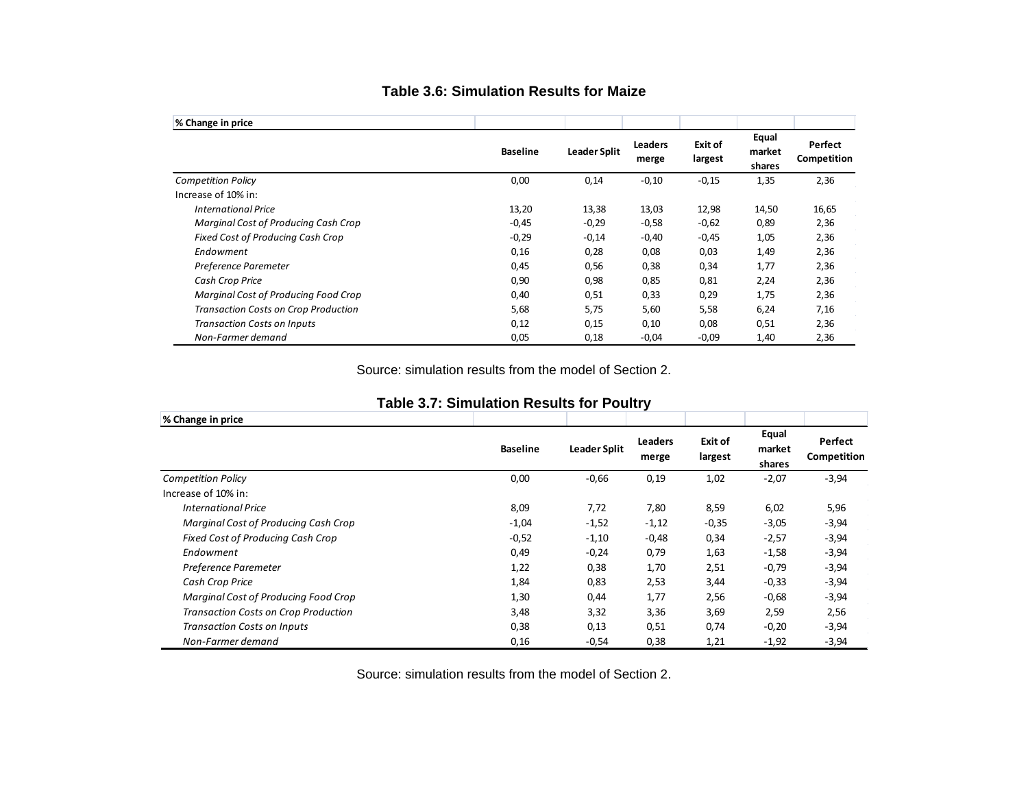| % Change in price                           |                 |                     |                         |                    |                           |                        |
|---------------------------------------------|-----------------|---------------------|-------------------------|--------------------|---------------------------|------------------------|
|                                             | <b>Baseline</b> | <b>Leader Split</b> | <b>Leaders</b><br>merge | Exit of<br>largest | Equal<br>market<br>shares | Perfect<br>Competition |
| <b>Competition Policy</b>                   | 0,00            | 0,14                | $-0,10$                 | $-0,15$            | 1,35                      | 2,36                   |
| Increase of 10% in:                         |                 |                     |                         |                    |                           |                        |
| International Price                         | 13,20           | 13,38               | 13,03                   | 12,98              | 14,50                     | 16,65                  |
| <b>Marginal Cost of Producing Cash Crop</b> | $-0.45$         | $-0,29$             | $-0,58$                 | $-0,62$            | 0,89                      | 2,36                   |
| <b>Fixed Cost of Producing Cash Crop</b>    | $-0,29$         | $-0,14$             | $-0,40$                 | $-0,45$            | 1,05                      | 2,36                   |
| Endowment                                   | 0,16            | 0,28                | 0,08                    | 0,03               | 1,49                      | 2,36                   |
| Preference Paremeter                        | 0,45            | 0,56                | 0,38                    | 0,34               | 1,77                      | 2,36                   |
| Cash Crop Price                             | 0,90            | 0,98                | 0,85                    | 0,81               | 2,24                      | 2,36                   |
| <b>Marginal Cost of Producing Food Crop</b> | 0,40            | 0,51                | 0,33                    | 0,29               | 1,75                      | 2,36                   |
| <b>Transaction Costs on Crop Production</b> | 5,68            | 5,75                | 5,60                    | 5,58               | 6,24                      | 7,16                   |
| <b>Transaction Costs on Inputs</b>          | 0,12            | 0,15                | 0,10                    | 0,08               | 0,51                      | 2,36                   |
| Non-Farmer demand                           | 0,05            | 0,18                | $-0,04$                 | $-0,09$            | 1,40                      | 2,36                   |

#### **Table 3.6: Simulation Results for Maize**

Source: simulation results from the model of Section 2.

| % Change in price                           |                 |                     |                         |                    |                           |                        |
|---------------------------------------------|-----------------|---------------------|-------------------------|--------------------|---------------------------|------------------------|
|                                             | <b>Baseline</b> | <b>Leader Split</b> | <b>Leaders</b><br>merge | Exit of<br>largest | Equal<br>market<br>shares | Perfect<br>Competition |
| <b>Competition Policy</b>                   | 0,00            | $-0,66$             | 0,19                    | 1,02               | $-2,07$                   | $-3,94$                |
| Increase of 10% in:                         |                 |                     |                         |                    |                           |                        |
| <b>International Price</b>                  | 8,09            | 7,72                | 7,80                    | 8,59               | 6,02                      | 5,96                   |
| <b>Marginal Cost of Producing Cash Crop</b> | $-1,04$         | $-1,52$             | $-1,12$                 | $-0,35$            | $-3,05$                   | $-3,94$                |
| <b>Fixed Cost of Producing Cash Crop</b>    | $-0,52$         | $-1,10$             | $-0,48$                 | 0,34               | $-2,57$                   | $-3,94$                |
| Endowment                                   | 0,49            | $-0,24$             | 0,79                    | 1,63               | $-1,58$                   | $-3,94$                |
| Preference Paremeter                        | 1,22            | 0,38                | 1,70                    | 2,51               | $-0,79$                   | $-3,94$                |
| Cash Crop Price                             | 1,84            | 0,83                | 2,53                    | 3,44               | $-0,33$                   | $-3,94$                |
| <b>Marginal Cost of Producing Food Crop</b> | 1,30            | 0,44                | 1,77                    | 2,56               | $-0.68$                   | $-3,94$                |
| <b>Transaction Costs on Crop Production</b> | 3,48            | 3,32                | 3,36                    | 3,69               | 2,59                      | 2,56                   |
| <b>Transaction Costs on Inputs</b>          | 0,38            | 0,13                | 0,51                    | 0,74               | $-0,20$                   | $-3,94$                |
| Non-Farmer demand                           | 0,16            | $-0,54$             | 0,38                    | 1,21               | $-1,92$                   | $-3,94$                |

# **Table 3.7: Simulation Results for Poultry**

Source: simulation results from the model of Section 2.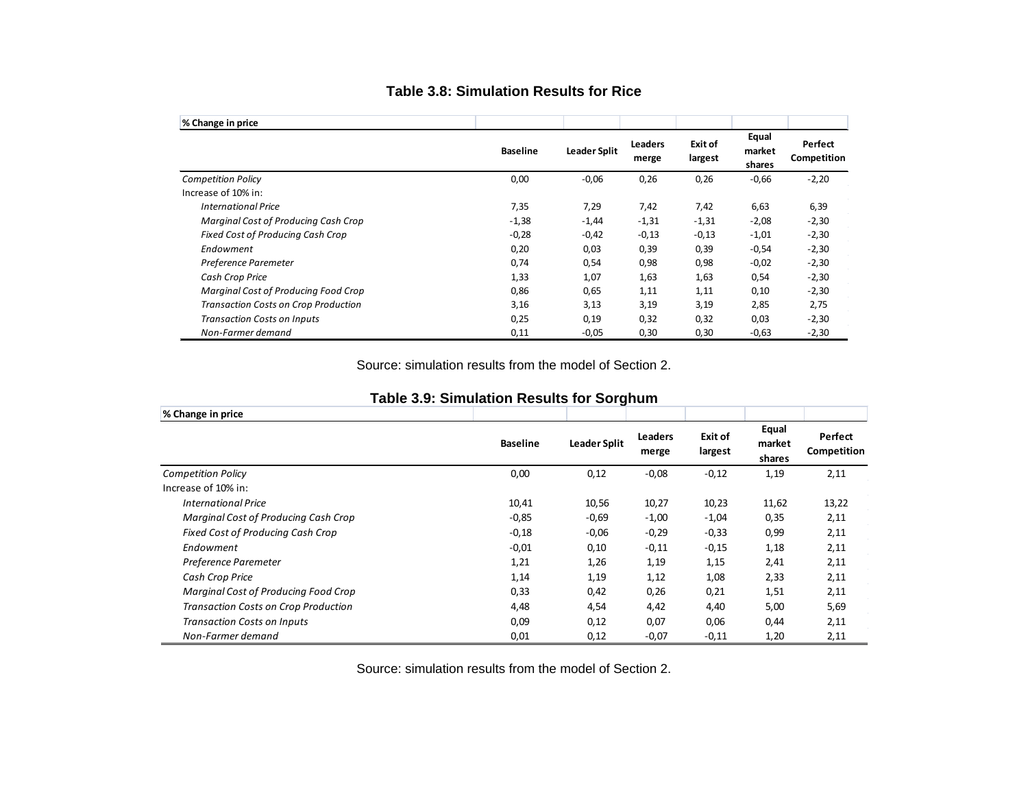| % Change in price                           |                 |              |                  |                    |                           |                        |
|---------------------------------------------|-----------------|--------------|------------------|--------------------|---------------------------|------------------------|
|                                             | <b>Baseline</b> | Leader Split | Leaders<br>merge | Exit of<br>largest | Equal<br>market<br>shares | Perfect<br>Competition |
| <b>Competition Policy</b>                   | 0,00            | $-0,06$      | 0,26             | 0,26               | $-0,66$                   | $-2,20$                |
| Increase of 10% in:                         |                 |              |                  |                    |                           |                        |
| International Price                         | 7,35            | 7,29         | 7,42             | 7,42               | 6,63                      | 6,39                   |
| Marginal Cost of Producing Cash Crop        | $-1,38$         | $-1,44$      | $-1,31$          | $-1,31$            | $-2,08$                   | $-2,30$                |
| <b>Fixed Cost of Producing Cash Crop</b>    | $-0,28$         | $-0,42$      | $-0,13$          | $-0.13$            | $-1,01$                   | $-2,30$                |
| Endowment                                   | 0,20            | 0,03         | 0,39             | 0,39               | $-0,54$                   | $-2,30$                |
| Preference Paremeter                        | 0,74            | 0,54         | 0,98             | 0,98               | $-0.02$                   | $-2,30$                |
| Cash Crop Price                             | 1,33            | 1,07         | 1,63             | 1,63               | 0,54                      | $-2,30$                |
| <b>Marginal Cost of Producing Food Crop</b> | 0,86            | 0,65         | 1,11             | 1,11               | 0,10                      | $-2,30$                |
| <b>Transaction Costs on Crop Production</b> | 3,16            | 3,13         | 3,19             | 3,19               | 2,85                      | 2,75                   |
| <b>Transaction Costs on Inputs</b>          | 0,25            | 0,19         | 0,32             | 0,32               | 0,03                      | $-2,30$                |
| Non-Farmer demand                           | 0,11            | $-0,05$      | 0,30             | 0,30               | $-0,63$                   | $-2,30$                |

#### **Table 3.8: Simulation Results for Rice**

Source: simulation results from the model of Section 2.

| % Change in price                           |                 |                     |                  |                    |                           |                        |
|---------------------------------------------|-----------------|---------------------|------------------|--------------------|---------------------------|------------------------|
|                                             | <b>Baseline</b> | <b>Leader Split</b> | Leaders<br>merge | Exit of<br>largest | Equal<br>market<br>shares | Perfect<br>Competition |
| <b>Competition Policy</b>                   | 0,00            | 0,12                | $-0,08$          | $-0,12$            | 1,19                      | 2,11                   |
| Increase of 10% in:                         |                 |                     |                  |                    |                           |                        |
| <b>International Price</b>                  | 10,41           | 10,56               | 10,27            | 10,23              | 11,62                     | 13,22                  |
| <b>Marginal Cost of Producing Cash Crop</b> | $-0,85$         | $-0,69$             | $-1,00$          | $-1,04$            | 0,35                      | 2,11                   |
| <b>Fixed Cost of Producing Cash Crop</b>    | $-0,18$         | $-0.06$             | $-0,29$          | $-0,33$            | 0,99                      | 2,11                   |
| Endowment                                   | $-0,01$         | 0,10                | $-0,11$          | $-0,15$            | 1,18                      | 2,11                   |
| Preference Paremeter                        | 1,21            | 1,26                | 1,19             | 1,15               | 2,41                      | 2,11                   |
| Cash Crop Price                             | 1,14            | 1,19                | 1,12             | 1,08               | 2,33                      | 2,11                   |
| <b>Marginal Cost of Producing Food Crop</b> | 0,33            | 0,42                | 0,26             | 0,21               | 1,51                      | 2,11                   |
| <b>Transaction Costs on Crop Production</b> | 4,48            | 4,54                | 4,42             | 4,40               | 5,00                      | 5,69                   |
| <b>Transaction Costs on Inputs</b>          | 0,09            | 0,12                | 0,07             | 0,06               | 0,44                      | 2,11                   |
| Non-Farmer demand                           | 0,01            | 0,12                | $-0,07$          | $-0.11$            | 1,20                      | 2,11                   |

## **Table 3.9: Simulation Results for Sorghum**

Source: simulation results from the model of Section 2.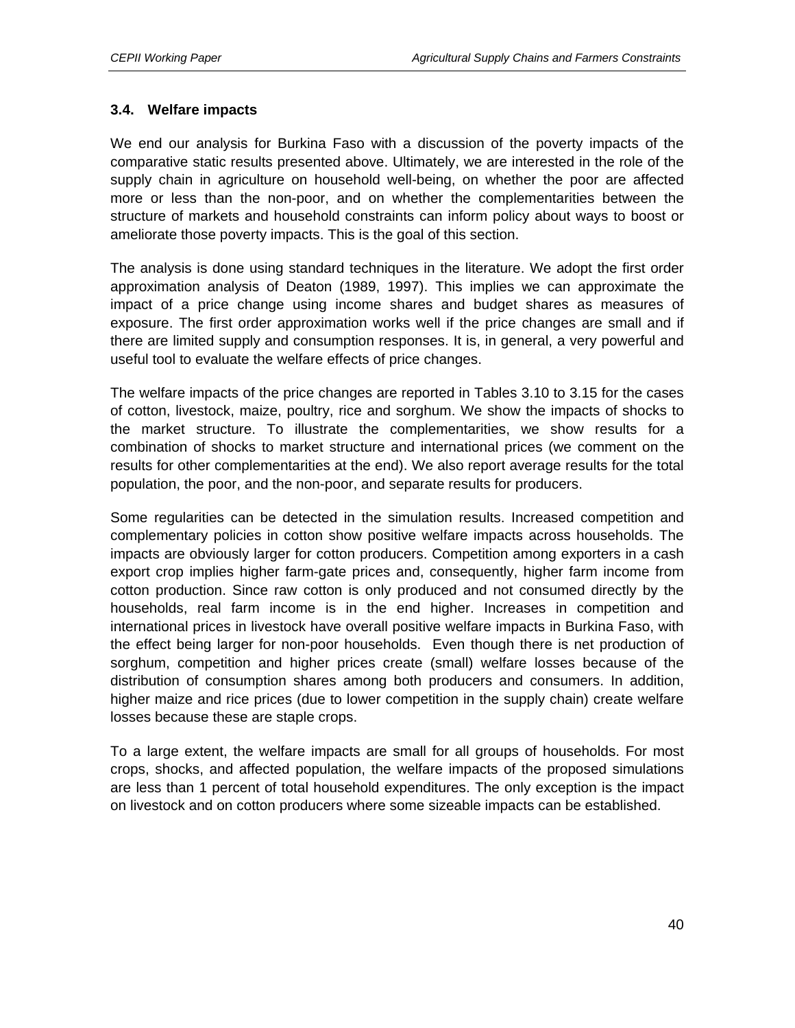#### **3.4. Welfare impacts**

We end our analysis for Burkina Faso with a discussion of the poverty impacts of the comparative static results presented above. Ultimately, we are interested in the role of the supply chain in agriculture on household well-being, on whether the poor are affected more or less than the non-poor, and on whether the complementarities between the structure of markets and household constraints can inform policy about ways to boost or ameliorate those poverty impacts. This is the goal of this section.

The analysis is done using standard techniques in the literature. We adopt the first order approximation analysis of Deaton (1989, 1997). This implies we can approximate the impact of a price change using income shares and budget shares as measures of exposure. The first order approximation works well if the price changes are small and if there are limited supply and consumption responses. It is, in general, a very powerful and useful tool to evaluate the welfare effects of price changes.

The welfare impacts of the price changes are reported in Tables 3.10 to 3.15 for the cases of cotton, livestock, maize, poultry, rice and sorghum. We show the impacts of shocks to the market structure. To illustrate the complementarities, we show results for a combination of shocks to market structure and international prices (we comment on the results for other complementarities at the end). We also report average results for the total population, the poor, and the non-poor, and separate results for producers.

Some regularities can be detected in the simulation results. Increased competition and complementary policies in cotton show positive welfare impacts across households. The impacts are obviously larger for cotton producers. Competition among exporters in a cash export crop implies higher farm-gate prices and, consequently, higher farm income from cotton production. Since raw cotton is only produced and not consumed directly by the households, real farm income is in the end higher. Increases in competition and international prices in livestock have overall positive welfare impacts in Burkina Faso, with the effect being larger for non-poor households. Even though there is net production of sorghum, competition and higher prices create (small) welfare losses because of the distribution of consumption shares among both producers and consumers. In addition, higher maize and rice prices (due to lower competition in the supply chain) create welfare losses because these are staple crops.

To a large extent, the welfare impacts are small for all groups of households. For most crops, shocks, and affected population, the welfare impacts of the proposed simulations are less than 1 percent of total household expenditures. The only exception is the impact on livestock and on cotton producers where some sizeable impacts can be established.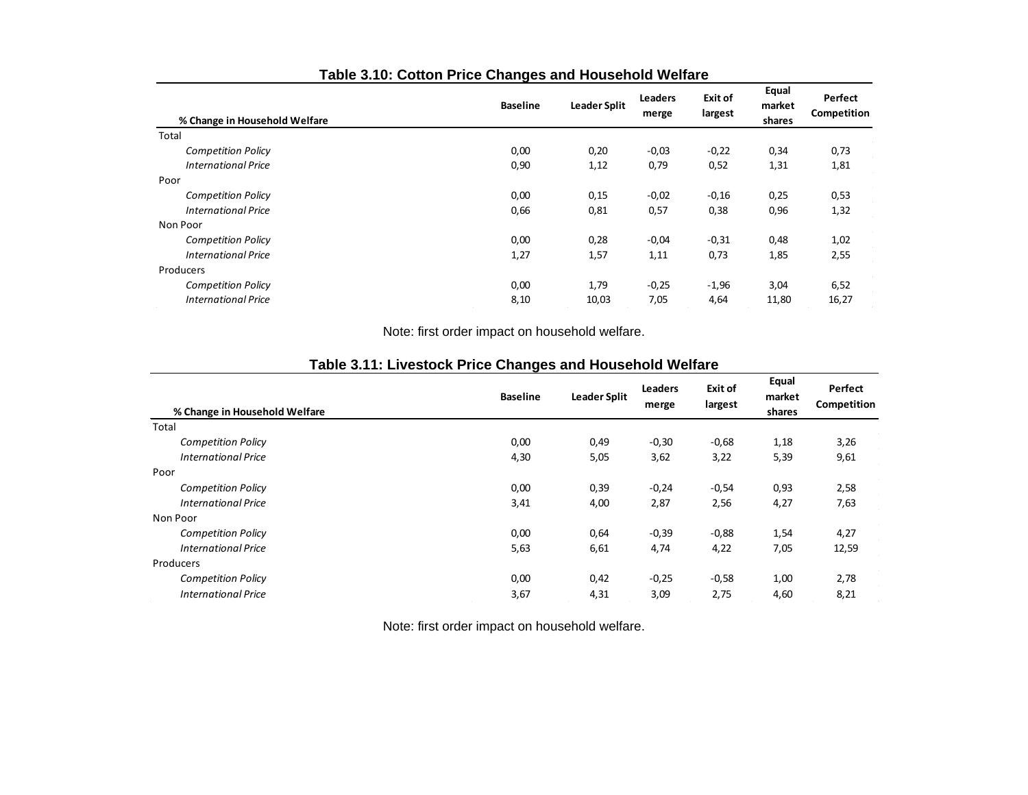| % Change in Household Welfare | <b>Baseline</b> | <b>Leader Split</b> | <b>Leaders</b><br>merge | Exit of<br>largest | Equal<br>market<br>shares | Perfect<br>Competition |
|-------------------------------|-----------------|---------------------|-------------------------|--------------------|---------------------------|------------------------|
| Total                         |                 |                     |                         |                    |                           |                        |
| <b>Competition Policy</b>     | 0,00            | 0,20                | $-0.03$                 | $-0,22$            | 0,34                      | 0,73                   |
| <b>International Price</b>    | 0,90            | 1,12                | 0,79                    | 0,52               | 1,31                      | 1,81                   |
| Poor                          |                 |                     |                         |                    |                           |                        |
| <b>Competition Policy</b>     | 0,00            | 0,15                | $-0.02$                 | $-0,16$            | 0,25                      | 0,53                   |
| <b>International Price</b>    | 0,66            | 0,81                | 0,57                    | 0,38               | 0,96                      | 1,32                   |
| Non Poor                      |                 |                     |                         |                    |                           |                        |
| <b>Competition Policy</b>     | 0,00            | 0,28                | $-0.04$                 | $-0.31$            | 0,48                      | 1,02                   |
| <b>International Price</b>    | 1,27            | 1,57                | 1,11                    | 0,73               | 1,85                      | 2,55                   |
| Producers                     |                 |                     |                         |                    |                           |                        |
| <b>Competition Policy</b>     | 0,00            | 1,79                | $-0.25$                 | $-1,96$            | 3,04                      | 6,52                   |
| <b>International Price</b>    | 8,10            | 10,03               | 7,05                    | 4,64               | 11,80                     | 16,27                  |

## **Table 3.10: Cotton Price Changes and Household Welfare**

Note: first order impact on household welfare.

| Table J.T. LiveStock File Changes and HouseHold Wellard |                     |                  |                           |                           |                        |
|---------------------------------------------------------|---------------------|------------------|---------------------------|---------------------------|------------------------|
| <b>Baseline</b>                                         | <b>Leader Split</b> | Leaders<br>merge | <b>Exit of</b><br>largest | Equal<br>market<br>shares | Perfect<br>Competition |
|                                                         |                     |                  |                           |                           |                        |
| 0,00                                                    | 0,49                | $-0,30$          | $-0.68$                   | 1,18                      | 3,26                   |
| 4,30                                                    | 5,05                | 3,62             | 3,22                      | 5,39                      | 9,61                   |
|                                                         |                     |                  |                           |                           |                        |
| 0,00                                                    | 0,39                | $-0,24$          | $-0,54$                   | 0,93                      | 2,58                   |
| 3,41                                                    | 4,00                | 2,87             | 2,56                      | 4,27                      | 7,63                   |
|                                                         |                     |                  |                           |                           |                        |
| 0,00                                                    | 0,64                | $-0,39$          | $-0.88$                   | 1,54                      | 4,27                   |
| 5,63                                                    | 6,61                | 4,74             | 4,22                      | 7,05                      | 12,59                  |
|                                                         |                     |                  |                           |                           |                        |
| 0,00                                                    | 0,42                | $-0,25$          | $-0,58$                   | 1,00                      | 2,78                   |
| 3,67                                                    | 4,31                | 3,09             | 2,75                      | 4,60                      | 8,21                   |
|                                                         |                     |                  |                           |                           |                        |

**Table 3.11: Livestock Price Changes and Household Welfare**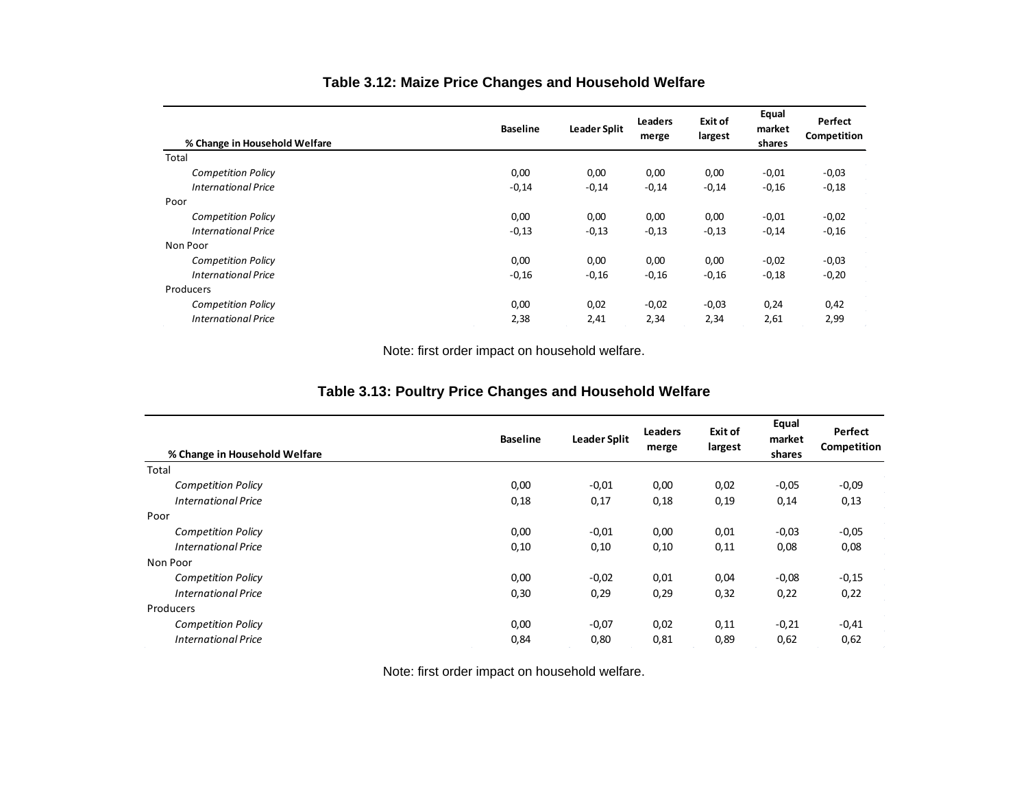| % Change in Household Welfare | <b>Baseline</b> | <b>Leader Split</b> | Leaders<br>merge | Exit of<br>largest | Equal<br>market<br>shares | Perfect<br>Competition |
|-------------------------------|-----------------|---------------------|------------------|--------------------|---------------------------|------------------------|
| Total                         |                 |                     |                  |                    |                           |                        |
| <b>Competition Policy</b>     | 0,00            | 0,00                | 0,00             | 0,00               | $-0.01$                   | $-0,03$                |
| <b>International Price</b>    | $-0,14$         | $-0,14$             | $-0,14$          | $-0,14$            | $-0,16$                   | $-0,18$                |
| Poor                          |                 |                     |                  |                    |                           |                        |
| <b>Competition Policy</b>     | 0,00            | 0,00                | 0,00             | 0,00               | $-0.01$                   | $-0,02$                |
| International Price           | $-0,13$         | $-0,13$             | $-0,13$          | $-0,13$            | $-0,14$                   | $-0,16$                |
| Non Poor                      |                 |                     |                  |                    |                           |                        |
| <b>Competition Policy</b>     | 0,00            | 0,00                | 0,00             | 0,00               | $-0.02$                   | $-0,03$                |
| International Price           | $-0,16$         | $-0,16$             | $-0,16$          | $-0,16$            | $-0.18$                   | $-0,20$                |
| Producers                     |                 |                     |                  |                    |                           |                        |
| <b>Competition Policy</b>     | 0,00            | 0,02                | $-0.02$          | $-0.03$            | 0,24                      | 0,42                   |
| International Price           | 2,38            | 2,41                | 2,34             | 2,34               | 2,61                      | 2,99                   |

# **Table 3.12: Maize Price Changes and Household Welfare**

Note: first order impact on household welfare.

| Table 3.13: Poultry Price Changes and Household Welfare |
|---------------------------------------------------------|
|---------------------------------------------------------|

| % Change in Household Welfare | <b>Baseline</b> | <b>Leader Split</b> | <b>Leaders</b><br>merge | Exit of<br>largest | Equal<br>market<br>shares | Perfect<br>Competition |
|-------------------------------|-----------------|---------------------|-------------------------|--------------------|---------------------------|------------------------|
| Total                         |                 |                     |                         |                    |                           |                        |
| <b>Competition Policy</b>     | 0,00            | $-0.01$             | 0,00                    | 0,02               | $-0,05$                   | $-0,09$                |
| International Price           | 0,18            | 0,17                | 0,18                    | 0,19               | 0,14                      | 0,13                   |
| Poor                          |                 |                     |                         |                    |                           |                        |
| <b>Competition Policy</b>     | 0,00            | $-0.01$             | 0,00                    | 0,01               | $-0.03$                   | $-0,05$                |
| International Price           | 0,10            | 0,10                | 0,10                    | 0,11               | 0,08                      | 0,08                   |
| Non Poor                      |                 |                     |                         |                    |                           |                        |
| <b>Competition Policy</b>     | 0,00            | $-0.02$             | 0,01                    | 0,04               | $-0.08$                   | $-0,15$                |
| International Price           | 0,30            | 0,29                | 0,29                    | 0,32               | 0,22                      | 0,22                   |
| Producers                     |                 |                     |                         |                    |                           |                        |
| <b>Competition Policy</b>     | 0,00            | $-0.07$             | 0,02                    | 0,11               | $-0.21$                   | $-0.41$                |
| <b>International Price</b>    | 0,84            | 0,80                | 0,81                    | 0,89               | 0,62                      | 0,62                   |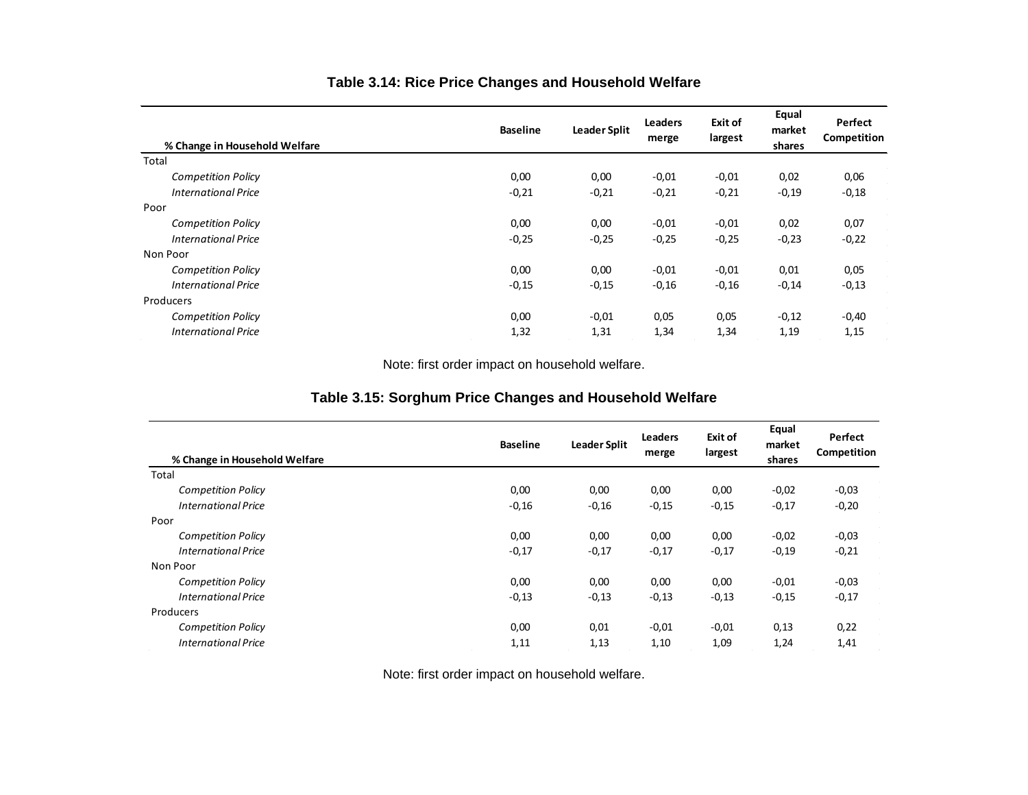| % Change in Household Welfare | <b>Baseline</b> | <b>Leader Split</b> | <b>Leaders</b><br>merge | Exit of<br>largest | Equal<br>market<br>shares | Perfect<br>Competition |
|-------------------------------|-----------------|---------------------|-------------------------|--------------------|---------------------------|------------------------|
| Total                         |                 |                     |                         |                    |                           |                        |
| <b>Competition Policy</b>     | 0,00            | 0,00                | $-0.01$                 | $-0.01$            | 0,02                      | 0,06                   |
| <b>International Price</b>    | $-0.21$         | $-0,21$             | $-0,21$                 | $-0,21$            | $-0,19$                   | $-0,18$                |
| Poor                          |                 |                     |                         |                    |                           |                        |
| <b>Competition Policy</b>     | 0,00            | 0,00                | $-0.01$                 | $-0.01$            | 0,02                      | 0,07                   |
| International Price           | $-0,25$         | $-0,25$             | $-0,25$                 | $-0,25$            | $-0,23$                   | $-0,22$                |
| Non Poor                      |                 |                     |                         |                    |                           |                        |
| <b>Competition Policy</b>     | 0,00            | 0,00                | $-0.01$                 | $-0.01$            | 0,01                      | 0,05                   |
| <b>International Price</b>    | $-0.15$         | $-0.15$             | $-0,16$                 | $-0,16$            | $-0,14$                   | $-0,13$                |
| Producers                     |                 |                     |                         |                    |                           |                        |
| <b>Competition Policy</b>     | 0,00            | $-0.01$             | 0,05                    | 0,05               | $-0,12$                   | $-0,40$                |
| International Price           | 1,32            | 1,31                | 1,34                    | 1,34               | 1,19                      | 1,15                   |

## **Table 3.14: Rice Price Changes and Household Welfare**

Note: first order impact on household welfare.

## **Table 3.15: Sorghum Price Changes and Household Welfare**

| % Change in Household Welfare | <b>Baseline</b> | <b>Leader Split</b> | <b>Leaders</b><br>merge | <b>Exit of</b><br>largest | Equal<br>market<br>shares | Perfect<br>Competition |
|-------------------------------|-----------------|---------------------|-------------------------|---------------------------|---------------------------|------------------------|
| Total                         |                 |                     |                         |                           |                           |                        |
| <b>Competition Policy</b>     | 0,00            | 0,00                | 0,00                    | 0,00                      | $-0.02$                   | $-0,03$                |
| <b>International Price</b>    | $-0,16$         | $-0,16$             | $-0,15$                 | $-0,15$                   | $-0,17$                   | $-0,20$                |
| Poor                          |                 |                     |                         |                           |                           |                        |
| <b>Competition Policy</b>     | 0,00            | 0,00                | 0,00                    | 0,00                      | $-0.02$                   | $-0,03$                |
| International Price           | $-0,17$         | $-0.17$             | $-0.17$                 | $-0,17$                   | $-0.19$                   | $-0,21$                |
| Non Poor                      |                 |                     |                         |                           |                           |                        |
| <b>Competition Policy</b>     | 0,00            | 0,00                | 0,00                    | 0,00                      | $-0.01$                   | $-0,03$                |
| <b>International Price</b>    | $-0,13$         | $-0,13$             | $-0,13$                 | $-0,13$                   | $-0,15$                   | $-0,17$                |
| Producers                     |                 |                     |                         |                           |                           |                        |
| <b>Competition Policy</b>     | 0,00            | 0,01                | $-0,01$                 | $-0.01$                   | 0,13                      | 0,22                   |
| <b>International Price</b>    | 1,11            | 1,13                | 1,10                    | 1,09                      | 1,24                      | 1,41                   |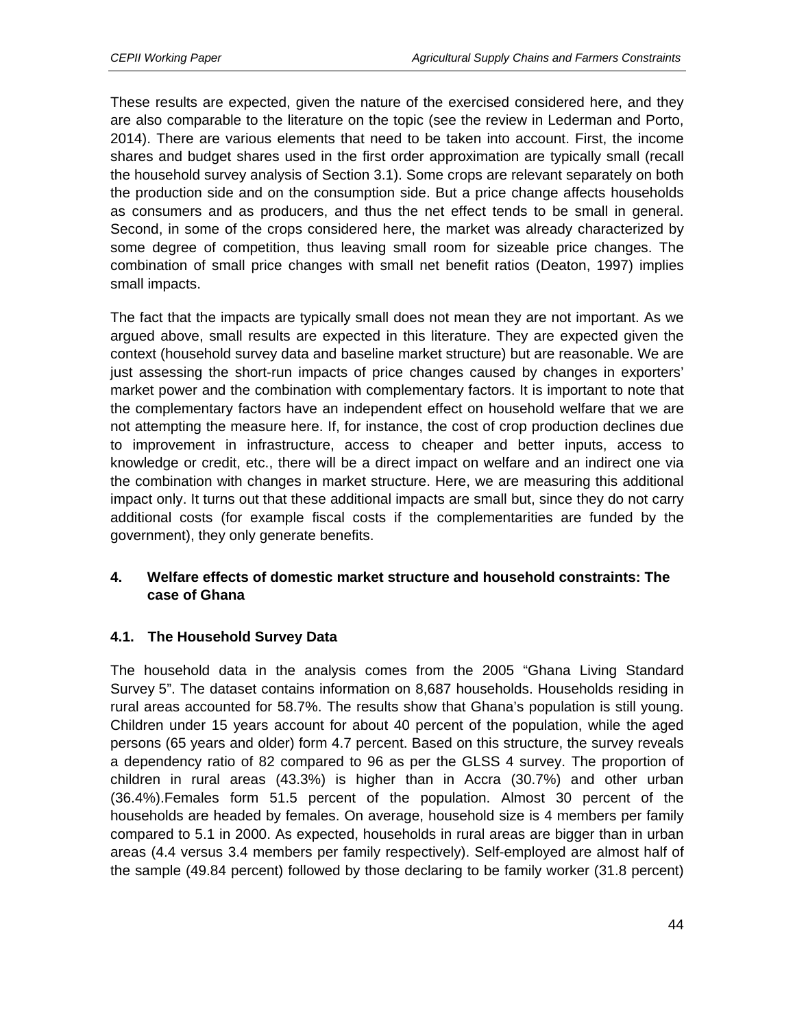These results are expected, given the nature of the exercised considered here, and they are also comparable to the literature on the topic (see the review in Lederman and Porto, 2014). There are various elements that need to be taken into account. First, the income shares and budget shares used in the first order approximation are typically small (recall the household survey analysis of Section 3.1). Some crops are relevant separately on both the production side and on the consumption side. But a price change affects households as consumers and as producers, and thus the net effect tends to be small in general. Second, in some of the crops considered here, the market was already characterized by some degree of competition, thus leaving small room for sizeable price changes. The combination of small price changes with small net benefit ratios (Deaton, 1997) implies small impacts.

The fact that the impacts are typically small does not mean they are not important. As we argued above, small results are expected in this literature. They are expected given the context (household survey data and baseline market structure) but are reasonable. We are just assessing the short-run impacts of price changes caused by changes in exporters' market power and the combination with complementary factors. It is important to note that the complementary factors have an independent effect on household welfare that we are not attempting the measure here. If, for instance, the cost of crop production declines due to improvement in infrastructure, access to cheaper and better inputs, access to knowledge or credit, etc., there will be a direct impact on welfare and an indirect one via the combination with changes in market structure. Here, we are measuring this additional impact only. It turns out that these additional impacts are small but, since they do not carry additional costs (for example fiscal costs if the complementarities are funded by the government), they only generate benefits.

## **4. Welfare effects of domestic market structure and household constraints: The case of Ghana**

#### **4.1. The Household Survey Data**

The household data in the analysis comes from the 2005 "Ghana Living Standard Survey 5". The dataset contains information on 8,687 households. Households residing in rural areas accounted for 58.7%. The results show that Ghana's population is still young. Children under 15 years account for about 40 percent of the population, while the aged persons (65 years and older) form 4.7 percent. Based on this structure, the survey reveals a dependency ratio of 82 compared to 96 as per the GLSS 4 survey. The proportion of children in rural areas (43.3%) is higher than in Accra (30.7%) and other urban (36.4%).Females form 51.5 percent of the population. Almost 30 percent of the households are headed by females. On average, household size is 4 members per family compared to 5.1 in 2000. As expected, households in rural areas are bigger than in urban areas (4.4 versus 3.4 members per family respectively). Self-employed are almost half of the sample (49.84 percent) followed by those declaring to be family worker (31.8 percent)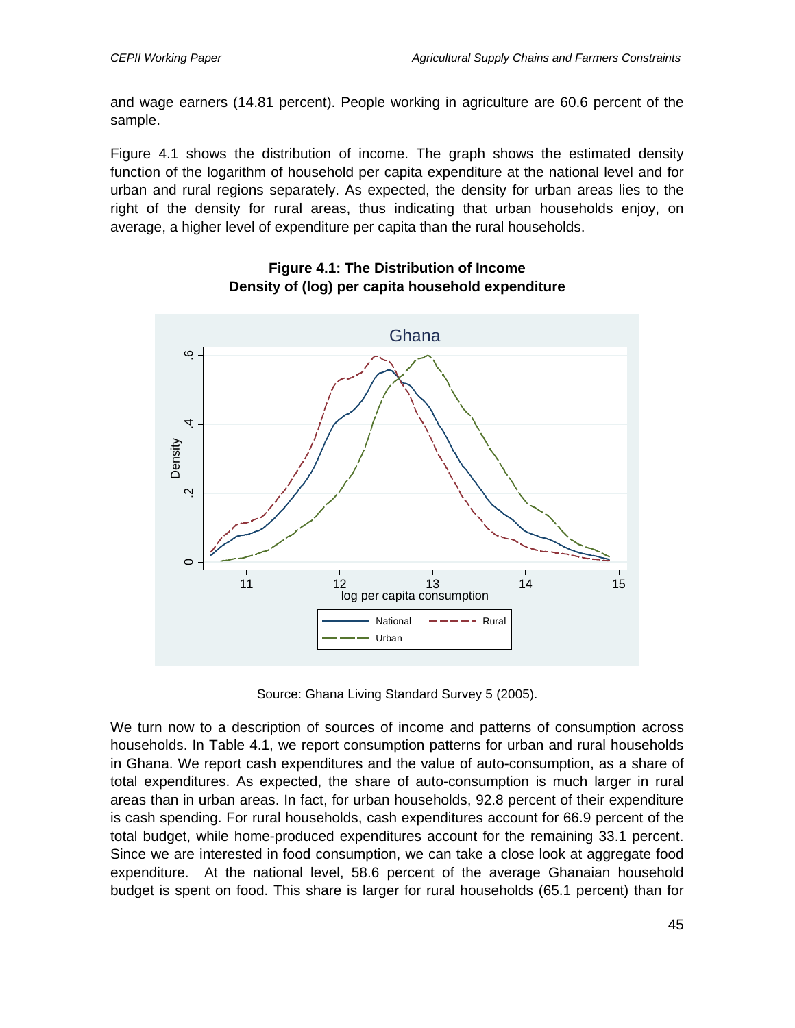and wage earners (14.81 percent). People working in agriculture are 60.6 percent of the sample.

Figure 4.1 shows the distribution of income. The graph shows the estimated density function of the logarithm of household per capita expenditure at the national level and for urban and rural regions separately. As expected, the density for urban areas lies to the right of the density for rural areas, thus indicating that urban households enjoy, on average, a higher level of expenditure per capita than the rural households.



# **Figure 4.1: The Distribution of Income Density of (log) per capita household expenditure**

Source: Ghana Living Standard Survey 5 (2005).

We turn now to a description of sources of income and patterns of consumption across households. In Table 4.1, we report consumption patterns for urban and rural households in Ghana. We report cash expenditures and the value of auto-consumption, as a share of total expenditures. As expected, the share of auto-consumption is much larger in rural areas than in urban areas. In fact, for urban households, 92.8 percent of their expenditure is cash spending. For rural households, cash expenditures account for 66.9 percent of the total budget, while home-produced expenditures account for the remaining 33.1 percent. Since we are interested in food consumption, we can take a close look at aggregate food expenditure. At the national level, 58.6 percent of the average Ghanaian household budget is spent on food. This share is larger for rural households (65.1 percent) than for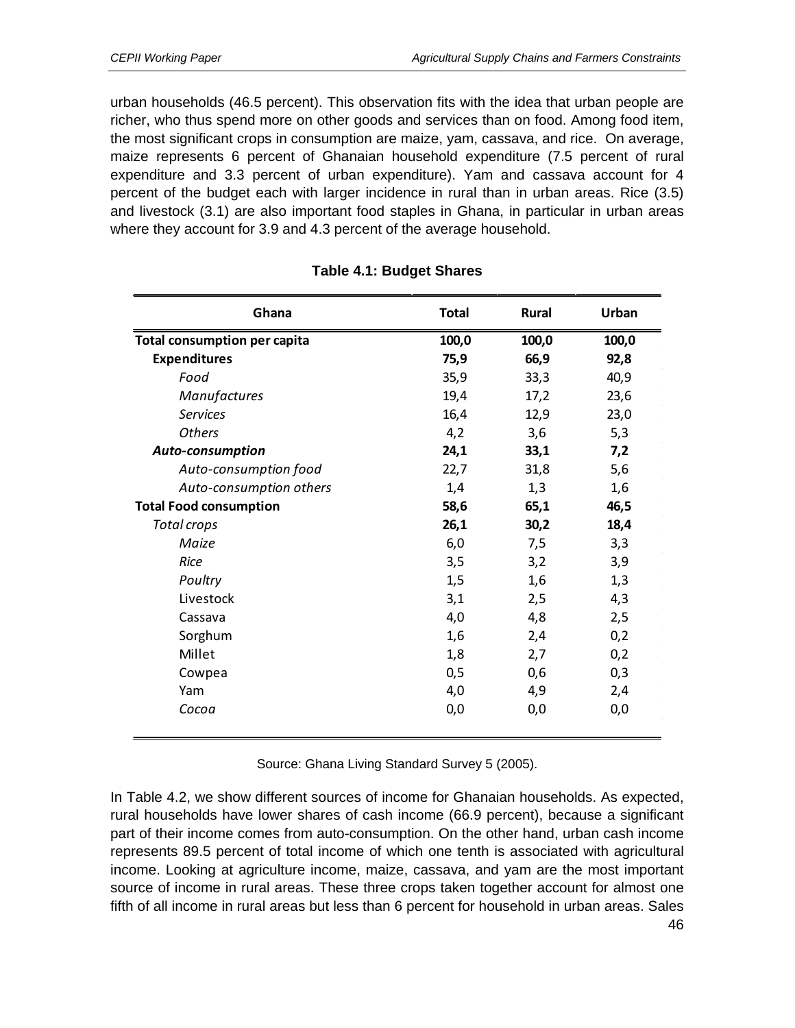urban households (46.5 percent). This observation fits with the idea that urban people are richer, who thus spend more on other goods and services than on food. Among food item, the most significant crops in consumption are maize, yam, cassava, and rice. On average, maize represents 6 percent of Ghanaian household expenditure (7.5 percent of rural expenditure and 3.3 percent of urban expenditure). Yam and cassava account for 4 percent of the budget each with larger incidence in rural than in urban areas. Rice (3.5) and livestock (3.1) are also important food staples in Ghana, in particular in urban areas where they account for 3.9 and 4.3 percent of the average household.

| Ghana                               | <b>Total</b> | <b>Rural</b> | Urban |
|-------------------------------------|--------------|--------------|-------|
| <b>Total consumption per capita</b> | 100,0        | 100,0        | 100,0 |
| <b>Expenditures</b>                 | 75,9         | 66,9         | 92,8  |
| Food                                | 35,9         | 33,3         | 40,9  |
| Manufactures                        | 19,4         | 17,2         | 23,6  |
| <b>Services</b>                     | 16,4         | 12,9         | 23,0  |
| <b>Others</b>                       | 4,2          | 3,6          | 5,3   |
| Auto-consumption                    | 24,1         | 33,1         | 7,2   |
| Auto-consumption food               | 22,7         | 31,8         | 5,6   |
| Auto-consumption others             | 1,4          | 1,3          | 1,6   |
| <b>Total Food consumption</b>       | 58,6         | 65,1         | 46,5  |
| Total crops                         | 26,1         | 30,2         | 18,4  |
| Maize                               | 6,0          | 7,5          | 3,3   |
| <b>Rice</b>                         | 3,5          | 3,2          | 3,9   |
| Poultry                             | 1,5          | 1,6          | 1,3   |
| Livestock                           | 3,1          | 2,5          | 4,3   |
| Cassava                             | 4,0          | 4,8          | 2,5   |
| Sorghum                             | 1,6          | 2,4          | 0,2   |
| Millet                              | 1,8          | 2,7          | 0,2   |
| Cowpea                              | 0,5          | 0,6          | 0,3   |
| Yam                                 | 4,0          | 4,9          | 2,4   |
| Cocoa                               | 0,0          | 0,0          | 0,0   |

#### **Table 4.1: Budget Shares**

Source: Ghana Living Standard Survey 5 (2005).

In Table 4.2, we show different sources of income for Ghanaian households. As expected, rural households have lower shares of cash income (66.9 percent), because a significant part of their income comes from auto-consumption. On the other hand, urban cash income represents 89.5 percent of total income of which one tenth is associated with agricultural income. Looking at agriculture income, maize, cassava, and yam are the most important source of income in rural areas. These three crops taken together account for almost one fifth of all income in rural areas but less than 6 percent for household in urban areas. Sales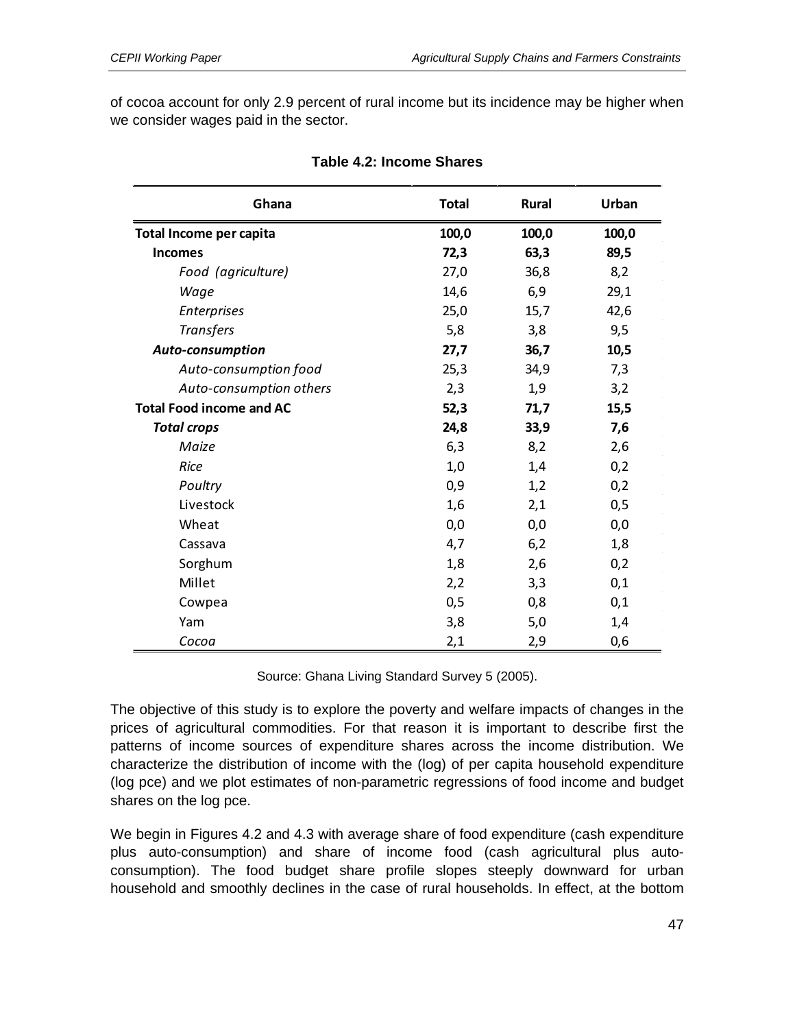of cocoa account for only 2.9 percent of rural income but its incidence may be higher when we consider wages paid in the sector.

| Ghana                           | <b>Total</b> | Rural | Urban |
|---------------------------------|--------------|-------|-------|
| Total Income per capita         | 100,0        | 100,0 | 100,0 |
| <b>Incomes</b>                  | 72,3         | 63,3  | 89,5  |
| Food (agriculture)              | 27,0         | 36,8  | 8,2   |
| Wage                            | 14,6         | 6,9   | 29,1  |
| Enterprises                     | 25,0         | 15,7  | 42,6  |
| <b>Transfers</b>                | 5,8          | 3,8   | 9,5   |
| Auto-consumption                | 27,7         | 36,7  | 10,5  |
| Auto-consumption food           | 25,3         | 34,9  | 7,3   |
| Auto-consumption others         | 2,3          | 1,9   | 3,2   |
| <b>Total Food income and AC</b> | 52,3         | 71,7  | 15,5  |
| <b>Total crops</b>              | 24,8         | 33,9  | 7,6   |
| Maize                           | 6,3          | 8,2   | 2,6   |
| Rice                            | 1,0          | 1,4   | 0,2   |
| Poultry                         | 0,9          | 1,2   | 0,2   |
| Livestock                       | 1,6          | 2,1   | 0, 5  |
| Wheat                           | 0,0          | 0,0   | 0,0   |
| Cassava                         | 4,7          | 6,2   | 1,8   |
| Sorghum                         | 1,8          | 2,6   | 0,2   |
| Millet                          | 2,2          | 3,3   | 0,1   |
| Cowpea                          | 0, 5         | 0,8   | 0,1   |
| Yam                             | 3,8          | 5,0   | 1,4   |
| Cocoa                           | 2,1          | 2,9   | 0,6   |

|  | Table 4.2: Income Shares |
|--|--------------------------|
|--|--------------------------|

Source: Ghana Living Standard Survey 5 (2005).

The objective of this study is to explore the poverty and welfare impacts of changes in the prices of agricultural commodities. For that reason it is important to describe first the patterns of income sources of expenditure shares across the income distribution. We characterize the distribution of income with the (log) of per capita household expenditure (log pce) and we plot estimates of non-parametric regressions of food income and budget shares on the log pce.

We begin in Figures 4.2 and 4.3 with average share of food expenditure (cash expenditure plus auto-consumption) and share of income food (cash agricultural plus autoconsumption). The food budget share profile slopes steeply downward for urban household and smoothly declines in the case of rural households. In effect, at the bottom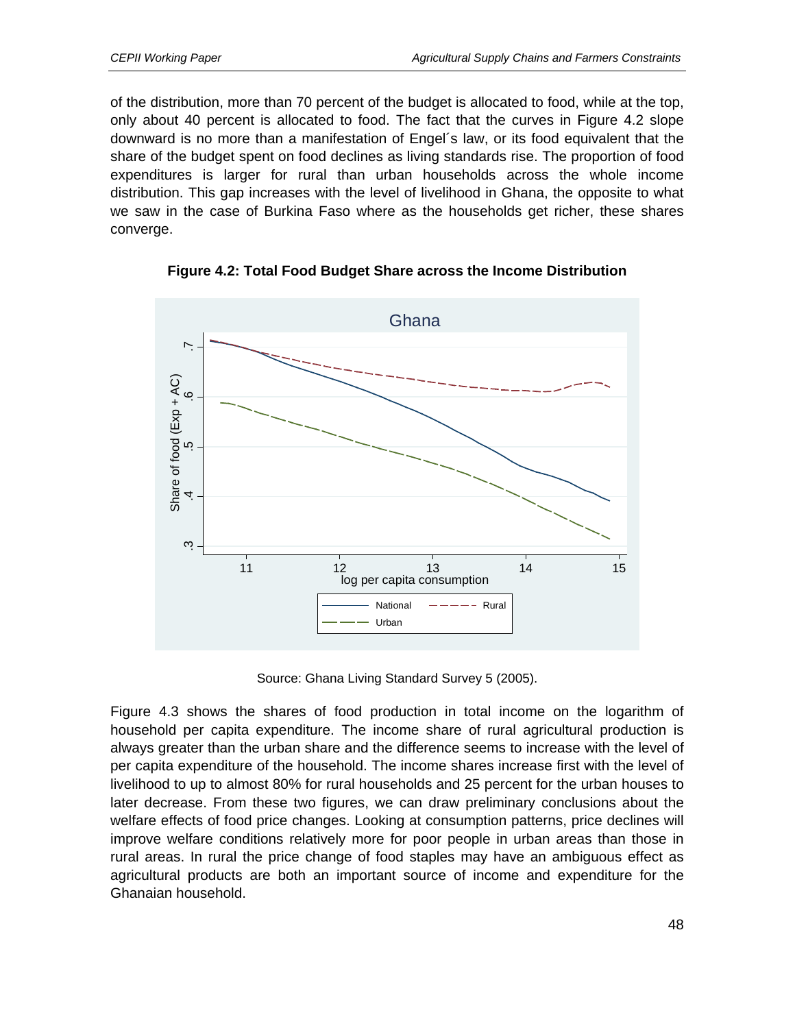of the distribution, more than 70 percent of the budget is allocated to food, while at the top, only about 40 percent is allocated to food. The fact that the curves in Figure 4.2 slope downward is no more than a manifestation of Engel´s law, or its food equivalent that the share of the budget spent on food declines as living standards rise. The proportion of food expenditures is larger for rural than urban households across the whole income distribution. This gap increases with the level of livelihood in Ghana, the opposite to what we saw in the case of Burkina Faso where as the households get richer, these shares converge.



**Figure 4.2: Total Food Budget Share across the Income Distribution**

Source: Ghana Living Standard Survey 5 (2005).

Figure 4.3 shows the shares of food production in total income on the logarithm of household per capita expenditure. The income share of rural agricultural production is always greater than the urban share and the difference seems to increase with the level of per capita expenditure of the household. The income shares increase first with the level of livelihood to up to almost 80% for rural households and 25 percent for the urban houses to later decrease. From these two figures, we can draw preliminary conclusions about the welfare effects of food price changes. Looking at consumption patterns, price declines will improve welfare conditions relatively more for poor people in urban areas than those in rural areas. In rural the price change of food staples may have an ambiguous effect as agricultural products are both an important source of income and expenditure for the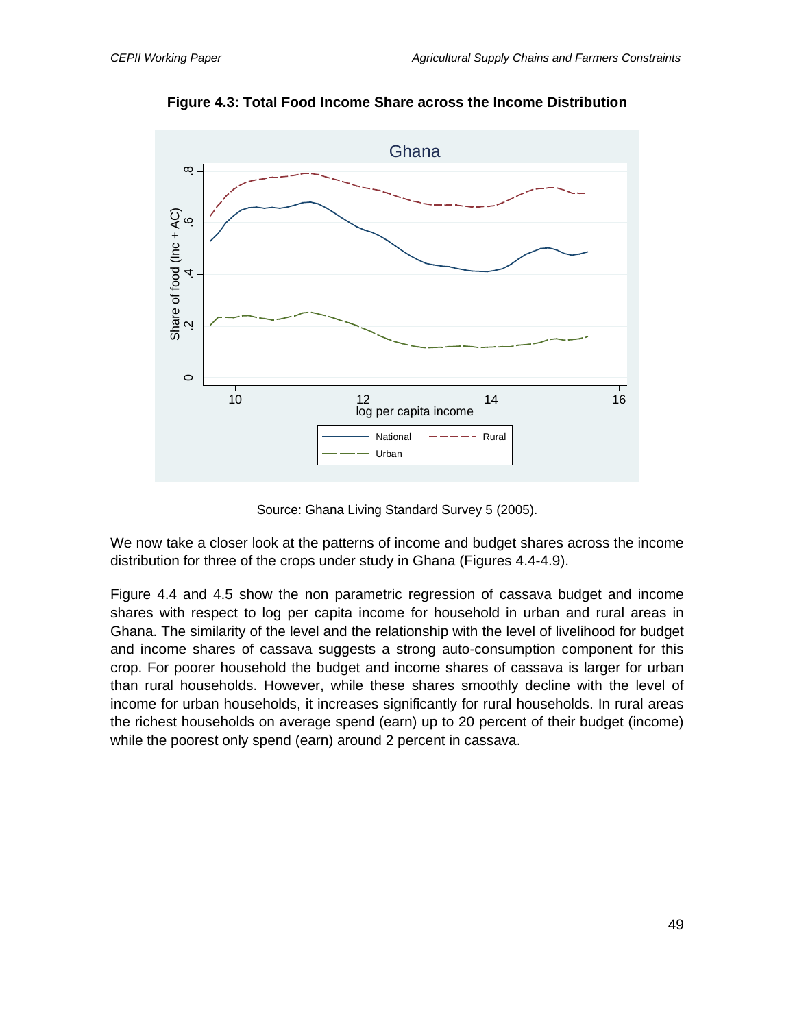

**Figure 4.3: Total Food Income Share across the Income Distribution**

Source: Ghana Living Standard Survey 5 (2005).

We now take a closer look at the patterns of income and budget shares across the income distribution for three of the crops under study in Ghana (Figures 4.4-4.9).

Figure 4.4 and 4.5 show the non parametric regression of cassava budget and income shares with respect to log per capita income for household in urban and rural areas in Ghana. The similarity of the level and the relationship with the level of livelihood for budget and income shares of cassava suggests a strong auto-consumption component for this crop. For poorer household the budget and income shares of cassava is larger for urban than rural households. However, while these shares smoothly decline with the level of income for urban households, it increases significantly for rural households. In rural areas the richest households on average spend (earn) up to 20 percent of their budget (income) while the poorest only spend (earn) around 2 percent in cassava.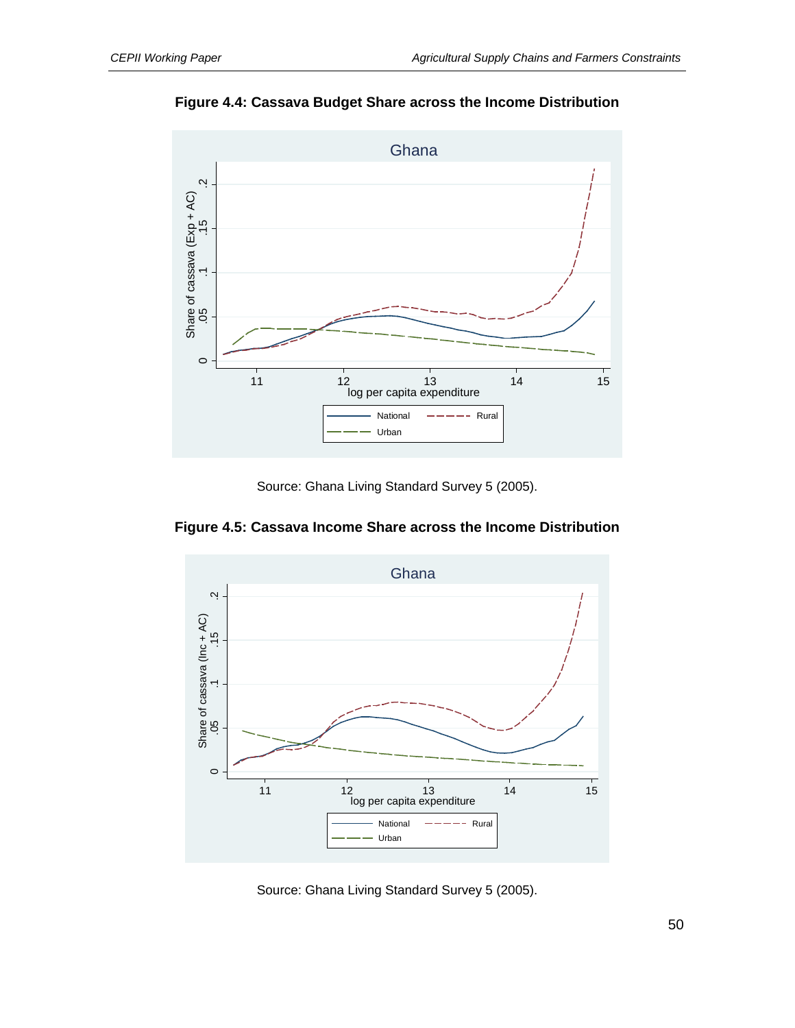

**Figure 4.4: Cassava Budget Share across the Income Distribution**

Source: Ghana Living Standard Survey 5 (2005).



**Figure 4.5: Cassava Income Share across the Income Distribution**

Source: Ghana Living Standard Survey 5 (2005).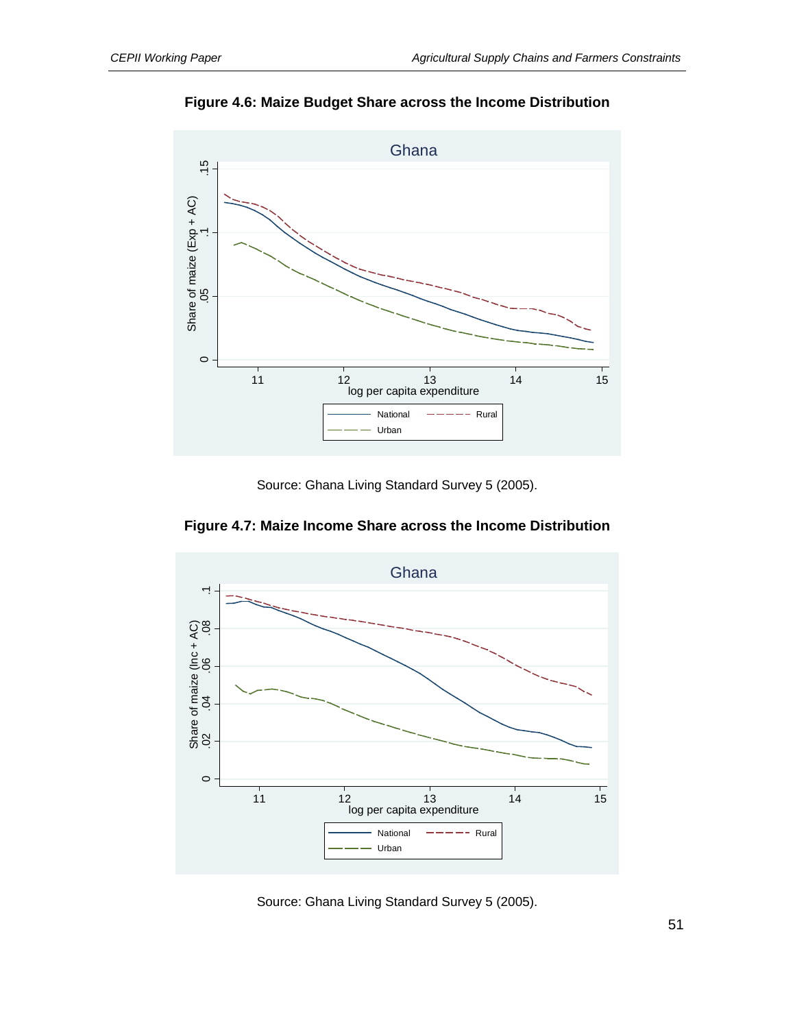

**Figure 4.6: Maize Budget Share across the Income Distribution**

Source: Ghana Living Standard Survey 5 (2005).



**Figure 4.7: Maize Income Share across the Income Distribution**

Source: Ghana Living Standard Survey 5 (2005).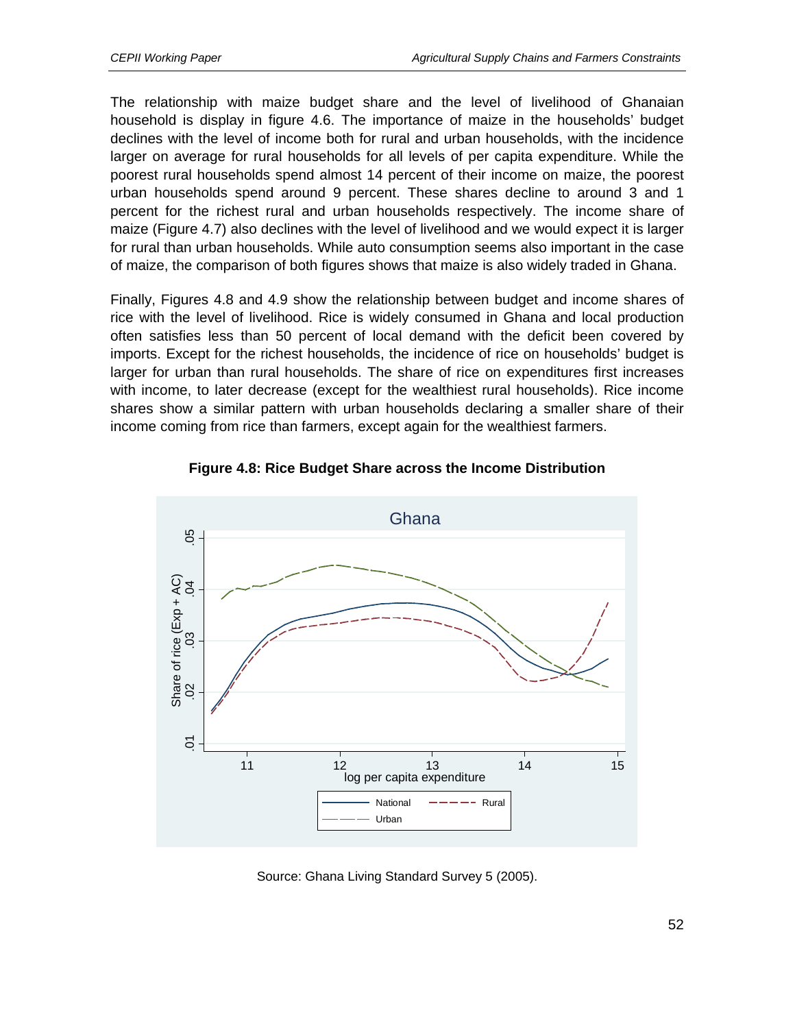The relationship with maize budget share and the level of livelihood of Ghanaian household is display in figure 4.6. The importance of maize in the households' budget declines with the level of income both for rural and urban households, with the incidence larger on average for rural households for all levels of per capita expenditure. While the poorest rural households spend almost 14 percent of their income on maize, the poorest urban households spend around 9 percent. These shares decline to around 3 and 1 percent for the richest rural and urban households respectively. The income share of maize (Figure 4.7) also declines with the level of livelihood and we would expect it is larger for rural than urban households. While auto consumption seems also important in the case of maize, the comparison of both figures shows that maize is also widely traded in Ghana.

Finally, Figures 4.8 and 4.9 show the relationship between budget and income shares of rice with the level of livelihood. Rice is widely consumed in Ghana and local production often satisfies less than 50 percent of local demand with the deficit been covered by imports. Except for the richest households, the incidence of rice on households' budget is larger for urban than rural households. The share of rice on expenditures first increases with income, to later decrease (except for the wealthiest rural households). Rice income shares show a similar pattern with urban households declaring a smaller share of their income coming from rice than farmers, except again for the wealthiest farmers.





Source: Ghana Living Standard Survey 5 (2005).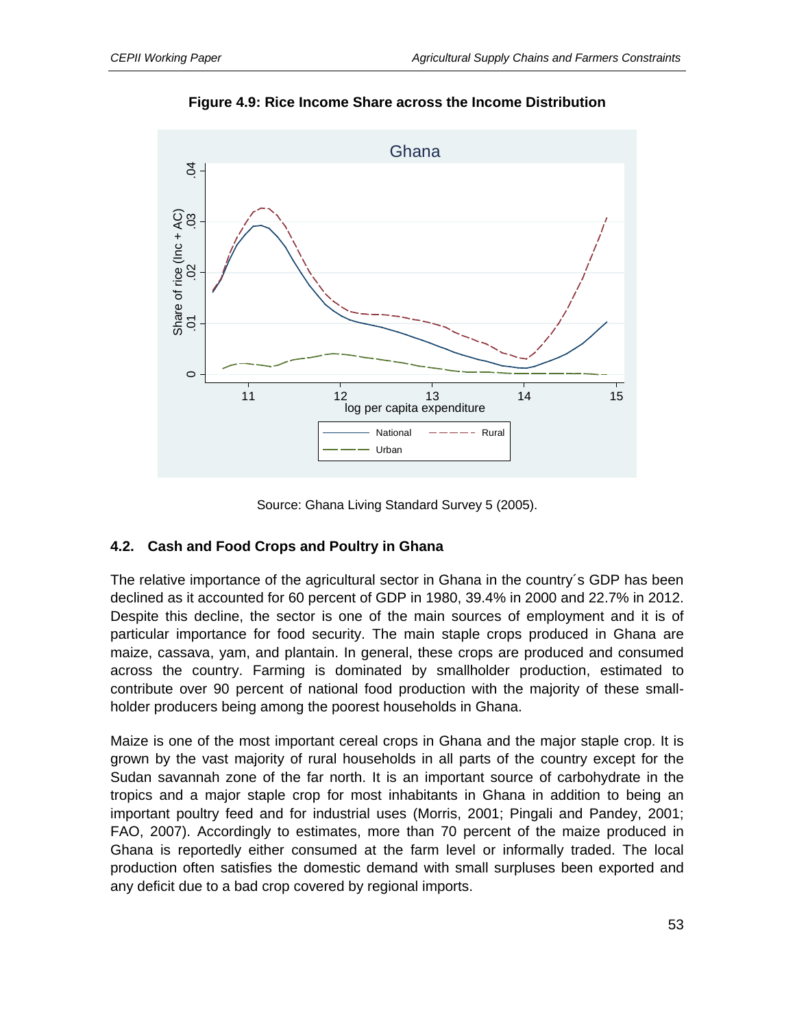

**Figure 4.9: Rice Income Share across the Income Distribution**

Source: Ghana Living Standard Survey 5 (2005).

## **4.2. Cash and Food Crops and Poultry in Ghana**

The relative importance of the agricultural sector in Ghana in the country´s GDP has been declined as it accounted for 60 percent of GDP in 1980, 39.4% in 2000 and 22.7% in 2012. Despite this decline, the sector is one of the main sources of employment and it is of particular importance for food security. The main staple crops produced in Ghana are maize, cassava, yam, and plantain. In general, these crops are produced and consumed across the country. Farming is dominated by smallholder production, estimated to contribute over 90 percent of national food production with the majority of these smallholder producers being among the poorest households in Ghana.

Maize is one of the most important cereal crops in Ghana and the major staple crop. It is grown by the vast majority of rural households in all parts of the country except for the Sudan savannah zone of the far north. It is an important source of carbohydrate in the tropics and a major staple crop for most inhabitants in Ghana in addition to being an important poultry feed and for industrial uses (Morris, 2001; Pingali and Pandey, 2001; FAO, 2007). Accordingly to estimates, more than 70 percent of the maize produced in Ghana is reportedly either consumed at the farm level or informally traded. The local production often satisfies the domestic demand with small surpluses been exported and any deficit due to a bad crop covered by regional imports.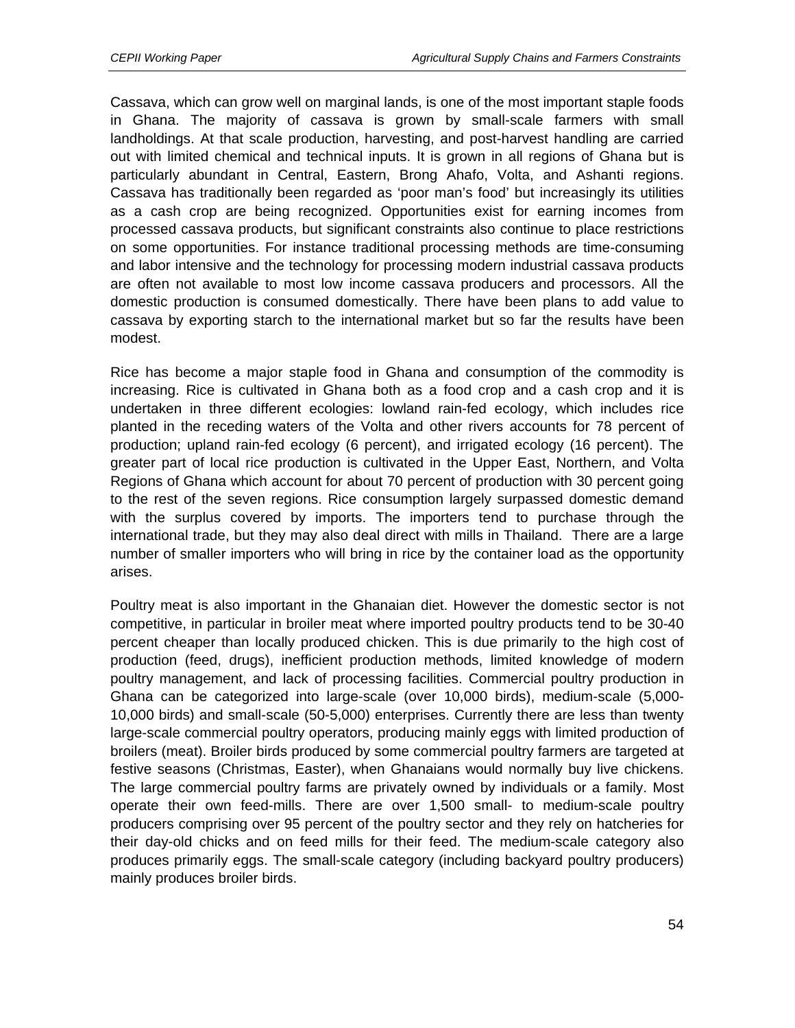Cassava, which can grow well on marginal lands, is one of the most important staple foods in Ghana. The majority of cassava is grown by small-scale farmers with small landholdings. At that scale production, harvesting, and post-harvest handling are carried out with limited chemical and technical inputs. It is grown in all regions of Ghana but is particularly abundant in Central, Eastern, Brong Ahafo, Volta, and Ashanti regions. Cassava has traditionally been regarded as 'poor man's food' but increasingly its utilities as a cash crop are being recognized. Opportunities exist for earning incomes from processed cassava products, but significant constraints also continue to place restrictions on some opportunities. For instance traditional processing methods are time-consuming and labor intensive and the technology for processing modern industrial cassava products are often not available to most low income cassava producers and processors. All the domestic production is consumed domestically. There have been plans to add value to cassava by exporting starch to the international market but so far the results have been modest.

Rice has become a major staple food in Ghana and consumption of the commodity is increasing. Rice is cultivated in Ghana both as a food crop and a cash crop and it is undertaken in three different ecologies: lowland rain-fed ecology, which includes rice planted in the receding waters of the Volta and other rivers accounts for 78 percent of production; upland rain-fed ecology (6 percent), and irrigated ecology (16 percent). The greater part of local rice production is cultivated in the Upper East, Northern, and Volta Regions of Ghana which account for about 70 percent of production with 30 percent going to the rest of the seven regions. Rice consumption largely surpassed domestic demand with the surplus covered by imports. The importers tend to purchase through the international trade, but they may also deal direct with mills in Thailand. There are a large number of smaller importers who will bring in rice by the container load as the opportunity arises.

Poultry meat is also important in the Ghanaian diet. However the domestic sector is not competitive, in particular in broiler meat where imported poultry products tend to be 30-40 percent cheaper than locally produced chicken. This is due primarily to the high cost of production (feed, drugs), inefficient production methods, limited knowledge of modern poultry management, and lack of processing facilities. Commercial poultry production in Ghana can be categorized into large-scale (over 10,000 birds), medium-scale (5,000- 10,000 birds) and small-scale (50-5,000) enterprises. Currently there are less than twenty large-scale commercial poultry operators, producing mainly eggs with limited production of broilers (meat). Broiler birds produced by some commercial poultry farmers are targeted at festive seasons (Christmas, Easter), when Ghanaians would normally buy live chickens. The large commercial poultry farms are privately owned by individuals or a family. Most operate their own feed-mills. There are over 1,500 small- to medium-scale poultry producers comprising over 95 percent of the poultry sector and they rely on hatcheries for their day-old chicks and on feed mills for their feed. The medium-scale category also produces primarily eggs. The small-scale category (including backyard poultry producers) mainly produces broiler birds.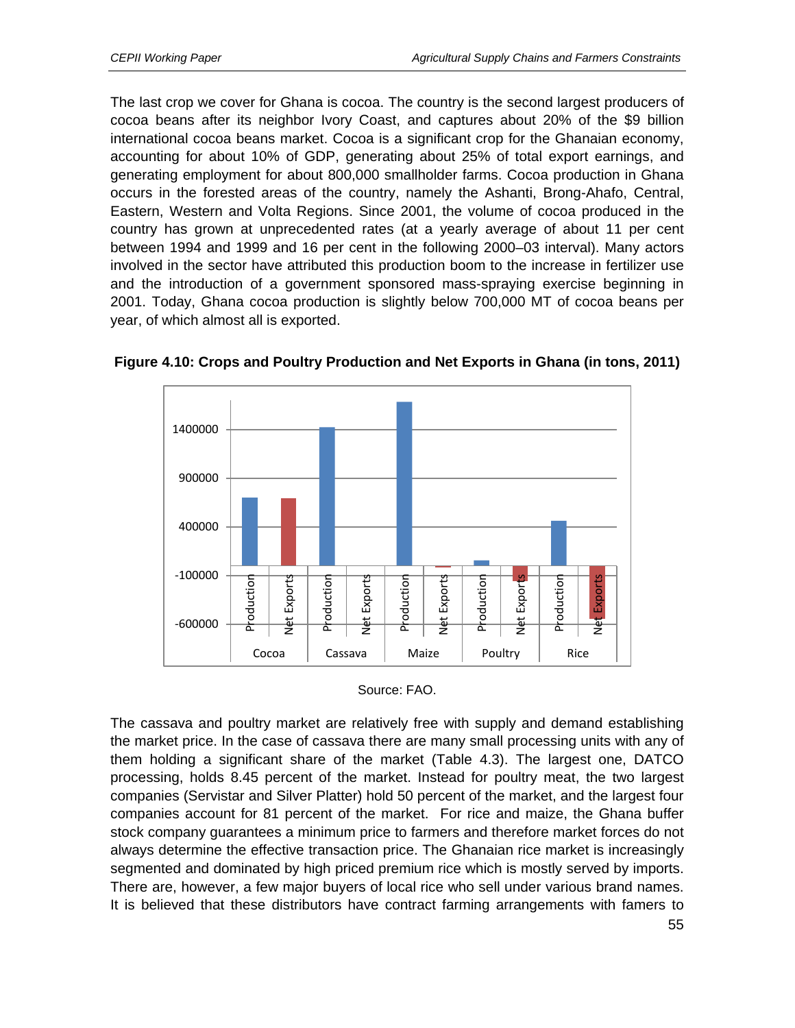The last crop we cover for Ghana is cocoa. The country is the second largest producers of cocoa beans after its neighbor Ivory Coast, and captures about 20% of the \$9 billion international cocoa beans market. Cocoa is a significant crop for the Ghanaian economy, accounting for about 10% of GDP, generating about 25% of total export earnings, and generating employment for about 800,000 smallholder farms. Cocoa production in Ghana occurs in the forested areas of the country, namely the Ashanti, Brong-Ahafo, Central, Eastern, Western and Volta Regions. Since 2001, the volume of cocoa produced in the country has grown at unprecedented rates (at a yearly average of about 11 per cent between 1994 and 1999 and 16 per cent in the following 2000–03 interval). Many actors involved in the sector have attributed this production boom to the increase in fertilizer use and the introduction of a government sponsored mass-spraying exercise beginning in 2001. Today, Ghana cocoa production is slightly below 700,000 MT of cocoa beans per year, of which almost all is exported.



**Figure 4.10: Crops and Poultry Production and Net Exports in Ghana (in tons, 2011)**



The cassava and poultry market are relatively free with supply and demand establishing the market price. In the case of cassava there are many small processing units with any of them holding a significant share of the market (Table 4.3). The largest one, DATCO processing, holds 8.45 percent of the market. Instead for poultry meat, the two largest companies (Servistar and Silver Platter) hold 50 percent of the market, and the largest four companies account for 81 percent of the market. For rice and maize, the Ghana buffer stock company guarantees a minimum price to farmers and therefore market forces do not always determine the effective transaction price. The Ghanaian rice market is increasingly segmented and dominated by high priced premium rice which is mostly served by imports. There are, however, a few major buyers of local rice who sell under various brand names. It is believed that these distributors have contract farming arrangements with famers to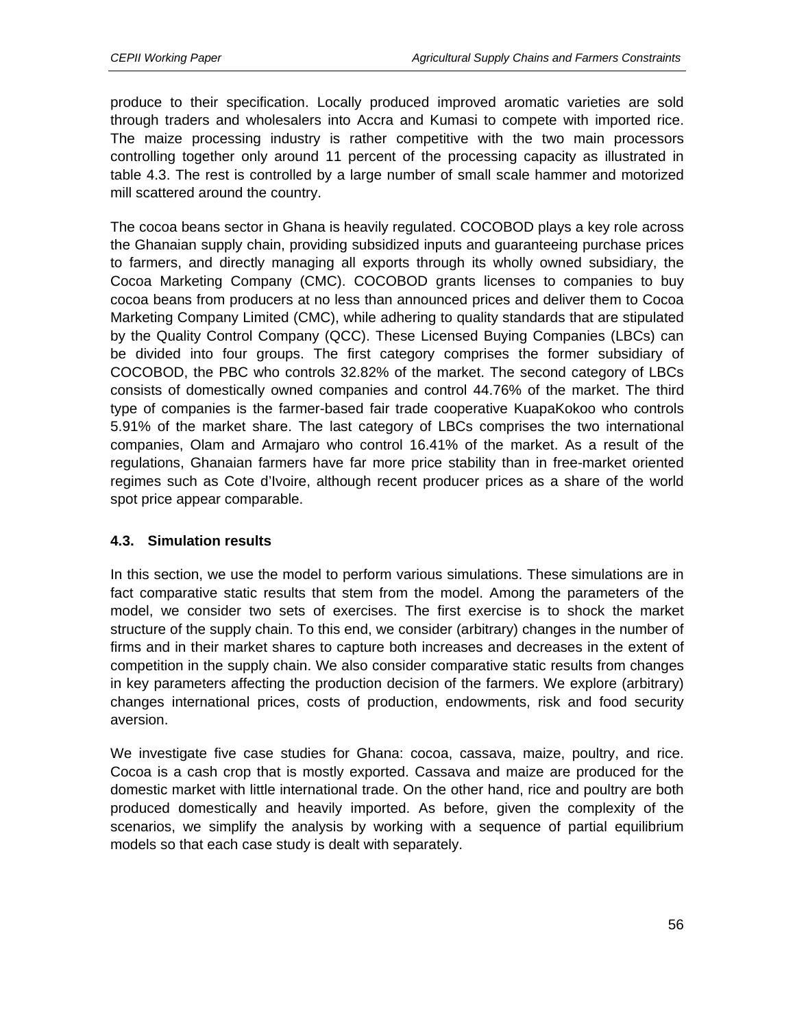produce to their specification. Locally produced improved aromatic varieties are sold through traders and wholesalers into Accra and Kumasi to compete with imported rice. The maize processing industry is rather competitive with the two main processors controlling together only around 11 percent of the processing capacity as illustrated in table 4.3. The rest is controlled by a large number of small scale hammer and motorized mill scattered around the country.

The cocoa beans sector in Ghana is heavily regulated. COCOBOD plays a key role across the Ghanaian supply chain, providing subsidized inputs and guaranteeing purchase prices to farmers, and directly managing all exports through its wholly owned subsidiary, the Cocoa Marketing Company (CMC). COCOBOD grants licenses to companies to buy cocoa beans from producers at no less than announced prices and deliver them to Cocoa Marketing Company Limited (CMC), while adhering to quality standards that are stipulated by the Quality Control Company (QCC). These Licensed Buying Companies (LBCs) can be divided into four groups. The first category comprises the former subsidiary of COCOBOD, the PBC who controls 32.82% of the market. The second category of LBCs consists of domestically owned companies and control 44.76% of the market. The third type of companies is the farmer-based fair trade cooperative KuapaKokoo who controls 5.91% of the market share. The last category of LBCs comprises the two international companies, Olam and Armajaro who control 16.41% of the market. As a result of the regulations, Ghanaian farmers have far more price stability than in free-market oriented regimes such as Cote d'Ivoire, although recent producer prices as a share of the world spot price appear comparable.

#### **4.3. Simulation results**

In this section, we use the model to perform various simulations. These simulations are in fact comparative static results that stem from the model. Among the parameters of the model, we consider two sets of exercises. The first exercise is to shock the market structure of the supply chain. To this end, we consider (arbitrary) changes in the number of firms and in their market shares to capture both increases and decreases in the extent of competition in the supply chain. We also consider comparative static results from changes in key parameters affecting the production decision of the farmers. We explore (arbitrary) changes international prices, costs of production, endowments, risk and food security aversion.

We investigate five case studies for Ghana: cocoa, cassava, maize, poultry, and rice. Cocoa is a cash crop that is mostly exported. Cassava and maize are produced for the domestic market with little international trade. On the other hand, rice and poultry are both produced domestically and heavily imported. As before, given the complexity of the scenarios, we simplify the analysis by working with a sequence of partial equilibrium models so that each case study is dealt with separately.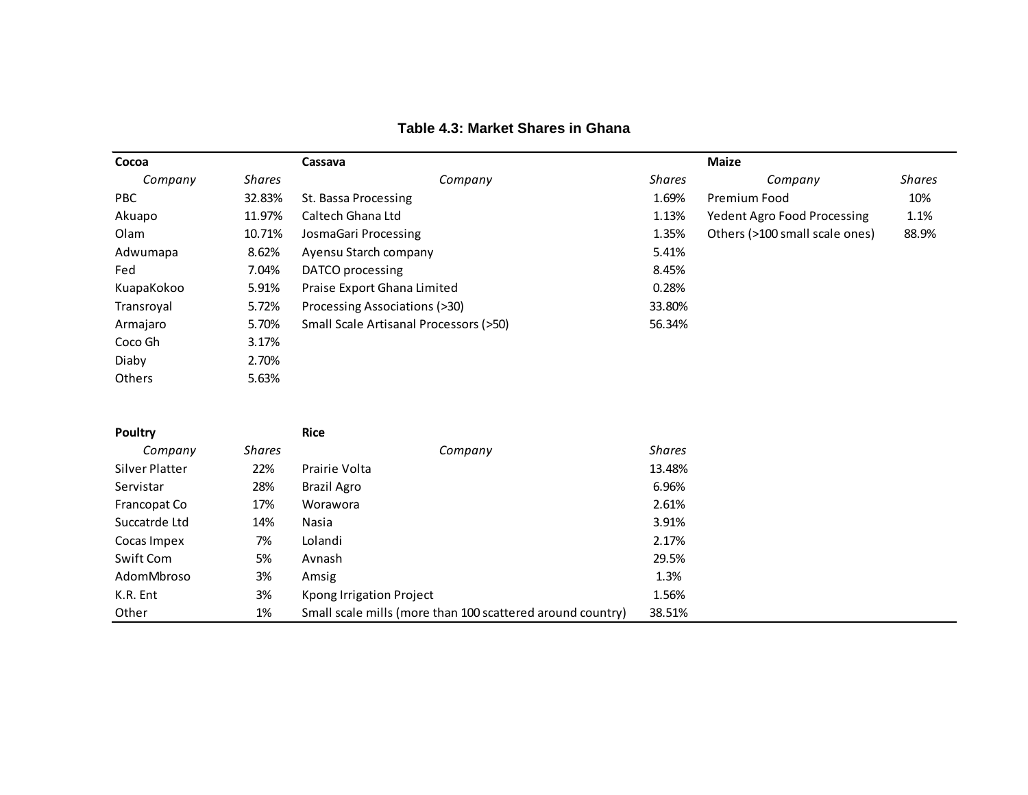| Cocoa          |               | Cassava                                                    |               | Maize                          |               |
|----------------|---------------|------------------------------------------------------------|---------------|--------------------------------|---------------|
| Company        | <b>Shares</b> | Company                                                    | <b>Shares</b> | Company                        | <b>Shares</b> |
| <b>PBC</b>     | 32.83%        | St. Bassa Processing                                       | 1.69%         | Premium Food                   | 10%           |
| Akuapo         | 11.97%        | Caltech Ghana Ltd                                          | 1.13%         | Yedent Agro Food Processing    | 1.1%          |
| Olam           | 10.71%        | JosmaGari Processing                                       | 1.35%         | Others (>100 small scale ones) | 88.9%         |
| Adwumapa       | 8.62%         | Ayensu Starch company                                      | 5.41%         |                                |               |
| Fed            | 7.04%         | DATCO processing                                           | 8.45%         |                                |               |
| KuapaKokoo     | 5.91%         | Praise Export Ghana Limited                                | 0.28%         |                                |               |
| Transroyal     | 5.72%         | Processing Associations (>30)                              | 33.80%        |                                |               |
| Armajaro       | 5.70%         | Small Scale Artisanal Processors (>50)                     | 56.34%        |                                |               |
| Coco Gh        | 3.17%         |                                                            |               |                                |               |
| Diaby          | 2.70%         |                                                            |               |                                |               |
| Others         | 5.63%         |                                                            |               |                                |               |
|                |               |                                                            |               |                                |               |
|                |               |                                                            |               |                                |               |
| Poultry        |               | <b>Rice</b>                                                |               |                                |               |
| Company        | <b>Shares</b> | Company                                                    | <b>Shares</b> |                                |               |
| Silver Platter | 22%           | Prairie Volta                                              | 13.48%        |                                |               |
| Servistar      | 28%           | <b>Brazil Agro</b>                                         | 6.96%         |                                |               |
| Francopat Co   | 17%           | Worawora                                                   | 2.61%         |                                |               |
| Succatrde Ltd  | 14%           | Nasia                                                      | 3.91%         |                                |               |
| Cocas Impex    | 7%            | Lolandi                                                    | 2.17%         |                                |               |
| Swift Com      | 5%            | Avnash                                                     | 29.5%         |                                |               |
| AdomMbroso     | 3%            | Amsig                                                      | 1.3%          |                                |               |
| K.R. Ent       | 3%            | Kpong Irrigation Project                                   | 1.56%         |                                |               |
| Other          | 1%            | Small scale mills (more than 100 scattered around country) | 38.51%        |                                |               |

# **Table 4.3: Market Shares in Ghana**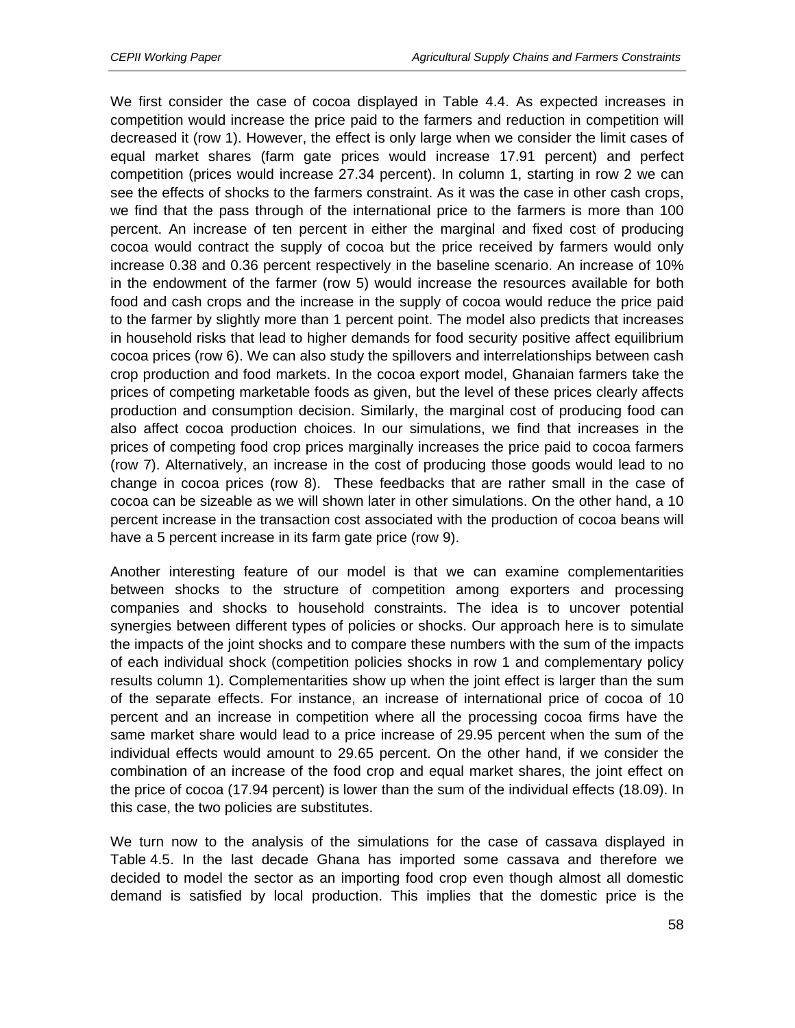We first consider the case of cocoa displayed in Table 4.4. As expected increases in competition would increase the price paid to the farmers and reduction in competition will decreased it (row 1). However, the effect is only large when we consider the limit cases of equal market shares (farm gate prices would increase 17.91 percent) and perfect competition (prices would increase 27.34 percent). In column 1, starting in row 2 we can see the effects of shocks to the farmers constraint. As it was the case in other cash crops, we find that the pass through of the international price to the farmers is more than 100 percent. An increase of ten percent in either the marginal and fixed cost of producing cocoa would contract the supply of cocoa but the price received by farmers would only increase 0.38 and 0.36 percent respectively in the baseline scenario. An increase of 10% in the endowment of the farmer (row 5) would increase the resources available for both food and cash crops and the increase in the supply of cocoa would reduce the price paid to the farmer by slightly more than 1 percent point. The model also predicts that increases in household risks that lead to higher demands for food security positive affect equilibrium cocoa prices (row 6). We can also study the spillovers and interrelationships between cash crop production and food markets. In the cocoa export model, Ghanaian farmers take the prices of competing marketable foods as given, but the level of these prices clearly affects production and consumption decision. Similarly, the marginal cost of producing food can also affect cocoa production choices. In our simulations, we find that increases in the prices of competing food crop prices marginally increases the price paid to cocoa farmers (row 7). Alternatively, an increase in the cost of producing those goods would lead to no change in cocoa prices (row 8). These feedbacks that are rather small in the case of cocoa can be sizeable as we will shown later in other simulations. On the other hand, a 10 percent increase in the transaction cost associated with the production of cocoa beans will have a 5 percent increase in its farm gate price (row 9).

Another interesting feature of our model is that we can examine complementarities between shocks to the structure of competition among exporters and processing companies and shocks to household constraints. The idea is to uncover potential synergies between different types of policies or shocks. Our approach here is to simulate the impacts of the joint shocks and to compare these numbers with the sum of the impacts of each individual shock (competition policies shocks in row 1 and complementary policy results column 1). Complementarities show up when the joint effect is larger than the sum of the separate effects. For instance, an increase of international price of cocoa of 10 percent and an increase in competition where all the processing cocoa firms have the same market share would lead to a price increase of 29.95 percent when the sum of the individual effects would amount to 29.65 percent. On the other hand, if we consider the combination of an increase of the food crop and equal market shares, the joint effect on the price of cocoa (17.94 percent) is lower than the sum of the individual effects (18.09). In this case, the two policies are substitutes.

We turn now to the analysis of the simulations for the case of cassava displayed in Table 4.5. In the last decade Ghana has imported some cassava and therefore we decided to model the sector as an importing food crop even though almost all domestic demand is satisfied by local production. This implies that the domestic price is the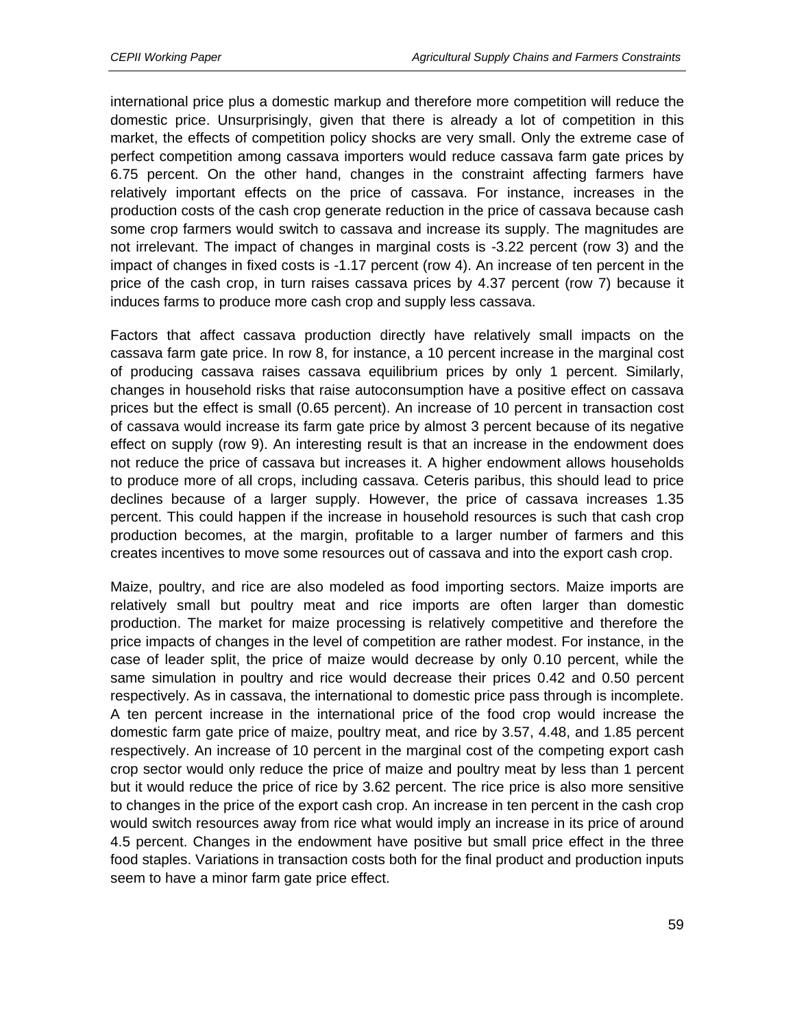international price plus a domestic markup and therefore more competition will reduce the domestic price. Unsurprisingly, given that there is already a lot of competition in this market, the effects of competition policy shocks are very small. Only the extreme case of perfect competition among cassava importers would reduce cassava farm gate prices by 6.75 percent. On the other hand, changes in the constraint affecting farmers have relatively important effects on the price of cassava. For instance, increases in the production costs of the cash crop generate reduction in the price of cassava because cash some crop farmers would switch to cassava and increase its supply. The magnitudes are not irrelevant. The impact of changes in marginal costs is -3.22 percent (row 3) and the impact of changes in fixed costs is -1.17 percent (row 4). An increase of ten percent in the price of the cash crop, in turn raises cassava prices by 4.37 percent (row 7) because it induces farms to produce more cash crop and supply less cassava.

Factors that affect cassava production directly have relatively small impacts on the cassava farm gate price. In row 8, for instance, a 10 percent increase in the marginal cost of producing cassava raises cassava equilibrium prices by only 1 percent. Similarly, changes in household risks that raise autoconsumption have a positive effect on cassava prices but the effect is small (0.65 percent). An increase of 10 percent in transaction cost of cassava would increase its farm gate price by almost 3 percent because of its negative effect on supply (row 9). An interesting result is that an increase in the endowment does not reduce the price of cassava but increases it. A higher endowment allows households to produce more of all crops, including cassava. Ceteris paribus, this should lead to price declines because of a larger supply. However, the price of cassava increases 1.35 percent. This could happen if the increase in household resources is such that cash crop production becomes, at the margin, profitable to a larger number of farmers and this creates incentives to move some resources out of cassava and into the export cash crop.

Maize, poultry, and rice are also modeled as food importing sectors. Maize imports are relatively small but poultry meat and rice imports are often larger than domestic production. The market for maize processing is relatively competitive and therefore the price impacts of changes in the level of competition are rather modest. For instance, in the case of leader split, the price of maize would decrease by only 0.10 percent, while the same simulation in poultry and rice would decrease their prices 0.42 and 0.50 percent respectively. As in cassava, the international to domestic price pass through is incomplete. A ten percent increase in the international price of the food crop would increase the domestic farm gate price of maize, poultry meat, and rice by 3.57, 4.48, and 1.85 percent respectively. An increase of 10 percent in the marginal cost of the competing export cash crop sector would only reduce the price of maize and poultry meat by less than 1 percent but it would reduce the price of rice by 3.62 percent. The rice price is also more sensitive to changes in the price of the export cash crop. An increase in ten percent in the cash crop would switch resources away from rice what would imply an increase in its price of around 4.5 percent. Changes in the endowment have positive but small price effect in the three food staples. Variations in transaction costs both for the final product and production inputs seem to have a minor farm gate price effect.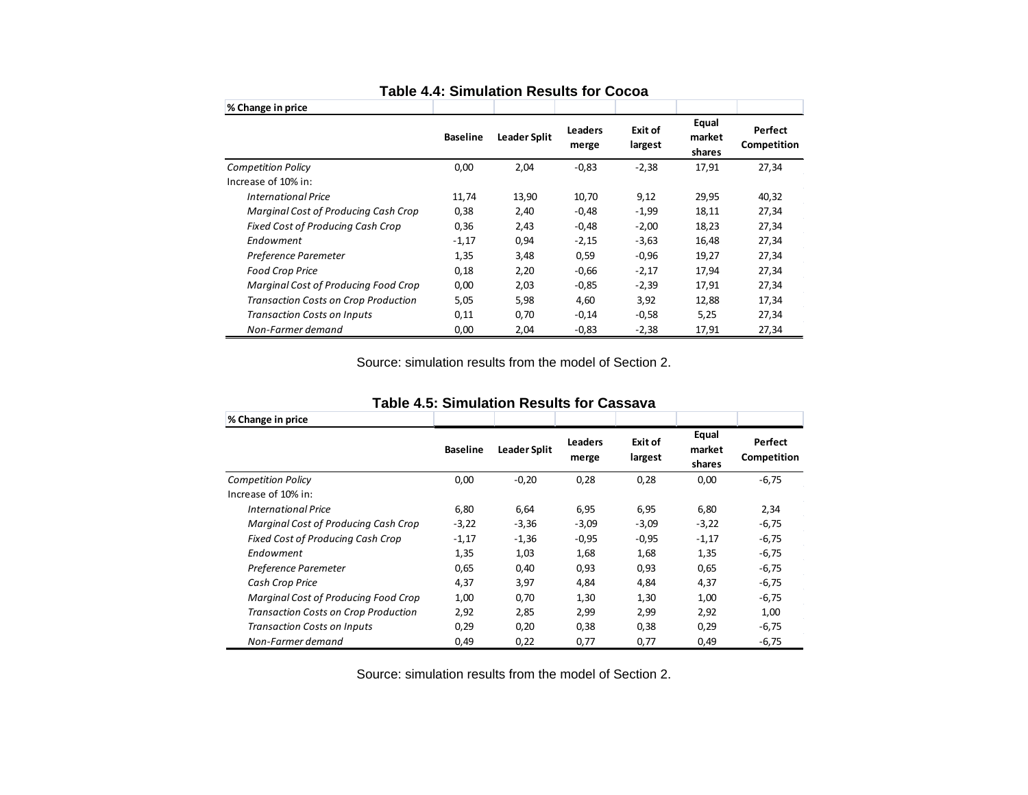| % Change in price                           |                 |                     |                         |                    |                           |                        |
|---------------------------------------------|-----------------|---------------------|-------------------------|--------------------|---------------------------|------------------------|
|                                             | <b>Baseline</b> | <b>Leader Split</b> | <b>Leaders</b><br>merge | Exit of<br>largest | Equal<br>market<br>shares | Perfect<br>Competition |
| <b>Competition Policy</b>                   | 0,00            | 2,04                | $-0.83$                 | $-2,38$            | 17,91                     | 27,34                  |
| Increase of 10% in:                         |                 |                     |                         |                    |                           |                        |
| International Price                         | 11,74           | 13,90               | 10,70                   | 9,12               | 29,95                     | 40,32                  |
| <b>Marginal Cost of Producing Cash Crop</b> | 0,38            | 2,40                | $-0,48$                 | $-1,99$            | 18,11                     | 27,34                  |
| <b>Fixed Cost of Producing Cash Crop</b>    | 0,36            | 2,43                | -0,48                   | $-2,00$            | 18,23                     | 27,34                  |
| Endowment                                   | $-1,17$         | 0,94                | $-2,15$                 | $-3,63$            | 16,48                     | 27,34                  |
| Preference Paremeter                        | 1,35            | 3,48                | 0,59                    | $-0.96$            | 19,27                     | 27,34                  |
| <b>Food Crop Price</b>                      | 0,18            | 2,20                | $-0,66$                 | $-2,17$            | 17,94                     | 27,34                  |
| <b>Marginal Cost of Producing Food Crop</b> | 0,00            | 2,03                | $-0.85$                 | $-2,39$            | 17,91                     | 27,34                  |
| <b>Transaction Costs on Crop Production</b> | 5,05            | 5,98                | 4,60                    | 3,92               | 12,88                     | 17,34                  |
| <b>Transaction Costs on Inputs</b>          | 0,11            | 0,70                | $-0,14$                 | $-0,58$            | 5,25                      | 27,34                  |
| Non-Farmer demand                           | 0,00            | 2,04                | $-0,83$                 | $-2,38$            | 17,91                     | 27,34                  |

#### **Table 4.4: Simulation Results for Cocoa**

Source: simulation results from the model of Section 2.

| % Change in price                           |                 |                     |                         |                           |                           |                        |
|---------------------------------------------|-----------------|---------------------|-------------------------|---------------------------|---------------------------|------------------------|
|                                             | <b>Baseline</b> | <b>Leader Split</b> | <b>Leaders</b><br>merge | <b>Exit of</b><br>largest | Equal<br>market<br>shares | Perfect<br>Competition |
| <b>Competition Policy</b>                   | 0,00            | $-0,20$             | 0,28                    | 0,28                      | 0,00                      | $-6,75$                |
| Increase of 10% in:                         |                 |                     |                         |                           |                           |                        |
| International Price                         | 6,80            | 6,64                | 6,95                    | 6,95                      | 6,80                      | 2,34                   |
| <b>Marginal Cost of Producing Cash Crop</b> | $-3,22$         | $-3,36$             | $-3,09$                 | $-3,09$                   | $-3,22$                   | $-6,75$                |
| <b>Fixed Cost of Producing Cash Crop</b>    | $-1,17$         | $-1,36$             | $-0.95$                 | $-0.95$                   | $-1,17$                   | $-6,75$                |
| Endowment                                   | 1,35            | 1.03                | 1,68                    | 1,68                      | 1,35                      | $-6,75$                |
| Preference Paremeter                        | 0,65            | 0,40                | 0,93                    | 0,93                      | 0,65                      | $-6,75$                |
| Cash Crop Price                             | 4,37            | 3,97                | 4,84                    | 4,84                      | 4,37                      | $-6,75$                |
| <b>Marginal Cost of Producing Food Crop</b> | 1,00            | 0,70                | 1,30                    | 1,30                      | 1,00                      | $-6,75$                |
| <b>Transaction Costs on Crop Production</b> | 2,92            | 2,85                | 2,99                    | 2,99                      | 2,92                      | 1,00                   |
| <b>Transaction Costs on Inputs</b>          | 0,29            | 0,20                | 0,38                    | 0,38                      | 0,29                      | $-6,75$                |
| Non-Farmer demand                           | 0.49            | 0,22                | 0,77                    | 0,77                      | 0,49                      | $-6,75$                |

#### **Table 4.5: Simulation Results for Cassava**

Source: simulation results from the model of Section 2.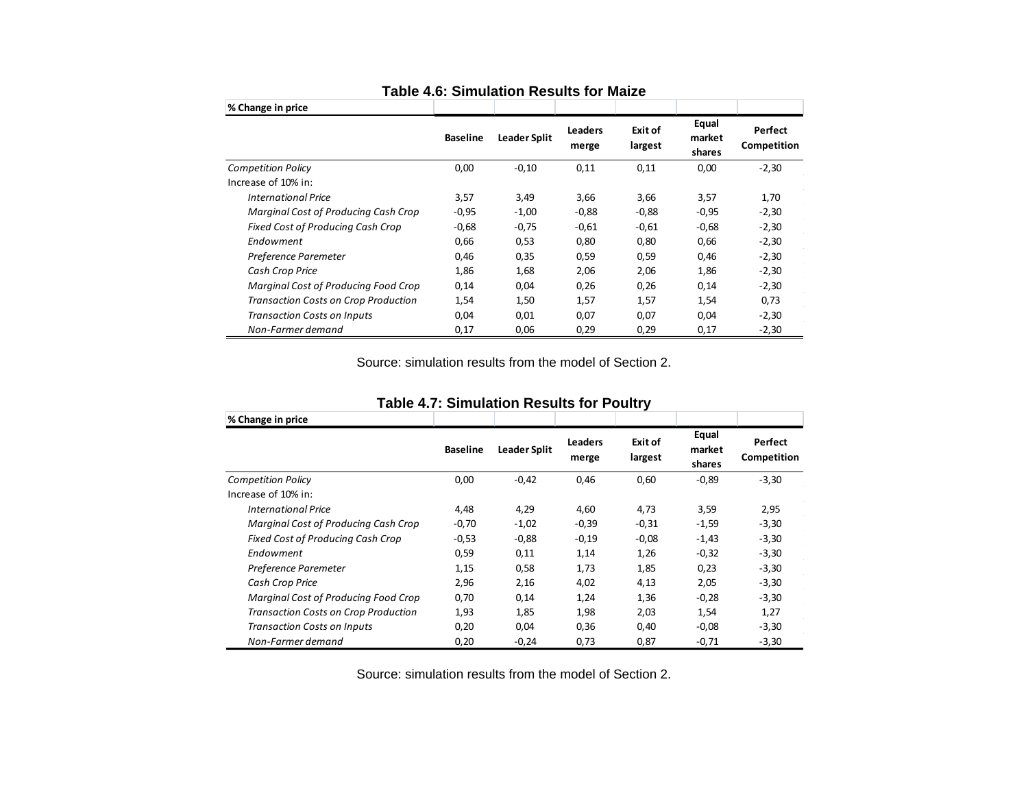| % Change in price                           |                 |                     |                  |                    |                           |                        |
|---------------------------------------------|-----------------|---------------------|------------------|--------------------|---------------------------|------------------------|
|                                             | <b>Baseline</b> | <b>Leader Split</b> | Leaders<br>merge | Exit of<br>largest | Equal<br>market<br>shares | Perfect<br>Competition |
| <b>Competition Policy</b>                   | 0,00            | $-0,10$             | 0,11             | 0,11               | 0,00                      | $-2,30$                |
| Increase of 10% in:                         |                 |                     |                  |                    |                           |                        |
| International Price                         | 3,57            | 3,49                | 3,66             | 3,66               | 3,57                      | 1,70                   |
| <b>Marginal Cost of Producing Cash Crop</b> | $-0.95$         | $-1,00$             | $-0.88$          | $-0.88$            | $-0.95$                   | $-2,30$                |
| <b>Fixed Cost of Producing Cash Crop</b>    | $-0.68$         | $-0,75$             | $-0.61$          | $-0.61$            | $-0.68$                   | $-2,30$                |
| Endowment                                   | 0,66            | 0,53                | 0,80             | 0,80               | 0,66                      | $-2,30$                |
| Preference Paremeter                        | 0,46            | 0,35                | 0,59             | 0,59               | 0,46                      | $-2,30$                |
| Cash Crop Price                             | 1,86            | 1,68                | 2,06             | 2,06               | 1,86                      | $-2,30$                |
| <b>Marginal Cost of Producing Food Crop</b> | 0,14            | 0,04                | 0,26             | 0,26               | 0,14                      | $-2,30$                |
| <b>Transaction Costs on Crop Production</b> | 1,54            | 1,50                | 1,57             | 1,57               | 1,54                      | 0,73                   |
| <b>Transaction Costs on Inputs</b>          | 0,04            | 0,01                | 0,07             | 0,07               | 0,04                      | $-2,30$                |
| Non-Farmer demand                           | 0,17            | 0,06                | 0,29             | 0,29               | 0,17                      | $-2,30$                |

#### **Table 4.6: Simulation Results for Maize**

Source: simulation results from the model of Section 2.

| % Change in price                           |                 |                     |                         |                           |                           |                        |
|---------------------------------------------|-----------------|---------------------|-------------------------|---------------------------|---------------------------|------------------------|
|                                             | <b>Baseline</b> | <b>Leader Split</b> | <b>Leaders</b><br>merge | <b>Exit of</b><br>largest | Equal<br>market<br>shares | Perfect<br>Competition |
| <b>Competition Policy</b>                   | 0,00            | $-0,42$             | 0,46                    | 0,60                      | $-0.89$                   | $-3,30$                |
| Increase of 10% in:                         |                 |                     |                         |                           |                           |                        |
| International Price                         | 4,48            | 4,29                | 4,60                    | 4,73                      | 3,59                      | 2,95                   |
| <b>Marginal Cost of Producing Cash Crop</b> | $-0,70$         | $-1,02$             | $-0,39$                 | $-0.31$                   | $-1,59$                   | $-3,30$                |
| <b>Fixed Cost of Producing Cash Crop</b>    | $-0.53$         | $-0.88$             | $-0,19$                 | $-0.08$                   | $-1,43$                   | $-3,30$                |
| Endowment                                   | 0,59            | 0,11                | 1,14                    | 1,26                      | $-0,32$                   | $-3,30$                |
| Preference Paremeter                        | 1,15            | 0,58                | 1,73                    | 1,85                      | 0,23                      | $-3,30$                |
| Cash Crop Price                             | 2,96            | 2,16                | 4,02                    | 4,13                      | 2,05                      | $-3,30$                |
| <b>Marginal Cost of Producing Food Crop</b> | 0,70            | 0,14                | 1,24                    | 1,36                      | $-0,28$                   | $-3,30$                |
| <b>Transaction Costs on Crop Production</b> | 1,93            | 1,85                | 1,98                    | 2,03                      | 1,54                      | 1,27                   |
| <b>Transaction Costs on Inputs</b>          | 0,20            | 0,04                | 0,36                    | 0,40                      | $-0.08$                   | $-3,30$                |
| Non-Farmer demand                           | 0,20            | $-0,24$             | 0,73                    | 0,87                      | $-0.71$                   | $-3,30$                |

## **Table 4.7: Simulation Results for Poultry**

Source: simulation results from the model of Section 2.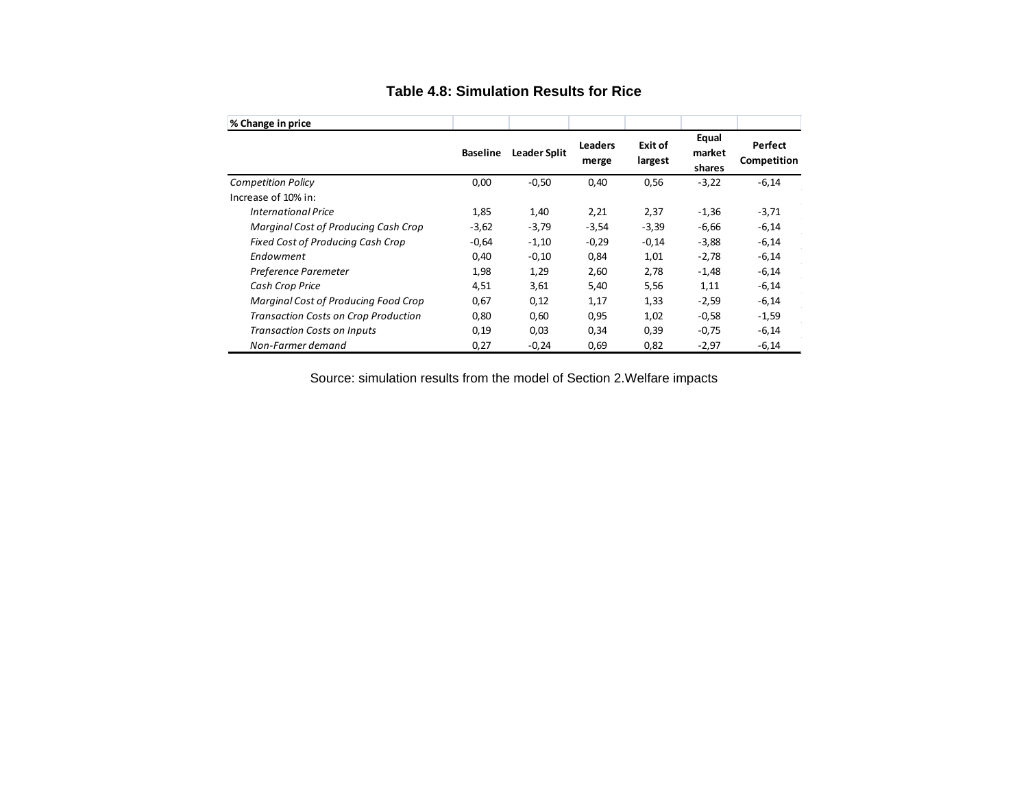| % Change in price                           |                 |                     |                  |                           |                           |                        |
|---------------------------------------------|-----------------|---------------------|------------------|---------------------------|---------------------------|------------------------|
|                                             | <b>Baseline</b> | <b>Leader Split</b> | Leaders<br>merge | <b>Exit of</b><br>largest | Equal<br>market<br>shares | Perfect<br>Competition |
| <b>Competition Policy</b>                   | 0,00            | $-0,50$             | 0,40             | 0,56                      | $-3,22$                   | $-6,14$                |
| Increase of 10% in:                         |                 |                     |                  |                           |                           |                        |
| International Price                         | 1,85            | 1,40                | 2,21             | 2,37                      | $-1,36$                   | $-3,71$                |
| <b>Marginal Cost of Producing Cash Crop</b> | $-3,62$         | $-3,79$             | $-3,54$          | $-3,39$                   | $-6,66$                   | $-6,14$                |
| <b>Fixed Cost of Producing Cash Crop</b>    | $-0,64$         | $-1,10$             | $-0.29$          | $-0,14$                   | $-3,88$                   | $-6,14$                |
| Endowment                                   | 0,40            | $-0,10$             | 0,84             | 1,01                      | $-2,78$                   | $-6,14$                |
| Preference Paremeter                        | 1,98            | 1,29                | 2,60             | 2,78                      | $-1,48$                   | $-6,14$                |
| Cash Crop Price                             | 4,51            | 3,61                | 5,40             | 5,56                      | 1,11                      | $-6,14$                |
| <b>Marginal Cost of Producing Food Crop</b> | 0.67            | 0,12                | 1,17             | 1,33                      | $-2,59$                   | $-6,14$                |
| <b>Transaction Costs on Crop Production</b> | 0,80            | 0,60                | 0,95             | 1,02                      | $-0,58$                   | $-1,59$                |
| <b>Transaction Costs on Inputs</b>          | 0,19            | 0,03                | 0,34             | 0,39                      | $-0,75$                   | $-6,14$                |
| Non-Farmer demand                           | 0,27            | $-0,24$             | 0,69             | 0,82                      | $-2,97$                   | $-6,14$                |

#### **Table 4.8: Simulation Results for Rice**

Source: simulation results from the model of Section 2.Welfare impacts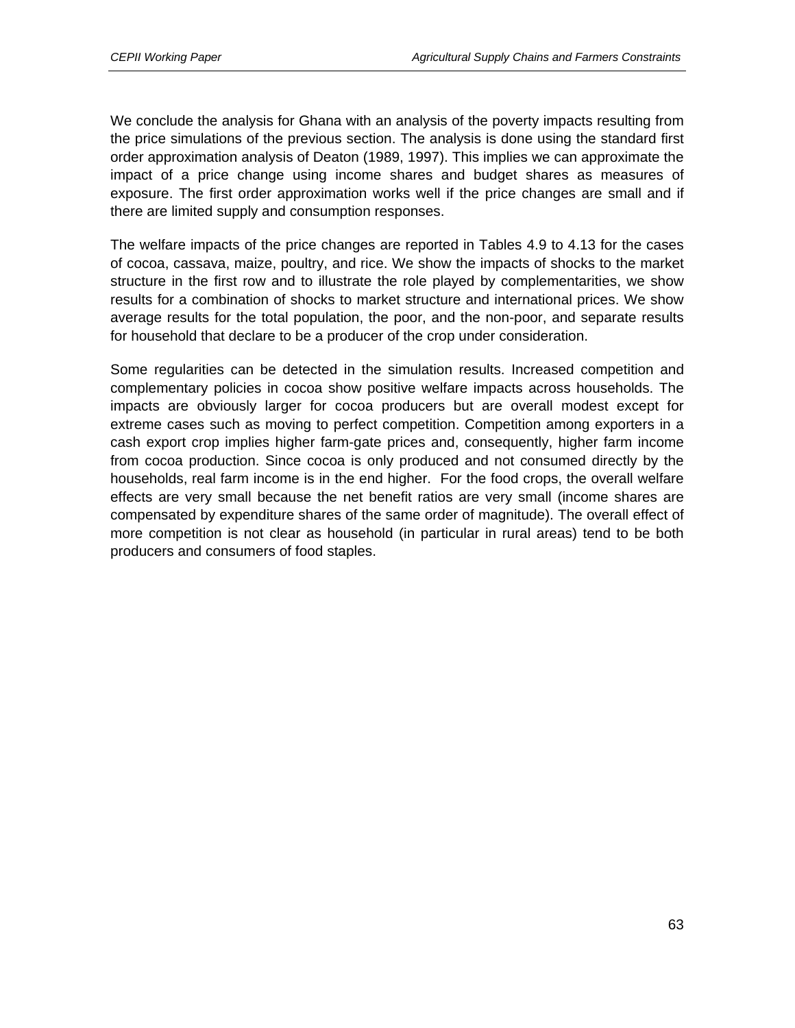We conclude the analysis for Ghana with an analysis of the poverty impacts resulting from the price simulations of the previous section. The analysis is done using the standard first order approximation analysis of Deaton (1989, 1997). This implies we can approximate the impact of a price change using income shares and budget shares as measures of exposure. The first order approximation works well if the price changes are small and if there are limited supply and consumption responses.

The welfare impacts of the price changes are reported in Tables 4.9 to 4.13 for the cases of cocoa, cassava, maize, poultry, and rice. We show the impacts of shocks to the market structure in the first row and to illustrate the role played by complementarities, we show results for a combination of shocks to market structure and international prices. We show average results for the total population, the poor, and the non-poor, and separate results for household that declare to be a producer of the crop under consideration.

Some regularities can be detected in the simulation results. Increased competition and complementary policies in cocoa show positive welfare impacts across households. The impacts are obviously larger for cocoa producers but are overall modest except for extreme cases such as moving to perfect competition. Competition among exporters in a cash export crop implies higher farm-gate prices and, consequently, higher farm income from cocoa production. Since cocoa is only produced and not consumed directly by the households, real farm income is in the end higher. For the food crops, the overall welfare effects are very small because the net benefit ratios are very small (income shares are compensated by expenditure shares of the same order of magnitude). The overall effect of more competition is not clear as household (in particular in rural areas) tend to be both producers and consumers of food staples.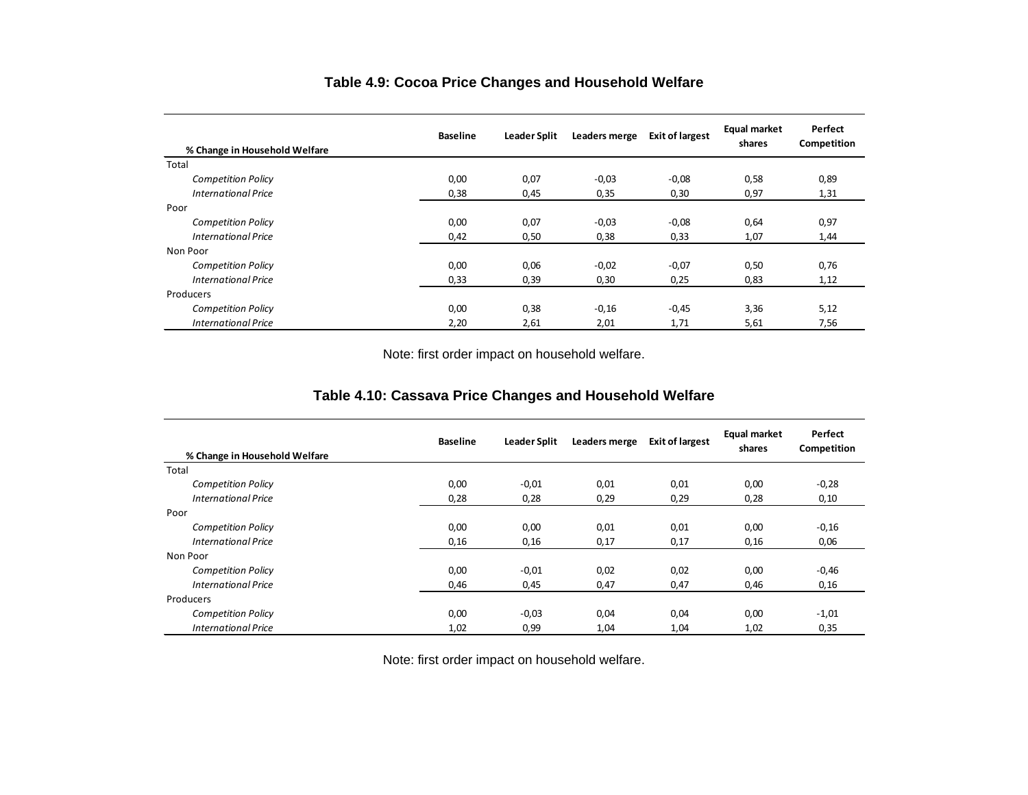| % Change in Household Welfare | <b>Baseline</b> | <b>Leader Split</b> | Leaders merge | <b>Exit of largest</b> | <b>Equal market</b><br>shares | Perfect<br>Competition |
|-------------------------------|-----------------|---------------------|---------------|------------------------|-------------------------------|------------------------|
| Total                         |                 |                     |               |                        |                               |                        |
| <b>Competition Policy</b>     | 0,00            | 0,07                | $-0.03$       | $-0.08$                | 0,58                          | 0,89                   |
| International Price           | 0,38            | 0,45                | 0,35          | 0,30                   | 0,97                          | 1,31                   |
| Poor                          |                 |                     |               |                        |                               |                        |
| <b>Competition Policy</b>     | 0,00            | 0,07                | $-0.03$       | $-0.08$                | 0,64                          | 0,97                   |
| International Price           | 0,42            | 0,50                | 0,38          | 0,33                   | 1,07                          | 1,44                   |
| Non Poor                      |                 |                     |               |                        |                               |                        |
| <b>Competition Policy</b>     | 0,00            | 0,06                | $-0.02$       | $-0,07$                | 0,50                          | 0.76                   |
| International Price           | 0,33            | 0,39                | 0,30          | 0,25                   | 0,83                          | 1,12                   |
| Producers                     |                 |                     |               |                        |                               |                        |
| <b>Competition Policy</b>     | 0,00            | 0,38                | $-0,16$       | $-0.45$                | 3,36                          | 5,12                   |
| <b>International Price</b>    | 2,20            | 2,61                | 2,01          | 1,71                   | 5,61                          | 7,56                   |

## **Table 4.9: Cocoa Price Changes and Household Welfare**

Note: first order impact on household welfare.

# **Table 4.10: Cassava Price Changes and Household Welfare**

| % Change in Household Welfare | <b>Baseline</b> | <b>Leader Split</b> | Leaders merge | <b>Exit of largest</b> | Equal market<br>shares | Perfect<br>Competition |
|-------------------------------|-----------------|---------------------|---------------|------------------------|------------------------|------------------------|
| Total                         |                 |                     |               |                        |                        |                        |
| <b>Competition Policy</b>     | 0,00            | $-0.01$             | 0,01          | 0,01                   | 0,00                   | $-0,28$                |
| International Price           | 0,28            | 0,28                | 0,29          | 0,29                   | 0,28                   | 0,10                   |
| Poor                          |                 |                     |               |                        |                        |                        |
| <b>Competition Policy</b>     | 0,00            | 0,00                | 0,01          | 0,01                   | 0,00                   | $-0,16$                |
| <b>International Price</b>    | 0,16            | 0,16                | 0,17          | 0,17                   | 0,16                   | 0,06                   |
| Non Poor                      |                 |                     |               |                        |                        |                        |
| <b>Competition Policy</b>     | 0,00            | $-0.01$             | 0,02          | 0,02                   | 0,00                   | $-0.46$                |
| <b>International Price</b>    | 0,46            | 0,45                | 0,47          | 0,47                   | 0,46                   | 0,16                   |
| Producers                     |                 |                     |               |                        |                        |                        |
| <b>Competition Policy</b>     | 0,00            | $-0.03$             | 0,04          | 0,04                   | 0,00                   | $-1,01$                |
| <b>International Price</b>    | 1,02            | 0,99                | 1,04          | 1,04                   | 1,02                   | 0,35                   |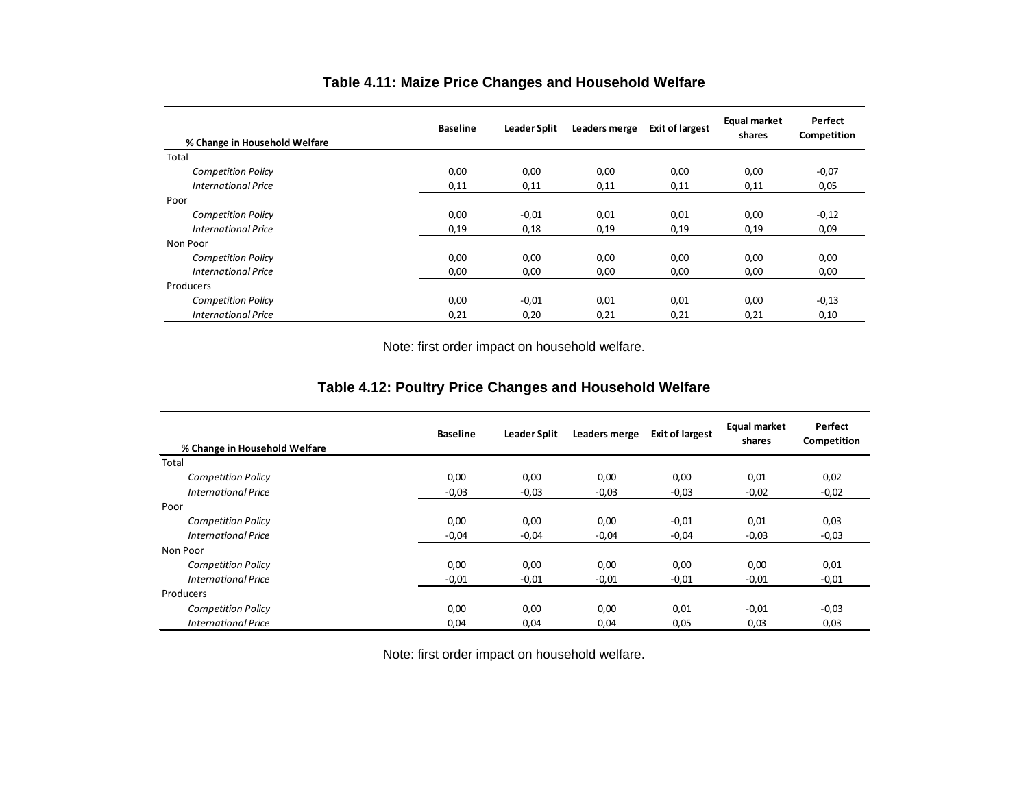| % Change in Household Welfare | <b>Baseline</b> | <b>Leader Split</b> | Leaders merge | <b>Exit of largest</b> | Equal market<br>shares | Perfect<br>Competition |
|-------------------------------|-----------------|---------------------|---------------|------------------------|------------------------|------------------------|
| Total                         |                 |                     |               |                        |                        |                        |
| <b>Competition Policy</b>     | 0,00            | 0,00                | 0,00          | 0,00                   | 0,00                   | $-0,07$                |
| International Price           | 0,11            | 0,11                | 0,11          | 0,11                   | 0,11                   | 0,05                   |
| Poor                          |                 |                     |               |                        |                        |                        |
| <b>Competition Policy</b>     | 0,00            | $-0.01$             | 0,01          | 0,01                   | 0,00                   | $-0,12$                |
| International Price           | 0,19            | 0,18                | 0,19          | 0,19                   | 0,19                   | 0,09                   |
| Non Poor                      |                 |                     |               |                        |                        |                        |
| <b>Competition Policy</b>     | 0,00            | 0,00                | 0,00          | 0,00                   | 0,00                   | 0,00                   |
| International Price           | 0,00            | 0,00                | 0,00          | 0,00                   | 0,00                   | 0,00                   |
| Producers                     |                 |                     |               |                        |                        |                        |
| <b>Competition Policy</b>     | 0,00            | $-0.01$             | 0,01          | 0,01                   | 0,00                   | $-0.13$                |
| <b>International Price</b>    | 0,21            | 0,20                | 0,21          | 0,21                   | 0,21                   | 0,10                   |

## **Table 4.11: Maize Price Changes and Household Welfare**

Note: first order impact on household welfare.

# **Table 4.12: Poultry Price Changes and Household Welfare**

| % Change in Household Welfare | <b>Baseline</b> | <b>Leader Split</b> | Leaders merge | <b>Exit of largest</b> | Equal market<br>shares | Perfect<br>Competition |
|-------------------------------|-----------------|---------------------|---------------|------------------------|------------------------|------------------------|
| Total                         |                 |                     |               |                        |                        |                        |
| <b>Competition Policy</b>     | 0,00            | 0,00                | 0,00          | 0,00                   | 0,01                   | 0,02                   |
| International Price           | $-0.03$         | $-0.03$             | $-0.03$       | $-0.03$                | $-0.02$                | $-0,02$                |
| Poor                          |                 |                     |               |                        |                        |                        |
| <b>Competition Policy</b>     | 0,00            | 0,00                | 0,00          | $-0.01$                | 0,01                   | 0,03                   |
| <b>International Price</b>    | $-0.04$         | $-0.04$             | $-0.04$       | $-0.04$                | $-0.03$                | $-0,03$                |
| Non Poor                      |                 |                     |               |                        |                        |                        |
| <b>Competition Policy</b>     | 0,00            | 0,00                | 0.00          | 0.00                   | 0.00                   | 0,01                   |
| International Price           | $-0.01$         | $-0.01$             | $-0.01$       | $-0,01$                | $-0,01$                | $-0,01$                |
| Producers                     |                 |                     |               |                        |                        |                        |
| <b>Competition Policy</b>     | 0,00            | 0,00                | 0,00          | 0,01                   | $-0.01$                | $-0.03$                |
| <b>International Price</b>    | 0,04            | 0,04                | 0,04          | 0,05                   | 0,03                   | 0,03                   |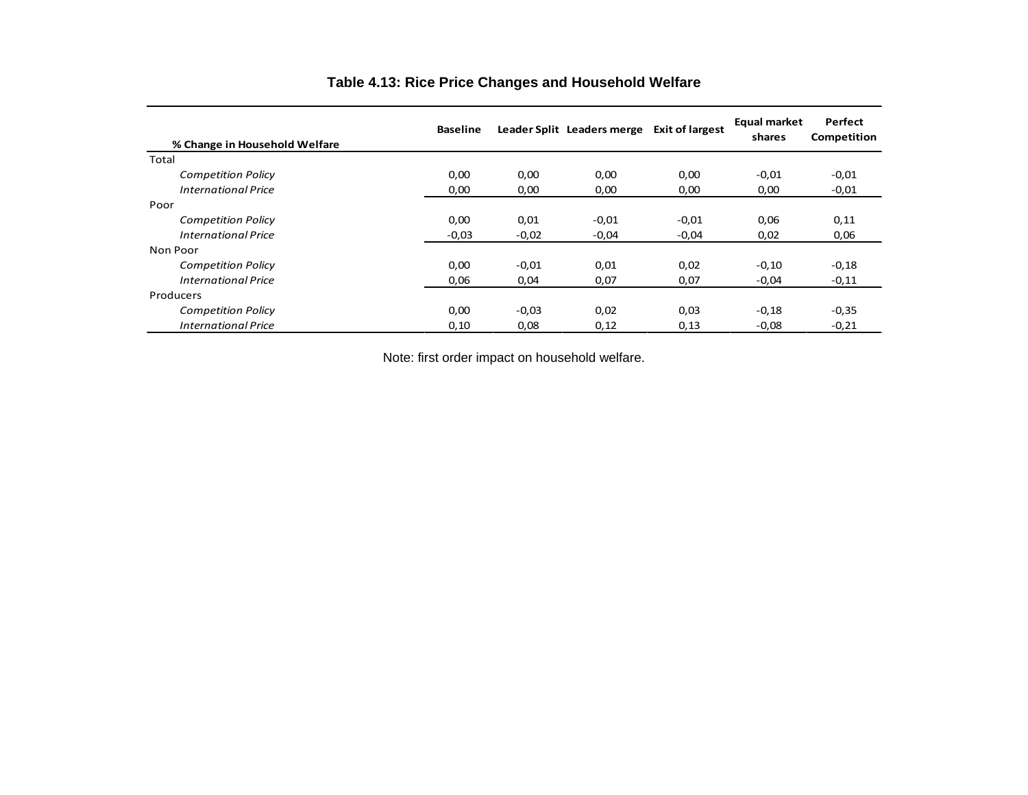| % Change in Household Welfare | <b>Baseline</b> |         | Leader Split Leaders merge | <b>Exit of largest</b> | <b>Equal market</b><br>shares | Perfect<br>Competition |
|-------------------------------|-----------------|---------|----------------------------|------------------------|-------------------------------|------------------------|
| Total                         |                 |         |                            |                        |                               |                        |
| <b>Competition Policy</b>     | 0,00            | 0,00    | 0,00                       | 0,00                   | $-0.01$                       | $-0.01$                |
| International Price           | 0,00            | 0,00    | 0,00                       | 0,00                   | 0,00                          | $-0,01$                |
| Poor                          |                 |         |                            |                        |                               |                        |
| <b>Competition Policy</b>     | 0,00            | 0.01    | $-0.01$                    | $-0.01$                | 0,06                          | 0,11                   |
| International Price           | $-0.03$         | $-0.02$ | $-0.04$                    | $-0.04$                | 0,02                          | 0,06                   |
| Non Poor                      |                 |         |                            |                        |                               |                        |
| <b>Competition Policy</b>     | 0,00            | $-0.01$ | 0,01                       | 0,02                   | $-0,10$                       | $-0,18$                |
| International Price           | 0,06            | 0,04    | 0,07                       | 0,07                   | $-0.04$                       | $-0,11$                |
| Producers                     |                 |         |                            |                        |                               |                        |
| <b>Competition Policy</b>     | 0,00            | $-0.03$ | 0,02                       | 0,03                   | $-0.18$                       | $-0.35$                |
| International Price           | 0,10            | 0,08    | 0,12                       | 0,13                   | $-0.08$                       | $-0,21$                |

# **Table 4.13: Rice Price Changes and Household Welfare**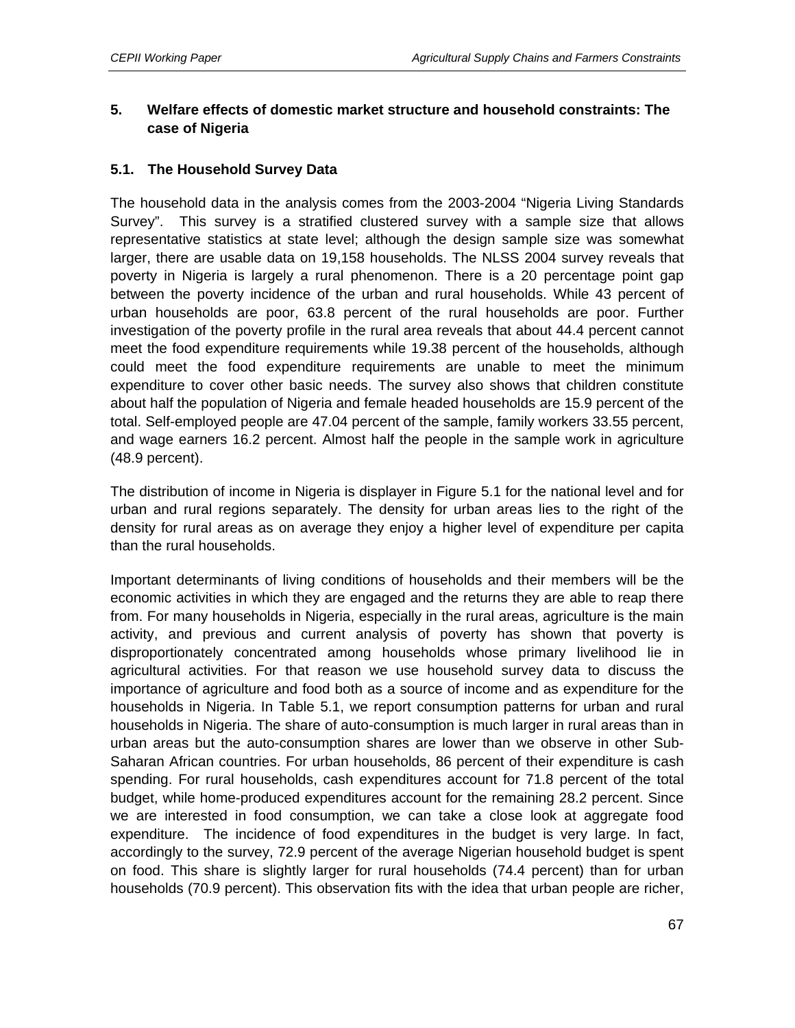## **5. Welfare effects of domestic market structure and household constraints: The case of Nigeria**

## **5.1. The Household Survey Data**

The household data in the analysis comes from the 2003-2004 "Nigeria Living Standards Survey". This survey is a stratified clustered survey with a sample size that allows representative statistics at state level; although the design sample size was somewhat larger, there are usable data on 19,158 households. The NLSS 2004 survey reveals that poverty in Nigeria is largely a rural phenomenon. There is a 20 percentage point gap between the poverty incidence of the urban and rural households. While 43 percent of urban households are poor, 63.8 percent of the rural households are poor. Further investigation of the poverty profile in the rural area reveals that about 44.4 percent cannot meet the food expenditure requirements while 19.38 percent of the households, although could meet the food expenditure requirements are unable to meet the minimum expenditure to cover other basic needs. The survey also shows that children constitute about half the population of Nigeria and female headed households are 15.9 percent of the total. Self-employed people are 47.04 percent of the sample, family workers 33.55 percent, and wage earners 16.2 percent. Almost half the people in the sample work in agriculture (48.9 percent).

The distribution of income in Nigeria is displayer in Figure 5.1 for the national level and for urban and rural regions separately. The density for urban areas lies to the right of the density for rural areas as on average they enjoy a higher level of expenditure per capita than the rural households.

Important determinants of living conditions of households and their members will be the economic activities in which they are engaged and the returns they are able to reap there from. For many households in Nigeria, especially in the rural areas, agriculture is the main activity, and previous and current analysis of poverty has shown that poverty is disproportionately concentrated among households whose primary livelihood lie in agricultural activities. For that reason we use household survey data to discuss the importance of agriculture and food both as a source of income and as expenditure for the households in Nigeria. In Table 5.1, we report consumption patterns for urban and rural households in Nigeria. The share of auto-consumption is much larger in rural areas than in urban areas but the auto-consumption shares are lower than we observe in other Sub-Saharan African countries. For urban households, 86 percent of their expenditure is cash spending. For rural households, cash expenditures account for 71.8 percent of the total budget, while home-produced expenditures account for the remaining 28.2 percent. Since we are interested in food consumption, we can take a close look at aggregate food expenditure. The incidence of food expenditures in the budget is very large. In fact, accordingly to the survey, 72.9 percent of the average Nigerian household budget is spent on food. This share is slightly larger for rural households (74.4 percent) than for urban households (70.9 percent). This observation fits with the idea that urban people are richer,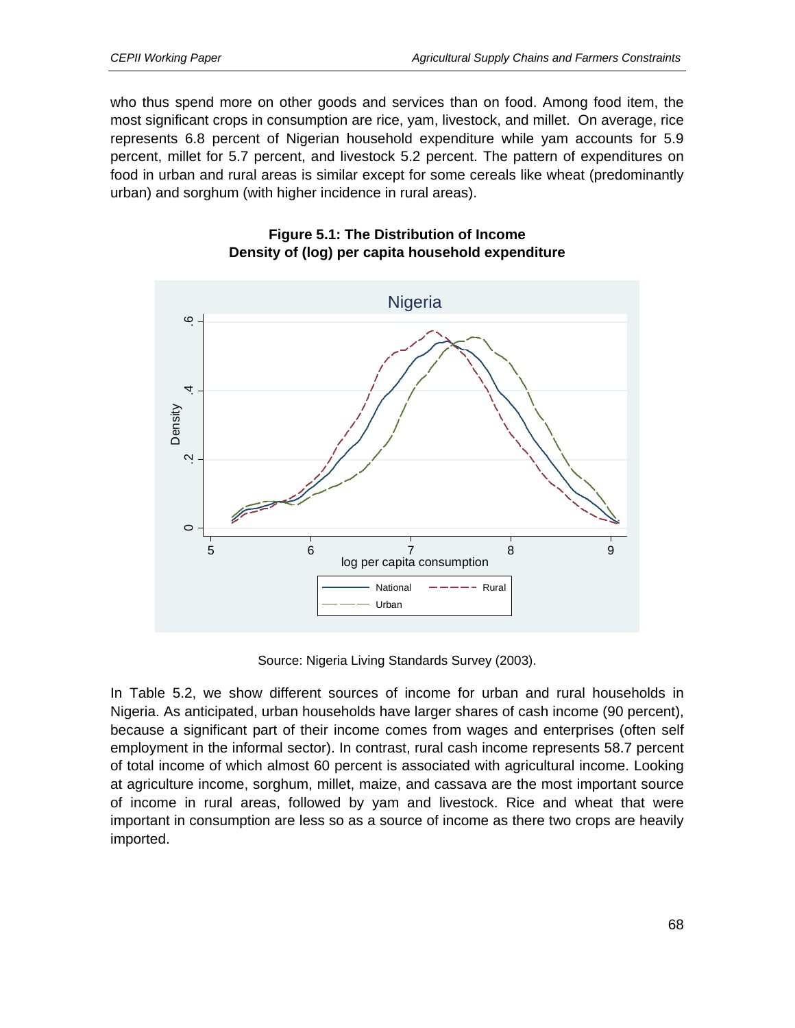who thus spend more on other goods and services than on food. Among food item, the most significant crops in consumption are rice, yam, livestock, and millet. On average, rice represents 6.8 percent of Nigerian household expenditure while yam accounts for 5.9 percent, millet for 5.7 percent, and livestock 5.2 percent. The pattern of expenditures on food in urban and rural areas is similar except for some cereals like wheat (predominantly urban) and sorghum (with higher incidence in rural areas).



**Figure 5.1: The Distribution of Income Density of (log) per capita household expenditure**

Source: Nigeria Living Standards Survey (2003).

In Table 5.2, we show different sources of income for urban and rural households in Nigeria. As anticipated, urban households have larger shares of cash income (90 percent), because a significant part of their income comes from wages and enterprises (often self employment in the informal sector). In contrast, rural cash income represents 58.7 percent of total income of which almost 60 percent is associated with agricultural income. Looking at agriculture income, sorghum, millet, maize, and cassava are the most important source of income in rural areas, followed by yam and livestock. Rice and wheat that were important in consumption are less so as a source of income as there two crops are heavily imported.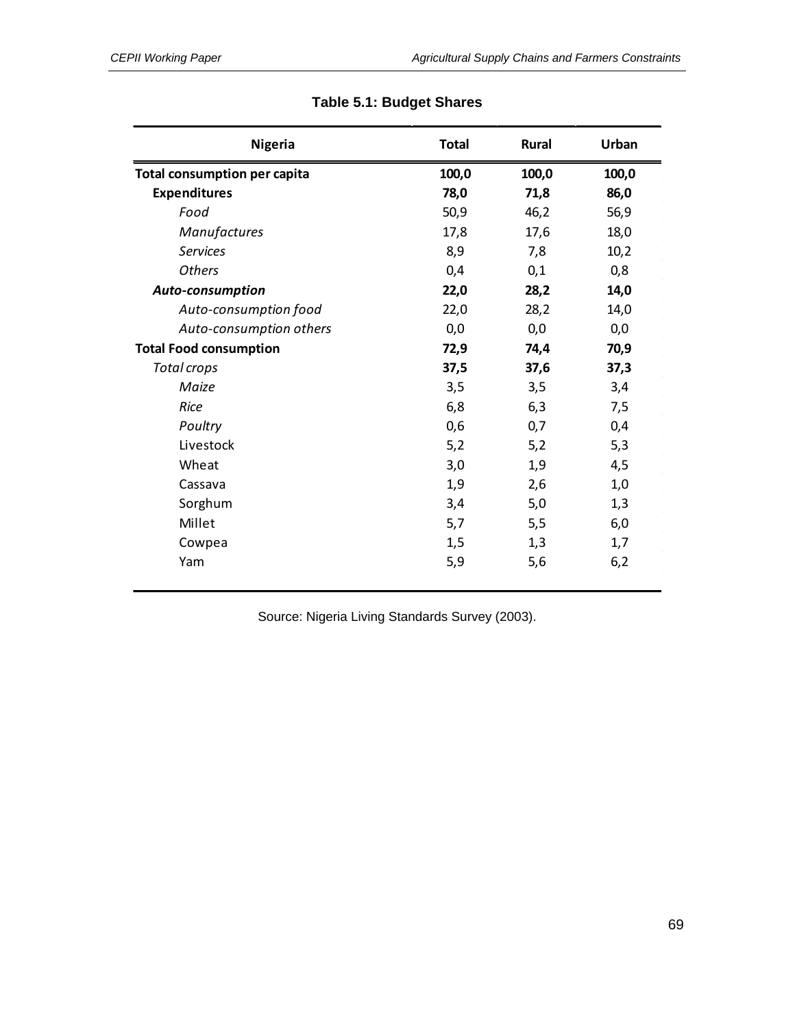| <b>Nigeria</b>                      | <b>Total</b> | <b>Rural</b> | Urban |
|-------------------------------------|--------------|--------------|-------|
| <b>Total consumption per capita</b> | 100,0        | 100,0        | 100,0 |
| <b>Expenditures</b>                 | 78,0         | 71,8         | 86,0  |
| Food                                | 50,9         | 46,2         | 56,9  |
| Manufactures                        | 17,8         | 17,6         | 18,0  |
| <b>Services</b>                     | 8,9          | 7,8          | 10,2  |
| <b>Others</b>                       | 0,4          | 0,1          | 0,8   |
| <b>Auto-consumption</b>             | 22,0         | 28,2         | 14,0  |
| Auto-consumption food               | 22,0         | 28,2         | 14,0  |
| Auto-consumption others             | 0,0          | 0,0          | 0,0   |
| <b>Total Food consumption</b>       | 72,9         | 74,4         | 70,9  |
| Total crops                         | 37,5         | 37,6         | 37,3  |
| Maize                               | 3,5          | 3,5          | 3,4   |
| <b>Rice</b>                         | 6,8          | 6,3          | 7,5   |
| Poultry                             | 0,6          | 0,7          | 0,4   |
| Livestock                           | 5,2          | 5,2          | 5,3   |
| Wheat                               | 3,0          | 1,9          | 4,5   |
| Cassava                             | 1,9          | 2,6          | 1,0   |
| Sorghum                             | 3,4          | 5,0          | 1,3   |
| Millet                              | 5,7          | 5,5          | 6,0   |
| Cowpea                              | 1,5          | 1,3          | 1,7   |
| Yam                                 | 5,9          | 5,6          | 6,2   |

# **Table 5.1: Budget Shares**

Source: Nigeria Living Standards Survey (2003).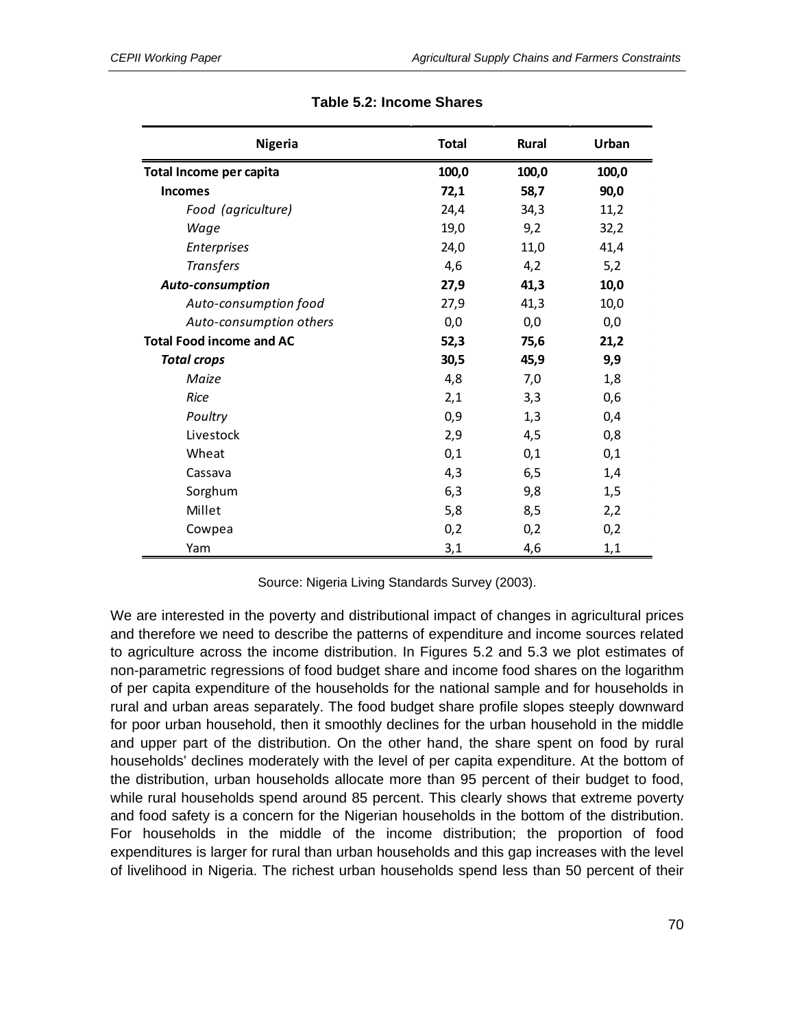| <b>Nigeria</b>                  | <b>Total</b> | <b>Rural</b> | Urban |
|---------------------------------|--------------|--------------|-------|
| Total Income per capita         | 100,0        | 100,0        | 100,0 |
| <b>Incomes</b>                  | 72,1         | 58,7         | 90,0  |
| Food (agriculture)              | 24,4         | 34,3         | 11,2  |
| Wage                            | 19,0         | 9,2          | 32,2  |
| Enterprises                     | 24,0         | 11,0         | 41,4  |
| <b>Transfers</b>                | 4,6          | 4,2          | 5,2   |
| Auto-consumption                | 27,9         | 41,3         | 10,0  |
| Auto-consumption food           | 27,9         | 41,3         | 10,0  |
| Auto-consumption others         | 0,0          | 0,0          | 0,0   |
| <b>Total Food income and AC</b> | 52,3         | 75,6         | 21,2  |
| <b>Total crops</b>              | 30,5         | 45,9         | 9,9   |
| Maize                           | 4,8          | 7,0          | 1,8   |
| <b>Rice</b>                     | 2,1          | 3,3          | 0,6   |
| Poultry                         | 0,9          | 1,3          | 0,4   |
| Livestock                       | 2,9          | 4,5          | 0,8   |
| Wheat                           | 0,1          | 0,1          | 0,1   |
| Cassava                         | 4,3          | 6,5          | 1,4   |
| Sorghum                         | 6,3          | 9,8          | 1,5   |
| Millet                          | 5,8          | 8,5          | 2,2   |
| Cowpea                          | 0,2          | 0,2          | 0,2   |
| Yam                             | 3,1          | 4,6          | 1,1   |

## **Table 5.2: Income Shares**

Source: Nigeria Living Standards Survey (2003).

We are interested in the poverty and distributional impact of changes in agricultural prices and therefore we need to describe the patterns of expenditure and income sources related to agriculture across the income distribution. In Figures 5.2 and 5.3 we plot estimates of non-parametric regressions of food budget share and income food shares on the logarithm of per capita expenditure of the households for the national sample and for households in rural and urban areas separately. The food budget share profile slopes steeply downward for poor urban household, then it smoothly declines for the urban household in the middle and upper part of the distribution. On the other hand, the share spent on food by rural households' declines moderately with the level of per capita expenditure. At the bottom of the distribution, urban households allocate more than 95 percent of their budget to food, while rural households spend around 85 percent. This clearly shows that extreme poverty and food safety is a concern for the Nigerian households in the bottom of the distribution. For households in the middle of the income distribution; the proportion of food expenditures is larger for rural than urban households and this gap increases with the level of livelihood in Nigeria. The richest urban households spend less than 50 percent of their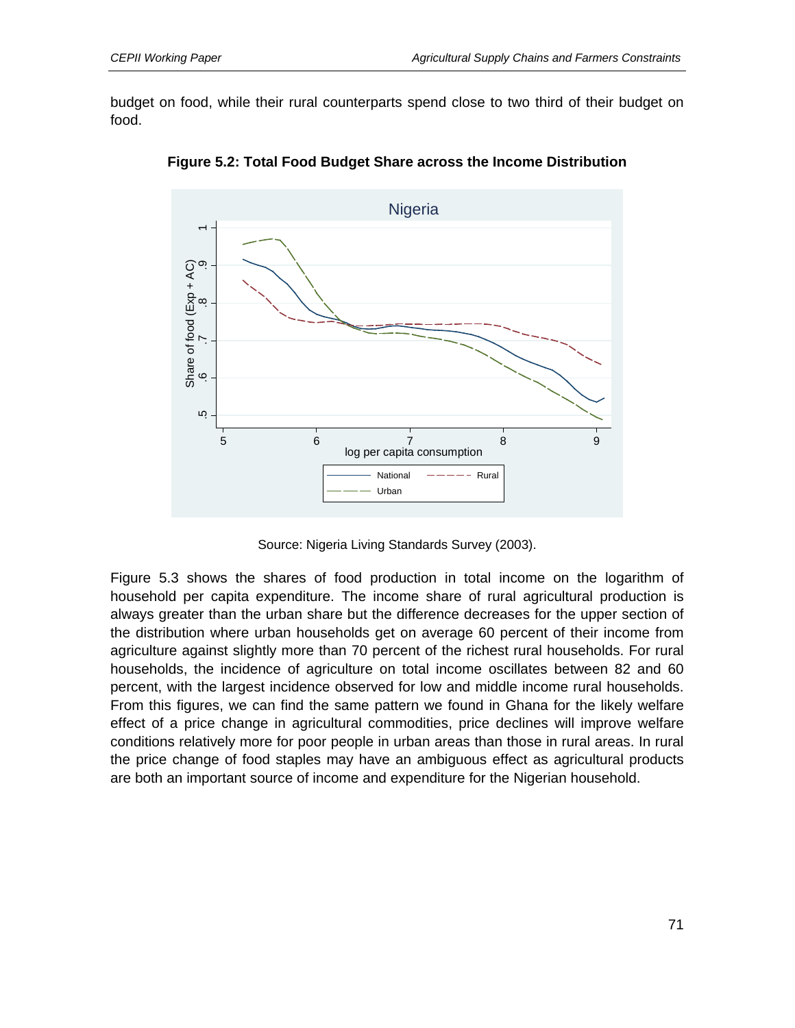budget on food, while their rural counterparts spend close to two third of their budget on food.



**Figure 5.2: Total Food Budget Share across the Income Distribution**

Source: Nigeria Living Standards Survey (2003).

Figure 5.3 shows the shares of food production in total income on the logarithm of household per capita expenditure. The income share of rural agricultural production is always greater than the urban share but the difference decreases for the upper section of the distribution where urban households get on average 60 percent of their income from agriculture against slightly more than 70 percent of the richest rural households. For rural households, the incidence of agriculture on total income oscillates between 82 and 60 percent, with the largest incidence observed for low and middle income rural households. From this figures, we can find the same pattern we found in Ghana for the likely welfare effect of a price change in agricultural commodities, price declines will improve welfare conditions relatively more for poor people in urban areas than those in rural areas. In rural the price change of food staples may have an ambiguous effect as agricultural products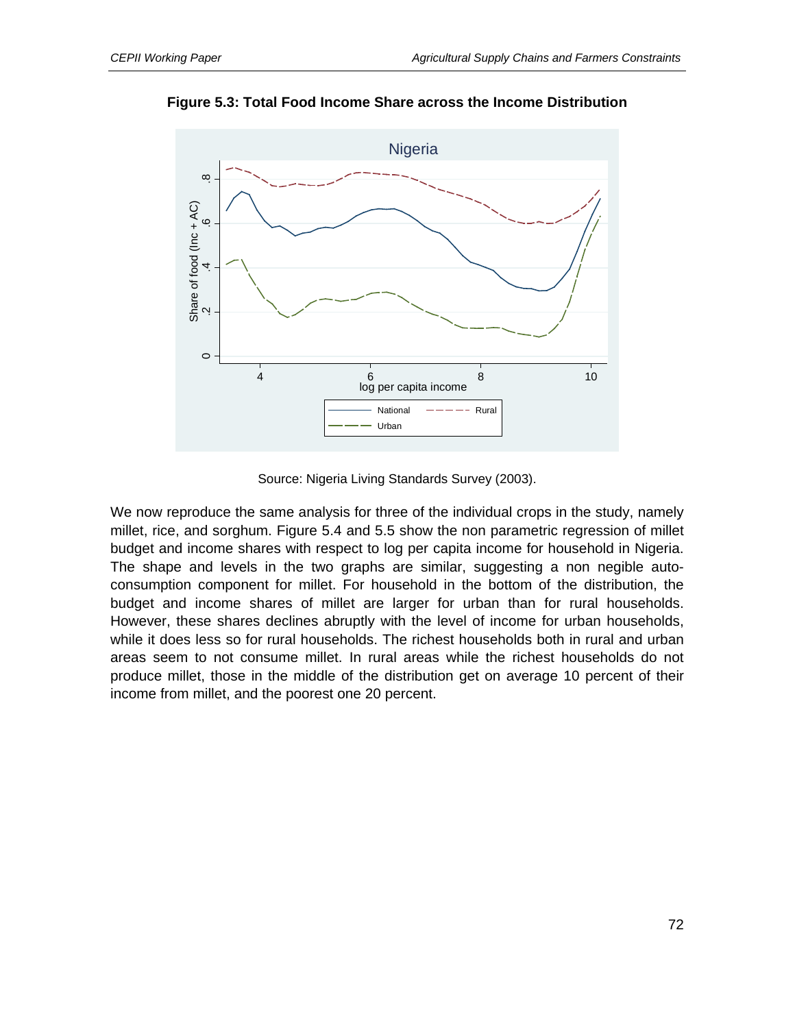

**Figure 5.3: Total Food Income Share across the Income Distribution**

Source: Nigeria Living Standards Survey (2003).

We now reproduce the same analysis for three of the individual crops in the study, namely millet, rice, and sorghum. Figure 5.4 and 5.5 show the non parametric regression of millet budget and income shares with respect to log per capita income for household in Nigeria. The shape and levels in the two graphs are similar, suggesting a non negible autoconsumption component for millet. For household in the bottom of the distribution, the budget and income shares of millet are larger for urban than for rural households. However, these shares declines abruptly with the level of income for urban households, while it does less so for rural households. The richest households both in rural and urban areas seem to not consume millet. In rural areas while the richest households do not produce millet, those in the middle of the distribution get on average 10 percent of their income from millet, and the poorest one 20 percent.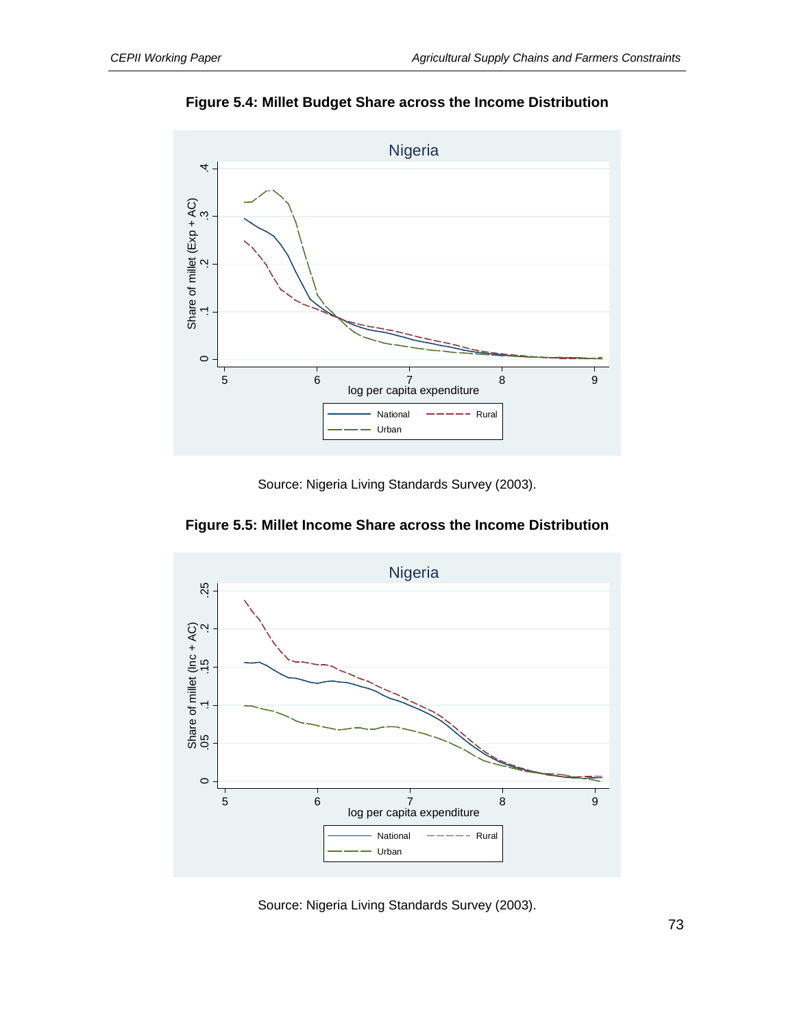

**Figure 5.4: Millet Budget Share across the Income Distribution**

Source: Nigeria Living Standards Survey (2003).



**Figure 5.5: Millet Income Share across the Income Distribution**

Source: Nigeria Living Standards Survey (2003).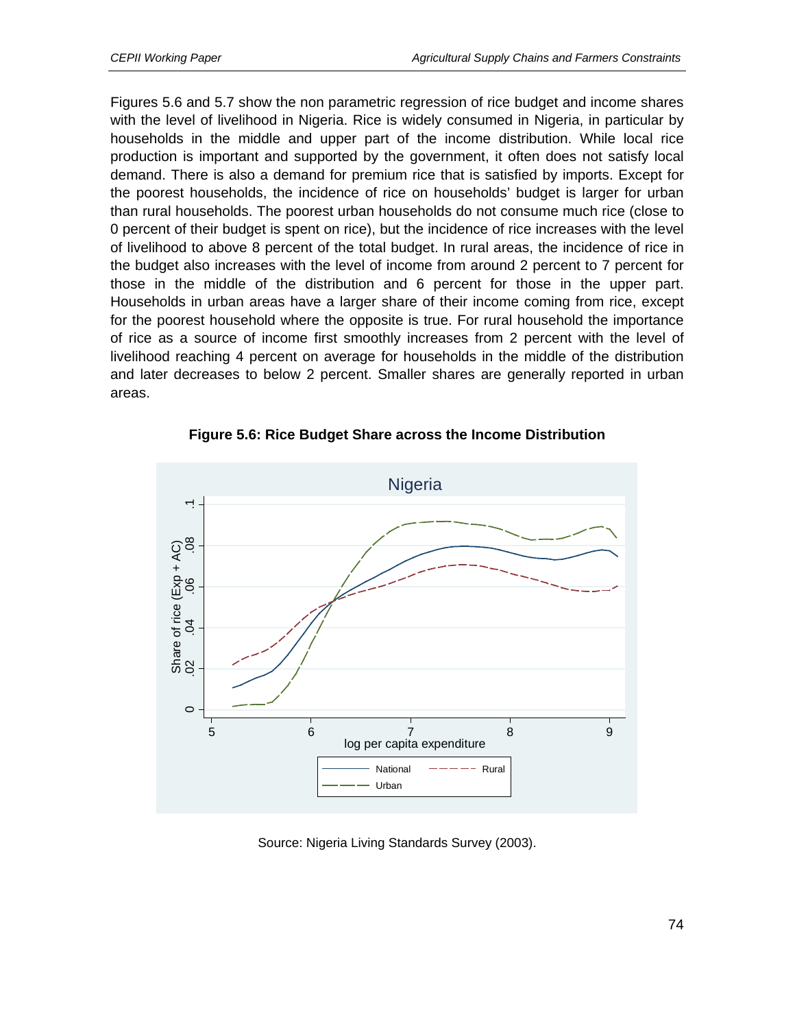Figures 5.6 and 5.7 show the non parametric regression of rice budget and income shares with the level of livelihood in Nigeria. Rice is widely consumed in Nigeria, in particular by households in the middle and upper part of the income distribution. While local rice production is important and supported by the government, it often does not satisfy local demand. There is also a demand for premium rice that is satisfied by imports. Except for the poorest households, the incidence of rice on households' budget is larger for urban than rural households. The poorest urban households do not consume much rice (close to 0 percent of their budget is spent on rice), but the incidence of rice increases with the level of livelihood to above 8 percent of the total budget. In rural areas, the incidence of rice in the budget also increases with the level of income from around 2 percent to 7 percent for those in the middle of the distribution and 6 percent for those in the upper part. Households in urban areas have a larger share of their income coming from rice, except for the poorest household where the opposite is true. For rural household the importance of rice as a source of income first smoothly increases from 2 percent with the level of livelihood reaching 4 percent on average for households in the middle of the distribution and later decreases to below 2 percent. Smaller shares are generally reported in urban areas.



**Figure 5.6: Rice Budget Share across the Income Distribution**

Source: Nigeria Living Standards Survey (2003).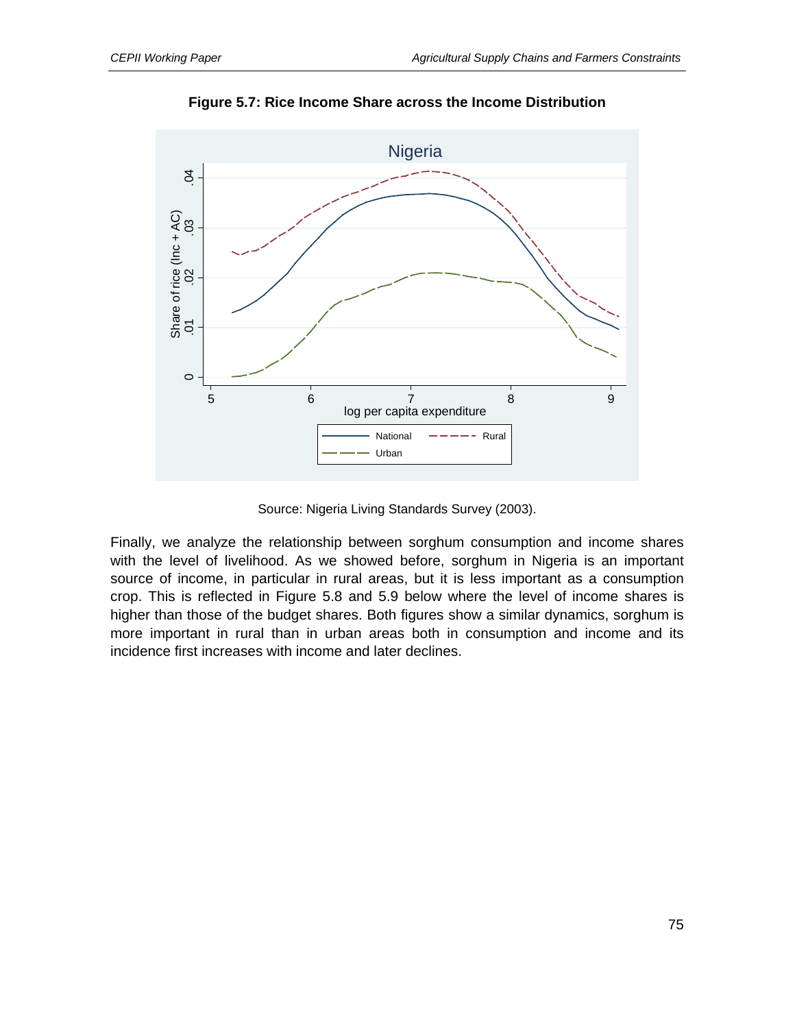

**Figure 5.7: Rice Income Share across the Income Distribution**

Source: Nigeria Living Standards Survey (2003).

Finally, we analyze the relationship between sorghum consumption and income shares with the level of livelihood. As we showed before, sorghum in Nigeria is an important source of income, in particular in rural areas, but it is less important as a consumption crop. This is reflected in Figure 5.8 and 5.9 below where the level of income shares is higher than those of the budget shares. Both figures show a similar dynamics, sorghum is more important in rural than in urban areas both in consumption and income and its incidence first increases with income and later declines.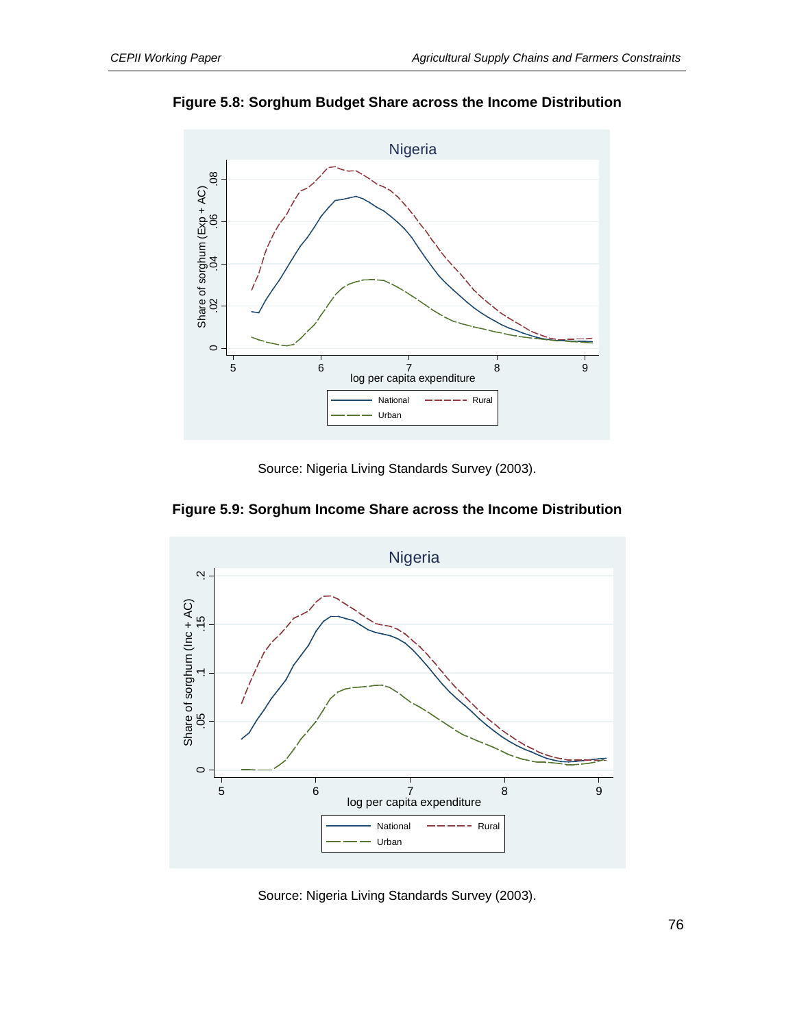

**Figure 5.8: Sorghum Budget Share across the Income Distribution**

Source: Nigeria Living Standards Survey (2003).



**Figure 5.9: Sorghum Income Share across the Income Distribution**

Source: Nigeria Living Standards Survey (2003).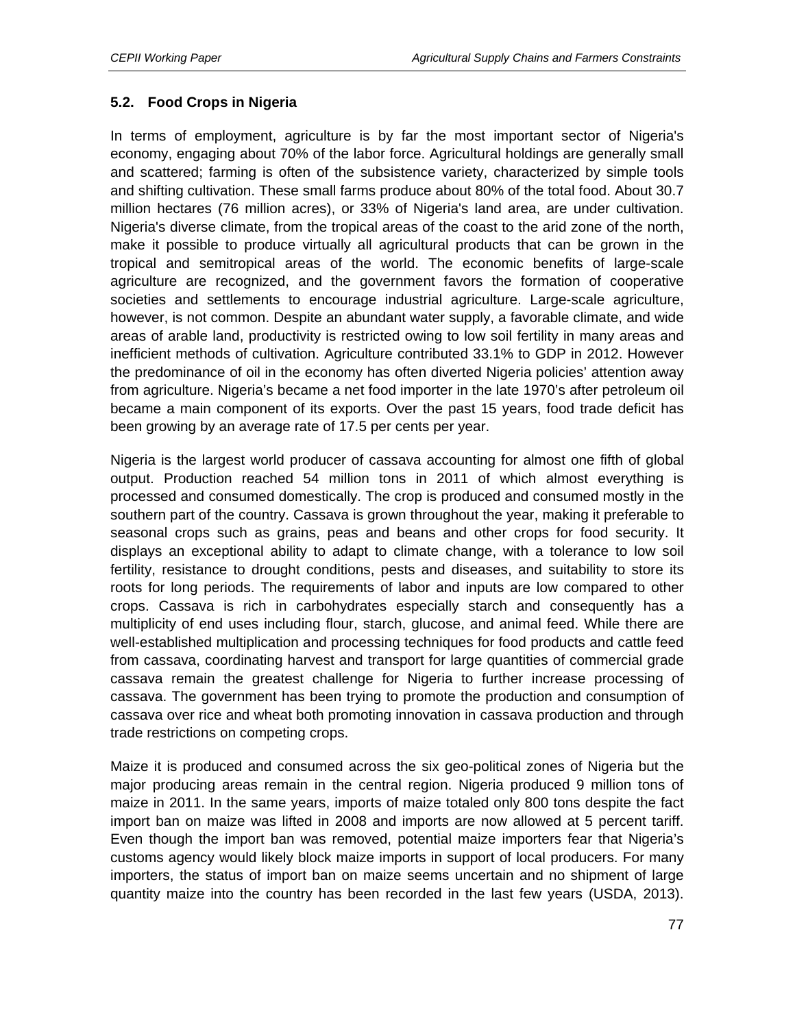# **5.2. Food Crops in Nigeria**

In terms of employment, agriculture is by far the most important sector of Nigeria's economy, engaging about 70% of the labor force. Agricultural holdings are generally small and scattered; farming is often of the subsistence variety, characterized by simple tools and shifting cultivation. These small farms produce about 80% of the total food. About 30.7 million hectares (76 million acres), or 33% of Nigeria's land area, are under cultivation. Nigeria's diverse climate, from the tropical areas of the coast to the arid zone of the north, make it possible to produce virtually all agricultural products that can be grown in the tropical and semitropical areas of the world. The economic benefits of large-scale agriculture are recognized, and the government favors the formation of cooperative societies and settlements to encourage industrial agriculture. Large-scale agriculture, however, is not common. Despite an abundant water supply, a favorable climate, and wide areas of arable land, productivity is restricted owing to low soil fertility in many areas and inefficient methods of cultivation. Agriculture contributed 33.1% to GDP in 2012. However the predominance of oil in the economy has often diverted Nigeria policies' attention away from agriculture. Nigeria's became a net food importer in the late 1970's after petroleum oil became a main component of its exports. Over the past 15 years, food trade deficit has been growing by an average rate of 17.5 per cents per year.

Nigeria is the largest world producer of cassava accounting for almost one fifth of global output. Production reached 54 million tons in 2011 of which almost everything is processed and consumed domestically. The crop is produced and consumed mostly in the southern part of the country. Cassava is grown throughout the year, making it preferable to seasonal crops such as grains, peas and beans and other crops for food security. It displays an exceptional ability to adapt to climate change, with a tolerance to low soil fertility, resistance to drought conditions, pests and diseases, and suitability to store its roots for long periods. The requirements of labor and inputs are low compared to other crops. Cassava is rich in carbohydrates especially starch and consequently has a multiplicity of end uses including flour, starch, glucose, and animal feed. While there are well-established multiplication and processing techniques for food products and cattle feed from cassava, coordinating harvest and transport for large quantities of commercial grade cassava remain the greatest challenge for Nigeria to further increase processing of cassava. The government has been trying to promote the production and consumption of cassava over rice and wheat both promoting innovation in cassava production and through trade restrictions on competing crops.

Maize it is produced and consumed across the six geo-political zones of Nigeria but the major producing areas remain in the central region. Nigeria produced 9 million tons of maize in 2011. In the same years, imports of maize totaled only 800 tons despite the fact import ban on maize was lifted in 2008 and imports are now allowed at 5 percent tariff. Even though the import ban was removed, potential maize importers fear that Nigeria's customs agency would likely block maize imports in support of local producers. For many importers, the status of import ban on maize seems uncertain and no shipment of large quantity maize into the country has been recorded in the last few years (USDA, 2013).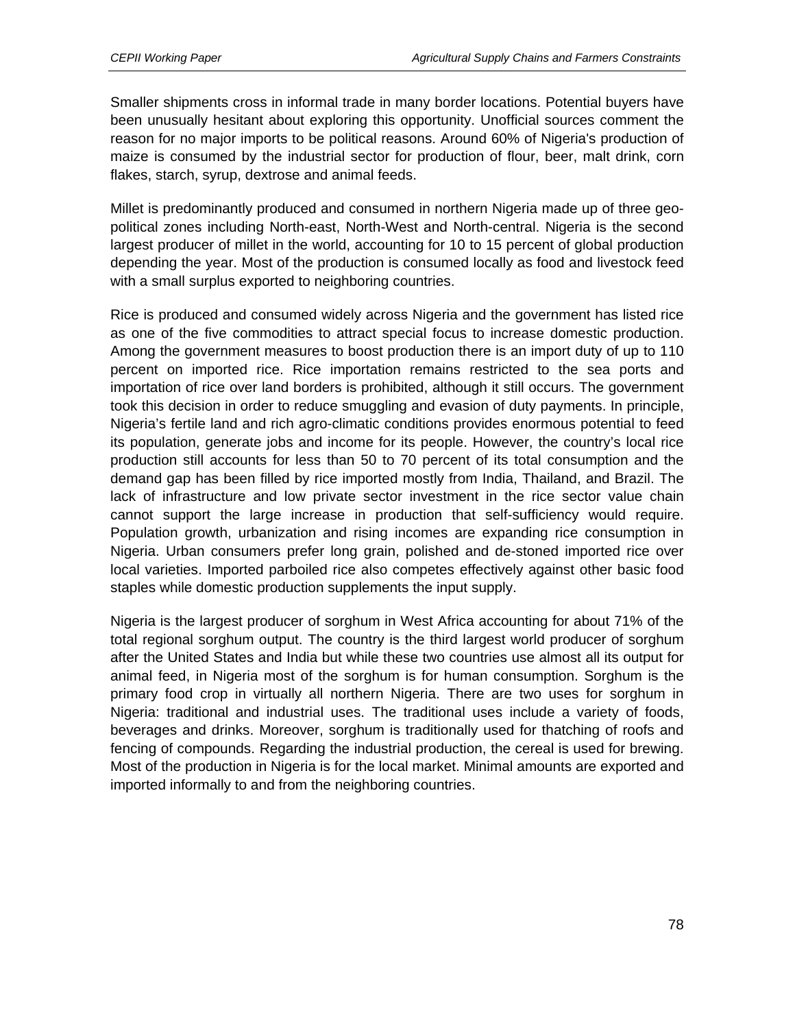Smaller shipments cross in informal trade in many border locations. Potential buyers have been unusually hesitant about exploring this opportunity. Unofficial sources comment the reason for no major imports to be political reasons. Around 60% of Nigeria's production of maize is consumed by the industrial sector for production of flour, beer, malt drink, corn flakes, starch, syrup, dextrose and animal feeds.

Millet is predominantly produced and consumed in northern Nigeria made up of three geopolitical zones including North-east, North-West and North-central. Nigeria is the second largest producer of millet in the world, accounting for 10 to 15 percent of global production depending the year. Most of the production is consumed locally as food and livestock feed with a small surplus exported to neighboring countries.

Rice is produced and consumed widely across Nigeria and the government has listed rice as one of the five commodities to attract special focus to increase domestic production. Among the government measures to boost production there is an import duty of up to 110 percent on imported rice. Rice importation remains restricted to the sea ports and importation of rice over land borders is prohibited, although it still occurs. The government took this decision in order to reduce smuggling and evasion of duty payments. In principle, Nigeria's fertile land and rich agro-climatic conditions provides enormous potential to feed its population, generate jobs and income for its people. However, the country's local rice production still accounts for less than 50 to 70 percent of its total consumption and the demand gap has been filled by rice imported mostly from India, Thailand, and Brazil. The lack of infrastructure and low private sector investment in the rice sector value chain cannot support the large increase in production that self-sufficiency would require. Population growth, urbanization and rising incomes are expanding rice consumption in Nigeria. Urban consumers prefer long grain, polished and de-stoned imported rice over local varieties. Imported parboiled rice also competes effectively against other basic food staples while domestic production supplements the input supply.

Nigeria is the largest producer of sorghum in West Africa accounting for about 71% of the total regional sorghum output. The country is the third largest world producer of sorghum after the United States and India but while these two countries use almost all its output for animal feed, in Nigeria most of the sorghum is for human consumption. Sorghum is the primary food crop in virtually all northern Nigeria. There are two uses for sorghum in Nigeria: traditional and industrial uses. The traditional uses include a variety of foods, beverages and drinks. Moreover, sorghum is traditionally used for thatching of roofs and fencing of compounds. Regarding the industrial production, the cereal is used for brewing. Most of the production in Nigeria is for the local market. Minimal amounts are exported and imported informally to and from the neighboring countries.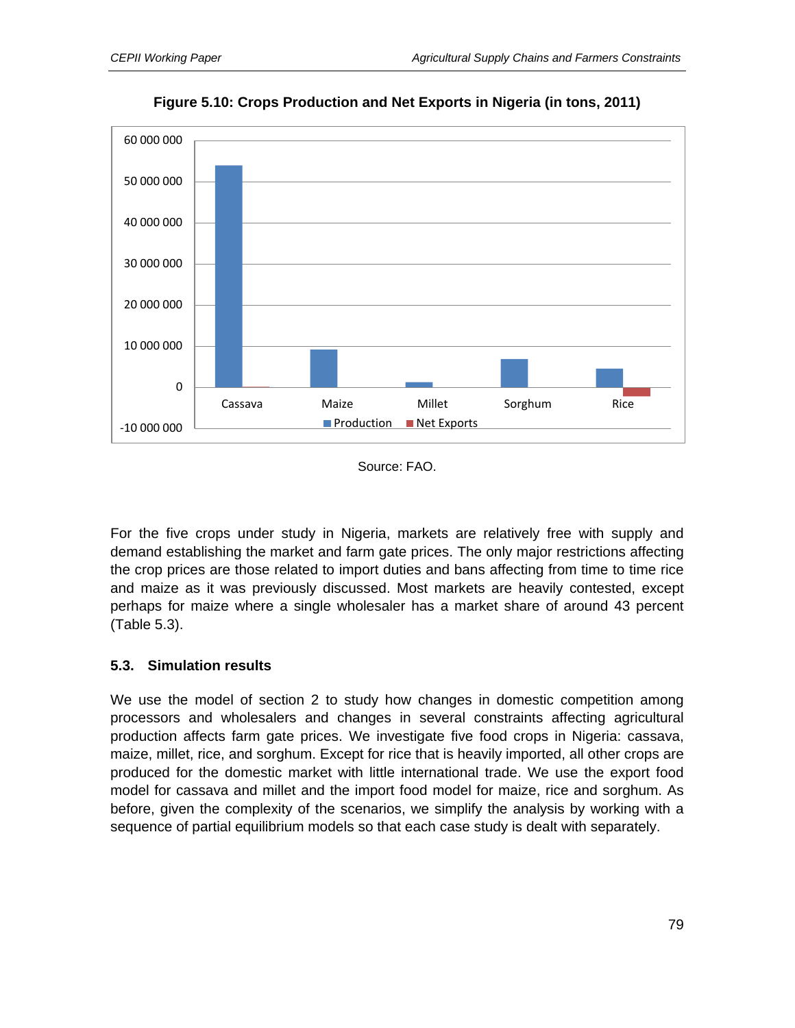

**Figure 5.10: Crops Production and Net Exports in Nigeria (in tons, 2011)**

#### Source: FAO.

For the five crops under study in Nigeria, markets are relatively free with supply and demand establishing the market and farm gate prices. The only major restrictions affecting the crop prices are those related to import duties and bans affecting from time to time rice and maize as it was previously discussed. Most markets are heavily contested, except perhaps for maize where a single wholesaler has a market share of around 43 percent (Table 5.3).

## **5.3. Simulation results**

We use the model of section 2 to study how changes in domestic competition among processors and wholesalers and changes in several constraints affecting agricultural production affects farm gate prices. We investigate five food crops in Nigeria: cassava, maize, millet, rice, and sorghum. Except for rice that is heavily imported, all other crops are produced for the domestic market with little international trade. We use the export food model for cassava and millet and the import food model for maize, rice and sorghum. As before, given the complexity of the scenarios, we simplify the analysis by working with a sequence of partial equilibrium models so that each case study is dealt with separately.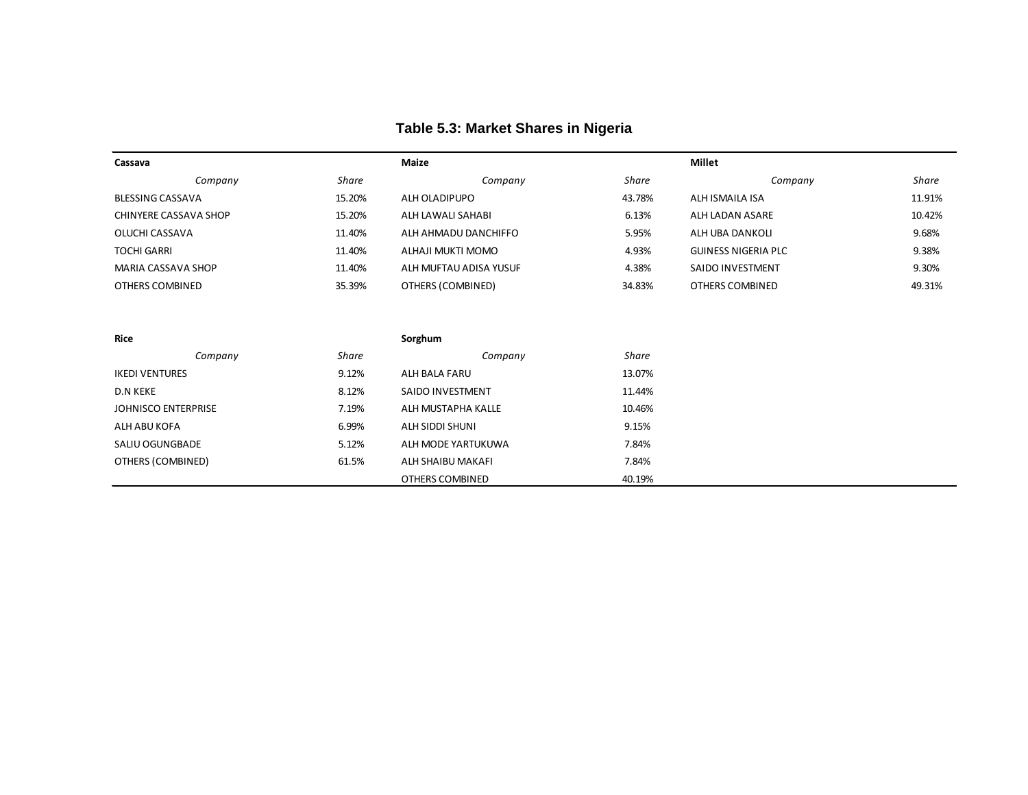# **Table 5.3: Market Shares in Nigeria**

| Cassava                    |        | Maize                  |        | <b>Millet</b>              |        |
|----------------------------|--------|------------------------|--------|----------------------------|--------|
| Company                    | Share  | Company                | Share  | Company                    | Share  |
| <b>BLESSING CASSAVA</b>    | 15.20% | ALH OLADIPUPO          | 43.78% | ALH ISMAILA ISA            | 11.91% |
| CHINYERE CASSAVA SHOP      | 15.20% | ALH LAWALI SAHABI      | 6.13%  | ALH LADAN ASARE            | 10.42% |
| OLUCHI CASSAVA             | 11.40% | ALH AHMADU DANCHIFFO   | 5.95%  | ALH UBA DANKOLI            | 9.68%  |
| <b>TOCHI GARRI</b>         | 11.40% | ALHAJI MUKTI MOMO      | 4.93%  | <b>GUINESS NIGERIA PLC</b> | 9.38%  |
| MARIA CASSAVA SHOP         | 11.40% | ALH MUFTAU ADISA YUSUF | 4.38%  | SAIDO INVESTMENT           | 9.30%  |
| OTHERS COMBINED            | 35.39% | OTHERS (COMBINED)      | 34.83% | OTHERS COMBINED            | 49.31% |
|                            |        |                        |        |                            |        |
| <b>Rice</b>                |        | Sorghum                |        |                            |        |
| Company                    | Share  | Company                | Share  |                            |        |
| <b>IKEDI VENTURES</b>      | 9.12%  | ALH BALA FARU          | 13.07% |                            |        |
| D.N KEKE                   | 8.12%  | SAIDO INVESTMENT       | 11.44% |                            |        |
| <b>JOHNISCO ENTERPRISE</b> | 7.19%  | ALH MUSTAPHA KALLE     | 10.46% |                            |        |
| ALH ABU KOFA               | 6.99%  | ALH SIDDI SHUNI        | 9.15%  |                            |        |
| <b>SALIU OGUNGBADE</b>     | 5.12%  | ALH MODE YARTUKUWA     | 7.84%  |                            |        |
| OTHERS (COMBINED)          | 61.5%  | ALH SHAIBU MAKAFI      | 7.84%  |                            |        |
|                            |        | OTHERS COMBINED        | 40.19% |                            |        |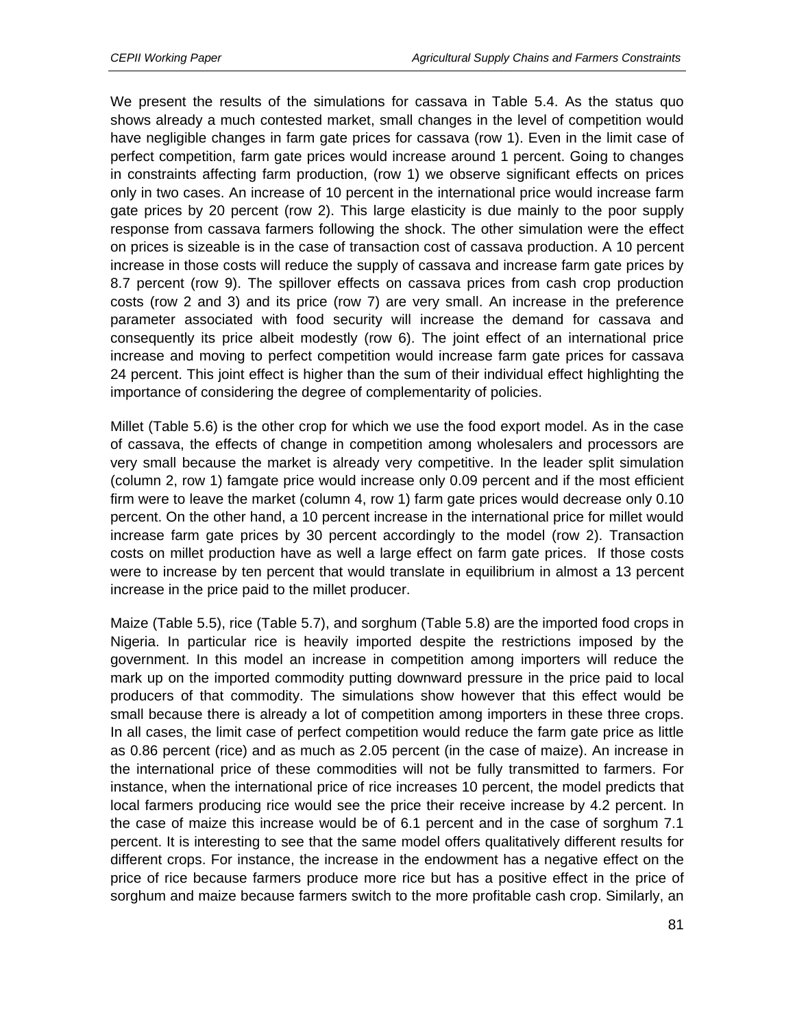We present the results of the simulations for cassava in Table 5.4. As the status quo shows already a much contested market, small changes in the level of competition would have negligible changes in farm gate prices for cassava (row 1). Even in the limit case of perfect competition, farm gate prices would increase around 1 percent. Going to changes in constraints affecting farm production, (row 1) we observe significant effects on prices only in two cases. An increase of 10 percent in the international price would increase farm gate prices by 20 percent (row 2). This large elasticity is due mainly to the poor supply response from cassava farmers following the shock. The other simulation were the effect on prices is sizeable is in the case of transaction cost of cassava production. A 10 percent increase in those costs will reduce the supply of cassava and increase farm gate prices by 8.7 percent (row 9). The spillover effects on cassava prices from cash crop production costs (row 2 and 3) and its price (row 7) are very small. An increase in the preference parameter associated with food security will increase the demand for cassava and consequently its price albeit modestly (row 6). The joint effect of an international price increase and moving to perfect competition would increase farm gate prices for cassava 24 percent. This joint effect is higher than the sum of their individual effect highlighting the importance of considering the degree of complementarity of policies.

Millet (Table 5.6) is the other crop for which we use the food export model. As in the case of cassava, the effects of change in competition among wholesalers and processors are very small because the market is already very competitive. In the leader split simulation (column 2, row 1) famgate price would increase only 0.09 percent and if the most efficient firm were to leave the market (column 4, row 1) farm gate prices would decrease only 0.10 percent. On the other hand, a 10 percent increase in the international price for millet would increase farm gate prices by 30 percent accordingly to the model (row 2). Transaction costs on millet production have as well a large effect on farm gate prices. If those costs were to increase by ten percent that would translate in equilibrium in almost a 13 percent increase in the price paid to the millet producer.

Maize (Table 5.5), rice (Table 5.7), and sorghum (Table 5.8) are the imported food crops in Nigeria. In particular rice is heavily imported despite the restrictions imposed by the government. In this model an increase in competition among importers will reduce the mark up on the imported commodity putting downward pressure in the price paid to local producers of that commodity. The simulations show however that this effect would be small because there is already a lot of competition among importers in these three crops. In all cases, the limit case of perfect competition would reduce the farm gate price as little as 0.86 percent (rice) and as much as 2.05 percent (in the case of maize). An increase in the international price of these commodities will not be fully transmitted to farmers. For instance, when the international price of rice increases 10 percent, the model predicts that local farmers producing rice would see the price their receive increase by 4.2 percent. In the case of maize this increase would be of 6.1 percent and in the case of sorghum 7.1 percent. It is interesting to see that the same model offers qualitatively different results for different crops. For instance, the increase in the endowment has a negative effect on the price of rice because farmers produce more rice but has a positive effect in the price of sorghum and maize because farmers switch to the more profitable cash crop. Similarly, an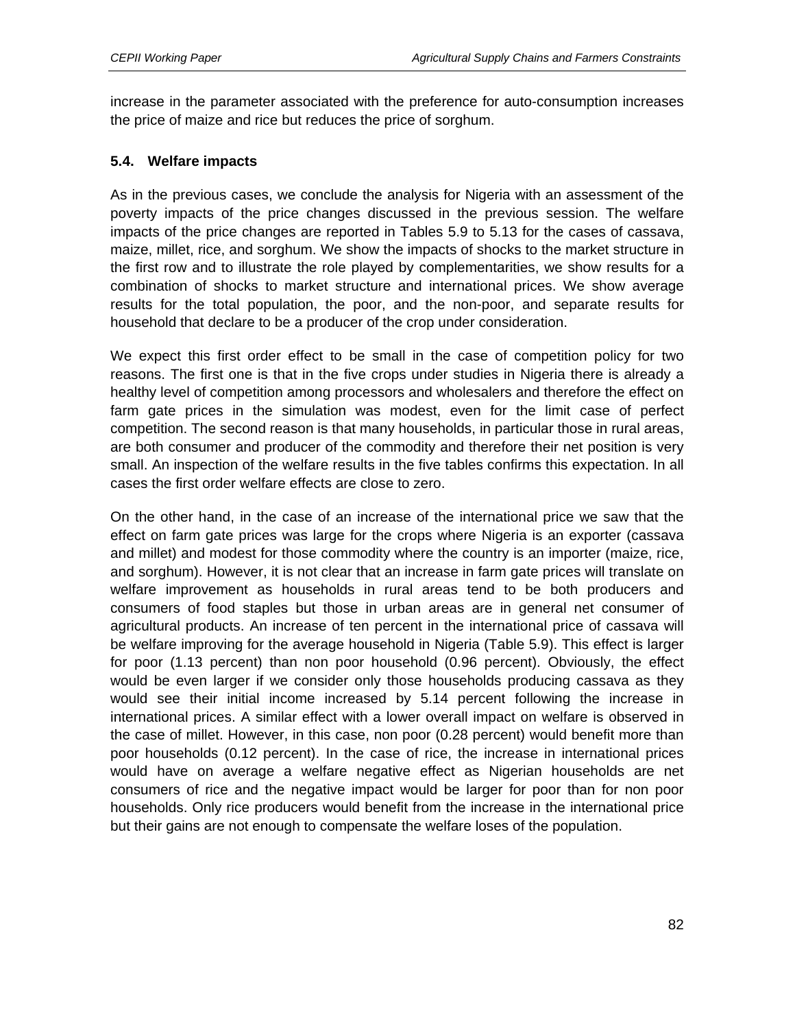increase in the parameter associated with the preference for auto-consumption increases the price of maize and rice but reduces the price of sorghum.

## **5.4. Welfare impacts**

As in the previous cases, we conclude the analysis for Nigeria with an assessment of the poverty impacts of the price changes discussed in the previous session. The welfare impacts of the price changes are reported in Tables 5.9 to 5.13 for the cases of cassava, maize, millet, rice, and sorghum. We show the impacts of shocks to the market structure in the first row and to illustrate the role played by complementarities, we show results for a combination of shocks to market structure and international prices. We show average results for the total population, the poor, and the non-poor, and separate results for household that declare to be a producer of the crop under consideration.

We expect this first order effect to be small in the case of competition policy for two reasons. The first one is that in the five crops under studies in Nigeria there is already a healthy level of competition among processors and wholesalers and therefore the effect on farm gate prices in the simulation was modest, even for the limit case of perfect competition. The second reason is that many households, in particular those in rural areas, are both consumer and producer of the commodity and therefore their net position is very small. An inspection of the welfare results in the five tables confirms this expectation. In all cases the first order welfare effects are close to zero.

On the other hand, in the case of an increase of the international price we saw that the effect on farm gate prices was large for the crops where Nigeria is an exporter (cassava and millet) and modest for those commodity where the country is an importer (maize, rice, and sorghum). However, it is not clear that an increase in farm gate prices will translate on welfare improvement as households in rural areas tend to be both producers and consumers of food staples but those in urban areas are in general net consumer of agricultural products. An increase of ten percent in the international price of cassava will be welfare improving for the average household in Nigeria (Table 5.9). This effect is larger for poor (1.13 percent) than non poor household (0.96 percent). Obviously, the effect would be even larger if we consider only those households producing cassava as they would see their initial income increased by 5.14 percent following the increase in international prices. A similar effect with a lower overall impact on welfare is observed in the case of millet. However, in this case, non poor (0.28 percent) would benefit more than poor households (0.12 percent). In the case of rice, the increase in international prices would have on average a welfare negative effect as Nigerian households are net consumers of rice and the negative impact would be larger for poor than for non poor households. Only rice producers would benefit from the increase in the international price but their gains are not enough to compensate the welfare loses of the population.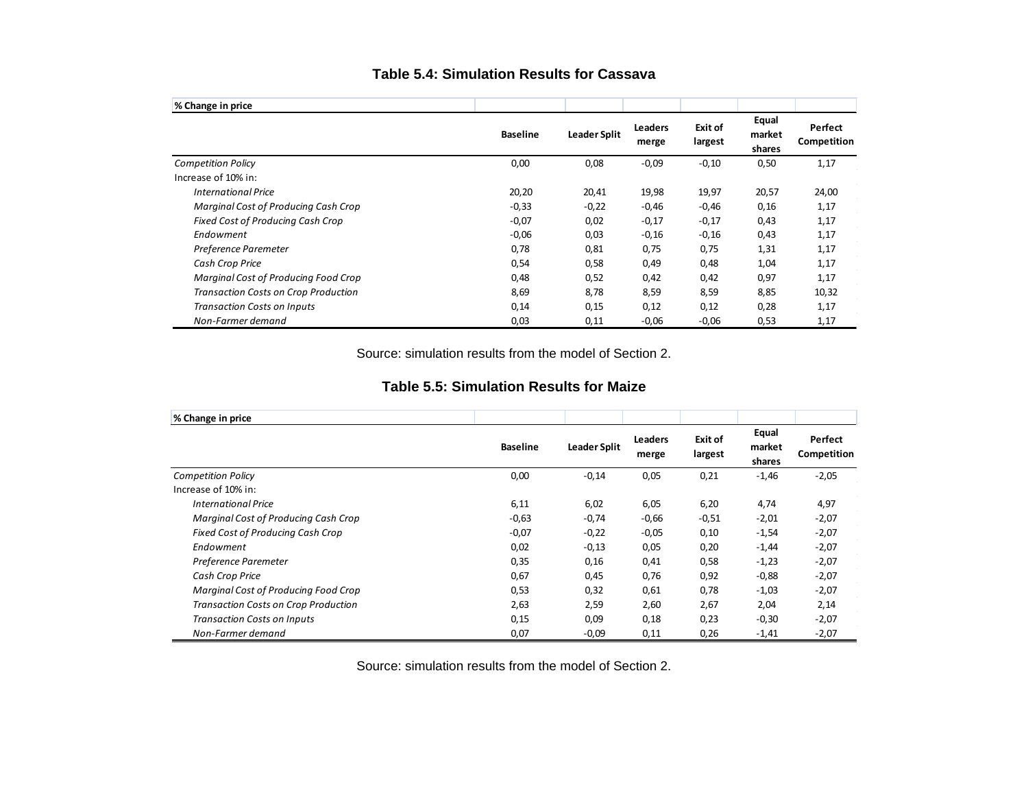| % Change in price                           |                 |                     |                         |                    |                           |                        |
|---------------------------------------------|-----------------|---------------------|-------------------------|--------------------|---------------------------|------------------------|
|                                             | <b>Baseline</b> | <b>Leader Split</b> | <b>Leaders</b><br>merge | Exit of<br>largest | Equal<br>market<br>shares | Perfect<br>Competition |
| <b>Competition Policy</b>                   | 0,00            | 0,08                | $-0,09$                 | $-0,10$            | 0,50                      | 1,17                   |
| Increase of 10% in:                         |                 |                     |                         |                    |                           |                        |
| <b>International Price</b>                  | 20,20           | 20,41               | 19,98                   | 19,97              | 20,57                     | 24,00                  |
| Marginal Cost of Producing Cash Crop        | $-0,33$         | $-0,22$             | $-0,46$                 | $-0,46$            | 0,16                      | 1,17                   |
| <b>Fixed Cost of Producing Cash Crop</b>    | $-0,07$         | 0,02                | $-0,17$                 | $-0,17$            | 0,43                      | 1,17                   |
| Endowment                                   | $-0.06$         | 0,03                | $-0,16$                 | $-0,16$            | 0,43                      | 1,17                   |
| Preference Paremeter                        | 0,78            | 0,81                | 0,75                    | 0,75               | 1,31                      | 1,17                   |
| Cash Crop Price                             | 0,54            | 0,58                | 0,49                    | 0,48               | 1,04                      | 1,17                   |
| <b>Marginal Cost of Producing Food Crop</b> | 0,48            | 0,52                | 0,42                    | 0,42               | 0,97                      | 1,17                   |
| <b>Transaction Costs on Crop Production</b> | 8,69            | 8,78                | 8,59                    | 8,59               | 8,85                      | 10,32                  |
| <b>Transaction Costs on Inputs</b>          | 0,14            | 0,15                | 0,12                    | 0,12               | 0,28                      | 1,17                   |
| Non-Farmer demand                           | 0,03            | 0,11                | $-0,06$                 | $-0,06$            | 0,53                      | 1,17                   |

## **Table 5.4: Simulation Results for Cassava**

Source: simulation results from the model of Section 2.

|  | <b>Table 5.5: Simulation Results for Maize</b> |  |  |
|--|------------------------------------------------|--|--|
|--|------------------------------------------------|--|--|

| % Change in price                           |                 |                     |                         |                    |                           |                        |
|---------------------------------------------|-----------------|---------------------|-------------------------|--------------------|---------------------------|------------------------|
|                                             | <b>Baseline</b> | <b>Leader Split</b> | <b>Leaders</b><br>merge | Exit of<br>largest | Equal<br>market<br>shares | Perfect<br>Competition |
| <b>Competition Policy</b>                   | 0,00            | $-0,14$             | 0,05                    | 0,21               | $-1,46$                   | $-2,05$                |
| Increase of 10% in:                         |                 |                     |                         |                    |                           |                        |
| International Price                         | 6,11            | 6,02                | 6,05                    | 6,20               | 4,74                      | 4,97                   |
| <b>Marginal Cost of Producing Cash Crop</b> | $-0,63$         | $-0,74$             | $-0,66$                 | $-0,51$            | $-2,01$                   | $-2,07$                |
| <b>Fixed Cost of Producing Cash Crop</b>    | $-0.07$         | $-0,22$             | $-0,05$                 | 0,10               | $-1,54$                   | $-2,07$                |
| Endowment                                   | 0,02            | $-0,13$             | 0,05                    | 0,20               | $-1,44$                   | $-2,07$                |
| Preference Paremeter                        | 0,35            | 0,16                | 0,41                    | 0,58               | $-1,23$                   | $-2,07$                |
| Cash Crop Price                             | 0,67            | 0,45                | 0,76                    | 0,92               | $-0.88$                   | $-2,07$                |
| <b>Marginal Cost of Producing Food Crop</b> | 0,53            | 0,32                | 0,61                    | 0,78               | $-1,03$                   | $-2,07$                |
| <b>Transaction Costs on Crop Production</b> | 2,63            | 2,59                | 2,60                    | 2,67               | 2,04                      | 2,14                   |
| <b>Transaction Costs on Inputs</b>          | 0,15            | 0,09                | 0,18                    | 0,23               | $-0,30$                   | $-2,07$                |
| Non-Farmer demand                           | 0,07            | $-0,09$             | 0,11                    | 0,26               | $-1,41$                   | $-2,07$                |

Source: simulation results from the model of Section 2.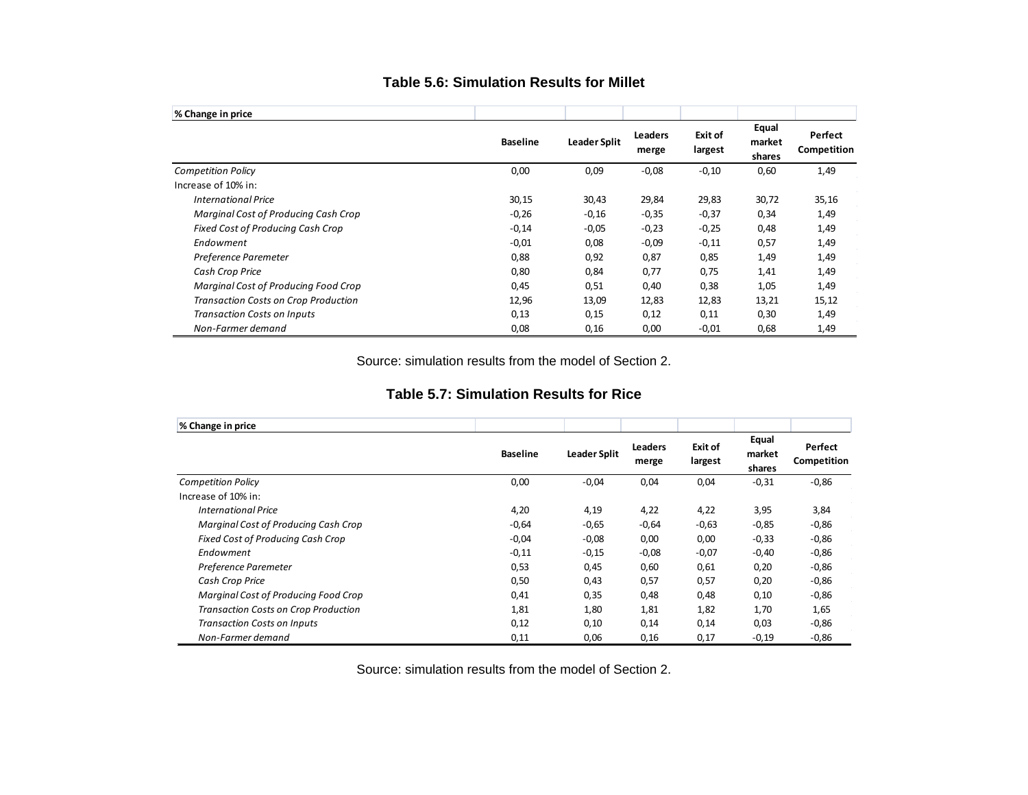| % Change in price                           |                 |                     |                         |                    |                           |                        |
|---------------------------------------------|-----------------|---------------------|-------------------------|--------------------|---------------------------|------------------------|
|                                             | <b>Baseline</b> | <b>Leader Split</b> | <b>Leaders</b><br>merge | Exit of<br>largest | Equal<br>market<br>shares | Perfect<br>Competition |
| <b>Competition Policy</b>                   | 0,00            | 0,09                | $-0.08$                 | $-0,10$            | 0,60                      | 1,49                   |
| Increase of 10% in:                         |                 |                     |                         |                    |                           |                        |
| International Price                         | 30,15           | 30,43               | 29,84                   | 29,83              | 30,72                     | 35,16                  |
| <b>Marginal Cost of Producing Cash Crop</b> | $-0,26$         | $-0,16$             | $-0,35$                 | $-0,37$            | 0,34                      | 1,49                   |
| <b>Fixed Cost of Producing Cash Crop</b>    | $-0,14$         | $-0,05$             | $-0,23$                 | $-0,25$            | 0,48                      | 1,49                   |
| Endowment                                   | $-0.01$         | 0,08                | $-0.09$                 | $-0.11$            | 0,57                      | 1,49                   |
| Preference Paremeter                        | 0,88            | 0,92                | 0,87                    | 0,85               | 1,49                      | 1,49                   |
| Cash Crop Price                             | 0,80            | 0,84                | 0,77                    | 0,75               | 1,41                      | 1,49                   |
| Marginal Cost of Producing Food Crop        | 0,45            | 0,51                | 0,40                    | 0,38               | 1,05                      | 1,49                   |
| <b>Transaction Costs on Crop Production</b> | 12,96           | 13,09               | 12,83                   | 12,83              | 13,21                     | 15,12                  |
| <b>Transaction Costs on Inputs</b>          | 0,13            | 0,15                | 0,12                    | 0,11               | 0,30                      | 1,49                   |
| Non-Farmer demand                           | 0,08            | 0,16                | 0,00                    | $-0,01$            | 0,68                      | 1,49                   |

# **Table 5.6: Simulation Results for Millet**

Source: simulation results from the model of Section 2.

| Table 5.7: Simulation Results for Rice |  |
|----------------------------------------|--|
|                                        |  |

| % Change in price                           |                 |                     |                  |                           |                           |                        |
|---------------------------------------------|-----------------|---------------------|------------------|---------------------------|---------------------------|------------------------|
|                                             | <b>Baseline</b> | <b>Leader Split</b> | Leaders<br>merge | <b>Exit of</b><br>largest | Equal<br>market<br>shares | Perfect<br>Competition |
| <b>Competition Policy</b>                   | 0,00            | $-0.04$             | 0,04             | 0,04                      | $-0.31$                   | $-0,86$                |
| Increase of 10% in:                         |                 |                     |                  |                           |                           |                        |
| <b>International Price</b>                  | 4,20            | 4,19                | 4,22             | 4,22                      | 3,95                      | 3,84                   |
| <b>Marginal Cost of Producing Cash Crop</b> | $-0,64$         | $-0,65$             | $-0,64$          | $-0,63$                   | $-0,85$                   | $-0,86$                |
| <b>Fixed Cost of Producing Cash Crop</b>    | $-0.04$         | $-0.08$             | 0,00             | 0,00                      | $-0,33$                   | $-0,86$                |
| Endowment                                   | $-0,11$         | $-0,15$             | $-0,08$          | $-0.07$                   | $-0,40$                   | $-0,86$                |
| Preference Paremeter                        | 0,53            | 0,45                | 0,60             | 0,61                      | 0,20                      | $-0,86$                |
| Cash Crop Price                             | 0,50            | 0,43                | 0,57             | 0,57                      | 0,20                      | $-0,86$                |
| <b>Marginal Cost of Producing Food Crop</b> | 0,41            | 0,35                | 0,48             | 0,48                      | 0,10                      | $-0,86$                |
| <b>Transaction Costs on Crop Production</b> | 1,81            | 1,80                | 1,81             | 1,82                      | 1,70                      | 1,65                   |
| <b>Transaction Costs on Inputs</b>          | 0,12            | 0,10                | 0,14             | 0,14                      | 0,03                      | $-0,86$                |
| Non-Farmer demand                           | 0,11            | 0,06                | 0,16             | 0,17                      | $-0,19$                   | $-0,86$                |

Source: simulation results from the model of Section 2.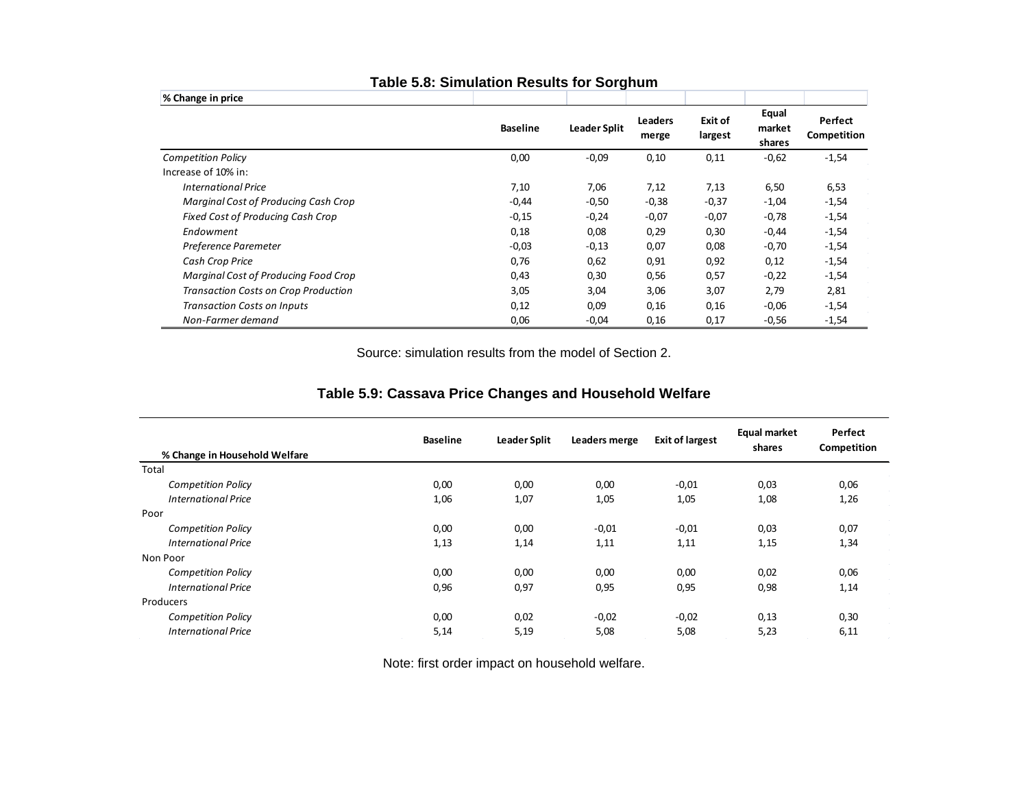| % Change in price                           |                 |                     |                         |                    |                           |                        |
|---------------------------------------------|-----------------|---------------------|-------------------------|--------------------|---------------------------|------------------------|
|                                             | <b>Baseline</b> | <b>Leader Split</b> | <b>Leaders</b><br>merge | Exit of<br>largest | Equal<br>market<br>shares | Perfect<br>Competition |
| <b>Competition Policy</b>                   | 0,00            | $-0.09$             | 0,10                    | 0,11               | $-0,62$                   | $-1,54$                |
| Increase of 10% in:                         |                 |                     |                         |                    |                           |                        |
| <b>International Price</b>                  | 7,10            | 7,06                | 7,12                    | 7,13               | 6,50                      | 6,53                   |
| <b>Marginal Cost of Producing Cash Crop</b> | $-0.44$         | $-0,50$             | $-0,38$                 | $-0,37$            | $-1,04$                   | $-1,54$                |
| <b>Fixed Cost of Producing Cash Crop</b>    | $-0,15$         | $-0,24$             | $-0,07$                 | $-0.07$            | $-0,78$                   | $-1,54$                |
| Endowment                                   | 0,18            | 0,08                | 0,29                    | 0,30               | $-0,44$                   | $-1,54$                |
| Preference Paremeter                        | $-0,03$         | $-0,13$             | 0,07                    | 0,08               | $-0,70$                   | $-1,54$                |
| Cash Crop Price                             | 0,76            | 0,62                | 0,91                    | 0,92               | 0,12                      | $-1,54$                |
| <b>Marginal Cost of Producing Food Crop</b> | 0,43            | 0,30                | 0,56                    | 0,57               | $-0,22$                   | $-1,54$                |
| <b>Transaction Costs on Crop Production</b> | 3,05            | 3,04                | 3,06                    | 3,07               | 2,79                      | 2,81                   |
| <b>Transaction Costs on Inputs</b>          | 0,12            | 0,09                | 0,16                    | 0,16               | $-0,06$                   | $-1,54$                |
| Non-Farmer demand                           | 0,06            | $-0,04$             | 0,16                    | 0,17               | $-0,56$                   | $-1,54$                |

#### **Table 5.8: Simulation Results for Sorghum**

Source: simulation results from the model of Section 2.

| % Change in Household Welfare | <b>Baseline</b> | <b>Leader Split</b> | Leaders merge | <b>Exit of largest</b> | <b>Equal market</b><br>shares | Perfect<br>Competition |
|-------------------------------|-----------------|---------------------|---------------|------------------------|-------------------------------|------------------------|
| Total                         |                 |                     |               |                        |                               |                        |
| <b>Competition Policy</b>     | 0,00            | 0,00                | 0,00          | $-0.01$                | 0,03                          | 0,06                   |
| International Price           | 1,06            | 1,07                | 1,05          | 1,05                   | 1,08                          | 1,26                   |
| Poor                          |                 |                     |               |                        |                               |                        |
| <b>Competition Policy</b>     | 0,00            | 0,00                | $-0.01$       | $-0.01$                | 0,03                          | 0,07                   |
| <b>International Price</b>    | 1,13            | 1,14                | 1,11          | 1,11                   | 1,15                          | 1,34                   |
| Non Poor                      |                 |                     |               |                        |                               |                        |
| <b>Competition Policy</b>     | 0,00            | 0,00                | 0,00          | 0,00                   | 0,02                          | 0,06                   |
| International Price           | 0,96            | 0,97                | 0,95          | 0,95                   | 0,98                          | 1,14                   |
| Producers                     |                 |                     |               |                        |                               |                        |
| <b>Competition Policy</b>     | 0,00            | 0,02                | $-0.02$       | $-0.02$                | 0,13                          | 0,30                   |
| International Price           | 5,14            | 5,19                | 5,08          | 5,08                   | 5,23                          | 6,11                   |

# **Table 5.9: Cassava Price Changes and Household Welfare**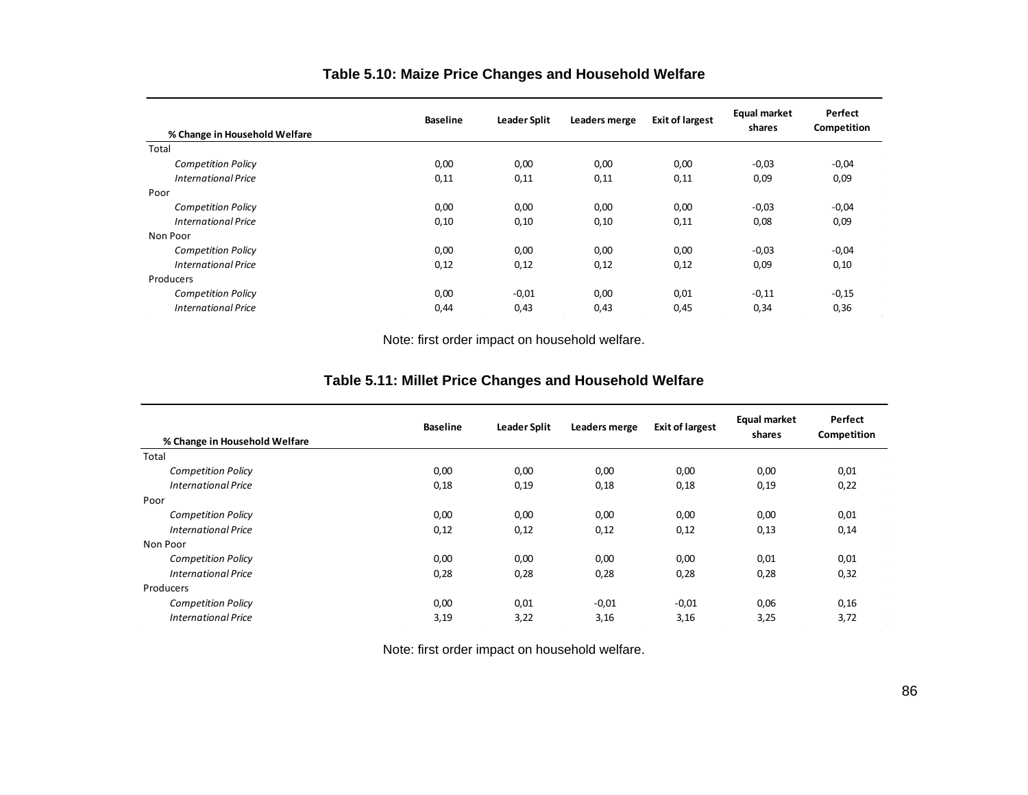| % Change in Household Welfare | <b>Baseline</b> | <b>Leader Split</b> | Leaders merge | <b>Exit of largest</b> | Equal market<br>shares | Perfect<br>Competition |
|-------------------------------|-----------------|---------------------|---------------|------------------------|------------------------|------------------------|
| Total                         |                 |                     |               |                        |                        |                        |
| <b>Competition Policy</b>     | 0,00            | 0,00                | 0,00          | 0,00                   | $-0.03$                | $-0.04$                |
| International Price           | 0,11            | 0,11                | 0,11          | 0,11                   | 0,09                   | 0,09                   |
| Poor                          |                 |                     |               |                        |                        |                        |
| <b>Competition Policy</b>     | 0,00            | 0,00                | 0,00          | 0,00                   | $-0.03$                | $-0.04$                |
| International Price           | 0,10            | 0,10                | 0,10          | 0,11                   | 0,08                   | 0,09                   |
| Non Poor                      |                 |                     |               |                        |                        |                        |
| <b>Competition Policy</b>     | 0,00            | 0,00                | 0,00          | 0,00                   | $-0.03$                | $-0.04$                |
| International Price           | 0,12            | 0,12                | 0,12          | 0,12                   | 0,09                   | 0,10                   |
| Producers                     |                 |                     |               |                        |                        |                        |
| <b>Competition Policy</b>     | 0,00            | $-0.01$             | 0,00          | 0,01                   | $-0.11$                | $-0,15$                |
| <b>International Price</b>    | 0,44            | 0,43                | 0,43          | 0,45                   | 0,34                   | 0,36                   |

# **Table 5.10: Maize Price Changes and Household Welfare**

Note: first order impact on household welfare.

# **Table 5.11: Millet Price Changes and Household Welfare**

| % Change in Household Welfare | <b>Baseline</b> | <b>Leader Split</b> | Leaders merge | <b>Exit of largest</b> | Equal market<br>shares | Perfect<br>Competition |
|-------------------------------|-----------------|---------------------|---------------|------------------------|------------------------|------------------------|
| Total                         |                 |                     |               |                        |                        |                        |
| <b>Competition Policy</b>     | 0,00            | 0,00                | 0,00          | 0,00                   | 0,00                   | 0,01                   |
| <b>International Price</b>    | 0,18            | 0,19                | 0,18          | 0,18                   | 0,19                   | 0,22                   |
| Poor                          |                 |                     |               |                        |                        |                        |
| <b>Competition Policy</b>     | 0,00            | 0,00                | 0,00          | 0,00                   | 0,00                   | 0,01                   |
| <b>International Price</b>    | 0,12            | 0,12                | 0,12          | 0,12                   | 0,13                   | 0,14                   |
| Non Poor                      |                 |                     |               |                        |                        |                        |
| <b>Competition Policy</b>     | 0,00            | 0,00                | 0,00          | 0,00                   | 0,01                   | 0,01                   |
| <b>International Price</b>    | 0,28            | 0,28                | 0,28          | 0,28                   | 0,28                   | 0,32                   |
| Producers                     |                 |                     |               |                        |                        |                        |
| <b>Competition Policy</b>     | 0,00            | 0,01                | $-0.01$       | $-0.01$                | 0,06                   | 0,16                   |
| <b>International Price</b>    | 3,19            | 3,22                | 3,16          | 3,16                   | 3,25                   | 3,72                   |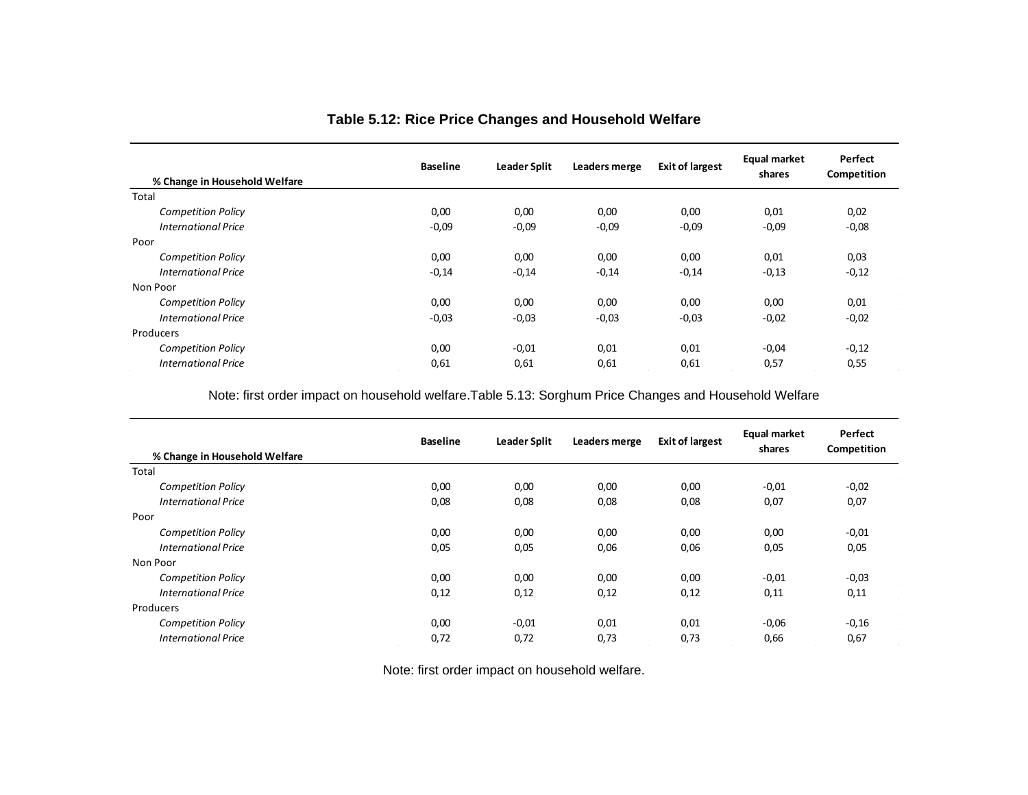| % Change in Household Welfare | <b>Baseline</b> | <b>Leader Split</b> | Leaders merge | <b>Exit of largest</b> | Equal market<br>shares | Perfect<br>Competition |
|-------------------------------|-----------------|---------------------|---------------|------------------------|------------------------|------------------------|
| Total                         |                 |                     |               |                        |                        |                        |
| <b>Competition Policy</b>     | 0,00            | 0,00                | 0,00          | 0,00                   | 0,01                   | 0,02                   |
| <b>International Price</b>    | $-0,09$         | $-0,09$             | $-0,09$       | $-0,09$                | $-0,09$                | $-0,08$                |
| Poor                          |                 |                     |               |                        |                        |                        |
| <b>Competition Policy</b>     | 0,00            | 0,00                | 0,00          | 0,00                   | 0,01                   | 0,03                   |
| International Price           | $-0,14$         | $-0,14$             | $-0,14$       | $-0,14$                | $-0,13$                | $-0,12$                |
| Non Poor                      |                 |                     |               |                        |                        |                        |
| <b>Competition Policy</b>     | 0,00            | 0,00                | 0,00          | 0,00                   | 0,00                   | 0,01                   |
| International Price           | $-0.03$         | $-0.03$             | $-0.03$       | $-0.03$                | $-0.02$                | $-0,02$                |
| Producers                     |                 |                     |               |                        |                        |                        |
| <b>Competition Policy</b>     | 0,00            | $-0.01$             | 0,01          | 0,01                   | $-0.04$                | $-0,12$                |
| <b>International Price</b>    | 0,61            | 0,61                | 0,61          | 0,61                   | 0,57                   | 0,55                   |

# **Table 5.12: Rice Price Changes and Household Welfare**

Note: first order impact on household welfare.Table 5.13: Sorghum Price Changes and Household Welfare

| % Change in Household Welfare | <b>Baseline</b> | <b>Leader Split</b> | Leaders merge | <b>Exit of largest</b> | Equal market<br>shares | Perfect<br>Competition |
|-------------------------------|-----------------|---------------------|---------------|------------------------|------------------------|------------------------|
| Total                         |                 |                     |               |                        |                        |                        |
| <b>Competition Policy</b>     | 0,00            | 0,00                | 0,00          | 0,00                   | $-0.01$                | $-0,02$                |
| International Price           | 0,08            | 0,08                | 0,08          | 0,08                   | 0,07                   | 0,07                   |
| Poor                          |                 |                     |               |                        |                        |                        |
| <b>Competition Policy</b>     | 0,00            | 0,00                | 0,00          | 0,00                   | 0,00                   | $-0,01$                |
| International Price           | 0,05            | 0,05                | 0,06          | 0,06                   | 0,05                   | 0,05                   |
| Non Poor                      |                 |                     |               |                        |                        |                        |
| <b>Competition Policy</b>     | 0,00            | 0,00                | 0,00          | 0,00                   | $-0.01$                | $-0,03$                |
| International Price           | 0,12            | 0,12                | 0,12          | 0,12                   | 0,11                   | 0,11                   |
| Producers                     |                 |                     |               |                        |                        |                        |
| <b>Competition Policy</b>     | 0,00            | $-0.01$             | 0,01          | 0,01                   | $-0,06$                | $-0,16$                |
| International Price           | 0,72            | 0,72                | 0,73          | 0,73                   | 0,66                   | 0,67                   |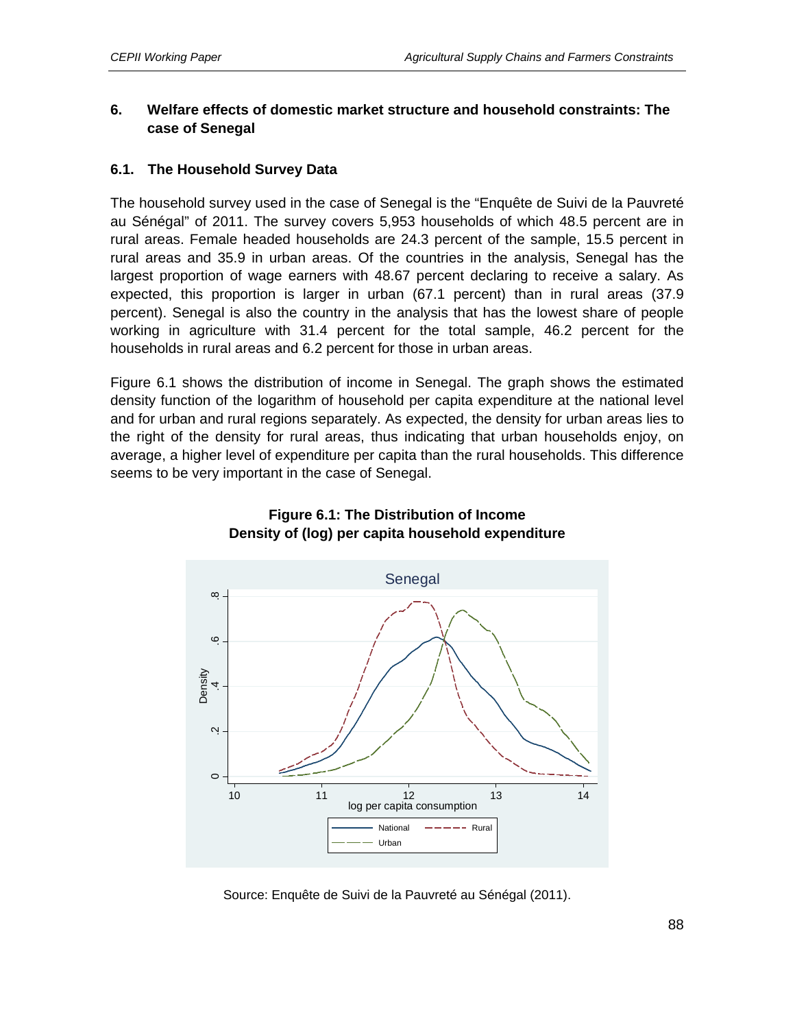# **6. Welfare effects of domestic market structure and household constraints: The case of Senegal**

## **6.1. The Household Survey Data**

The household survey used in the case of Senegal is the "Enquête de Suivi de la Pauvreté au Sénégal" of 2011. The survey covers 5,953 households of which 48.5 percent are in rural areas. Female headed households are 24.3 percent of the sample, 15.5 percent in rural areas and 35.9 in urban areas. Of the countries in the analysis, Senegal has the largest proportion of wage earners with 48.67 percent declaring to receive a salary. As expected, this proportion is larger in urban (67.1 percent) than in rural areas (37.9 percent). Senegal is also the country in the analysis that has the lowest share of people working in agriculture with 31.4 percent for the total sample, 46.2 percent for the households in rural areas and 6.2 percent for those in urban areas.

Figure 6.1 shows the distribution of income in Senegal. The graph shows the estimated density function of the logarithm of household per capita expenditure at the national level and for urban and rural regions separately. As expected, the density for urban areas lies to the right of the density for rural areas, thus indicating that urban households enjoy, on average, a higher level of expenditure per capita than the rural households. This difference seems to be very important in the case of Senegal.



# **Figure 6.1: The Distribution of Income Density of (log) per capita household expenditure**

Source: Enquête de Suivi de la Pauvreté au Sénégal (2011).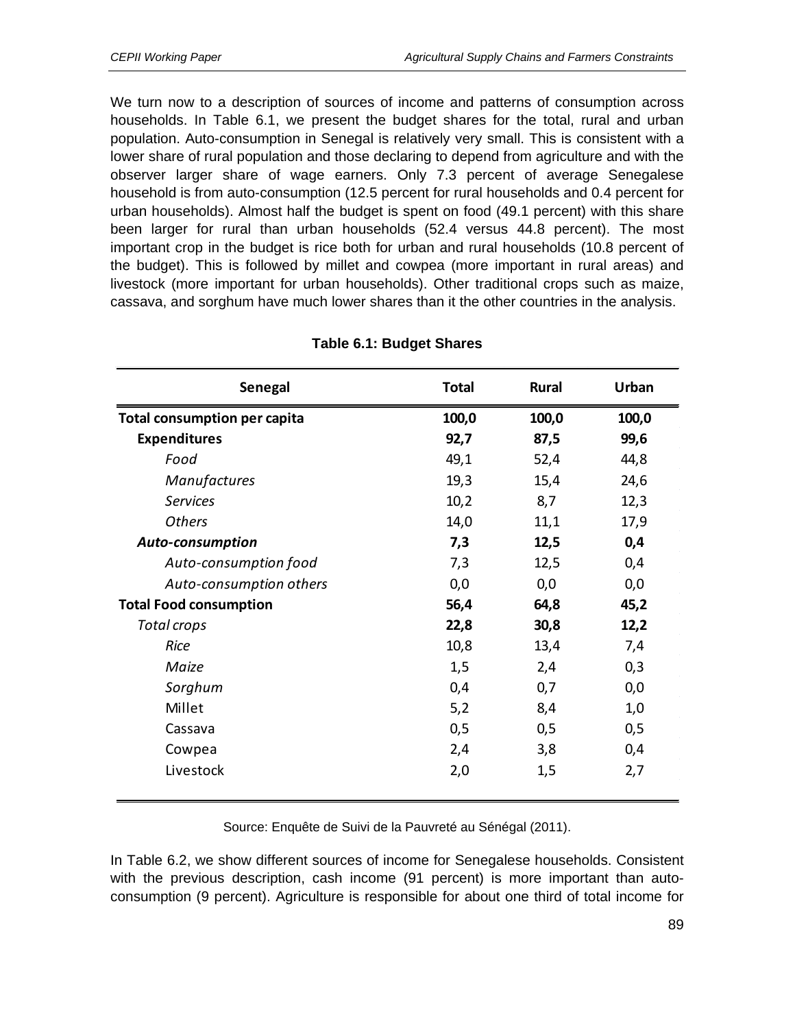We turn now to a description of sources of income and patterns of consumption across households. In Table 6.1, we present the budget shares for the total, rural and urban population. Auto-consumption in Senegal is relatively very small. This is consistent with a lower share of rural population and those declaring to depend from agriculture and with the observer larger share of wage earners. Only 7.3 percent of average Senegalese household is from auto-consumption (12.5 percent for rural households and 0.4 percent for urban households). Almost half the budget is spent on food (49.1 percent) with this share been larger for rural than urban households (52.4 versus 44.8 percent). The most important crop in the budget is rice both for urban and rural households (10.8 percent of the budget). This is followed by millet and cowpea (more important in rural areas) and livestock (more important for urban households). Other traditional crops such as maize, cassava, and sorghum have much lower shares than it the other countries in the analysis.

| <b>Senegal</b>                      | <b>Total</b> | <b>Rural</b> | Urban |
|-------------------------------------|--------------|--------------|-------|
| <b>Total consumption per capita</b> | 100,0        | 100,0        | 100,0 |
| <b>Expenditures</b>                 | 92,7         | 87,5         | 99,6  |
| Food                                | 49,1         | 52,4         | 44,8  |
| Manufactures                        | 19,3         | 15,4         | 24,6  |
| <b>Services</b>                     | 10,2         | 8,7          | 12,3  |
| <b>Others</b>                       | 14,0         | 11,1         | 17,9  |
| <b>Auto-consumption</b>             | 7,3          | 12,5         | 0,4   |
| Auto-consumption food               | 7,3          | 12,5         | 0,4   |
| Auto-consumption others             | 0,0          | 0,0          | 0,0   |
| <b>Total Food consumption</b>       | 56,4         | 64,8         | 45,2  |
| Total crops                         | 22,8         | 30,8         | 12,2  |
| <b>Rice</b>                         | 10,8         | 13,4         | 7,4   |
| Maize                               | 1,5          | 2,4          | 0,3   |
| Sorghum                             | 0,4          | 0,7          | 0,0   |
| Millet                              | 5,2          | 8,4          | 1,0   |
| Cassava                             | 0, 5         | 0, 5         | 0,5   |
| Cowpea                              | 2,4          | 3,8          | 0,4   |
| Livestock                           | 2,0          | 1,5          | 2,7   |

## **Table 6.1: Budget Shares**

Source: Enquête de Suivi de la Pauvreté au Sénégal (2011).

In Table 6.2, we show different sources of income for Senegalese households. Consistent with the previous description, cash income (91 percent) is more important than autoconsumption (9 percent). Agriculture is responsible for about one third of total income for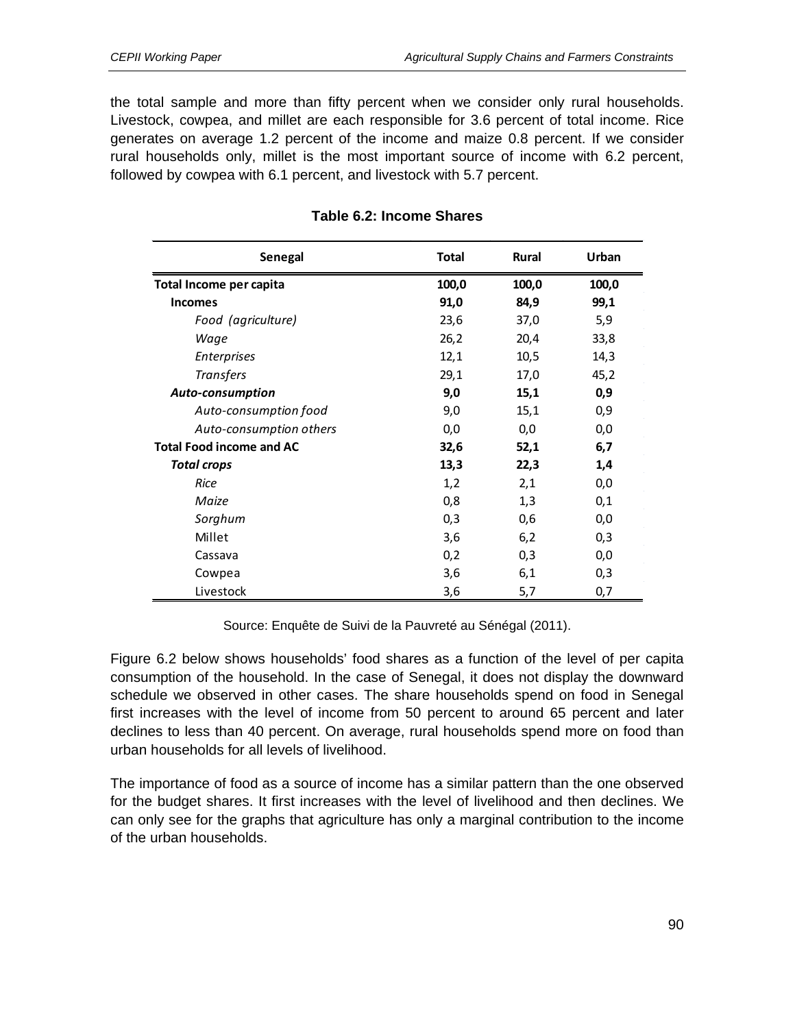the total sample and more than fifty percent when we consider only rural households. Livestock, cowpea, and millet are each responsible for 3.6 percent of total income. Rice generates on average 1.2 percent of the income and maize 0.8 percent. If we consider rural households only, millet is the most important source of income with 6.2 percent, followed by cowpea with 6.1 percent, and livestock with 5.7 percent.

| Senegal                         | <b>Total</b> | <b>Rural</b> | Urban |
|---------------------------------|--------------|--------------|-------|
| Total Income per capita         | 100,0        | 100,0        | 100,0 |
| <b>Incomes</b>                  | 91,0         | 84,9         | 99,1  |
| Food (agriculture)              | 23,6         | 37,0         | 5,9   |
| Wage                            | 26,2         | 20,4         | 33,8  |
| <b>Enterprises</b>              | 12,1         | 10,5         | 14,3  |
| <b>Transfers</b>                | 29,1         | 17,0         | 45,2  |
| Auto-consumption                | 9,0          | 15,1         | 0,9   |
| Auto-consumption food           | 9,0          | 15,1         | 0,9   |
| Auto-consumption others         | 0,0          | 0,0          | 0,0   |
| <b>Total Food income and AC</b> | 32,6         | 52,1         | 6,7   |
| <b>Total crops</b>              | 13,3         | 22,3         | 1,4   |
| Rice                            | 1,2          | 2,1          | 0,0   |
| Maize                           | 0,8          | 1,3          | 0,1   |
| Sorghum                         | 0,3          | 0,6          | 0,0   |
| Millet                          | 3,6          | 6,2          | 0,3   |
| Cassava                         | 0,2          | 0,3          | 0,0   |
| Cowpea                          | 3,6          | 6,1          | 0,3   |
| Livestock                       | 3,6          | 5,7          | 0,7   |

#### **Table 6.2: Income Shares**

Source: Enquête de Suivi de la Pauvreté au Sénégal (2011).

Figure 6.2 below shows households' food shares as a function of the level of per capita consumption of the household. In the case of Senegal, it does not display the downward schedule we observed in other cases. The share households spend on food in Senegal first increases with the level of income from 50 percent to around 65 percent and later declines to less than 40 percent. On average, rural households spend more on food than urban households for all levels of livelihood.

The importance of food as a source of income has a similar pattern than the one observed for the budget shares. It first increases with the level of livelihood and then declines. We can only see for the graphs that agriculture has only a marginal contribution to the income of the urban households.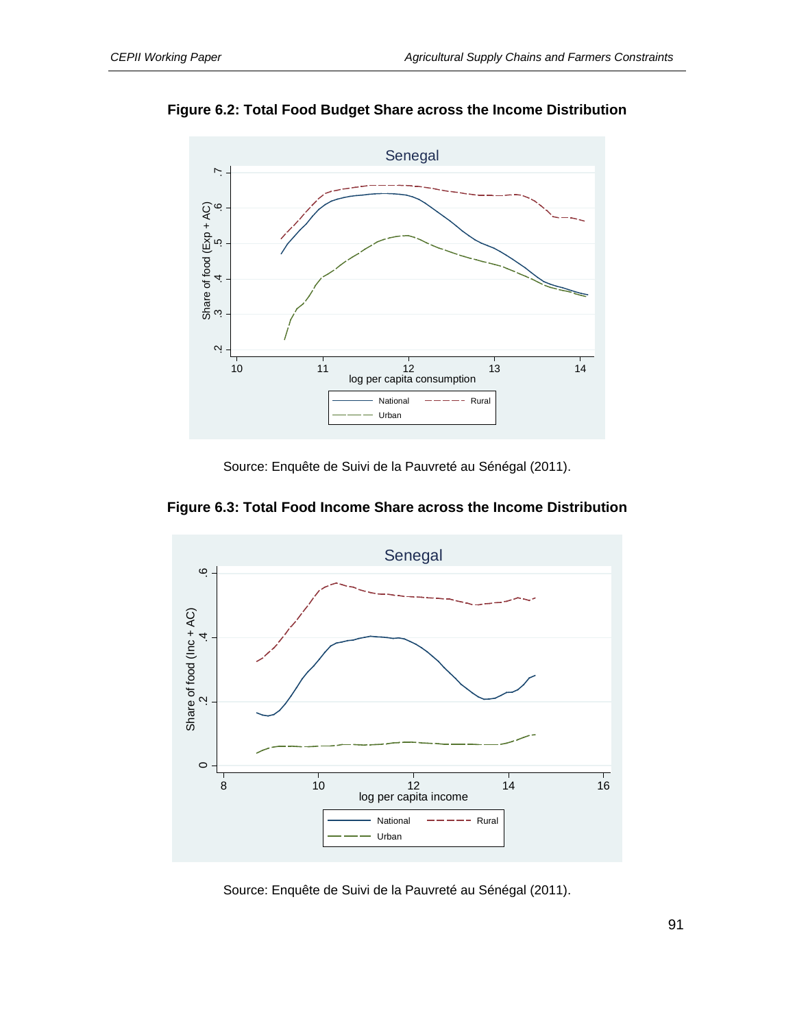

**Figure 6.2: Total Food Budget Share across the Income Distribution**

Source: Enquête de Suivi de la Pauvreté au Sénégal (2011).



**Figure 6.3: Total Food Income Share across the Income Distribution**

Source: Enquête de Suivi de la Pauvreté au Sénégal (2011).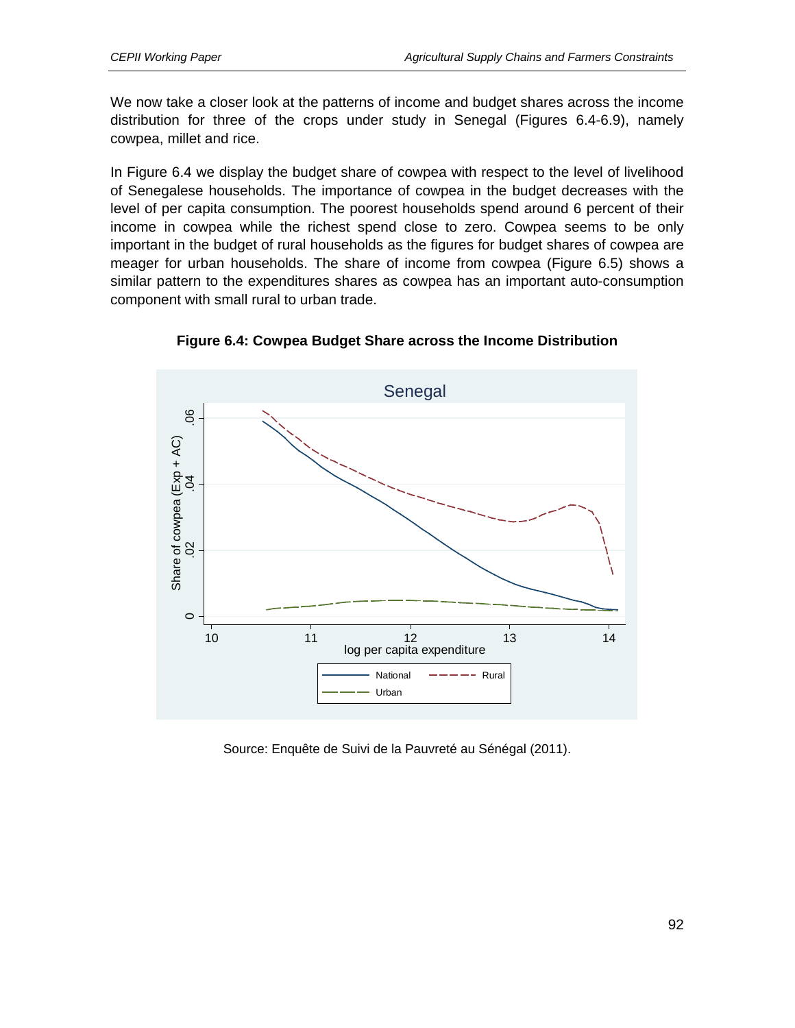We now take a closer look at the patterns of income and budget shares across the income distribution for three of the crops under study in Senegal (Figures 6.4-6.9), namely cowpea, millet and rice.

In Figure 6.4 we display the budget share of cowpea with respect to the level of livelihood of Senegalese households. The importance of cowpea in the budget decreases with the level of per capita consumption. The poorest households spend around 6 percent of their income in cowpea while the richest spend close to zero. Cowpea seems to be only important in the budget of rural households as the figures for budget shares of cowpea are meager for urban households. The share of income from cowpea (Figure 6.5) shows a similar pattern to the expenditures shares as cowpea has an important auto-consumption component with small rural to urban trade.



**Figure 6.4: Cowpea Budget Share across the Income Distribution**

Source: Enquête de Suivi de la Pauvreté au Sénégal (2011).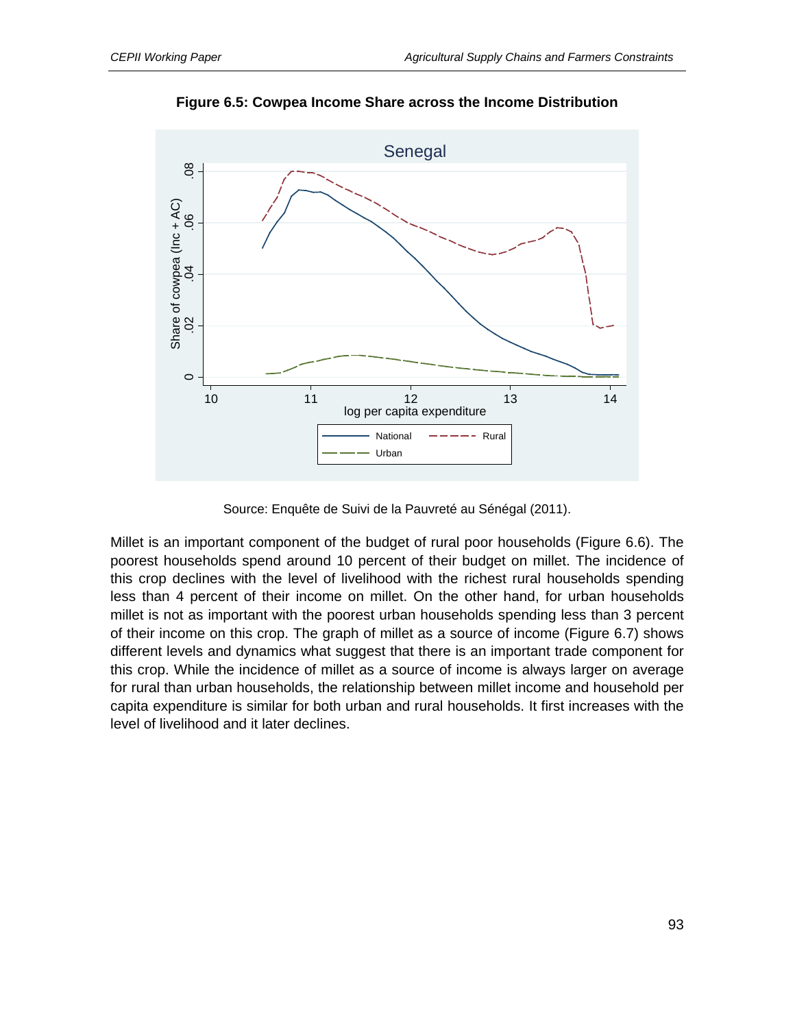

**Figure 6.5: Cowpea Income Share across the Income Distribution**

Source: Enquête de Suivi de la Pauvreté au Sénégal (2011).

Millet is an important component of the budget of rural poor households (Figure 6.6). The poorest households spend around 10 percent of their budget on millet. The incidence of this crop declines with the level of livelihood with the richest rural households spending less than 4 percent of their income on millet. On the other hand, for urban households millet is not as important with the poorest urban households spending less than 3 percent of their income on this crop. The graph of millet as a source of income (Figure 6.7) shows different levels and dynamics what suggest that there is an important trade component for this crop. While the incidence of millet as a source of income is always larger on average for rural than urban households, the relationship between millet income and household per capita expenditure is similar for both urban and rural households. It first increases with the level of livelihood and it later declines.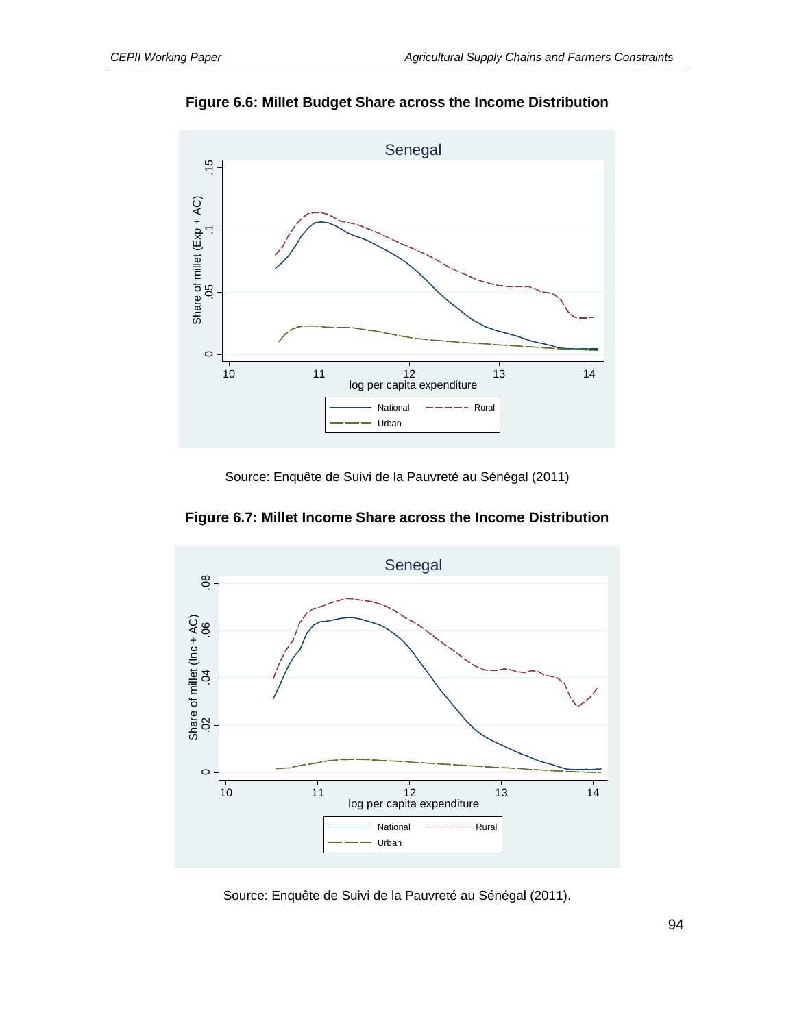

**Figure 6.6: Millet Budget Share across the Income Distribution**

Source: Enquête de Suivi de la Pauvreté au Sénégal (2011)



**Figure 6.7: Millet Income Share across the Income Distribution**

Source: Enquête de Suivi de la Pauvreté au Sénégal (2011).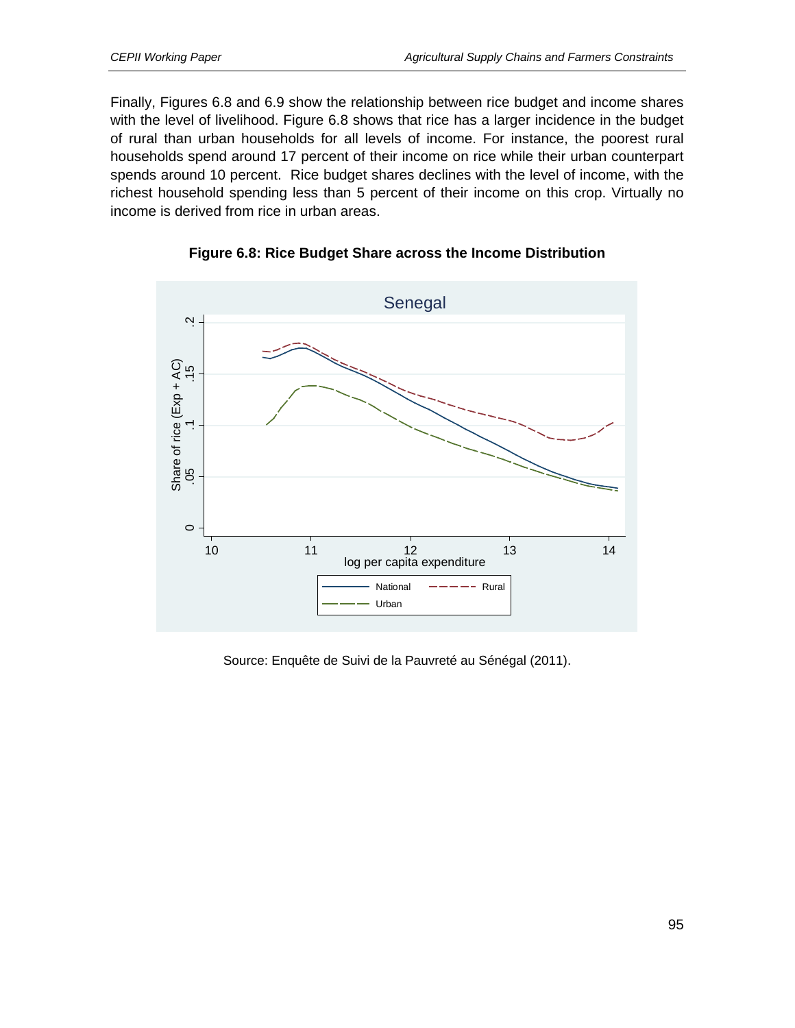Finally, Figures 6.8 and 6.9 show the relationship between rice budget and income shares with the level of livelihood. Figure 6.8 shows that rice has a larger incidence in the budget of rural than urban households for all levels of income. For instance, the poorest rural households spend around 17 percent of their income on rice while their urban counterpart spends around 10 percent. Rice budget shares declines with the level of income, with the richest household spending less than 5 percent of their income on this crop. Virtually no income is derived from rice in urban areas.



**Figure 6.8: Rice Budget Share across the Income Distribution**

Source: Enquête de Suivi de la Pauvreté au Sénégal (2011).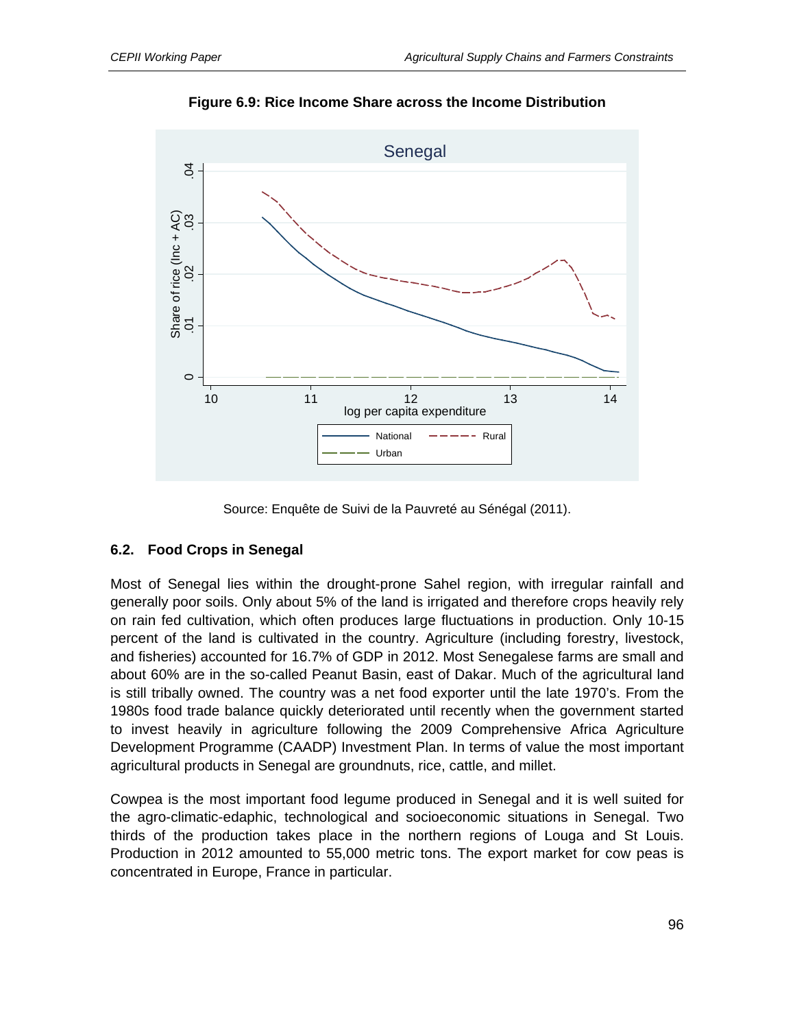

**Figure 6.9: Rice Income Share across the Income Distribution**

Source: Enquête de Suivi de la Pauvreté au Sénégal (2011).

# **6.2. Food Crops in Senegal**

Most of Senegal lies within the drought-prone Sahel region, with irregular rainfall and generally poor soils. Only about 5% of the land is irrigated and therefore crops heavily rely on rain fed cultivation, which often produces large fluctuations in production. Only 10-15 percent of the land is cultivated in the country. Agriculture (including forestry, livestock, and fisheries) accounted for 16.7% of GDP in 2012. Most Senegalese farms are small and about 60% are in the so-called Peanut Basin, east of Dakar. Much of the agricultural land is still tribally owned. The country was a net food exporter until the late 1970's. From the 1980s food trade balance quickly deteriorated until recently when the government started to invest heavily in agriculture following the 2009 Comprehensive Africa Agriculture Development Programme (CAADP) Investment Plan. In terms of value the most important agricultural products in Senegal are groundnuts, rice, cattle, and millet.

Cowpea is the most important food legume produced in Senegal and it is well suited for the agro-climatic-edaphic, technological and socioeconomic situations in Senegal. Two thirds of the production takes place in the northern regions of Louga and St Louis. Production in 2012 amounted to 55,000 metric tons. The export market for cow peas is concentrated in Europe, France in particular.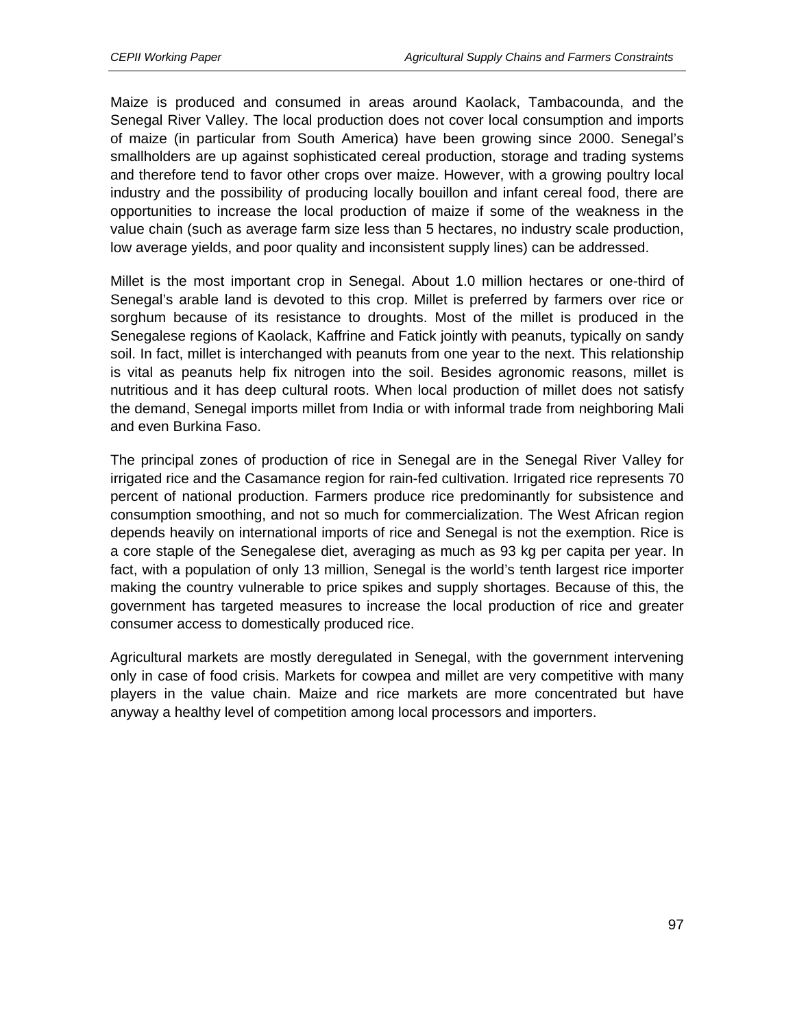Maize is produced and consumed in areas around Kaolack, Tambacounda, and the Senegal River Valley. The local production does not cover local consumption and imports of maize (in particular from South America) have been growing since 2000. Senegal's smallholders are up against sophisticated cereal production, storage and trading systems and therefore tend to favor other crops over maize. However, with a growing poultry local industry and the possibility of producing locally bouillon and infant cereal food, there are opportunities to increase the local production of maize if some of the weakness in the value chain (such as average farm size less than 5 hectares, no industry scale production, low average yields, and poor quality and inconsistent supply lines) can be addressed.

Millet is the most important crop in Senegal. About 1.0 million hectares or one-third of Senegal's arable land is devoted to this crop. Millet is preferred by farmers over rice or sorghum because of its resistance to droughts. Most of the millet is produced in the Senegalese regions of Kaolack, Kaffrine and Fatick jointly with peanuts, typically on sandy soil. In fact, millet is interchanged with peanuts from one year to the next. This relationship is vital as peanuts help fix nitrogen into the soil. Besides agronomic reasons, millet is nutritious and it has deep cultural roots. When local production of millet does not satisfy the demand, Senegal imports millet from India or with informal trade from neighboring Mali and even Burkina Faso.

The principal zones of production of rice in Senegal are in the Senegal River Valley for irrigated rice and the Casamance region for rain-fed cultivation. Irrigated rice represents 70 percent of national production. Farmers produce rice predominantly for subsistence and consumption smoothing, and not so much for commercialization. The West African region depends heavily on international imports of rice and Senegal is not the exemption. Rice is a core staple of the Senegalese diet, averaging as much as 93 kg per capita per year. In fact, with a population of only 13 million, Senegal is the world's tenth largest rice importer making the country vulnerable to price spikes and supply shortages. Because of this, the government has targeted measures to increase the local production of rice and greater consumer access to domestically produced rice.

Agricultural markets are mostly deregulated in Senegal, with the government intervening only in case of food crisis. Markets for cowpea and millet are very competitive with many players in the value chain. Maize and rice markets are more concentrated but have anyway a healthy level of competition among local processors and importers.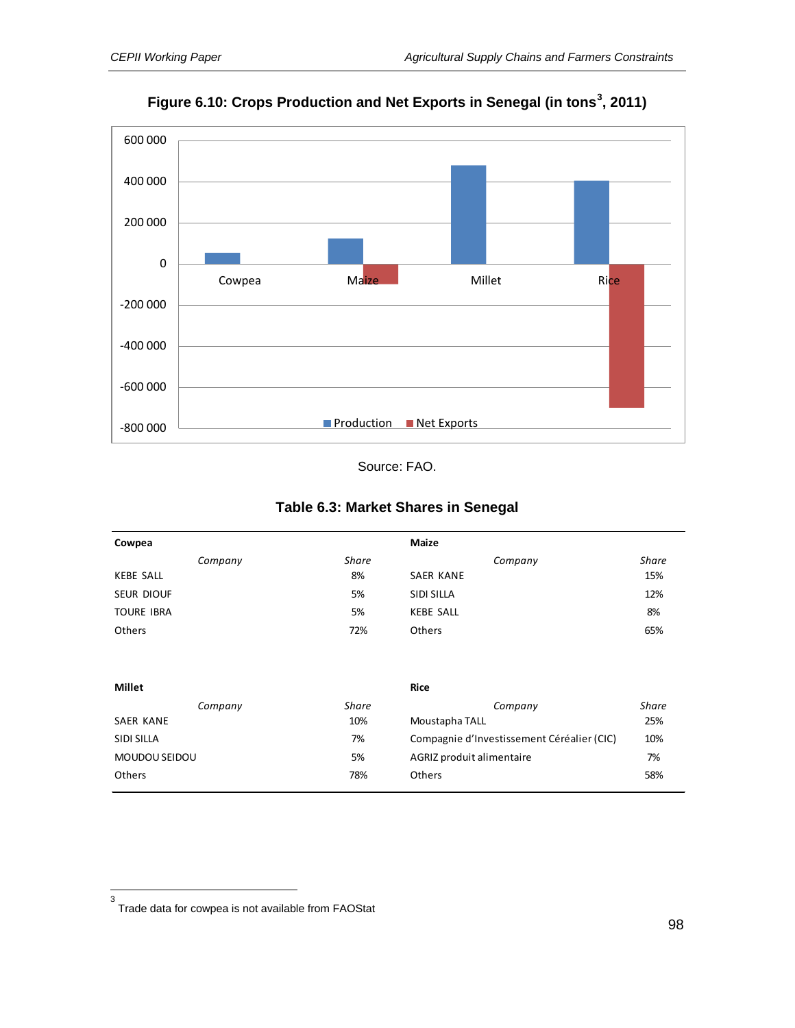

**Figure 6.10: Crops Production and Net Exports in Senegal (in tons[3](#page-95-0) , 2011)**

Source: FAO.

#### **Table 6.3: Market Shares in Senegal**

| Cowpea            |              | <b>Maize</b>     |       |
|-------------------|--------------|------------------|-------|
| Company           | <b>Share</b> | Company          | Share |
| <b>KEBE SALL</b>  | 8%           | <b>SAER KANE</b> | 15%   |
| SEUR DIOUF        | 5%           | SIDI SILLA       | 12%   |
| <b>TOURE IBRA</b> | 5%           | <b>KEBE SALL</b> | 8%    |
| Others            | 72%          | <b>Others</b>    | 65%   |

| Millet        |         |       | <b>Rice</b>                                |       |
|---------------|---------|-------|--------------------------------------------|-------|
|               | Company | Share | Company                                    | Share |
| SAER KANE     |         | 10%   | Moustapha TALL                             | 25%   |
| SIDI SILLA    |         | 7%    | Compagnie d'Investissement Céréalier (CIC) | 10%   |
| MOUDOU SEIDOU |         | 5%    | AGRIZ produit alimentaire                  | 7%    |
| <b>Others</b> |         | 78%   | Others                                     | 58%   |

<span id="page-95-0"></span> <sup>3</sup> Trade data for cowpea is not available from FAOStat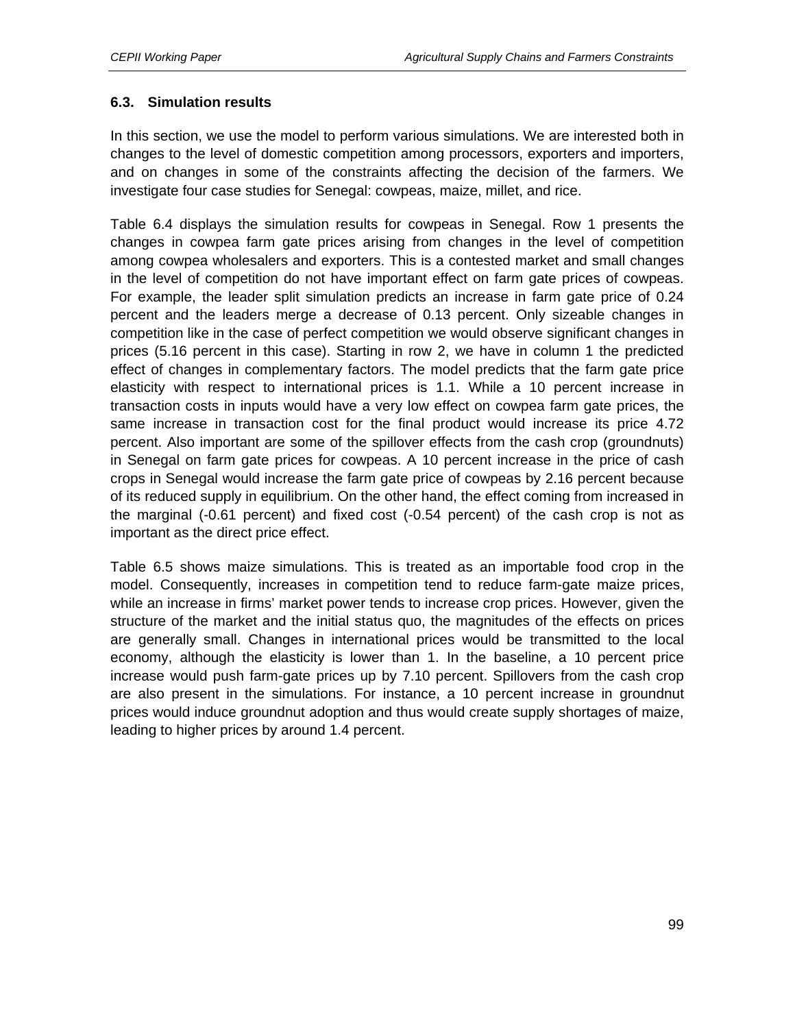## **6.3. Simulation results**

In this section, we use the model to perform various simulations. We are interested both in changes to the level of domestic competition among processors, exporters and importers, and on changes in some of the constraints affecting the decision of the farmers. We investigate four case studies for Senegal: cowpeas, maize, millet, and rice.

Table 6.4 displays the simulation results for cowpeas in Senegal. Row 1 presents the changes in cowpea farm gate prices arising from changes in the level of competition among cowpea wholesalers and exporters. This is a contested market and small changes in the level of competition do not have important effect on farm gate prices of cowpeas. For example, the leader split simulation predicts an increase in farm gate price of 0.24 percent and the leaders merge a decrease of 0.13 percent. Only sizeable changes in competition like in the case of perfect competition we would observe significant changes in prices (5.16 percent in this case). Starting in row 2, we have in column 1 the predicted effect of changes in complementary factors. The model predicts that the farm gate price elasticity with respect to international prices is 1.1. While a 10 percent increase in transaction costs in inputs would have a very low effect on cowpea farm gate prices, the same increase in transaction cost for the final product would increase its price 4.72 percent. Also important are some of the spillover effects from the cash crop (groundnuts) in Senegal on farm gate prices for cowpeas. A 10 percent increase in the price of cash crops in Senegal would increase the farm gate price of cowpeas by 2.16 percent because of its reduced supply in equilibrium. On the other hand, the effect coming from increased in the marginal (-0.61 percent) and fixed cost (-0.54 percent) of the cash crop is not as important as the direct price effect.

Table 6.5 shows maize simulations. This is treated as an importable food crop in the model. Consequently, increases in competition tend to reduce farm-gate maize prices, while an increase in firms' market power tends to increase crop prices. However, given the structure of the market and the initial status quo, the magnitudes of the effects on prices are generally small. Changes in international prices would be transmitted to the local economy, although the elasticity is lower than 1. In the baseline, a 10 percent price increase would push farm-gate prices up by 7.10 percent. Spillovers from the cash crop are also present in the simulations. For instance, a 10 percent increase in groundnut prices would induce groundnut adoption and thus would create supply shortages of maize, leading to higher prices by around 1.4 percent.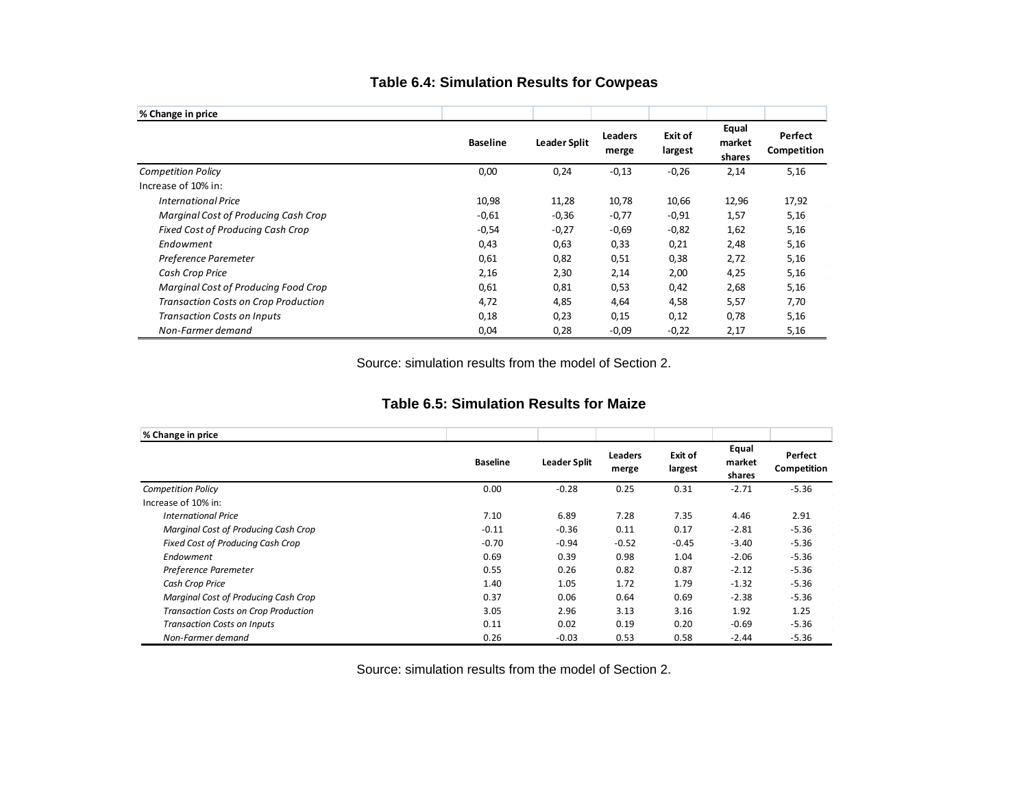| % Change in price                           |                 |                     |                         |                           |                           |                        |
|---------------------------------------------|-----------------|---------------------|-------------------------|---------------------------|---------------------------|------------------------|
|                                             | <b>Baseline</b> | <b>Leader Split</b> | <b>Leaders</b><br>merge | <b>Exit of</b><br>largest | Equal<br>market<br>shares | Perfect<br>Competition |
| <b>Competition Policy</b>                   | 0,00            | 0,24                | $-0,13$                 | $-0,26$                   | 2,14                      | 5,16                   |
| Increase of 10% in:                         |                 |                     |                         |                           |                           |                        |
| <b>International Price</b>                  | 10,98           | 11,28               | 10,78                   | 10,66                     | 12,96                     | 17,92                  |
| <b>Marginal Cost of Producing Cash Crop</b> | $-0.61$         | $-0,36$             | $-0,77$                 | $-0.91$                   | 1,57                      | 5,16                   |
| <b>Fixed Cost of Producing Cash Crop</b>    | $-0,54$         | $-0,27$             | $-0,69$                 | $-0,82$                   | 1,62                      | 5,16                   |
| Endowment                                   | 0,43            | 0,63                | 0,33                    | 0,21                      | 2,48                      | 5,16                   |
| Preference Paremeter                        | 0,61            | 0,82                | 0,51                    | 0,38                      | 2,72                      | 5,16                   |
| Cash Crop Price                             | 2,16            | 2,30                | 2,14                    | 2,00                      | 4,25                      | 5,16                   |
| <b>Marginal Cost of Producing Food Crop</b> | 0,61            | 0,81                | 0,53                    | 0,42                      | 2,68                      | 5,16                   |
| <b>Transaction Costs on Crop Production</b> | 4,72            | 4,85                | 4,64                    | 4,58                      | 5,57                      | 7,70                   |
| <b>Transaction Costs on Inputs</b>          | 0,18            | 0,23                | 0,15                    | 0,12                      | 0,78                      | 5,16                   |
| Non-Farmer demand                           | 0,04            | 0,28                | $-0,09$                 | $-0,22$                   | 2,17                      | 5,16                   |

# **Table 6.4: Simulation Results for Cowpeas**

Source: simulation results from the model of Section 2.

| % Change in price                           |                 |                     |                         |                    |                           |                        |
|---------------------------------------------|-----------------|---------------------|-------------------------|--------------------|---------------------------|------------------------|
|                                             | <b>Baseline</b> | <b>Leader Split</b> | <b>Leaders</b><br>merge | Exit of<br>largest | Equal<br>market<br>shares | Perfect<br>Competition |
| <b>Competition Policy</b>                   | 0.00            | $-0.28$             | 0.25                    | 0.31               | $-2.71$                   | $-5.36$                |
| Increase of 10% in:                         |                 |                     |                         |                    |                           |                        |
| <b>International Price</b>                  | 7.10            | 6.89                | 7.28                    | 7.35               | 4.46                      | 2.91                   |
| Marginal Cost of Producing Cash Crop        | $-0.11$         | $-0.36$             | 0.11                    | 0.17               | $-2.81$                   | $-5.36$                |
| <b>Fixed Cost of Producing Cash Crop</b>    | $-0.70$         | $-0.94$             | $-0.52$                 | $-0.45$            | $-3.40$                   | $-5.36$                |
| Endowment                                   | 0.69            | 0.39                | 0.98                    | 1.04               | $-2.06$                   | $-5.36$                |
| Preference Paremeter                        | 0.55            | 0.26                | 0.82                    | 0.87               | $-2.12$                   | $-5.36$                |
| Cash Crop Price                             | 1.40            | 1.05                | 1.72                    | 1.79               | $-1.32$                   | $-5.36$                |
| Marginal Cost of Producing Cash Crop        | 0.37            | 0.06                | 0.64                    | 0.69               | $-2.38$                   | $-5.36$                |
| <b>Transaction Costs on Crop Production</b> | 3.05            | 2.96                | 3.13                    | 3.16               | 1.92                      | 1.25                   |
| <b>Transaction Costs on Inputs</b>          | 0.11            | 0.02                | 0.19                    | 0.20               | $-0.69$                   | $-5.36$                |
| Non-Farmer demand                           | 0.26            | $-0.03$             | 0.53                    | 0.58               | $-2.44$                   | $-5.36$                |

# **Table 6.5: Simulation Results for Maize**

Source: simulation results from the model of Section 2.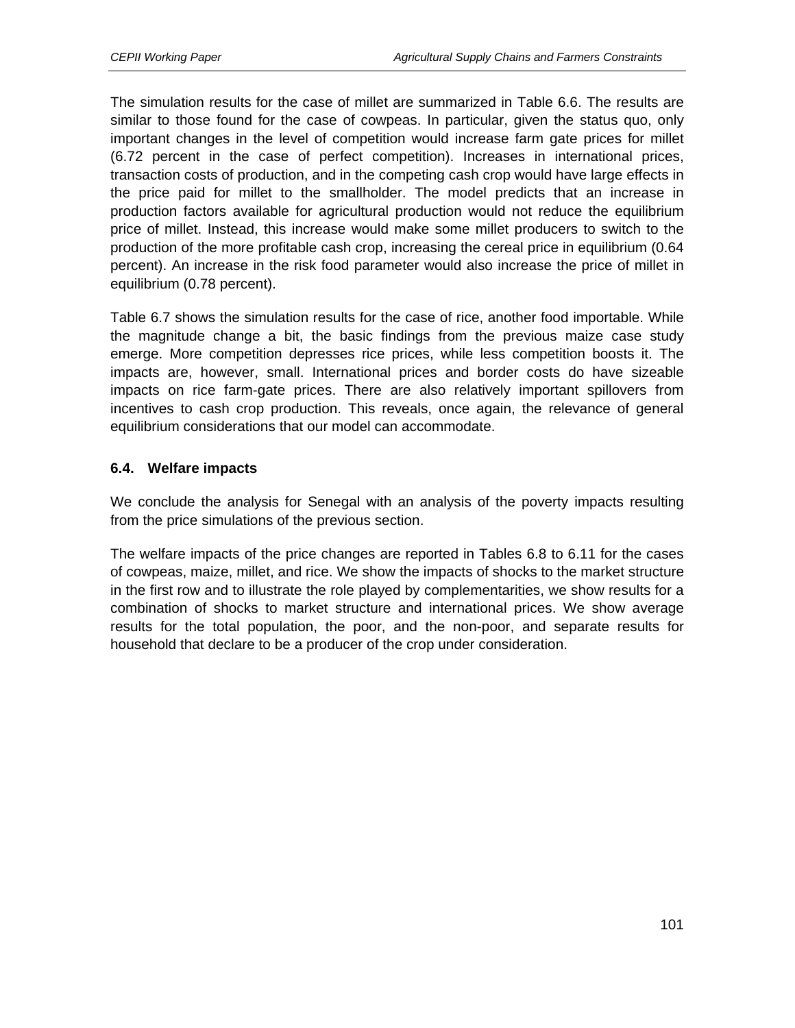The simulation results for the case of millet are summarized in Table 6.6. The results are similar to those found for the case of cowpeas. In particular, given the status quo, only important changes in the level of competition would increase farm gate prices for millet (6.72 percent in the case of perfect competition). Increases in international prices, transaction costs of production, and in the competing cash crop would have large effects in the price paid for millet to the smallholder. The model predicts that an increase in production factors available for agricultural production would not reduce the equilibrium price of millet. Instead, this increase would make some millet producers to switch to the production of the more profitable cash crop, increasing the cereal price in equilibrium (0.64 percent). An increase in the risk food parameter would also increase the price of millet in equilibrium (0.78 percent).

Table 6.7 shows the simulation results for the case of rice, another food importable. While the magnitude change a bit, the basic findings from the previous maize case study emerge. More competition depresses rice prices, while less competition boosts it. The impacts are, however, small. International prices and border costs do have sizeable impacts on rice farm-gate prices. There are also relatively important spillovers from incentives to cash crop production. This reveals, once again, the relevance of general equilibrium considerations that our model can accommodate.

## **6.4. Welfare impacts**

We conclude the analysis for Senegal with an analysis of the poverty impacts resulting from the price simulations of the previous section.

The welfare impacts of the price changes are reported in Tables 6.8 to 6.11 for the cases of cowpeas, maize, millet, and rice. We show the impacts of shocks to the market structure in the first row and to illustrate the role played by complementarities, we show results for a combination of shocks to market structure and international prices. We show average results for the total population, the poor, and the non-poor, and separate results for household that declare to be a producer of the crop under consideration.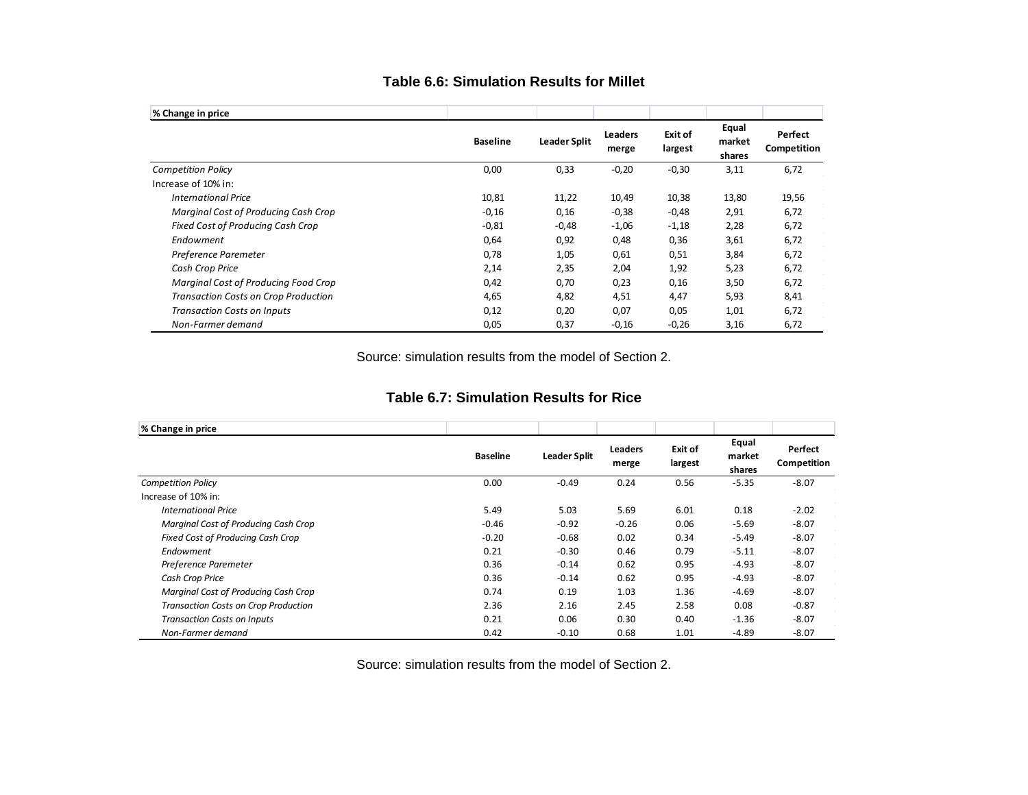| % Change in price                           |                 |              |                  |                           |                           |                        |
|---------------------------------------------|-----------------|--------------|------------------|---------------------------|---------------------------|------------------------|
|                                             | <b>Baseline</b> | Leader Split | Leaders<br>merge | <b>Exit of</b><br>largest | Equal<br>market<br>shares | Perfect<br>Competition |
| <b>Competition Policy</b>                   | 0,00            | 0,33         | $-0,20$          | $-0,30$                   | 3,11                      | 6,72                   |
| Increase of 10% in:                         |                 |              |                  |                           |                           |                        |
| International Price                         | 10,81           | 11,22        | 10,49            | 10,38                     | 13,80                     | 19,56                  |
| <b>Marginal Cost of Producing Cash Crop</b> | $-0,16$         | 0,16         | $-0,38$          | $-0,48$                   | 2,91                      | 6,72                   |
| <b>Fixed Cost of Producing Cash Crop</b>    | $-0,81$         | $-0,48$      | $-1,06$          | $-1,18$                   | 2,28                      | 6,72                   |
| Endowment                                   | 0,64            | 0,92         | 0,48             | 0,36                      | 3,61                      | 6,72                   |
| Preference Paremeter                        | 0,78            | 1,05         | 0,61             | 0,51                      | 3,84                      | 6,72                   |
| Cash Crop Price                             | 2,14            | 2,35         | 2,04             | 1,92                      | 5,23                      | 6,72                   |
| <b>Marginal Cost of Producing Food Crop</b> | 0,42            | 0,70         | 0,23             | 0,16                      | 3,50                      | 6,72                   |
| <b>Transaction Costs on Crop Production</b> | 4,65            | 4,82         | 4,51             | 4,47                      | 5,93                      | 8,41                   |
| <b>Transaction Costs on Inputs</b>          | 0,12            | 0,20         | 0,07             | 0,05                      | 1,01                      | 6,72                   |
| Non-Farmer demand                           | 0,05            | 0,37         | $-0,16$          | $-0,26$                   | 3,16                      | 6,72                   |

#### **Table 6.6: Simulation Results for Millet**

Source: simulation results from the model of Section 2.

| % Change in price                           |                 |                     |                         |                    |                           |                        |
|---------------------------------------------|-----------------|---------------------|-------------------------|--------------------|---------------------------|------------------------|
|                                             | <b>Baseline</b> | <b>Leader Split</b> | <b>Leaders</b><br>merge | Exit of<br>largest | Equal<br>market<br>shares | Perfect<br>Competition |
| <b>Competition Policy</b>                   | 0.00            | $-0.49$             | 0.24                    | 0.56               | $-5.35$                   | $-8.07$                |
| Increase of 10% in:                         |                 |                     |                         |                    |                           |                        |
| <b>International Price</b>                  | 5.49            | 5.03                | 5.69                    | 6.01               | 0.18                      | $-2.02$                |
| Marginal Cost of Producing Cash Crop        | $-0.46$         | $-0.92$             | $-0.26$                 | 0.06               | $-5.69$                   | $-8.07$                |
| <b>Fixed Cost of Producing Cash Crop</b>    | $-0.20$         | $-0.68$             | 0.02                    | 0.34               | $-5.49$                   | $-8.07$                |
| Endowment                                   | 0.21            | $-0.30$             | 0.46                    | 0.79               | $-5.11$                   | $-8.07$                |
| Preference Paremeter                        | 0.36            | $-0.14$             | 0.62                    | 0.95               | $-4.93$                   | $-8.07$                |
| Cash Crop Price                             | 0.36            | $-0.14$             | 0.62                    | 0.95               | $-4.93$                   | $-8.07$                |
| Marginal Cost of Producing Cash Crop        | 0.74            | 0.19                | 1.03                    | 1.36               | $-4.69$                   | $-8.07$                |
| <b>Transaction Costs on Crop Production</b> | 2.36            | 2.16                | 2.45                    | 2.58               | 0.08                      | $-0.87$                |
| <b>Transaction Costs on Inputs</b>          | 0.21            | 0.06                | 0.30                    | 0.40               | $-1.36$                   | $-8.07$                |
| Non-Farmer demand                           | 0.42            | $-0.10$             | 0.68                    | 1.01               | $-4.89$                   | $-8.07$                |

# **Table 6.7: Simulation Results for Rice**

Source: simulation results from the model of Section 2.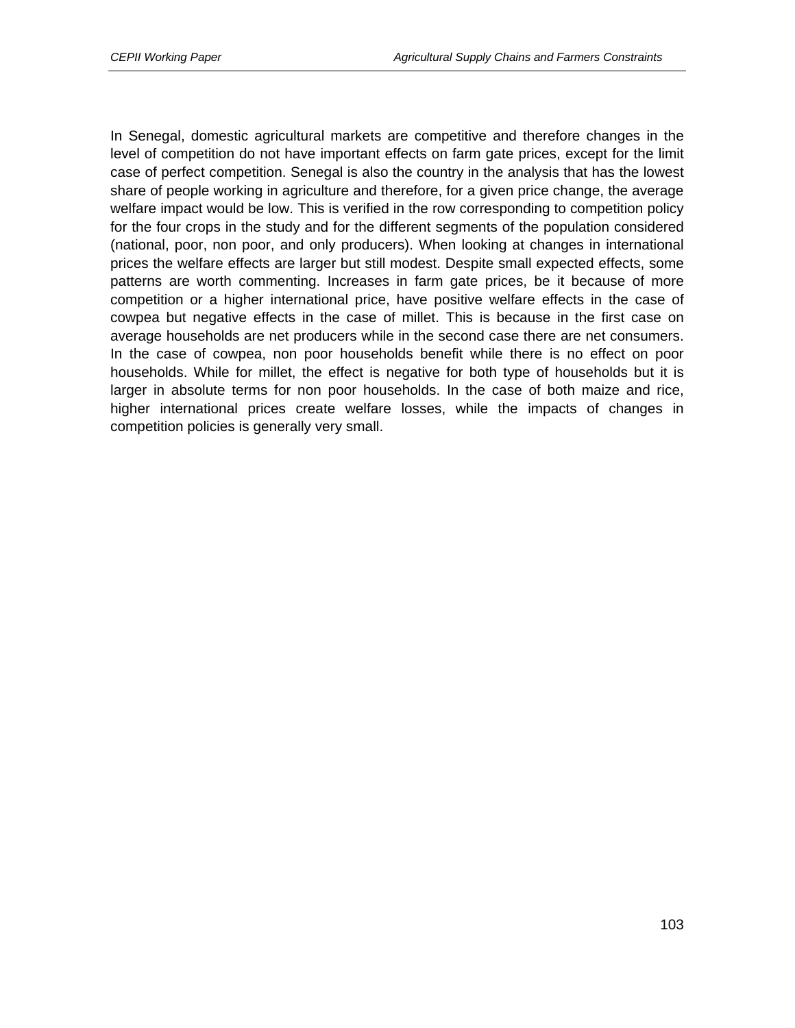In Senegal, domestic agricultural markets are competitive and therefore changes in the level of competition do not have important effects on farm gate prices, except for the limit case of perfect competition. Senegal is also the country in the analysis that has the lowest share of people working in agriculture and therefore, for a given price change, the average welfare impact would be low. This is verified in the row corresponding to competition policy for the four crops in the study and for the different segments of the population considered (national, poor, non poor, and only producers). When looking at changes in international prices the welfare effects are larger but still modest. Despite small expected effects, some patterns are worth commenting. Increases in farm gate prices, be it because of more competition or a higher international price, have positive welfare effects in the case of cowpea but negative effects in the case of millet. This is because in the first case on average households are net producers while in the second case there are net consumers. In the case of cowpea, non poor households benefit while there is no effect on poor households. While for millet, the effect is negative for both type of households but it is larger in absolute terms for non poor households. In the case of both maize and rice, higher international prices create welfare losses, while the impacts of changes in competition policies is generally very small.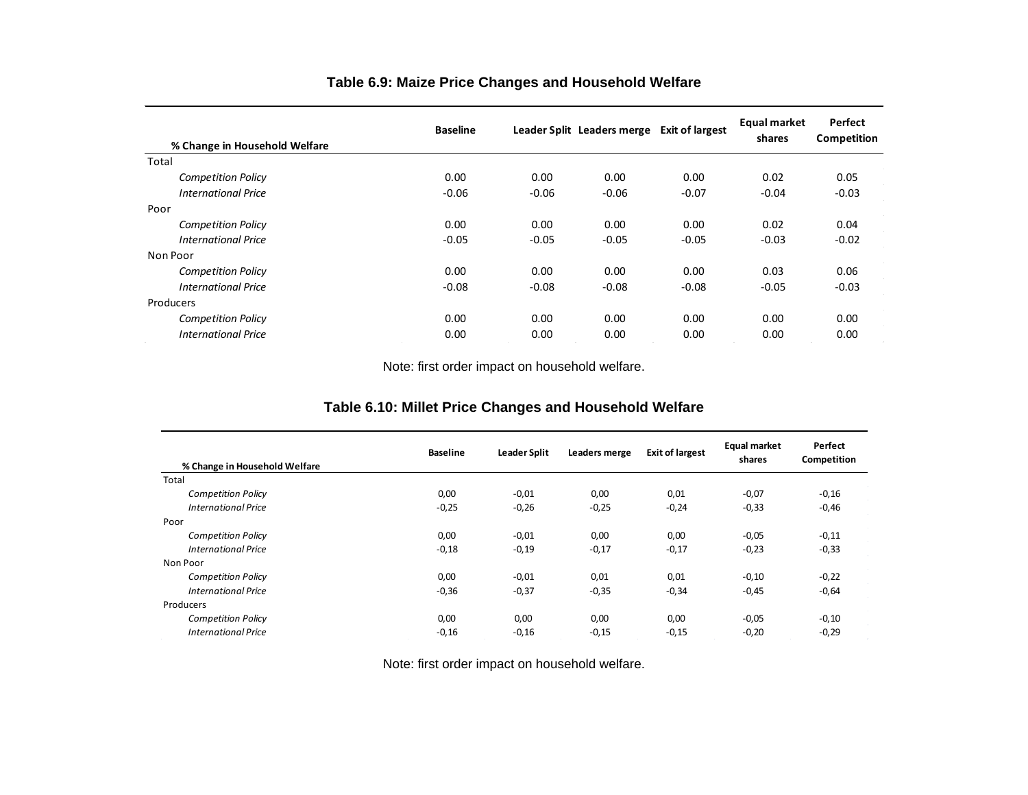| % Change in Household Welfare | <b>Baseline</b> |         | Leader Split Leaders merge | <b>Exit of largest</b> | Equal market<br>shares | Perfect<br>Competition |
|-------------------------------|-----------------|---------|----------------------------|------------------------|------------------------|------------------------|
| Total                         |                 |         |                            |                        |                        |                        |
| <b>Competition Policy</b>     | 0.00            | 0.00    | 0.00                       | 0.00                   | 0.02                   | 0.05                   |
| <b>International Price</b>    | $-0.06$         | $-0.06$ | $-0.06$                    | $-0.07$                | $-0.04$                | $-0.03$                |
| Poor                          |                 |         |                            |                        |                        |                        |
| <b>Competition Policy</b>     | 0.00            | 0.00    | 0.00                       | 0.00                   | 0.02                   | 0.04                   |
| <b>International Price</b>    | $-0.05$         | $-0.05$ | $-0.05$                    | $-0.05$                | $-0.03$                | $-0.02$                |
| Non Poor                      |                 |         |                            |                        |                        |                        |
| <b>Competition Policy</b>     | 0.00            | 0.00    | 0.00                       | 0.00                   | 0.03                   | 0.06                   |
| International Price           | $-0.08$         | $-0.08$ | $-0.08$                    | $-0.08$                | $-0.05$                | $-0.03$                |
| Producers                     |                 |         |                            |                        |                        |                        |
| <b>Competition Policy</b>     | 0.00            | 0.00    | 0.00                       | 0.00                   | 0.00                   | 0.00                   |
| <b>International Price</b>    | 0.00            | 0.00    | 0.00                       | 0.00                   | 0.00                   | 0.00                   |

# **Table 6.9: Maize Price Changes and Household Welfare**

Note: first order impact on household welfare.

# **Table 6.10: Millet Price Changes and Household Welfare**

| % Change in Household Welfare | <b>Baseline</b> | <b>Leader Split</b> | Leaders merge | <b>Exit of largest</b> | Equal market<br>shares | Perfect<br>Competition |
|-------------------------------|-----------------|---------------------|---------------|------------------------|------------------------|------------------------|
| Total                         |                 |                     |               |                        |                        |                        |
| <b>Competition Policy</b>     | 0,00            | $-0.01$             | 0,00          | 0,01                   | $-0.07$                | $-0,16$                |
| <b>International Price</b>    | $-0.25$         | $-0,26$             | $-0,25$       | $-0,24$                | $-0,33$                | $-0,46$                |
| Poor                          |                 |                     |               |                        |                        |                        |
| <b>Competition Policy</b>     | 0,00            | $-0.01$             | 0,00          | 0,00                   | $-0.05$                | $-0.11$                |
| <b>International Price</b>    | $-0.18$         | $-0,19$             | $-0,17$       | $-0.17$                | $-0.23$                | $-0,33$                |
| Non Poor                      |                 |                     |               |                        |                        |                        |
| <b>Competition Policy</b>     | 0,00            | $-0.01$             | 0,01          | 0,01                   | $-0,10$                | $-0,22$                |
| International Price           | $-0,36$         | $-0,37$             | $-0,35$       | $-0,34$                | $-0.45$                | $-0,64$                |
| Producers                     |                 |                     |               |                        |                        |                        |
| <b>Competition Policy</b>     | 0,00            | 0,00                | 0,00          | 0,00                   | $-0.05$                | $-0,10$                |
| International Price           | $-0,16$         | $-0,16$             | $-0.15$       | $-0.15$                | $-0,20$                | $-0,29$                |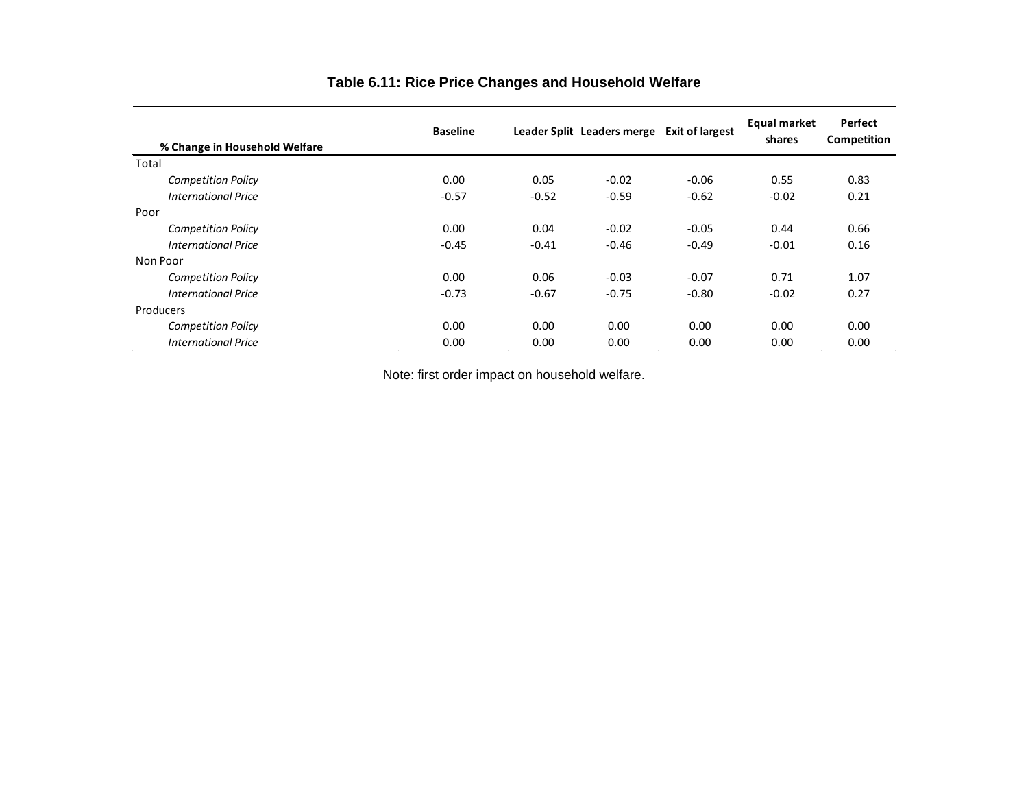| % Change in Household Welfare | <b>Baseline</b> |         | Leader Split Leaders merge | <b>Exit of largest</b> | <b>Equal market</b><br>shares | Perfect<br>Competition |
|-------------------------------|-----------------|---------|----------------------------|------------------------|-------------------------------|------------------------|
| Total                         |                 |         |                            |                        |                               |                        |
| <b>Competition Policy</b>     | 0.00            | 0.05    | $-0.02$                    | $-0.06$                | 0.55                          | 0.83                   |
| International Price           | $-0.57$         | $-0.52$ | $-0.59$                    | $-0.62$                | $-0.02$                       | 0.21                   |
| Poor                          |                 |         |                            |                        |                               |                        |
| <b>Competition Policy</b>     | 0.00            | 0.04    | $-0.02$                    | $-0.05$                | 0.44                          | 0.66                   |
| <b>International Price</b>    | $-0.45$         | $-0.41$ | $-0.46$                    | $-0.49$                | $-0.01$                       | 0.16                   |
| Non Poor                      |                 |         |                            |                        |                               |                        |
| <b>Competition Policy</b>     | 0.00            | 0.06    | $-0.03$                    | $-0.07$                | 0.71                          | 1.07                   |
| <b>International Price</b>    | $-0.73$         | $-0.67$ | $-0.75$                    | $-0.80$                | $-0.02$                       | 0.27                   |
| Producers                     |                 |         |                            |                        |                               |                        |
| <b>Competition Policy</b>     | 0.00            | 0.00    | 0.00                       | 0.00                   | 0.00                          | 0.00                   |
| <b>International Price</b>    | 0.00            | 0.00    | 0.00                       | 0.00                   | 0.00                          | 0.00                   |

# **Table 6.11: Rice Price Changes and Household Welfare**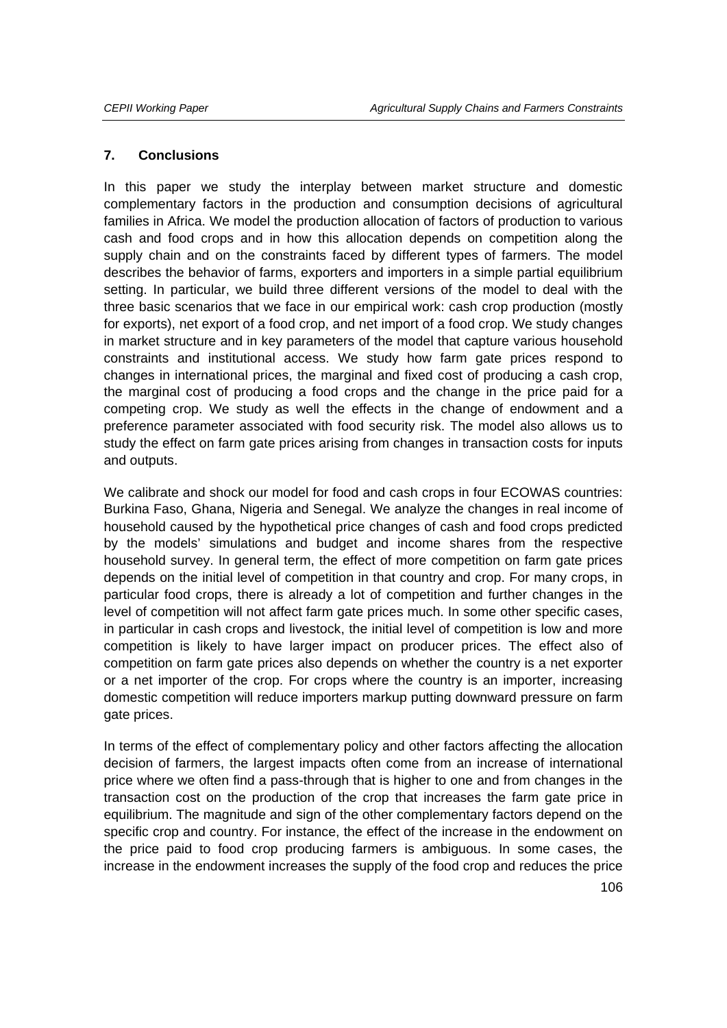#### **7. Conclusions**

In this paper we study the interplay between market structure and domestic complementary factors in the production and consumption decisions of agricultural families in Africa. We model the production allocation of factors of production to various cash and food crops and in how this allocation depends on competition along the supply chain and on the constraints faced by different types of farmers. The model describes the behavior of farms, exporters and importers in a simple partial equilibrium setting. In particular, we build three different versions of the model to deal with the three basic scenarios that we face in our empirical work: cash crop production (mostly for exports), net export of a food crop, and net import of a food crop. We study changes in market structure and in key parameters of the model that capture various household constraints and institutional access. We study how farm gate prices respond to changes in international prices, the marginal and fixed cost of producing a cash crop, the marginal cost of producing a food crops and the change in the price paid for a competing crop. We study as well the effects in the change of endowment and a preference parameter associated with food security risk. The model also allows us to study the effect on farm gate prices arising from changes in transaction costs for inputs and outputs.

We calibrate and shock our model for food and cash crops in four ECOWAS countries: Burkina Faso, Ghana, Nigeria and Senegal. We analyze the changes in real income of household caused by the hypothetical price changes of cash and food crops predicted by the models' simulations and budget and income shares from the respective household survey. In general term, the effect of more competition on farm gate prices depends on the initial level of competition in that country and crop. For many crops, in particular food crops, there is already a lot of competition and further changes in the level of competition will not affect farm gate prices much. In some other specific cases, in particular in cash crops and livestock, the initial level of competition is low and more competition is likely to have larger impact on producer prices. The effect also of competition on farm gate prices also depends on whether the country is a net exporter or a net importer of the crop. For crops where the country is an importer, increasing domestic competition will reduce importers markup putting downward pressure on farm gate prices.

In terms of the effect of complementary policy and other factors affecting the allocation decision of farmers, the largest impacts often come from an increase of international price where we often find a pass-through that is higher to one and from changes in the transaction cost on the production of the crop that increases the farm gate price in equilibrium. The magnitude and sign of the other complementary factors depend on the specific crop and country. For instance, the effect of the increase in the endowment on the price paid to food crop producing farmers is ambiguous. In some cases, the increase in the endowment increases the supply of the food crop and reduces the price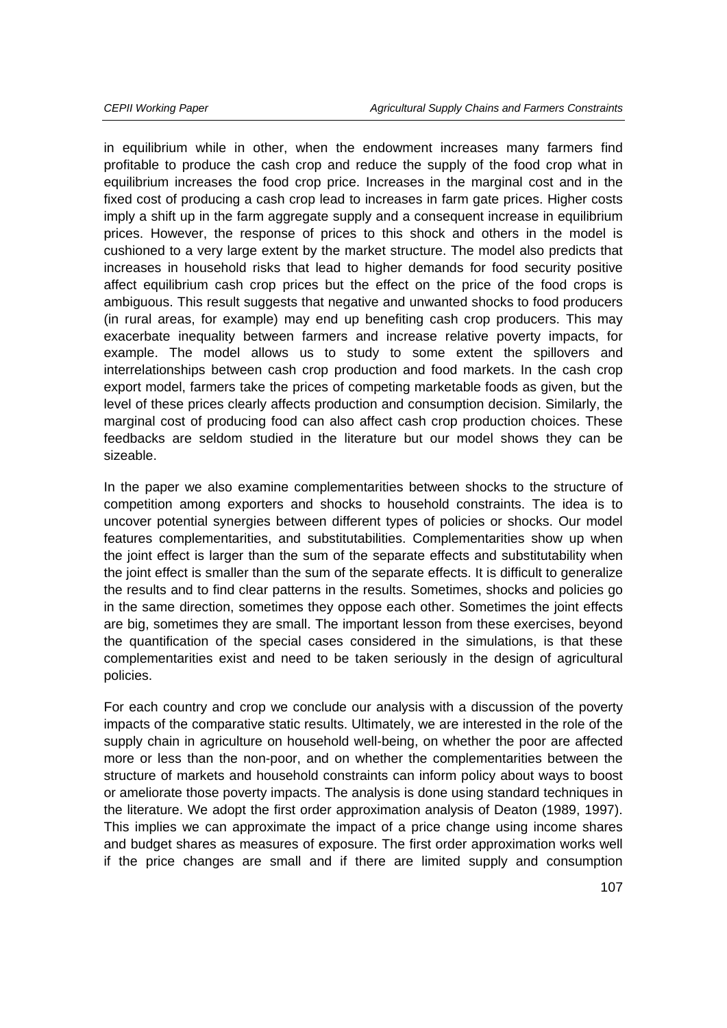in equilibrium while in other, when the endowment increases many farmers find profitable to produce the cash crop and reduce the supply of the food crop what in equilibrium increases the food crop price. Increases in the marginal cost and in the fixed cost of producing a cash crop lead to increases in farm gate prices. Higher costs imply a shift up in the farm aggregate supply and a consequent increase in equilibrium prices. However, the response of prices to this shock and others in the model is cushioned to a very large extent by the market structure. The model also predicts that increases in household risks that lead to higher demands for food security positive affect equilibrium cash crop prices but the effect on the price of the food crops is ambiguous. This result suggests that negative and unwanted shocks to food producers (in rural areas, for example) may end up benefiting cash crop producers. This may exacerbate inequality between farmers and increase relative poverty impacts, for example. The model allows us to study to some extent the spillovers and interrelationships between cash crop production and food markets. In the cash crop export model, farmers take the prices of competing marketable foods as given, but the level of these prices clearly affects production and consumption decision. Similarly, the marginal cost of producing food can also affect cash crop production choices. These feedbacks are seldom studied in the literature but our model shows they can be sizeable.

In the paper we also examine complementarities between shocks to the structure of competition among exporters and shocks to household constraints. The idea is to uncover potential synergies between different types of policies or shocks. Our model features complementarities, and substitutabilities. Complementarities show up when the joint effect is larger than the sum of the separate effects and substitutability when the joint effect is smaller than the sum of the separate effects. It is difficult to generalize the results and to find clear patterns in the results. Sometimes, shocks and policies go in the same direction, sometimes they oppose each other. Sometimes the joint effects are big, sometimes they are small. The important lesson from these exercises, beyond the quantification of the special cases considered in the simulations, is that these complementarities exist and need to be taken seriously in the design of agricultural policies.

For each country and crop we conclude our analysis with a discussion of the poverty impacts of the comparative static results. Ultimately, we are interested in the role of the supply chain in agriculture on household well-being, on whether the poor are affected more or less than the non-poor, and on whether the complementarities between the structure of markets and household constraints can inform policy about ways to boost or ameliorate those poverty impacts. The analysis is done using standard techniques in the literature. We adopt the first order approximation analysis of Deaton (1989, 1997). This implies we can approximate the impact of a price change using income shares and budget shares as measures of exposure. The first order approximation works well if the price changes are small and if there are limited supply and consumption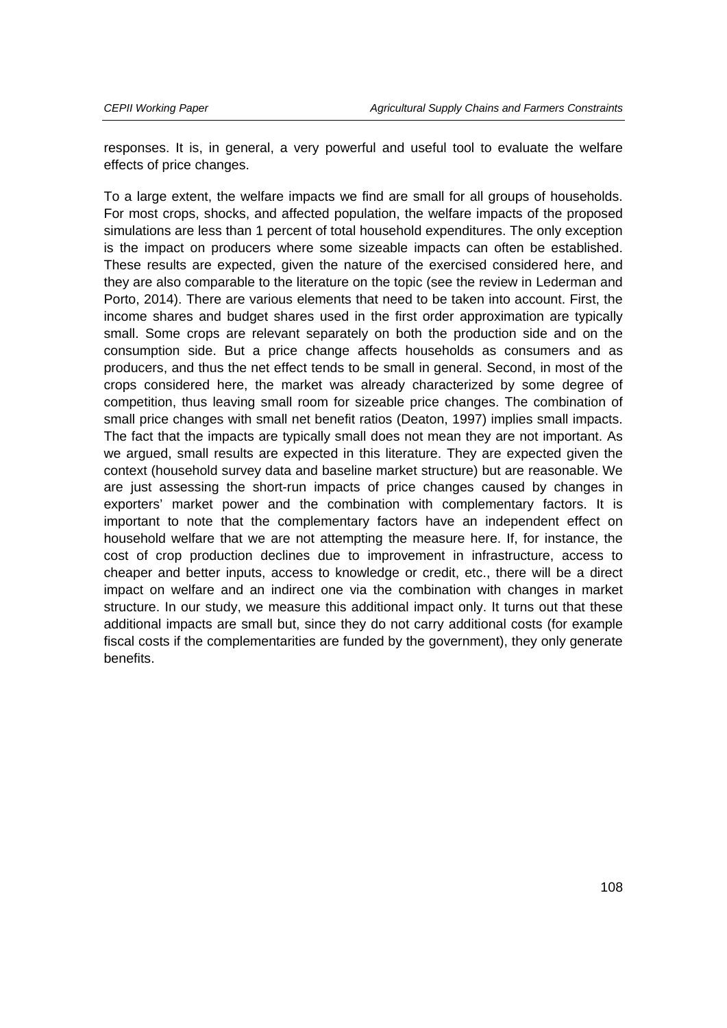responses. It is, in general, a very powerful and useful tool to evaluate the welfare effects of price changes.

To a large extent, the welfare impacts we find are small for all groups of households. For most crops, shocks, and affected population, the welfare impacts of the proposed simulations are less than 1 percent of total household expenditures. The only exception is the impact on producers where some sizeable impacts can often be established. These results are expected, given the nature of the exercised considered here, and they are also comparable to the literature on the topic (see the review in Lederman and Porto, 2014). There are various elements that need to be taken into account. First, the income shares and budget shares used in the first order approximation are typically small. Some crops are relevant separately on both the production side and on the consumption side. But a price change affects households as consumers and as producers, and thus the net effect tends to be small in general. Second, in most of the crops considered here, the market was already characterized by some degree of competition, thus leaving small room for sizeable price changes. The combination of small price changes with small net benefit ratios (Deaton, 1997) implies small impacts. The fact that the impacts are typically small does not mean they are not important. As we argued, small results are expected in this literature. They are expected given the context (household survey data and baseline market structure) but are reasonable. We are just assessing the short-run impacts of price changes caused by changes in exporters' market power and the combination with complementary factors. It is important to note that the complementary factors have an independent effect on household welfare that we are not attempting the measure here. If, for instance, the cost of crop production declines due to improvement in infrastructure, access to cheaper and better inputs, access to knowledge or credit, etc., there will be a direct impact on welfare and an indirect one via the combination with changes in market structure. In our study, we measure this additional impact only. It turns out that these additional impacts are small but, since they do not carry additional costs (for example fiscal costs if the complementarities are funded by the government), they only generate benefits.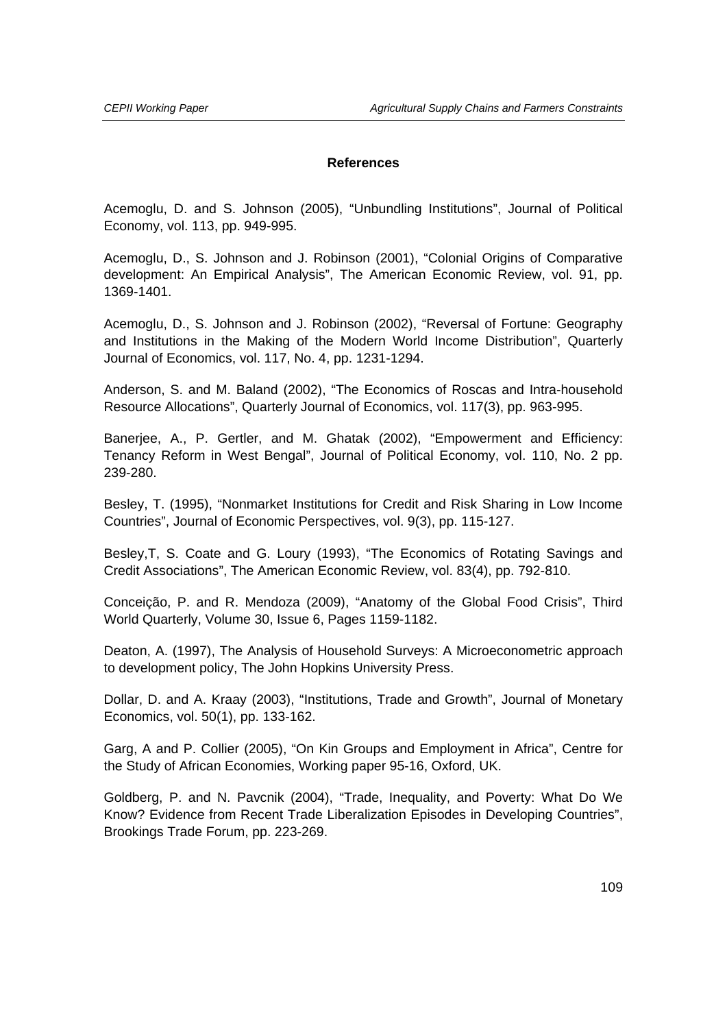#### **References**

Acemoglu, D. and S. Johnson (2005), "Unbundling Institutions", Journal of Political Economy, vol. 113, pp. 949-995.

Acemoglu, D., S. Johnson and J. Robinson (2001), "Colonial Origins of Comparative development: An Empirical Analysis", The American Economic Review, vol. 91, pp. 1369-1401.

Acemoglu, D., S. Johnson and J. Robinson (2002), "Reversal of Fortune: Geography and Institutions in the Making of the Modern World Income Distribution", Quarterly Journal of Economics, vol. 117, No. 4, pp. 1231-1294.

Anderson, S. and M. Baland (2002), "The Economics of Roscas and Intra-household Resource Allocations", Quarterly Journal of Economics, vol. 117(3), pp. 963-995.

Banerjee, A., P. Gertler, and M. Ghatak (2002), "Empowerment and Efficiency: Tenancy Reform in West Bengal", Journal of Political Economy, vol. 110, No. 2 pp. 239-280.

Besley, T. (1995), "Nonmarket Institutions for Credit and Risk Sharing in Low Income Countries", Journal of Economic Perspectives, vol. 9(3), pp. 115-127.

Besley,T, S. Coate and G. Loury (1993), "The Economics of Rotating Savings and Credit Associations", The American Economic Review, vol. 83(4), pp. 792-810.

Conceição, P. and R. Mendoza (2009), "Anatomy of the Global Food Crisis", Third World Quarterly, Volume 30, Issue 6, Pages 1159-1182.

Deaton, A. (1997), The Analysis of Household Surveys: A Microeconometric approach to development policy, The John Hopkins University Press.

Dollar, D. and A. Kraay (2003), "Institutions, Trade and Growth", Journal of Monetary Economics, vol. 50(1), pp. 133-162.

Garg, A and P. Collier (2005), "On Kin Groups and Employment in Africa", Centre for the Study of African Economies, Working paper 95-16, Oxford, UK.

Goldberg, P. and N. Pavcnik (2004), "Trade, Inequality, and Poverty: What Do We Know? Evidence from Recent Trade Liberalization Episodes in Developing Countries", Brookings Trade Forum, pp. 223-269.